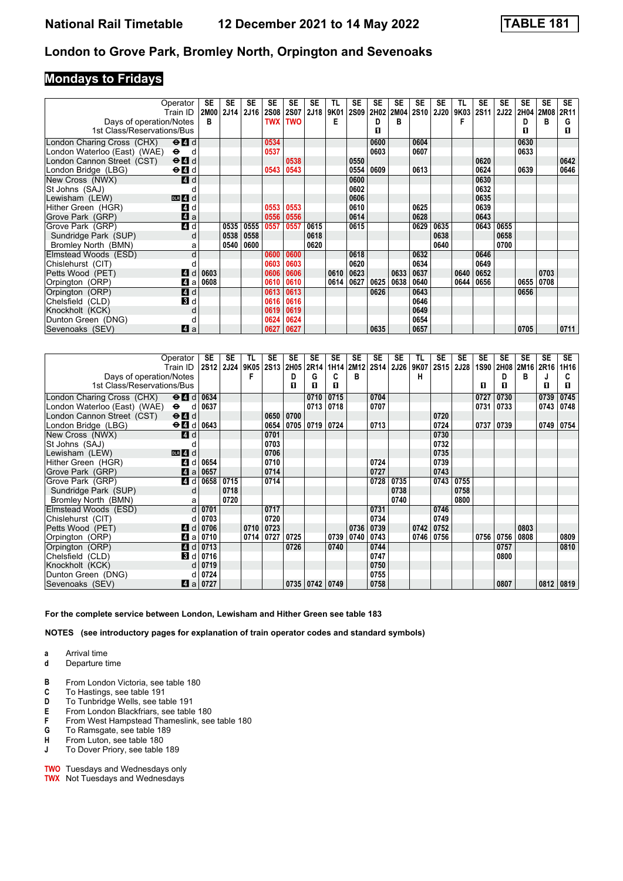### **Mondays to Fridays**

|                              | Operator<br>Train ID                            | SE   | <b>SE</b><br>2M00 2J14 | <b>SE</b><br>2J16 | SE<br>2S08 | <b>SE</b><br>2S07 | SE<br>2J18 | TL<br>9K01 | <b>SE</b><br><b>2S09</b> | <b>SE</b><br>2H02 | <b>SE</b><br><b>2M04</b> | <b>SE</b><br><b>2S10</b> | <b>SE</b><br><b>2J20</b> | TL<br>9K03 | <b>SE</b><br>2S11 | <b>SE</b><br><b>2J22</b> | SE<br>2H04 | <b>SE</b><br><b>2M08</b> | <b>SE</b><br>2R11 |
|------------------------------|-------------------------------------------------|------|------------------------|-------------------|------------|-------------------|------------|------------|--------------------------|-------------------|--------------------------|--------------------------|--------------------------|------------|-------------------|--------------------------|------------|--------------------------|-------------------|
| Days of operation/Notes      |                                                 | в    |                        |                   | <b>TWX</b> | <b>TWO</b>        |            | Е          |                          | D                 | в                        |                          |                          | F          |                   |                          | D          | в                        | G                 |
| 1st Class/Reservations/Bus   |                                                 |      |                        |                   |            |                   |            |            |                          | п                 |                          |                          |                          |            |                   |                          | п          |                          | п                 |
| London Charing Cross (CHX)   | $\Theta$ <sup><math>\Omega</math></sup> d       |      |                        |                   | 0534       |                   |            |            |                          | 0600              |                          | 0604                     |                          |            |                   |                          | 0630       |                          |                   |
| London Waterloo (East) (WAE) | $\ddot{\mathbf{e}}$<br>d                        |      |                        |                   | 0537       |                   |            |            |                          | 0603              |                          | 0607                     |                          |            |                   |                          | 0633       |                          |                   |
| London Cannon Street (CST)   | $\Theta$ $\blacksquare$ d                       |      |                        |                   |            | 0538              |            |            | 0550                     |                   |                          |                          |                          |            | 0620              |                          |            |                          | 0642              |
| London Bridge (LBG)          | $\Theta$ <sup><math>\blacksquare</math> d</sup> |      |                        |                   | 0543       | 0543              |            |            | 0554                     | 0609              |                          | 0613                     |                          |            | 0624              |                          | 0639       |                          | 0646              |
| New Cross (NWX)              | 4 d                                             |      |                        |                   |            |                   |            |            | 0600                     |                   |                          |                          |                          |            | 0630              |                          |            |                          |                   |
| St Johns (SAJ)               |                                                 |      |                        |                   |            |                   |            |            | 0602                     |                   |                          |                          |                          |            | 0632              |                          |            |                          |                   |
| Lewisham (LEW)               | $DLR$ 4 $d$                                     |      |                        |                   |            |                   |            |            | 0606                     |                   |                          |                          |                          |            | 0635              |                          |            |                          |                   |
| Hither Green (HGR)           | 4 d                                             |      |                        |                   | 0553       | 0553              |            |            | 0610                     |                   |                          | 0625                     |                          |            | 0639              |                          |            |                          |                   |
| Grove Park (GRP)             | $\mathbf{A}$ a                                  |      |                        |                   | 0556       | 0556              |            |            | 0614                     |                   |                          | 0628                     |                          |            | 0643              |                          |            |                          |                   |
| Grove Park (GRP)             | $\overline{4d}$                                 |      | 0535                   | 0555              | 0557       | 0557              | 0615       |            | 0615                     |                   |                          | 0629                     | 0635                     |            | 0643              | 0655                     |            |                          |                   |
| Sundridge Park (SUP)         | d                                               |      | 0538                   | 0558              |            |                   | 0618       |            |                          |                   |                          |                          | 0638                     |            |                   | 0658                     |            |                          |                   |
| Bromley North (BMN)          | a                                               |      | 0540                   | 0600              |            |                   | 0620       |            |                          |                   |                          |                          | 0640                     |            |                   | 0700                     |            |                          |                   |
| Elmstead Woods (ESD)         | d                                               |      |                        |                   | 0600       | 0600              |            |            | 0618                     |                   |                          | 0632                     |                          |            | 0646              |                          |            |                          |                   |
| Chislehurst (CIT)            |                                                 |      |                        |                   | 0603       | 0603              |            |            | 0620                     |                   |                          | 0634                     |                          |            | 0649              |                          |            |                          |                   |
| Petts Wood (PET)             | <b>4</b><br>d                                   | 0603 |                        |                   | 0606       | 0606              |            | 0610       | 0623                     |                   | 0633                     | 0637                     |                          | 0640       | 0652              |                          |            | 0703                     |                   |
| Orpington (ORP)              | 4 a                                             | 0608 |                        |                   | 0610       | 0610              |            | 0614       | 0627                     | 0625              | 0638                     | 0640                     |                          | 0644       | 0656              |                          | 0655       | 0708                     |                   |
| Orpington (ORP)              | 4d                                              |      |                        |                   | 0613       | 0613              |            |            |                          | 0626              |                          | 0643                     |                          |            |                   |                          | 0656       |                          |                   |
| Chelsfield (CLD)             | <b>B</b> d                                      |      |                        |                   | 0616       | 0616              |            |            |                          |                   |                          | 0646                     |                          |            |                   |                          |            |                          |                   |
| Knockholt (KCK)              | d                                               |      |                        |                   | 0619       | 0619              |            |            |                          |                   |                          | 0649                     |                          |            |                   |                          |            |                          |                   |
| Dunton Green (DNG)           | d                                               |      |                        |                   | 0624       | 0624              |            |            |                          |                   |                          | 0654                     |                          |            |                   |                          |            |                          |                   |
| Sevenoaks (SEV)              | ZI a                                            |      |                        |                   | 0627       | 0627              |            |            |                          | 0635              |                          | 0657                     |                          |            |                   |                          | 0705       |                          | 0711              |

|                              | Operator                                                     | SE               | SE          | TL   | <b>SE</b>   | SE   | SE        | <b>SE</b> | SE        | SE   | SE          | TL   | SE   | <b>SE</b> | <b>SE</b> | <b>SE</b> | <b>SE</b> | <b>SE</b> | <b>SE</b> |
|------------------------------|--------------------------------------------------------------|------------------|-------------|------|-------------|------|-----------|-----------|-----------|------|-------------|------|------|-----------|-----------|-----------|-----------|-----------|-----------|
|                              | Train ID                                                     | 2S <sub>12</sub> | <b>2J24</b> | 9K05 | <b>2S13</b> | 2H05 | 2R14      |           | 1H14 2M12 | 2S14 | <b>2J26</b> | 9K07 | 2S15 | 2J28      | 1S90      |           | 2H08 2M16 | 2R16      | 1H16      |
| Days of operation/Notes      |                                                              |                  |             |      |             | D    | G         | C         | в         |      |             | н    |      |           |           | D         | B         | J         | C         |
| 1st Class/Reservations/Bus   |                                                              |                  |             |      |             | п    | п         | П         |           |      |             |      |      |           | п         | п         |           | п         | п         |
| London Charing Cross (CHX)   | $\Theta$ $\blacksquare$ d                                    | 0634             |             |      |             |      | 0710      | 0715      |           | 0704 |             |      |      |           | 0727      | 0730      |           | 0739      | 0745      |
| London Waterloo (East) (WAE) | $\bullet$<br>d                                               | 0637             |             |      |             |      | 0713      | 0718      |           | 0707 |             |      |      |           | 0731      | 0733      |           | 0743      | 0748      |
| London Cannon Street (CST)   | $\Theta$ $\blacksquare$ d                                    |                  |             |      | 0650        | 0700 |           |           |           |      |             |      | 0720 |           |           |           |           |           |           |
| London Bridge (LBG)          | $\Theta$ <sup><math>\blacksquare</math> <math>d</math></sup> | 0643             |             |      | 0654        | 0705 | 0719 0724 |           |           | 0713 |             |      | 0724 |           | 0737      | 0739      |           | 0749      | 0754      |
| New Cross (NWX)              | 4 d                                                          |                  |             |      | 0701        |      |           |           |           |      |             |      | 0730 |           |           |           |           |           |           |
| St Johns (SAJ)               |                                                              |                  |             |      | 0703        |      |           |           |           |      |             |      | 0732 |           |           |           |           |           |           |
| Lewisham (LEW)               | $DLR$ 4 d                                                    |                  |             |      | 0706        |      |           |           |           |      |             |      | 0735 |           |           |           |           |           |           |
| Hither Green (HGR)           | 4<br>d                                                       | 0654             |             |      | 0710        |      |           |           |           | 0724 |             |      | 0739 |           |           |           |           |           |           |
| Grove Park (GRP)             | 4a                                                           | 0657             |             |      | 0714        |      |           |           |           | 0727 |             |      | 0743 |           |           |           |           |           |           |
| Grove Park (GRP)             | 4 d                                                          | 0658             | 0715        |      | 0714        |      |           |           |           | 0728 | 0735        |      | 0743 | 0755      |           |           |           |           |           |
| Sundridge Park (SUP)         | d                                                            |                  | 0718        |      |             |      |           |           |           |      | 0738        |      |      | 0758      |           |           |           |           |           |
| Bromley North (BMN)          | а                                                            |                  | 0720        |      |             |      |           |           |           |      | 0740        |      |      | 0800      |           |           |           |           |           |
| Elmstead Woods (ESD)         | $\mathsf{d}$                                                 | 0701             |             |      | 0717        |      |           |           |           | 0731 |             |      | 0746 |           |           |           |           |           |           |
| Chislehurst (CIT)            |                                                              | 0703             |             |      | 0720        |      |           |           |           | 0734 |             |      | 0749 |           |           |           |           |           |           |
| Petts Wood (PET)             | <b>14</b><br>d                                               | 0706             |             | 0710 | 0723        |      |           |           | 0736      | 0739 |             | 0742 | 0752 |           |           |           | 0803      |           |           |
| Orpington (ORP)              | 4<br>a                                                       | 0710             |             | 0714 | 0727        | 0725 |           | 0739      | 0740      | 0743 |             | 0746 | 0756 |           | 0756      | 0756      | 0808      |           | 0809      |
| Orpington (ORP)              | 4 d                                                          | 0713             |             |      |             | 0726 |           | 0740      |           | 0744 |             |      |      |           |           | 0757      |           |           | 0810      |
| Chelsfield (CLD)             | <b>3</b> d                                                   | 0716             |             |      |             |      |           |           |           | 0747 |             |      |      |           |           | 0800      |           |           |           |
| Knockholt (KCK)              |                                                              | 0719             |             |      |             |      |           |           |           | 0750 |             |      |      |           |           |           |           |           |           |
| Dunton Green (DNG)           |                                                              | 0724             |             |      |             |      |           |           |           | 0755 |             |      |      |           |           |           |           |           |           |
| Sevenoaks (SEV)              | ZI a                                                         | 0727             |             |      |             | 0735 | 0742      | 0749      |           | 0758 |             |      |      |           |           | 0807      |           | 0812      | 0819      |

**For the complete service between London, Lewisham and Hither Green see table 183**

- **a** Arrival time<br>**d** Departure t
- **d** Departure time
- **B** From London Victoria, see table 180<br>**C** To Hastings, see table 191
- **C** To Hastings, see table 191<br>**D** To Tunbridge Wells, see ta
- **D** To Tunbridge Wells, see table 191<br>**E** From London Blackfriars, see table
- **E** From London Blackfriars, see table 18
- **F** From West Hampstead Thameslink, see table 180 **G** To Ramsgate, see table 189
- **6** To Ramsgate, see table 189<br>**H** From Luton, see table 180 From Luton, see table 180
- 
- **J** To Dover Priory, see table 189
- **TWO** Tuesdays and Wednesdays only **TWX** Not Tuesdays and Wednesdays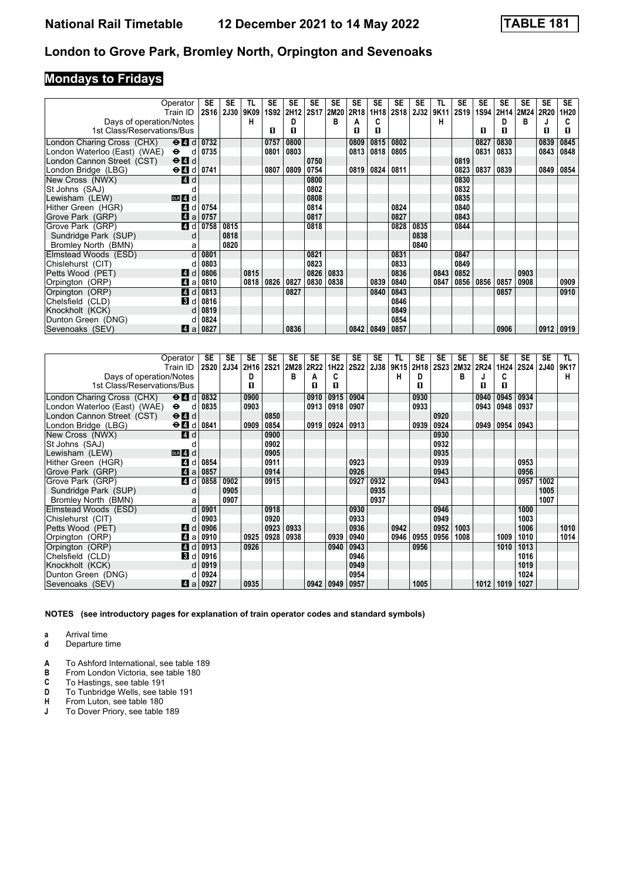# **Mondays to Fridays**

| Operator                                                                |      | SE   | SE        | TL   | SE   | <b>SE</b>        | SE          | SE   | <b>SE</b> | SE        | <b>SE</b> | SE          | TL   | <b>SE</b>        | <b>SE</b> | <b>SE</b> | SE        | <b>SE</b>   | SE.  |
|-------------------------------------------------------------------------|------|------|-----------|------|------|------------------|-------------|------|-----------|-----------|-----------|-------------|------|------------------|-----------|-----------|-----------|-------------|------|
| Train ID                                                                |      |      | 2S16 2J30 | 9K09 | 1S92 | 2H <sub>12</sub> | <b>2S17</b> | 2M20 | 2R18      |           | 1H18 2S18 | <b>2J32</b> | 9K11 | 2S <sub>19</sub> | 1S94      |           | 2H14 2M24 | <b>2R20</b> | 1H20 |
| Days of operation/Notes                                                 |      |      |           | н    |      | D                |             | в    | А         | C         |           |             | н    |                  |           | D         | в         |             |      |
| 1st Class/Reservations/Bus                                              |      |      |           |      | п    | п                |             |      | п         | п         |           |             |      |                  | п         | п         |           | п           | п    |
| London Charing Cross (CHX)<br>$\Theta$ $\blacksquare$ d                 |      | 0732 |           |      | 0757 | 0800             |             |      | 0809      | 0815      | 0802      |             |      |                  | 0827      | 0830      |           | 0839        | 0845 |
| London Waterloo (East) (WAE)<br>$\bullet$                               | d    | 0735 |           |      | 0801 | 0803             |             |      | 0813      | 0818      | 0805      |             |      |                  | 0831      | 0833      |           | 0843        | 0848 |
| London Cannon Street (CST)<br>$\Theta$ <sup><math>\Omega</math></sup> d |      |      |           |      |      |                  | 0750        |      |           |           |           |             |      | 0819             |           |           |           |             |      |
| $\Theta$ d 0741<br>London Bridge (LBG)                                  |      |      |           |      | 0807 | 0809             | 0754        |      |           | 0819 0824 | 0811      |             |      | 0823             | 0837      | 0839      |           | 0849        | 0854 |
| New Cross (NWX)<br><b>4</b> d                                           |      |      |           |      |      |                  | 0800        |      |           |           |           |             |      | 0830             |           |           |           |             |      |
| St Johns (SAJ)                                                          |      |      |           |      |      |                  | 0802        |      |           |           |           |             |      | 0832             |           |           |           |             |      |
| Lewisham (LEW)<br>$DLR$ 4 $d$                                           |      |      |           |      |      |                  | 0808        |      |           |           |           |             |      | 0835             |           |           |           |             |      |
| 4 d<br>Hither Green (HGR)                                               |      | 0754 |           |      |      |                  | 0814        |      |           |           | 0824      |             |      | 0840             |           |           |           |             |      |
| ZI a<br>Grove Park (GRP)                                                | 0757 |      |           |      |      |                  | 0817        |      |           |           | 0827      |             |      | 0843             |           |           |           |             |      |
| 4 d<br>Grove Park (GRP)                                                 |      | 0758 | 0815      |      |      |                  | 0818        |      |           |           | 0828      | 0835        |      | 0844             |           |           |           |             |      |
| Sundridge Park (SUP)                                                    | d    |      | 0818      |      |      |                  |             |      |           |           |           | 0838        |      |                  |           |           |           |             |      |
| Bromley North (BMN)                                                     | a    |      | 0820      |      |      |                  |             |      |           |           |           | 0840        |      |                  |           |           |           |             |      |
| Elmstead Woods (ESD)                                                    | d    | 0801 |           |      |      |                  | 0821        |      |           |           | 0831      |             |      | 0847             |           |           |           |             |      |
| Chislehurst (CIT)                                                       |      | 0803 |           |      |      |                  | 0823        |      |           |           | 0833      |             |      | 0849             |           |           |           |             |      |
| Petts Wood (PET)<br>ZI d                                                |      | 0806 |           | 0815 |      |                  | 0826        | 0833 |           |           | 0836      |             | 0843 | 0852             |           |           | 0903      |             |      |
| Orpington (ORP)<br>ZI a                                                 |      | 0810 |           | 0818 | 0826 | 0827             | 0830        | 0838 |           | 0839      | 0840      |             | 0847 | 0856             | 0856      | 0857      | 0908      |             | 0909 |
| 4 d<br>Orpington (ORP)                                                  |      | 0813 |           |      |      | 0827             |             |      |           | 0840      | 0843      |             |      |                  |           | 0857      |           |             | 0910 |
| <b>B</b> d<br>Chelsfield (CLD)                                          |      | 0816 |           |      |      |                  |             |      |           |           | 0846      |             |      |                  |           |           |           |             |      |
| Knockholt (KCK)                                                         | d    | 0819 |           |      |      |                  |             |      |           |           | 0849      |             |      |                  |           |           |           |             |      |
| Dunton Green (DNG)                                                      |      | 0824 |           |      |      |                  |             |      |           |           | 0854      |             |      |                  |           |           |           |             |      |
| Sevenoaks (SEV)<br>ZI a                                                 |      | 0827 |           |      |      | 0836             |             |      | 0842      | 0849      | 0857      |             |      |                  |           | 0906      |           | 0912        | 0919 |

|                              | Operator<br>Train ID      | <b>SE</b><br><b>2S20</b> | <b>SE</b><br>2J34 | <b>SE</b><br>2H <sub>16</sub> | <b>SE</b><br><b>2S21</b> | <b>SE</b><br>2M28 | <b>SE</b><br>2R22 | <b>SE</b><br>1H22 | <b>SE</b><br><b>2S22</b> | <b>SE</b><br>2J38 | TL<br>9K15 | <b>SE</b><br>2H <sub>18</sub> | <b>SE</b> | <b>SE</b><br>2S23 2M32 | <b>SE</b><br><b>2R24</b> | <b>SE</b><br>1H24 | <b>SE</b><br><b>2S24</b> | <b>SE</b><br><b>2J40</b> | TL.<br>9K17 |
|------------------------------|---------------------------|--------------------------|-------------------|-------------------------------|--------------------------|-------------------|-------------------|-------------------|--------------------------|-------------------|------------|-------------------------------|-----------|------------------------|--------------------------|-------------------|--------------------------|--------------------------|-------------|
| Days of operation/Notes      |                           |                          |                   | D                             |                          | в                 | А                 | C                 |                          |                   | н          | D                             |           | в                      |                          | C                 |                          |                          | н           |
| 1st Class/Reservations/Bus   |                           |                          |                   | п                             |                          |                   | п                 | п                 |                          |                   |            | п                             |           |                        | п                        | п                 |                          |                          |             |
|                              |                           |                          |                   |                               |                          |                   |                   |                   |                          |                   |            |                               |           |                        |                          |                   |                          |                          |             |
| London Charing Cross (CHX)   | $\Theta$ $\blacksquare$ d | 0832                     |                   | 0900                          |                          |                   | 0910              | 0915              | 0904                     |                   |            | 0930                          |           |                        | 0940                     | 0945              | 0934                     |                          |             |
| London Waterloo (East) (WAE) | $\bullet$<br>d            | 0835                     |                   | 0903                          |                          |                   | 0913              | 0918              | 0907                     |                   |            | 0933                          |           |                        | 0943                     | 0948              | 0937                     |                          |             |
| London Cannon Street (CST)   | $\Theta$ $\blacksquare$ d |                          |                   |                               | 0850                     |                   |                   |                   |                          |                   |            |                               | 0920      |                        |                          |                   |                          |                          |             |
| London Bridge (LBG)          | $\Theta$ $\blacksquare$ d | 0841                     |                   | 0909                          | 0854                     |                   | 0919              | 0924              | 0913                     |                   |            | 0939                          | 0924      |                        | 0949                     | 0954              | 0943                     |                          |             |
| New Cross (NWX)              | ZI d                      |                          |                   |                               | 0900                     |                   |                   |                   |                          |                   |            |                               | 0930      |                        |                          |                   |                          |                          |             |
| St Johns (SAJ)               |                           |                          |                   |                               | 0902                     |                   |                   |                   |                          |                   |            |                               | 0932      |                        |                          |                   |                          |                          |             |
| Lewisham (LEW)               | $DLR$ 4 $d$               |                          |                   |                               | 0905                     |                   |                   |                   |                          |                   |            |                               | 0935      |                        |                          |                   |                          |                          |             |
| Hither Green (HGR)           | $\boldsymbol{A}$<br>d     | 0854                     |                   |                               | 0911                     |                   |                   |                   | 0923                     |                   |            |                               | 0939      |                        |                          |                   | 0953                     |                          |             |
| Grove Park (GRP)             | Zi a                      | 0857                     |                   |                               | 0914                     |                   |                   |                   | 0926                     |                   |            |                               | 0943      |                        |                          |                   | 0956                     |                          |             |
| Grove Park (GRP)             | 4 d                       | 0858                     | 0902              |                               | 0915                     |                   |                   |                   | 0927                     | 0932              |            |                               | 0943      |                        |                          |                   | 0957                     | 1002                     |             |
| Sundridge Park (SUP)         | d                         |                          | 0905              |                               |                          |                   |                   |                   |                          | 0935              |            |                               |           |                        |                          |                   |                          | 1005                     |             |
| Bromley North (BMN)          | а                         |                          | 0907              |                               |                          |                   |                   |                   |                          | 0937              |            |                               |           |                        |                          |                   |                          | 1007                     |             |
| Elmstead Woods (ESD)         | d                         | 0901                     |                   |                               | 0918                     |                   |                   |                   | 0930                     |                   |            |                               | 0946      |                        |                          |                   | 1000                     |                          |             |
| Chislehurst (CIT)            |                           | 0903                     |                   |                               | 0920                     |                   |                   |                   | 0933                     |                   |            |                               | 0949      |                        |                          |                   | 1003                     |                          |             |
| Petts Wood (PET)             | I 4 I<br>d                | 0906                     |                   |                               | 0923                     | 0933              |                   |                   | 0936                     |                   | 0942       |                               | 0952      | 1003                   |                          |                   | 1006                     |                          | 1010        |
| Orpington (ORP)              | 4<br>a                    | 0910                     |                   | 0925                          | 0928                     | 0938              |                   | 0939              | 0940                     |                   | 0946       | 0955                          | 0956      | 1008                   |                          | 1009              | 1010                     |                          | 1014        |
| Orpington (ORP)              | 4<br>d                    | 0913                     |                   | 0926                          |                          |                   |                   | 0940              | 0943                     |                   |            | 0956                          |           |                        |                          | 1010              | 1013                     |                          |             |
| Chelsfield (CLD)             | <b>3</b> d                | 0916                     |                   |                               |                          |                   |                   |                   | 0946                     |                   |            |                               |           |                        |                          |                   | 1016                     |                          |             |
| Knockholt (KCK)              |                           | 0919                     |                   |                               |                          |                   |                   |                   | 0949                     |                   |            |                               |           |                        |                          |                   | 1019                     |                          |             |
| Dunton Green (DNG)           |                           | 0924                     |                   |                               |                          |                   |                   |                   | 0954                     |                   |            |                               |           |                        |                          |                   | 1024                     |                          |             |
| Sevenoaks (SEV)              | 4<br>a                    | 0927                     |                   | 0935                          |                          |                   | 0942              | 0949              | 0957                     |                   |            | 1005                          |           |                        | 1012                     | 1019              | 1027                     |                          |             |

**NOTES (see introductory pages for explanation of train operator codes and standard symbols)**

**a** Arrival time

**d** Departure time

- **A** To Ashford International, see table 189<br>**B** From London Victoria, see table 180
- **From London Victoria, see table 180**
- **C** To Hastings, see table 191<br>**D** To Tunbridge Wells, see ta
- **D** To Tunbridge Wells, see table 191<br>**H** From Luton, see table 180
- **H** From Luton, see table 180<br>**J** To Dover Priory, see table
- **-** To Dover Priory, see table 18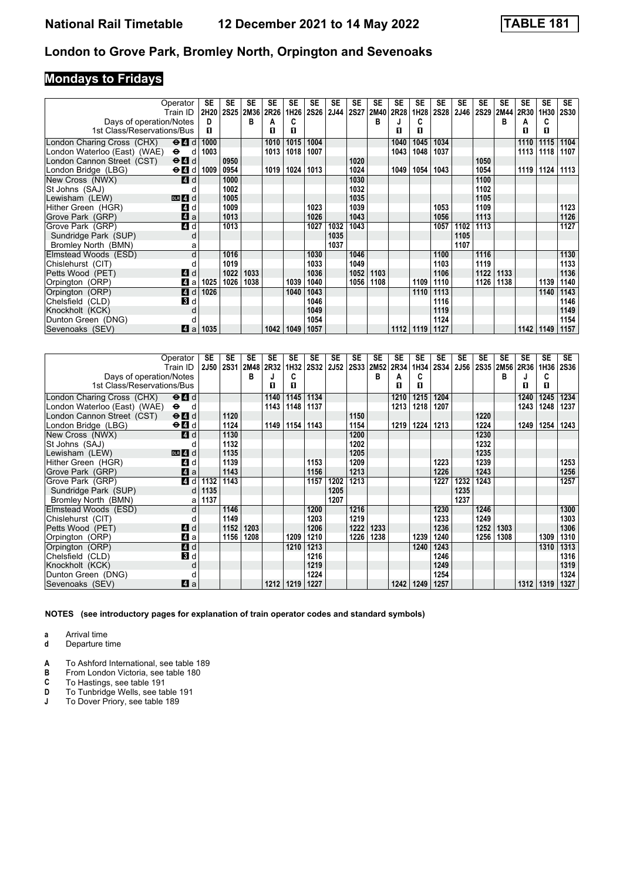# **Mondays to Fridays**

| Operator                                                                                   | SE   | <b>SE</b> | <b>SE</b> | <b>SE</b> | <b>SE</b> | <b>SE</b>   | SE          | <b>SE</b>   | <b>SE</b> | <b>SE</b>   | SE   | <b>SE</b> | <b>SE</b> | <b>SE</b>   | <b>SE</b> | SE   | <b>SE</b> | SE.         |
|--------------------------------------------------------------------------------------------|------|-----------|-----------|-----------|-----------|-------------|-------------|-------------|-----------|-------------|------|-----------|-----------|-------------|-----------|------|-----------|-------------|
| Train ID                                                                                   | 2H20 | 2S25 2M36 |           | 2R26      | 1H26      | <b>2S26</b> | <b>2J44</b> | <b>2S27</b> | 2M40      | <b>2R28</b> | 1H28 | 2S28      | 2J46      | <b>2S29</b> | 2MA4      | 2R30 | 1H30      | <b>2S30</b> |
| Days of operation/Notes                                                                    | D    |           | в         | А         | C         |             |             |             | в         |             | C    |           |           |             | в         | А    | C         |             |
| 1st Class/Reservations/Bus                                                                 | п    |           |           | п         | п         |             |             |             |           | п           | п    |           |           |             |           | п    | п         |             |
| London Charing Cross (CHX)<br>$\Theta$ <sup><math>\Omega</math></sup> d                    | 1000 |           |           | 1010      | 1015      | 1004        |             |             |           | 1040        | 1045 | 1034      |           |             |           | 1110 | 1115      | 1104        |
| London Waterloo (East) (WAE)<br>$\bullet$<br>d                                             | 1003 |           |           | 1013      | 1018      | 1007        |             |             |           | 1043        | 1048 | 1037      |           |             |           | 1113 | 1118      | 1107        |
| London Cannon Street (CST)<br>$\Theta$ <sup><math>\blacksquare</math> <math>d</math></sup> |      | 0950      |           |           |           |             |             | 1020        |           |             |      |           |           | 1050        |           |      |           |             |
| $\Theta$ $\blacksquare$ d<br>London Bridge (LBG)                                           | 1009 | 0954      |           | 1019      | 1024      | 1013        |             | 1024        |           | 1049        | 1054 | 1043      |           | 1054        |           | 1119 | 1124      | 1113        |
| New Cross (NWX)<br><b>4</b> d                                                              |      | 1000      |           |           |           |             |             | 1030        |           |             |      |           |           | 1100        |           |      |           |             |
| St Johns (SAJ)                                                                             |      | 1002      |           |           |           |             |             | 1032        |           |             |      |           |           | 1102        |           |      |           |             |
| Lewisham (LEW)<br>$DLR$ 4 $d$                                                              |      | 1005      |           |           |           |             |             | 1035        |           |             |      |           |           | 1105        |           |      |           |             |
| 4 d<br>Hither Green (HGR)                                                                  |      | 1009      |           |           |           | 1023        |             | 1039        |           |             |      | 1053      |           | 1109        |           |      |           | 1123        |
| 4a<br>Grove Park (GRP)                                                                     |      | 1013      |           |           |           | 1026        |             | 1043        |           |             |      | 1056      |           | 1113        |           |      |           | 1126        |
| 4d<br>Grove Park (GRP)                                                                     |      | 1013      |           |           |           | 1027        | 1032        | 1043        |           |             |      | 1057      | 1102      | 1113        |           |      |           | 1127        |
| Sundridge Park (SUP)<br>d                                                                  |      |           |           |           |           |             | 1035        |             |           |             |      |           | 1105      |             |           |      |           |             |
| Bromley North (BMN)<br>a                                                                   |      |           |           |           |           |             | 1037        |             |           |             |      |           | 1107      |             |           |      |           |             |
| Elmstead Woods (ESD)<br>d                                                                  |      | 1016      |           |           |           | 1030        |             | 1046        |           |             |      | 1100      |           | 1116        |           |      |           | 1130        |
| Chislehurst (CIT)                                                                          |      | 1019      |           |           |           | 1033        |             | 1049        |           |             |      | 1103      |           | 1119        |           |      |           | 1133        |
| Petts Wood (PET)<br>4 d                                                                    |      | 1022      | 1033      |           |           | 1036        |             | 1052        | 1103      |             |      | 1106      |           | 1122        | 1133      |      |           | 1136        |
| 4 a<br>Orpington (ORP)                                                                     | 1025 | 1026      | 1038      |           | 1039      | 1040        |             | 1056        | 1108      |             | 1109 | 1110      |           | 1126        | 1138      |      | 1139      | 1140        |
| 4d<br>Orpington (ORP)                                                                      | 1026 |           |           |           | 1040      | 1043        |             |             |           |             | 1110 | 1113      |           |             |           |      | 1140      | 1143        |
| <b>B</b> d<br>Chelsfield (CLD)                                                             |      |           |           |           |           | 1046        |             |             |           |             |      | 1116      |           |             |           |      |           | 1146        |
| Knockholt (KCK)<br>d                                                                       |      |           |           |           |           | 1049        |             |             |           |             |      | 1119      |           |             |           |      |           | 1149        |
| Dunton Green (DNG)<br>d                                                                    |      |           |           |           |           | 1054        |             |             |           |             |      | 1124      |           |             |           |      |           | 1154        |
| Sevenoaks (SEV)<br>ZI a                                                                    | 1035 |           |           | 1042      | 1049      | 1057        |             |             |           | 1112        | 1119 | 1127      |           |             |           | 1142 | 1149      | 1157        |

|                              | Operator<br>Train ID                        | <b>SE</b><br><b>2J50</b> | <b>SE</b> | <b>SE</b><br>2S31 2M48 | <b>SE</b><br>2R32 | <b>SE</b><br>1H32 | <b>SE</b><br><b>2S32</b> | <b>SE</b><br><b>2J52</b> | <b>SE</b> | <b>SE</b><br>2S33 2M52 | <b>SE</b><br>2R34 | SE<br>1H34 | <b>SE</b><br>2S34 | <b>SE</b><br>2J56 | <b>SE</b><br><b>2S35</b> | <b>SE</b><br>2M56 | <b>SE</b><br>2R36 | <b>SE</b><br>1H36 | <b>SE</b><br><b>2S36</b> |
|------------------------------|---------------------------------------------|--------------------------|-----------|------------------------|-------------------|-------------------|--------------------------|--------------------------|-----------|------------------------|-------------------|------------|-------------------|-------------------|--------------------------|-------------------|-------------------|-------------------|--------------------------|
| Days of operation/Notes      |                                             |                          |           | в                      | J                 | C                 |                          |                          |           | в                      | A                 | C          |                   |                   |                          | в                 |                   | C                 |                          |
| 1st Class/Reservations/Bus   |                                             |                          |           |                        | п                 | п                 |                          |                          |           |                        | п                 | п          |                   |                   |                          |                   | п                 | п                 |                          |
| London Charing Cross (CHX)   | $\Theta$ $\blacksquare$ d                   |                          |           |                        | 1140              | 1145              | 1134                     |                          |           |                        | 1210              | 1215       | 1204              |                   |                          |                   | 1240              | 1245              | 1234                     |
| London Waterloo (East) (WAE) | $\bullet$<br>d                              |                          |           |                        | 1143              | 1148              | 1137                     |                          |           |                        | 1213              | 1218       | 1207              |                   |                          |                   | 1243              | 1248              | 1237                     |
| London Cannon Street (CST)   | $\Theta$ $\blacksquare$ d                   |                          | 1120      |                        |                   |                   |                          |                          | 1150      |                        |                   |            |                   |                   | 1220                     |                   |                   |                   |                          |
| London Bridge (LBG)          | $\Theta$ <b><math>\blacksquare</math></b> d |                          | 1124      |                        | 1149              | 1154              | 1143                     |                          | 1154      |                        | 1219              | 1224       | 1213              |                   | 1224                     |                   | 1249              | 1254              | 1243                     |
| New Cross (NWX)              | 4 d                                         |                          | 1130      |                        |                   |                   |                          |                          | 1200      |                        |                   |            |                   |                   | 1230                     |                   |                   |                   |                          |
| St Johns (SAJ)               |                                             |                          | 1132      |                        |                   |                   |                          |                          | 1202      |                        |                   |            |                   |                   | 1232                     |                   |                   |                   |                          |
| Lewisham (LEW)               | $DLR$ 4 d                                   |                          | 1135      |                        |                   |                   |                          |                          | 1205      |                        |                   |            |                   |                   | 1235                     |                   |                   |                   |                          |
| Hither Green (HGR)           | ZI d                                        |                          | 1139      |                        |                   |                   | 1153                     |                          | 1209      |                        |                   |            | 1223              |                   | 1239                     |                   |                   |                   | 1253                     |
| Grove Park (GRP)             | 4a                                          |                          | 1143      |                        |                   |                   | 1156                     |                          | 1213      |                        |                   |            | 1226              |                   | 1243                     |                   |                   |                   | 1256                     |
| Grove Park (GRP)             | $\blacksquare$                              | 1132                     | 1143      |                        |                   |                   | 1157                     | 1202                     | 1213      |                        |                   |            | 1227              | 1232              | 1243                     |                   |                   |                   | 1257                     |
| Sundridge Park (SUP)         | d                                           | 1135                     |           |                        |                   |                   |                          | 1205                     |           |                        |                   |            |                   | 1235              |                          |                   |                   |                   |                          |
| Bromley North (BMN)          | a                                           | 1137                     |           |                        |                   |                   |                          | 1207                     |           |                        |                   |            |                   | 1237              |                          |                   |                   |                   |                          |
| Elmstead Woods (ESD)         | d                                           |                          | 1146      |                        |                   |                   | 1200                     |                          | 1216      |                        |                   |            | 1230              |                   | 1246                     |                   |                   |                   | 1300                     |
| Chislehurst (CIT)            |                                             |                          | 1149      |                        |                   |                   | 1203                     |                          | 1219      |                        |                   |            | 1233              |                   | 1249                     |                   |                   |                   | 1303                     |
| Petts Wood (PET)             | ZI d                                        |                          | 1152      | 1203                   |                   |                   | 1206                     |                          | 1222      | 1233                   |                   |            | 1236              |                   | 1252                     | 1303              |                   |                   | 1306                     |
| Orpington (ORP)              | 41 a                                        |                          | 1156      | 1208                   |                   | 1209              | 1210                     |                          | 1226      | 1238                   |                   | 1239       | 1240              |                   | 1256                     | 1308              |                   | 1309              | 1310                     |
| Orpington (ORP)              | 4d                                          |                          |           |                        |                   | 1210              | 1213                     |                          |           |                        |                   | 1240       | 1243              |                   |                          |                   |                   | 1310              | 1313                     |
| Chelsfield (CLD)             | 3d                                          |                          |           |                        |                   |                   | 1216                     |                          |           |                        |                   |            | 1246              |                   |                          |                   |                   |                   | 1316                     |
| Knockholt (KCK)              | d                                           |                          |           |                        |                   |                   | 1219                     |                          |           |                        |                   |            | 1249              |                   |                          |                   |                   |                   | 1319                     |
| Dunton Green (DNG)           |                                             |                          |           |                        |                   |                   | 1224                     |                          |           |                        |                   |            | 1254              |                   |                          |                   |                   |                   | 1324                     |
| Sevenoaks (SEV)              | ZI a                                        |                          |           |                        | 1212              | 1219              | 1227                     |                          |           |                        | 1242              | 1249       | 1257              |                   |                          |                   | 1312              | 1319              | 1327                     |

**NOTES (see introductory pages for explanation of train operator codes and standard symbols)**

**a** Arrival time

**d** Departure time

**A** To Ashford International, see table 189<br>**B** From London Victoria, see table 180

**B** From London Victoria, see table 180<br>**C** To Hastings, see table 191

**C** To Hastings, see table 191<br>**D** To Tunbridge Wells, see tal **D** To Tunbridge Wells, see table 191<br>**J** To Dover Priory, see table 189

**-** To Dover Priory, see table 18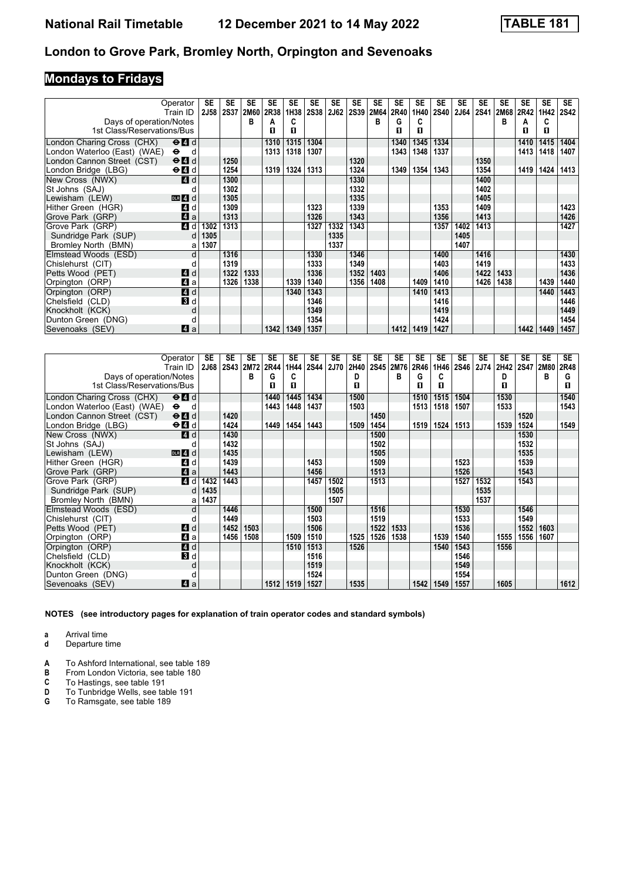# **Mondays to Fridays**

|                                                       | Operator<br>Train ID                            | SE<br><b>2J58</b> | <b>SE</b><br><b>2S37</b> | <b>SE</b><br>2M60 | <b>SE</b><br>2R38 | <b>SE</b><br>1H38 | <b>SE</b><br><b>2S38</b> | SE<br><b>2J62</b> | <b>SE</b><br><b>2S39</b> | <b>SE</b><br>2M64 | <b>SE</b><br>2R40 | SE<br>1H40 | <b>SE</b><br><b>2S40</b> | <b>SE</b><br><b>2J64</b> | <b>SE</b><br><b>2S41</b> | <b>SE</b><br>2M68 | SE<br>2R42 | <b>SE</b><br>1H42 | SE.<br><b>2S42</b> |
|-------------------------------------------------------|-------------------------------------------------|-------------------|--------------------------|-------------------|-------------------|-------------------|--------------------------|-------------------|--------------------------|-------------------|-------------------|------------|--------------------------|--------------------------|--------------------------|-------------------|------------|-------------------|--------------------|
|                                                       |                                                 |                   |                          | в                 |                   | C                 |                          |                   |                          | в                 | G                 | C          |                          |                          |                          | в                 |            | C                 |                    |
| Days of operation/Notes<br>1st Class/Reservations/Bus |                                                 |                   |                          |                   | А<br>п            | п                 |                          |                   |                          |                   | п                 | п          |                          |                          |                          |                   | А<br>п     | п                 |                    |
|                                                       |                                                 |                   |                          |                   |                   |                   |                          |                   |                          |                   |                   |            |                          |                          |                          |                   |            |                   |                    |
| London Charing Cross (CHX)                            | $\Theta$ <sup><math>\Omega</math></sup> d       |                   |                          |                   | 1310              | 1315              | 1304                     |                   |                          |                   | 1340              | 1345       | 1334                     |                          |                          |                   | 1410       | 1415              | 1404               |
| London Waterloo (East) (WAE)                          | $\bullet$<br>d                                  |                   |                          |                   | 1313              | 1318              | 1307                     |                   |                          |                   | 1343              | 1348       | 1337                     |                          |                          |                   | 1413       | 1418              | 1407               |
| London Cannon Street (CST)                            | $\Theta$ <sup><math>\Omega</math></sup> d       |                   | 1250                     |                   |                   |                   |                          |                   | 1320                     |                   |                   |            |                          |                          | 1350                     |                   |            |                   |                    |
| London Bridge (LBG)                                   | $\Theta$ <sup><math>\blacksquare</math> d</sup> |                   | 1254                     |                   | 1319              | 1324              | 1313                     |                   | 1324                     |                   | 1349              | 1354       | 1343                     |                          | 1354                     |                   | 1419       | 1424              | 1413               |
| New Cross (NWX)                                       | <b>4</b> d                                      |                   | 1300                     |                   |                   |                   |                          |                   | 1330                     |                   |                   |            |                          |                          | 1400                     |                   |            |                   |                    |
| St Johns (SAJ)                                        |                                                 |                   | 1302                     |                   |                   |                   |                          |                   | 1332                     |                   |                   |            |                          |                          | 1402                     |                   |            |                   |                    |
| Lewisham (LEW)                                        | $DLR$ 4 $d$                                     |                   | 1305                     |                   |                   |                   |                          |                   | 1335                     |                   |                   |            |                          |                          | 1405                     |                   |            |                   |                    |
| Hither Green (HGR)                                    | 4 d                                             |                   | 1309                     |                   |                   |                   | 1323                     |                   | 1339                     |                   |                   |            | 1353                     |                          | 1409                     |                   |            |                   | 1423               |
| Grove Park (GRP)                                      | 4a                                              |                   | 1313                     |                   |                   |                   | 1326                     |                   | 1343                     |                   |                   |            | 1356                     |                          | 1413                     |                   |            |                   | 1426               |
| Grove Park (GRP)                                      | <b>4</b> d                                      | 1302              | 1313                     |                   |                   |                   | 1327                     | 1332              | 1343                     |                   |                   |            | 1357                     | 1402                     | 1413                     |                   |            |                   | 1427               |
| Sundridge Park (SUP)                                  | d                                               | 1305              |                          |                   |                   |                   |                          | 1335              |                          |                   |                   |            |                          | 1405                     |                          |                   |            |                   |                    |
| Bromley North (BMN)                                   | a                                               | 1307              |                          |                   |                   |                   |                          | 1337              |                          |                   |                   |            |                          | 1407                     |                          |                   |            |                   |                    |
| Elmstead Woods (ESD)                                  | d                                               |                   | 1316                     |                   |                   |                   | 1330                     |                   | 1346                     |                   |                   |            | 1400                     |                          | 1416                     |                   |            |                   | 1430               |
| Chislehurst (CIT)                                     | d                                               |                   | 1319                     |                   |                   |                   | 1333                     |                   | 1349                     |                   |                   |            | 1403                     |                          | 1419                     |                   |            |                   | 1433               |
| Petts Wood (PET)                                      | <b>4</b> d                                      |                   | 1322                     | 1333              |                   |                   | 1336                     |                   | 1352                     | 1403              |                   |            | 1406                     |                          | 1422                     | 1433              |            |                   | 1436               |
| Orpington (ORP)                                       | ZI a                                            |                   | 1326                     | 1338              |                   | 1339              | 1340                     |                   | 1356                     | 1408              |                   | 1409       | 1410                     |                          | 1426                     | 1438              |            | 1439              | 1440               |
| Orpington (ORP)                                       | 4d                                              |                   |                          |                   |                   | 1340              | 1343                     |                   |                          |                   |                   | 1410       | 1413                     |                          |                          |                   |            | 1440              | 1443               |
| Chelsfield (CLD)                                      | $\mathbf{3}$ d                                  |                   |                          |                   |                   |                   | 1346                     |                   |                          |                   |                   |            | 1416                     |                          |                          |                   |            |                   | 1446               |
| Knockholt (KCK)                                       | d                                               |                   |                          |                   |                   |                   | 1349                     |                   |                          |                   |                   |            | 1419                     |                          |                          |                   |            |                   | 1449               |
| Dunton Green (DNG)                                    | d                                               |                   |                          |                   |                   |                   | 1354                     |                   |                          |                   |                   |            | 1424                     |                          |                          |                   |            |                   | 1454               |
| Sevenoaks (SEV)                                       | Z1 a                                            |                   |                          |                   | 1342              | 1349              | 1357                     |                   |                          |                   | 1412              | 1419       | 1427                     |                          |                          |                   | 1442       | 1449              | 1457               |

|                              | Operator<br>Train ID      | SE<br><b>2J68</b> | <b>SE</b> | <b>SE</b><br>2S43 2M72 | <b>SE</b><br>2R44 | SE<br>1H44 | <b>SE</b><br><b>2S44</b> | <b>SE</b><br><b>2J70</b> | <b>SE</b><br>2H40 | <b>SE</b><br><b>2S45</b> | <b>SE</b><br>2M76 | <b>SE</b><br>2R46 | <b>SE</b><br>1H46 | <b>SE</b><br><b>2S46</b> | <b>SE</b><br>2J74 | <b>SE</b><br>2H42 | SE<br><b>2S47</b> | <b>SE</b><br><b>2M80</b> | <b>SE</b><br>2R48 |
|------------------------------|---------------------------|-------------------|-----------|------------------------|-------------------|------------|--------------------------|--------------------------|-------------------|--------------------------|-------------------|-------------------|-------------------|--------------------------|-------------------|-------------------|-------------------|--------------------------|-------------------|
| Days of operation/Notes      |                           |                   |           | в                      | G                 |            |                          |                          | D                 |                          | в                 | G                 | C                 |                          |                   | D                 |                   | в                        | G                 |
| 1st Class/Reservations/Bus   |                           |                   |           |                        | п                 | п          |                          |                          | п                 |                          |                   | п                 | п                 |                          |                   | п                 |                   |                          | п                 |
| London Charing Cross (CHX)   | $\Theta$ $\blacksquare$ d |                   |           |                        | 1440              | 1445       | 1434                     |                          | 1500              |                          |                   | 1510              | 1515              | 1504                     |                   | 1530              |                   |                          | 1540              |
| London Waterloo (East) (WAE) | $\bullet$<br>d            |                   |           |                        | 1443              | 1448       | 1437                     |                          | 1503              |                          |                   | 1513              | 1518              | 1507                     |                   | 1533              |                   |                          | 1543              |
| London Cannon Street (CST)   | $\Theta$ $\blacksquare$ d |                   | 1420      |                        |                   |            |                          |                          |                   | 1450                     |                   |                   |                   |                          |                   |                   | 1520              |                          |                   |
| London Bridge (LBG)          | $\Theta$ $\blacksquare$ d |                   | 1424      |                        | 1449              | 1454       | 1443                     |                          | 1509              | 1454                     |                   | 1519              | 1524              | 1513                     |                   | 1539              | 1524              |                          | 1549              |
| New Cross (NWX)              | <b>4</b> d                |                   | 1430      |                        |                   |            |                          |                          |                   | 1500                     |                   |                   |                   |                          |                   |                   | 1530              |                          |                   |
| St Johns (SAJ)               |                           |                   | 1432      |                        |                   |            |                          |                          |                   | 1502                     |                   |                   |                   |                          |                   |                   | 1532              |                          |                   |
| Lewisham (LEW)               | $DLR$ 4 $d$               |                   | 1435      |                        |                   |            |                          |                          |                   | 1505                     |                   |                   |                   |                          |                   |                   | 1535              |                          |                   |
| Hither Green (HGR)           | 4 d                       |                   | 1439      |                        |                   |            | 1453                     |                          |                   | 1509                     |                   |                   |                   | 1523                     |                   |                   | 1539              |                          |                   |
| Grove Park (GRP)             | $\blacksquare$ a          |                   | 1443      |                        |                   |            | 1456                     |                          |                   | 1513                     |                   |                   |                   | 1526                     |                   |                   | 1543              |                          |                   |
| Grove Park (GRP)             | 4 d                       | 1432              | 1443      |                        |                   |            | 1457                     | 1502                     |                   | 1513                     |                   |                   |                   | 1527                     | 1532              |                   | 1543              |                          |                   |
| Sundridge Park (SUP)         | d                         | 1435              |           |                        |                   |            |                          | 1505                     |                   |                          |                   |                   |                   |                          | 1535              |                   |                   |                          |                   |
| Bromley North (BMN)          | a                         | 1437              |           |                        |                   |            |                          | 1507                     |                   |                          |                   |                   |                   |                          | 1537              |                   |                   |                          |                   |
| Elmstead Woods (ESD)         | d                         |                   | 1446      |                        |                   |            | 1500                     |                          |                   | 1516                     |                   |                   |                   | 1530                     |                   |                   | 1546              |                          |                   |
| Chislehurst (CIT)            |                           |                   | 1449      |                        |                   |            | 1503                     |                          |                   | 1519                     |                   |                   |                   | 1533                     |                   |                   | 1549              |                          |                   |
| Petts Wood (PET)             | ZI d                      |                   | 1452      | 1503                   |                   |            | 1506                     |                          |                   | 1522                     | 1533              |                   |                   | 1536                     |                   |                   | 1552              | 1603                     |                   |
| Orpington (ORP)              | 41 a                      |                   | 1456      | 1508                   |                   | 1509       | 1510                     |                          | 1525              | 1526                     | 1538              |                   | 1539              | 1540                     |                   | 1555              | 1556              | 1607                     |                   |
| Orpington (ORP)              | 4 d                       |                   |           |                        |                   | 1510       | 1513                     |                          | 1526              |                          |                   |                   | 1540              | 1543                     |                   | 1556              |                   |                          |                   |
| Chelsfield (CLD)             | 3d                        |                   |           |                        |                   |            | 1516                     |                          |                   |                          |                   |                   |                   | 1546                     |                   |                   |                   |                          |                   |
| Knockholt (KCK)              | d                         |                   |           |                        |                   |            | 1519                     |                          |                   |                          |                   |                   |                   | 1549                     |                   |                   |                   |                          |                   |
| Dunton Green (DNG)           |                           |                   |           |                        |                   |            | 1524                     |                          |                   |                          |                   |                   |                   | 1554                     |                   |                   |                   |                          |                   |
| Sevenoaks (SEV)              | ZI a                      |                   |           |                        | 1512              | 1519       | 1527                     |                          | 1535              |                          |                   | 1542              | 1549              | 1557                     |                   | 1605              |                   |                          | 1612              |

**NOTES (see introductory pages for explanation of train operator codes and standard symbols)**

**a** Arrival time

**d** Departure time

**A** To Ashford International, see table 189<br>**B** From London Victoria, see table 180

**B** From London Victoria, see table 180<br>**C** To Hastings, see table 191

**C** To Hastings, see table 191<br>**D** To Tunbridge Wells, see tal

**D** To Tunbridge Wells, see table 191<br>**G** To Ramsgate, see table 189

**\*** To Ramsgate, see table 18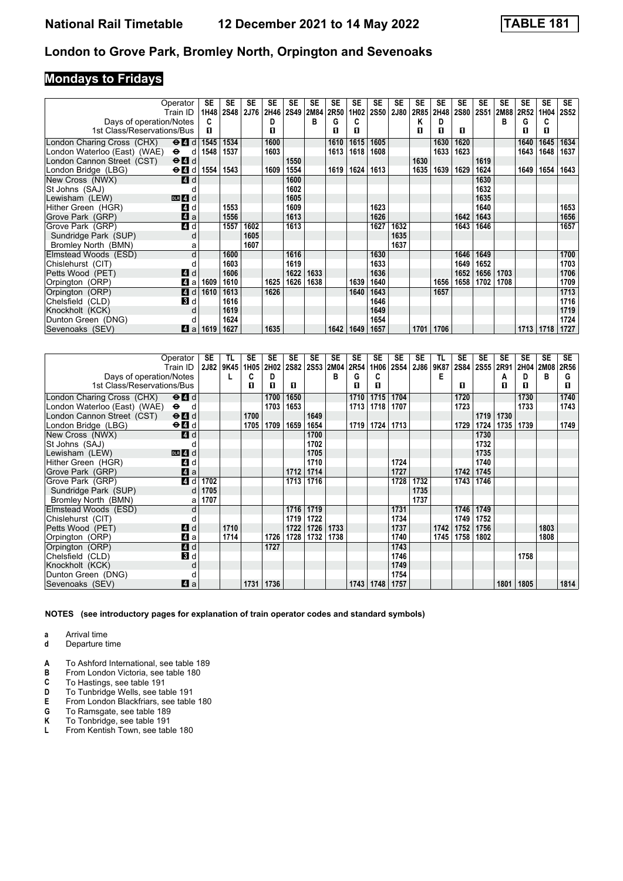# **Mondays to Fridays**

| Operator                                  |                                             | SE   | <b>SE</b>   | SE   | SE   | <b>SE</b> | SE   | <b>SE</b> | SE               | <b>SE</b>   | <b>SE</b> | SE   | SE   | <b>SE</b> | <b>SE</b>   | <b>SE</b> | <b>SE</b> | <b>SE</b> | <b>SE</b>   |
|-------------------------------------------|---------------------------------------------|------|-------------|------|------|-----------|------|-----------|------------------|-------------|-----------|------|------|-----------|-------------|-----------|-----------|-----------|-------------|
|                                           | Train ID                                    | 1H48 | <b>2S48</b> | 2J76 | 2H46 | 2S49      | 2M84 | 2R50      | 1H <sub>02</sub> | <b>2S50</b> | 2J80      | 2R85 | 2H48 | 2S80      | <b>2S51</b> | 2M88      | 2R52      | 1H04      | <b>2S52</b> |
| Days of operation/Notes                   |                                             | c    |             |      | D    |           | в    | G         | C                |             |           | Κ    | D    |           |             | в         | G         | C         |             |
| 1st Class/Reservations/Bus                |                                             | п    |             |      | п    |           |      | п         | п                |             |           | п    | п    | п         |             |           | п         | п         |             |
| London Charing Cross (CHX)                | $\Theta$ <sup><math>\Omega</math></sup> $d$ | 1545 | 1534        |      | 1600 |           |      | 1610      | 1615             | 1605        |           |      | 1630 | 1620      |             |           | 1640      | 1645      | 1634        |
| London Waterloo (East) (WAE)<br>$\bullet$ | d                                           | 1548 | 1537        |      | 1603 |           |      | 1613      | 1618             | 1608        |           |      | 1633 | 1623      |             |           | 1643      | 1648      | 1637        |
| London Cannon Street (CST)                | $\Theta$ $\blacksquare$ d                   |      |             |      |      | 1550      |      |           |                  |             |           | 1630 |      |           | 1619        |           |           |           |             |
| London Bridge (LBG)                       | $\Theta$ d 1554                             |      | 1543        |      | 1609 | 1554      |      | 1619      | 1624             | 1613        |           | 1635 | 1639 | 1629      | 1624        |           | 1649      | 1654      | 1643        |
| New Cross (NWX)                           | ZI d                                        |      |             |      |      | 1600      |      |           |                  |             |           |      |      |           | 1630        |           |           |           |             |
| St Johns (SAJ)                            |                                             |      |             |      |      | 1602      |      |           |                  |             |           |      |      |           | 1632        |           |           |           |             |
| Lewisham (LEW)                            | $DIR$ 4 d                                   |      |             |      |      | 1605      |      |           |                  |             |           |      |      |           | 1635        |           |           |           |             |
| Hither Green (HGR)                        | ZI d                                        |      | 1553        |      |      | 1609      |      |           |                  | 1623        |           |      |      |           | 1640        |           |           |           | 1653        |
| Grove Park (GRP)                          | Zi a                                        |      | 1556        |      |      | 1613      |      |           |                  | 1626        |           |      |      | 1642      | 1643        |           |           |           | 1656        |
| Grove Park (GRP)                          | 4 d                                         |      | 1557        | 1602 |      | 1613      |      |           |                  | 1627        | 1632      |      |      | 1643      | 1646        |           |           |           | 1657        |
| Sundridge Park (SUP)                      | d                                           |      |             | 1605 |      |           |      |           |                  |             | 1635      |      |      |           |             |           |           |           |             |
| Bromley North (BMN)                       | а                                           |      |             | 1607 |      |           |      |           |                  |             | 1637      |      |      |           |             |           |           |           |             |
| Elmstead Woods (ESD)                      | d                                           |      | 1600        |      |      | 1616      |      |           |                  | 1630        |           |      |      | 1646      | 1649        |           |           |           | 1700        |
| Chislehurst (CIT)                         |                                             |      | 1603        |      |      | 1619      |      |           |                  | 1633        |           |      |      | 1649      | 1652        |           |           |           | 1703        |
| Petts Wood (PET)                          | <b>4</b> d                                  |      | 1606        |      |      | 1622      | 1633 |           |                  | 1636        |           |      |      | 1652      | 1656        | 1703      |           |           | 1706        |
| Orpington (ORP)                           | ZI a                                        | 1609 | 1610        |      | 1625 | 1626      | 1638 |           | 1639             | 1640        |           |      | 1656 | 1658      | 1702        | 1708      |           |           | 1709        |
| Orpington (ORP)                           | <b>4</b> d                                  | 1610 | 1613        |      | 1626 |           |      |           | 1640             | 1643        |           |      | 1657 |           |             |           |           |           | 1713        |
| Chelsfield (CLD)                          | 3d                                          |      | 1616        |      |      |           |      |           |                  | 1646        |           |      |      |           |             |           |           |           | 1716        |
| Knockholt (KCK)                           |                                             |      | 1619        |      |      |           |      |           |                  | 1649        |           |      |      |           |             |           |           |           | 1719        |
| Dunton Green (DNG)                        |                                             |      | 1624        |      |      |           |      |           |                  | 1654        |           |      |      |           |             |           |           |           | 1724        |
| Sevenoaks (SEV)                           | ZI a                                        | 1619 | 1627        |      | 1635 |           |      | 1642      | 1649             | 1657        |           | 1701 | 1706 |           |             |           | 1713      | 1718      | 1727        |

|                                                       | Operator<br>Train ID      | SE<br><b>2J82</b> | TL<br>9K45 | <b>SE</b><br>1H05 | <b>SE</b><br>2H02 | <b>SE</b><br><b>2S82</b> | SE<br><b>2S53</b> | <b>SE</b><br>2M04 | <b>SE</b><br>2R54 | SE<br>1H06 | <b>SE</b><br>2S54 | <b>SE</b><br>2J86 | TL<br>9K87 | <b>SE</b> | <b>SE</b><br>2S84 2S55 | SE        | <b>SE</b><br>2H04 | <b>SE</b> | <b>SE</b> |
|-------------------------------------------------------|---------------------------|-------------------|------------|-------------------|-------------------|--------------------------|-------------------|-------------------|-------------------|------------|-------------------|-------------------|------------|-----------|------------------------|-----------|-------------------|-----------|-----------|
|                                                       |                           |                   |            | C                 | D                 |                          |                   | B                 | G                 | C          |                   |                   | E          |           |                        | 2R91<br>A | D                 | 2M08<br>в | 2R56<br>G |
| Days of operation/Notes<br>1st Class/Reservations/Bus |                           |                   |            | п                 | п                 | л                        |                   |                   | п                 | п          |                   |                   |            | л         |                        | п         | п                 |           | п         |
|                                                       |                           |                   |            |                   |                   |                          |                   |                   |                   |            |                   |                   |            |           |                        |           |                   |           |           |
| London Charing Cross (CHX)                            | $\Theta$ $\blacksquare$ d |                   |            |                   | 1700              | 1650                     |                   |                   | 1710              | 1715       | 1704              |                   |            | 1720      |                        |           | 1730              |           | 1740      |
| London Waterloo (East) (WAE)                          | $\bullet$<br>d            |                   |            |                   | 1703              | 1653                     |                   |                   | 1713              | 1718       | 1707              |                   |            | 1723      |                        |           | 1733              |           | 1743      |
| London Cannon Street (CST)                            | $\Theta$ $\blacksquare$ d |                   |            | 1700              |                   |                          | 1649              |                   |                   |            |                   |                   |            |           | 1719                   | 1730      |                   |           |           |
| London Bridge (LBG)                                   | $\Theta$ $\blacksquare$ d |                   |            | 1705              | 1709              | 1659                     | 1654              |                   | 1719              | 1724       | 1713              |                   |            | 1729      | 1724                   | 1735      | 1739              |           | 1749      |
| New Cross (NWX)                                       | 4 d                       |                   |            |                   |                   |                          | 1700              |                   |                   |            |                   |                   |            |           | 1730                   |           |                   |           |           |
| St Johns (SAJ)                                        |                           |                   |            |                   |                   |                          | 1702              |                   |                   |            |                   |                   |            |           | 1732                   |           |                   |           |           |
| Lewisham (LEW)                                        | $DLR$ 4 d                 |                   |            |                   |                   |                          | 1705              |                   |                   |            |                   |                   |            |           | 1735                   |           |                   |           |           |
| Hither Green (HGR)                                    | L4 d                      |                   |            |                   |                   |                          | 1710              |                   |                   |            | 1724              |                   |            |           | 1740                   |           |                   |           |           |
| Grove Park (GRP)                                      | $\blacksquare$ a          |                   |            |                   |                   | 1712                     | 1714              |                   |                   |            | 1727              |                   |            | 1742      | 1745                   |           |                   |           |           |
| Grove Park (GRP)                                      | $\overline{a}$            | 1702              |            |                   |                   | 1713                     | 1716              |                   |                   |            | 1728              | 1732              |            | 1743      | 1746                   |           |                   |           |           |
| Sundridge Park (SUP)                                  | d                         | 1705              |            |                   |                   |                          |                   |                   |                   |            |                   | 1735              |            |           |                        |           |                   |           |           |
| Bromley North (BMN)                                   | a                         | 1707              |            |                   |                   |                          |                   |                   |                   |            |                   | 1737              |            |           |                        |           |                   |           |           |
| Elmstead Woods (ESD)                                  | d                         |                   |            |                   |                   | 1716                     | 1719              |                   |                   |            | 1731              |                   |            | 1746      | 1749                   |           |                   |           |           |
| Chislehurst (CIT)                                     | п                         |                   |            |                   |                   | 1719                     | 1722              |                   |                   |            | 1734              |                   |            | 1749      | 1752                   |           |                   |           |           |
| Petts Wood (PET)                                      | 4d                        |                   | 1710       |                   |                   | 1722                     | 1726              | 1733              |                   |            | 1737              |                   | 1742       | 1752      | 1756                   |           |                   | 1803      |           |
| Orpington (ORP)                                       | 41 a                      |                   | 1714       |                   | 1726              | 1728                     | 1732              | 1738              |                   |            | 1740              |                   | 1745       | 1758      | 1802                   |           |                   | 1808      |           |
| Orpington (ORP)                                       | 4d                        |                   |            |                   | 1727              |                          |                   |                   |                   |            | 1743              |                   |            |           |                        |           |                   |           |           |
| Chelsfield (CLD)                                      | <b>B</b> d                |                   |            |                   |                   |                          |                   |                   |                   |            | 1746              |                   |            |           |                        |           | 1758              |           |           |
| Knockholt (KCK)                                       | d                         |                   |            |                   |                   |                          |                   |                   |                   |            | 1749              |                   |            |           |                        |           |                   |           |           |
| Dunton Green (DNG)                                    |                           |                   |            |                   |                   |                          |                   |                   |                   |            | 1754              |                   |            |           |                        |           |                   |           |           |
| Sevenoaks (SEV)                                       | ZI a                      |                   |            | 1731              | 1736              |                          |                   |                   | 1743              | 1748       | 1757              |                   |            |           |                        | 1801      | 1805              |           | 1814      |

- **a** Arrival time
- **d** Departure time
- **A** To Ashford International, see table 189<br>**B** From London Victoria, see table 180
- **B** From London Victoria, see table 18
- **C** To Hastings, see table 191<br>**D** To Tunbridge Wells, see ta
- **D** To Tunbridge Wells, see table 191<br>**E** From London Blackfriars, see table
- **E** From London Blackfriars, see table 180<br>**G** To Ramsgate, see table 189
- **6** To Ramsgate, see table 189<br>**K** To Tonbridge, see table 191
- **K** To Tonbridge, see table 191<br>**L** From Kentish Town, see tab
- From Kentish Town, see table 180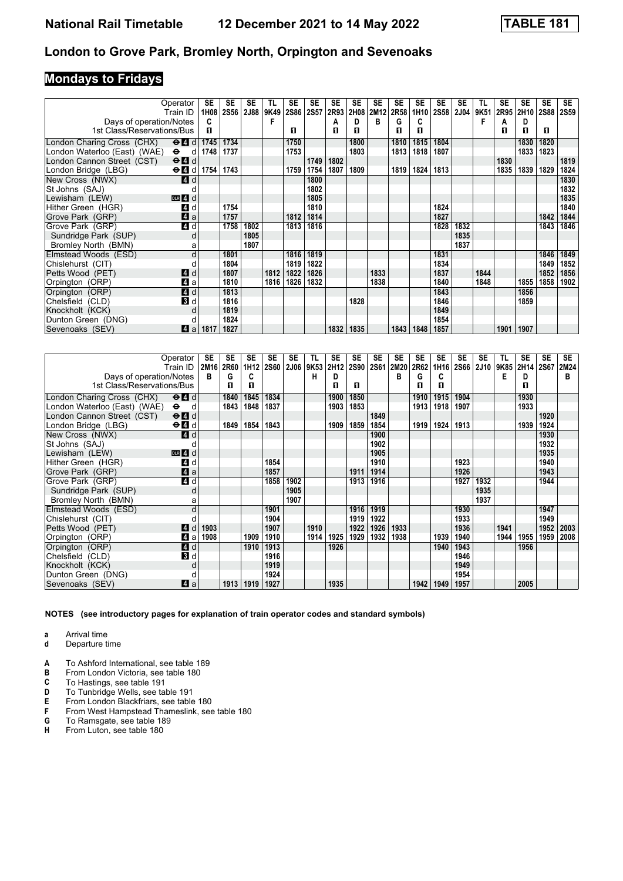# **Mondays to Fridays**

| Operator<br>Train ID                                                                       | SE<br>1H08        | <b>SE</b><br><b>2S56</b> | <b>SE</b><br>2J88 | TL<br>9K49 | <b>SE</b><br>2S86 2S57 | <b>SE</b> | SE<br>2R93 | SE<br>2H08 | <b>SE</b><br>2M12 | <b>SE</b><br>2R58 | <b>SE</b><br>1H10 | <b>SE</b><br><b>2S58</b> | <b>SE</b><br><b>2J04</b> | TL<br>9K51 | <b>SE</b><br>2R95 | <b>SE</b><br>2H10 | <b>SE</b><br><b>2S88</b> | SE<br><b>2S59</b> |
|--------------------------------------------------------------------------------------------|-------------------|--------------------------|-------------------|------------|------------------------|-----------|------------|------------|-------------------|-------------------|-------------------|--------------------------|--------------------------|------------|-------------------|-------------------|--------------------------|-------------------|
|                                                                                            | c                 |                          |                   | F          |                        |           |            | D          | B                 | G                 | C                 |                          |                          | F          |                   | D                 |                          |                   |
| Days of operation/Notes<br>1st Class/Reservations/Bus                                      | п                 |                          |                   |            | п                      |           | A<br>п     | п          |                   | п                 | п                 |                          |                          |            | A<br>п            | п                 | п                        |                   |
|                                                                                            |                   |                          |                   |            |                        |           |            |            |                   |                   |                   |                          |                          |            |                   |                   |                          |                   |
| London Charing Cross (CHX)<br>$\Theta$ <sup><math>\blacksquare</math> <math>d</math></sup> | 1745              | 1734                     |                   |            | 1750                   |           |            | 1800       |                   | 1810              | 1815              | 1804                     |                          |            |                   | 1830              | 1820                     |                   |
| London Waterloo (East) (WAE)<br>$\Theta$ d                                                 | 1748              | 1737                     |                   |            | 1753                   |           |            | 1803       |                   | 1813              | 1818              | 1807                     |                          |            |                   | 1833              | 1823                     |                   |
| London Cannon Street (CST)<br>$\Theta$ <sup><math>\Omega</math></sup> d                    |                   |                          |                   |            |                        | 1749      | 1802       |            |                   |                   |                   |                          |                          |            | 1830              |                   |                          | 1819              |
| London Bridge (LBG)                                                                        | $\Theta$ d   1754 | 1743                     |                   |            | 1759                   | 1754      | 1807       | 1809       |                   | 1819              | 1824              | 1813                     |                          |            | 1835              | 1839              | 1829                     | 1824              |
| New Cross (NWX)<br>ZI d                                                                    |                   |                          |                   |            |                        | 1800      |            |            |                   |                   |                   |                          |                          |            |                   |                   |                          | 1830              |
| St Johns (SAJ)                                                                             |                   |                          |                   |            |                        | 1802      |            |            |                   |                   |                   |                          |                          |            |                   |                   |                          | 1832              |
| Lewisham (LEW)<br>$DLR$ 4 $d$                                                              |                   |                          |                   |            |                        | 1805      |            |            |                   |                   |                   |                          |                          |            |                   |                   |                          | 1835              |
| 4 d<br>Hither Green (HGR)                                                                  |                   | 1754                     |                   |            |                        | 1810      |            |            |                   |                   |                   | 1824                     |                          |            |                   |                   |                          | 1840              |
| 4a<br>Grove Park (GRP)                                                                     |                   | 1757                     |                   |            | 1812                   | 1814      |            |            |                   |                   |                   | 1827                     |                          |            |                   |                   | 1842                     | 1844              |
| 4d<br>Grove Park (GRP)                                                                     |                   | 1758                     | 1802              |            | 1813                   | 1816      |            |            |                   |                   |                   | 1828                     | 1832                     |            |                   |                   | 1843                     | 1846              |
| Sundridge Park (SUP)                                                                       | d                 |                          | 1805              |            |                        |           |            |            |                   |                   |                   |                          | 1835                     |            |                   |                   |                          |                   |
| Bromley North (BMN)                                                                        | a                 |                          | 1807              |            |                        |           |            |            |                   |                   |                   |                          | 1837                     |            |                   |                   |                          |                   |
| Elmstead Woods (ESD)                                                                       | d                 | 1801                     |                   |            | 1816                   | 1819      |            |            |                   |                   |                   | 1831                     |                          |            |                   |                   | 1846                     | 1849              |
| Chislehurst (CIT)                                                                          |                   | 1804                     |                   |            | 1819                   | 1822      |            |            |                   |                   |                   | 1834                     |                          |            |                   |                   | 1849                     | 1852              |
| Petts Wood (PET)<br>4 d                                                                    |                   | 1807                     |                   | 1812       | 1822                   | 1826      |            |            | 1833              |                   |                   | 1837                     |                          | 1844       |                   |                   | 1852                     | 1856              |
| ZI a<br>Orpington (ORP)                                                                    |                   | 1810                     |                   | 1816       | 1826                   | 1832      |            |            | 1838              |                   |                   | 1840                     |                          | 1848       |                   | 1855              | 1858                     | 1902              |
| Orpington (ORP)<br>$\blacksquare$ d                                                        |                   | 1813                     |                   |            |                        |           |            |            |                   |                   |                   | 1843                     |                          |            |                   | 1856              |                          |                   |
| $\mathbf{3}$ d<br>Chelsfield (CLD)                                                         |                   | 1816                     |                   |            |                        |           |            | 1828       |                   |                   |                   | 1846                     |                          |            |                   | 1859              |                          |                   |
| Knockholt (KCK)                                                                            | d                 | 1819                     |                   |            |                        |           |            |            |                   |                   |                   | 1849                     |                          |            |                   |                   |                          |                   |
| Dunton Green (DNG)                                                                         | o                 | 1824                     |                   |            |                        |           |            |            |                   |                   |                   | 1854                     |                          |            |                   |                   |                          |                   |
| Sevenoaks (SEV)<br>Z1 a                                                                    | 1817              | 1827                     |                   |            |                        |           | 1832       | 1835       |                   | 1843              | 1848              | 1857                     |                          |            | 1901              | 1907              |                          |                   |

|                              | Operator<br>Train ID      | SE<br>2M16 2R60 | <b>SE</b> | <b>SE</b><br>1H <sub>12</sub> | <b>SE</b><br><b>2S60</b> | <b>SE</b><br><b>2J06</b> | TL<br>9K53 | <b>SE</b><br>2H12 | <b>SE</b><br><b>2S90</b> | <b>SE</b><br>2S61 | <b>SE</b><br>2M20 | <b>SE</b><br>2R62 | <b>SE</b><br>1H16 | <b>SE</b><br><b>2S66</b> | <b>SE</b><br><b>2J10</b> | TL<br>9K85 | <b>SE</b><br>2H14 | <b>SE</b><br>2S67 | <b>SE</b><br>2M24 |
|------------------------------|---------------------------|-----------------|-----------|-------------------------------|--------------------------|--------------------------|------------|-------------------|--------------------------|-------------------|-------------------|-------------------|-------------------|--------------------------|--------------------------|------------|-------------------|-------------------|-------------------|
| Days of operation/Notes      |                           | в               | G         | C                             |                          |                          | н          | D                 |                          |                   | в                 | G                 | C                 |                          |                          | Е          | D                 |                   | в                 |
| 1st Class/Reservations/Bus   |                           |                 | П         | п                             |                          |                          |            | п                 | п                        |                   |                   | п                 | п                 |                          |                          |            | п                 |                   |                   |
| London Charing Cross (CHX)   | $\Theta$ $\blacksquare$ d |                 | 1840      | 1845                          | 1834                     |                          |            | 1900              | 1850                     |                   |                   | 1910              | 1915              | 1904                     |                          |            | 1930              |                   |                   |
| London Waterloo (East) (WAE) | $\bullet$<br>d            |                 | 1843      | 1848                          | 1837                     |                          |            | 1903              | 1853                     |                   |                   | 1913              | 1918              | 1907                     |                          |            | 1933              |                   |                   |
| London Cannon Street (CST)   | $\Theta$ $\blacksquare$ d |                 |           |                               |                          |                          |            |                   |                          | 1849              |                   |                   |                   |                          |                          |            |                   | 1920              |                   |
| London Bridge (LBG)          | $\Theta$ $\blacksquare$ d |                 | 1849      | 1854                          | 1843                     |                          |            | 1909              | 1859                     | 1854              |                   | 1919              | 1924              | 1913                     |                          |            | 1939              | 1924              |                   |
| New Cross (NWX)              | ZI d                      |                 |           |                               |                          |                          |            |                   |                          | 1900              |                   |                   |                   |                          |                          |            |                   | 1930              |                   |
| St Johns (SAJ)               |                           |                 |           |                               |                          |                          |            |                   |                          | 1902              |                   |                   |                   |                          |                          |            |                   | 1932              |                   |
| Lewisham (LEW)               | $DLR$ 4 $d$               |                 |           |                               |                          |                          |            |                   |                          | 1905              |                   |                   |                   |                          |                          |            |                   | 1935              |                   |
| Hither Green (HGR)           | <b>4</b> d                |                 |           |                               | 1854                     |                          |            |                   |                          | 1910              |                   |                   |                   | 1923                     |                          |            |                   | 1940              |                   |
| Grove Park (GRP)             | ZI a                      |                 |           |                               | 1857                     |                          |            |                   | 1911                     | 1914              |                   |                   |                   | 1926                     |                          |            |                   | 1943              |                   |
| Grove Park (GRP)             | 4d                        |                 |           |                               | 1858                     | 1902                     |            |                   | 1913                     | 1916              |                   |                   |                   | 1927                     | 1932                     |            |                   | 1944              |                   |
| Sundridge Park (SUP)         | d                         |                 |           |                               |                          | 1905                     |            |                   |                          |                   |                   |                   |                   |                          | 1935                     |            |                   |                   |                   |
| Bromley North (BMN)          | a                         |                 |           |                               |                          | 1907                     |            |                   |                          |                   |                   |                   |                   |                          | 1937                     |            |                   |                   |                   |
| Elmstead Woods (ESD)         | d                         |                 |           |                               | 1901                     |                          |            |                   | 1916                     | 1919              |                   |                   |                   | 1930                     |                          |            |                   | 1947              |                   |
| Chislehurst (CIT)            |                           |                 |           |                               | 1904                     |                          |            |                   | 1919                     | 1922              |                   |                   |                   | 1933                     |                          |            |                   | 1949              |                   |
| Petts Wood (PET)             | <b>A</b><br>d             | 1903            |           |                               | 1907                     |                          | 1910       |                   | 1922                     | 1926              | 1933              |                   |                   | 1936                     |                          | 1941       |                   | 1952              | 2003              |
| Orpington (ORP)              | $\boldsymbol{A}$<br>a     | 1908            |           | 1909                          | 1910                     |                          | 1914       | 1925              | 1929                     | 1932              | 1938              |                   | 1939              | 1940                     |                          | 1944       | 1955              | 1959              | 2008              |
| Orpington (ORP)              | 4 d                       |                 |           | 1910                          | 1913                     |                          |            | 1926              |                          |                   |                   |                   | 1940              | 1943                     |                          |            | 1956              |                   |                   |
| Chelsfield (CLD)             | 3d                        |                 |           |                               | 1916                     |                          |            |                   |                          |                   |                   |                   |                   | 1946                     |                          |            |                   |                   |                   |
| Knockholt (KCK)              |                           |                 |           |                               | 1919                     |                          |            |                   |                          |                   |                   |                   |                   | 1949                     |                          |            |                   |                   |                   |
| Dunton Green (DNG)           |                           |                 |           |                               | 1924                     |                          |            |                   |                          |                   |                   |                   |                   | 1954                     |                          |            |                   |                   |                   |
| Sevenoaks (SEV)              | $\blacksquare$ a          |                 | 1913      | 1919                          | 1927                     |                          |            | 1935              |                          |                   |                   | 1942              | 1949              | 1957                     |                          |            | 2005              |                   |                   |

- **a** Arrival time
- **d** Departure time
- **A** To Ashford International, see table 189<br>**B** From London Victoria, see table 180
- **B** From London Victoria, see table 18
- **C** To Hastings, see table 191<br>**D** To Tunbridge Wells, see ta
- **D** To Tunbridge Wells, see table 191<br>**E** From London Blackfriars, see table
- **E** From London Blackfriars, see table 180<br>**F** From West Hampstead Thameslink. see
- From West Hampstead Thameslink, see table 180
- **6** To Ramsgate, see table 189<br>**H** From Luton, see table 180
- From Luton, see table 180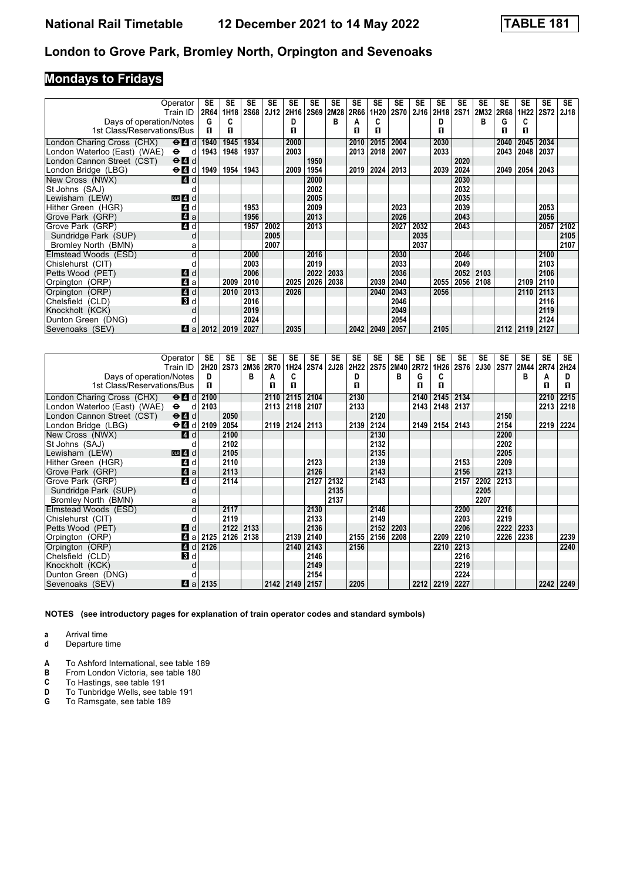# **Mondays to Fridays**

|                               | Operator                                    | SE   | SE   | <b>SE</b>   | SE          | <b>SE</b>        | SE          | <b>SE</b> | SE   | <b>SE</b> | <b>SE</b>   | <b>SE</b>   | <b>SE</b> | <b>SE</b>   | <b>SE</b> | <b>SE</b> | <b>SE</b> | <b>SE</b>   | <b>SE</b>   |
|-------------------------------|---------------------------------------------|------|------|-------------|-------------|------------------|-------------|-----------|------|-----------|-------------|-------------|-----------|-------------|-----------|-----------|-----------|-------------|-------------|
|                               | Train ID                                    | 2R64 | 1H18 | <b>2S68</b> | <b>2J12</b> | 2H <sub>16</sub> | <b>2S69</b> | 2M28      | 2R66 | 1H20      | <b>2S70</b> | <b>2J16</b> | 2H18      | <b>2S71</b> | 2M32      | 2R68      | 1H22      | <b>2S72</b> | <b>2J18</b> |
| Days of operation/Notes       |                                             | G    | C    |             |             | n.               |             | в         | А    | c         |             |             | D         |             | в         | G         | C         |             |             |
| 1st Class/Reservations/Bus    |                                             | п    | п    |             |             | п                |             |           | п    | п         |             |             | п         |             |           | п         | п         |             |             |
| London Charing Cross (CHX)    | $\Theta$ <sup><math>\Omega</math></sup> d   | 1940 | 1945 | 1934        |             | 2000             |             |           | 2010 | 2015      | 2004        |             | 2030      |             |           | 2040      | 2045      | 2034        |             |
| London Waterloo (East) (WAE). | $\ddot{\mathbf{e}}$<br>d                    | 1943 | 1948 | 1937        |             | 2003             |             |           | 2013 | 2018      | 2007        |             | 2033      |             |           | 2043      | 2048      | 2037        |             |
| London Cannon Street (CST)    | $\Theta$ <sup><math>\Omega</math></sup> d   |      |      |             |             |                  | 1950        |           |      |           |             |             |           | 2020        |           |           |           |             |             |
| London Bridge (LBG)           | $\Theta$ <b><math>\blacksquare</math></b> d | 1949 | 1954 | 1943        |             | 2009             | 1954        |           |      | 2019 2024 | 2013        |             | 2039      | 2024        |           | 2049      | 2054      | 2043        |             |
| New Cross (NWX)               | <b>4</b> d                                  |      |      |             |             |                  | 2000        |           |      |           |             |             |           | 2030        |           |           |           |             |             |
| St Johns (SAJ)                |                                             |      |      |             |             |                  | 2002        |           |      |           |             |             |           | 2032        |           |           |           |             |             |
| Lewisham (LEW)                | $DLR$ 4 d                                   |      |      |             |             |                  | 2005        |           |      |           |             |             |           | 2035        |           |           |           |             |             |
| Hither Green (HGR)            | L4 d                                        |      |      | 1953        |             |                  | 2009        |           |      |           | 2023        |             |           | 2039        |           |           |           | 2053        |             |
| Grove Park (GRP)              | 4a                                          |      |      | 1956        |             |                  | 2013        |           |      |           | 2026        |             |           | 2043        |           |           |           | 2056        |             |
| Grove Park (GRP)              | $\blacksquare$                              |      |      | 1957        | 2002        |                  | 2013        |           |      |           | 2027        | 2032        |           | 2043        |           |           |           | 2057        | 2102        |
| Sundridge Park (SUP)          | d                                           |      |      |             | 2005        |                  |             |           |      |           |             | 2035        |           |             |           |           |           |             | 2105        |
| Bromley North (BMN)           | a                                           |      |      |             | 2007        |                  |             |           |      |           |             | 2037        |           |             |           |           |           |             | 2107        |
| Elmstead Woods (ESD)          | d                                           |      |      | 2000        |             |                  | 2016        |           |      |           | 2030        |             |           | 2046        |           |           |           | 2100        |             |
| Chislehurst (CIT)             |                                             |      |      | 2003        |             |                  | 2019        |           |      |           | 2033        |             |           | 2049        |           |           |           | 2103        |             |
| Petts Wood (PET)              | <b>4</b> d                                  |      |      | 2006        |             |                  | 2022        | 2033      |      |           | 2036        |             |           | 2052        | 2103      |           |           | 2106        |             |
| Orpington (ORP)               | ZI a                                        |      | 2009 | 2010        |             | 2025             | 2026        | 2038      |      | 2039      | 2040        |             | 2055      | 2056        | 2108      |           | 2109      | 2110        |             |
| Orpington (ORP)               | 4d                                          |      | 2010 | 2013        |             | 2026             |             |           |      | 2040      | 2043        |             | 2056      |             |           |           | 2110      | 2113        |             |
| Chelsfield (CLD)              | $\mathbf{3}$ d                              |      |      | 2016        |             |                  |             |           |      |           | 2046        |             |           |             |           |           |           | 2116        |             |
| Knockholt (KCK)               | d                                           |      |      | 2019        |             |                  |             |           |      |           | 2049        |             |           |             |           |           |           | 2119        |             |
| Dunton Green (DNG)            |                                             |      |      | 2024        |             |                  |             |           |      |           | 2054        |             |           |             |           |           |           | 2124        |             |
| Sevenoaks (SEV)               | ZI a                                        | 2012 | 2019 | 2027        |             | 2035             |             |           | 2042 | 2049      | 2057        |             | 2105      |             |           | 2112      | 2119      | 2127        |             |

|                              | Operator                   | SE   | <b>SE</b> | <b>SE</b> | <b>SE</b> | <b>SE</b>        | SE          | <b>SE</b> | <b>SE</b> | <b>SE</b> | SE   | SE   | <b>SE</b> | SE          | <b>SE</b>   | <b>SE</b>   | <b>SE</b> | <b>SE</b> | <b>SE</b> |
|------------------------------|----------------------------|------|-----------|-----------|-----------|------------------|-------------|-----------|-----------|-----------|------|------|-----------|-------------|-------------|-------------|-----------|-----------|-----------|
|                              | Train ID                   | 2H20 |           | 2S73 2M36 | 2R70      | 1H <sub>24</sub> | <b>2S74</b> | 2J28      | 2H22      | 2S75      | 2M40 | 2R72 | 1H26      | <b>2S76</b> | <b>2J30</b> | <b>2S77</b> | 2M44      | 2R74      | 2H24      |
| Days of operation/Notes      |                            | D    |           | в         | А         | C                |             |           | D         |           | в    | G    | C         |             |             |             | B         | А         | D         |
| 1st Class/Reservations/Bus   |                            | п    |           |           | п         | п                |             |           | п         |           |      | п    | п         |             |             |             |           | п         | п         |
| London Charing Cross (CHX)   | $\Theta$ $\blacksquare$ d  | 2100 |           |           | 2110      | 2115             | 2104        |           | 2130      |           |      | 2140 | 2145      | 2134        |             |             |           | 2210      | 2215      |
| London Waterloo (East) (WAE) | $\bullet$<br>d             | 2103 |           |           | 2113      | 2118             | 2107        |           | 2133      |           |      | 2143 | 2148      | 2137        |             |             |           | 2213      | 2218      |
| London Cannon Street (CST)   | $\Theta$ $\blacksquare$ d  |      | 2050      |           |           |                  |             |           |           | 2120      |      |      |           |             |             | 2150        |           |           |           |
| London Bridge (LBG)          | $\Theta$ d $\theta$ d 2109 |      | 2054      |           | 2119      | 2124             | 2113        |           | 2139      | 2124      |      | 2149 | 2154      | 2143        |             | 2154        |           | 2219      | 2224      |
| New Cross (NWX)              | ZI d                       |      | 2100      |           |           |                  |             |           |           | 2130      |      |      |           |             |             | 2200        |           |           |           |
| St Johns (SAJ)               |                            |      | 2102      |           |           |                  |             |           |           | 2132      |      |      |           |             |             | 2202        |           |           |           |
| Lewisham (LEW)               | $D$ uR $4$ d               |      | 2105      |           |           |                  |             |           |           | 2135      |      |      |           |             |             | 2205        |           |           |           |
| Hither Green (HGR)           | <b>4</b> d                 |      | 2110      |           |           |                  | 2123        |           |           | 2139      |      |      |           | 2153        |             | 2209        |           |           |           |
| Grove Park (GRP)             | 4 a                        |      | 2113      |           |           |                  | 2126        |           |           | 2143      |      |      |           | 2156        |             | 2213        |           |           |           |
| Grove Park (GRP)             | 4d                         |      | 2114      |           |           |                  | 2127        | 2132      |           | 2143      |      |      |           | 2157        | 2202        | 2213        |           |           |           |
| Sundridge Park (SUP)         | d                          |      |           |           |           |                  |             | 2135      |           |           |      |      |           |             | 2205        |             |           |           |           |
| Bromley North (BMN)          | а                          |      |           |           |           |                  |             | 2137      |           |           |      |      |           |             | 2207        |             |           |           |           |
| Elmstead Woods (ESD)         | d                          |      | 2117      |           |           |                  | 2130        |           |           | 2146      |      |      |           | 2200        |             | 2216        |           |           |           |
| Chislehurst (CIT)            |                            |      | 2119      |           |           |                  | 2133        |           |           | 2149      |      |      |           | 2203        |             | 2219        |           |           |           |
| Petts Wood (PET)             | ZI d                       |      | 2122      | 2133      |           |                  | 2136        |           |           | 2152      | 2203 |      |           | 2206        |             | 2222        | 2233      |           |           |
| Orpington (ORP)              | ZI a                       | 2125 | 2126      | 2138      |           | 2139             | 2140        |           | 2155      | 2156      | 2208 |      | 2209      | 2210        |             | 2226        | 2238      |           | 2239      |
| Orpington (ORP)              | <b>4</b> d                 | 2126 |           |           |           | 2140             | 2143        |           | 2156      |           |      |      | 2210      | 2213        |             |             |           |           | 2240      |
| Chelsfield (CLD)             | 3d                         |      |           |           |           |                  | 2146        |           |           |           |      |      |           | 2216        |             |             |           |           |           |
| Knockholt (KCK)              | d                          |      |           |           |           |                  | 2149        |           |           |           |      |      |           | 2219        |             |             |           |           |           |
| Dunton Green (DNG)           |                            |      |           |           |           |                  | 2154        |           |           |           |      |      |           | 2224        |             |             |           |           |           |
| Sevenoaks (SEV)              | $\blacksquare$ a           | 2135 |           |           | 2142 2149 |                  | 2157        |           | 2205      |           |      | 2212 | 2219      | 2227        |             |             |           | 2242      | 2249      |

**NOTES (see introductory pages for explanation of train operator codes and standard symbols)**

**a** Arrival time

**d** Departure time

**A** To Ashford International, see table 189<br>**B** From London Victoria, see table 180

**B** From London Victoria, see table 180<br>**C** To Hastings, see table 191

**C** To Hastings, see table 191<br>**D** To Tunbridge Wells, see tal

**D** To Tunbridge Wells, see table 191<br>**G** To Ramsgate, see table 189

**\*** To Ramsgate, see table 18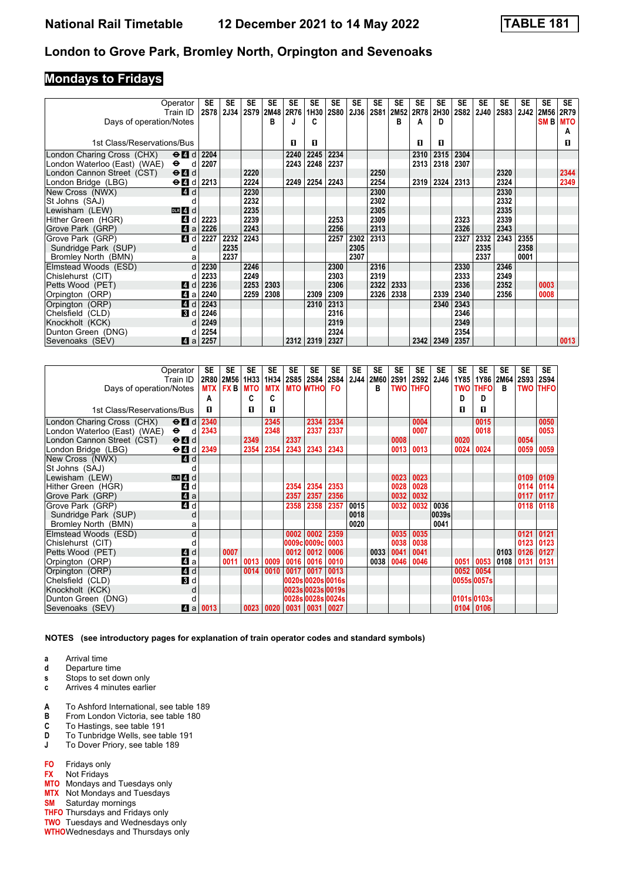### **Mondays to Fridays**

|                              | Operator                                                     | SE          | <b>SE</b>   | SE   | <b>SE</b> | <b>SE</b> | <b>SE</b> | <b>SE</b>   | <b>SE</b> | <b>SE</b>   | <b>SE</b> | <b>SE</b> | <b>SE</b> | <b>SE</b>   | <b>SE</b>   | SE   | <b>SE</b> | <b>SE</b> | <b>SE</b> |
|------------------------------|--------------------------------------------------------------|-------------|-------------|------|-----------|-----------|-----------|-------------|-----------|-------------|-----------|-----------|-----------|-------------|-------------|------|-----------|-----------|-----------|
|                              | Train ID                                                     | <b>2S78</b> | <b>2J34</b> | 2S79 | 2M48      | 2R76      | 1H30      | <b>2S80</b> | 2J36      | <b>2S81</b> | 2M52      | 2R78      | 2H30      | <b>2S82</b> | <b>2J40</b> | 2S83 | 2J42      | 2M56      | 2R79      |
| Days of operation/Notes      |                                                              |             |             |      | в         |           | C         |             |           |             | в         | A         | D         |             |             |      |           | SM B MTO  |           |
|                              |                                                              |             |             |      |           |           |           |             |           |             |           |           |           |             |             |      |           |           | А         |
| 1st Class/Reservations/Bus   |                                                              |             |             |      |           | O         | п         |             |           |             |           | O         | п         |             |             |      |           |           | п         |
| London Charing Cross (CHX)   | $\Theta$ <sup><math>\blacksquare</math> <math>d</math></sup> | 2204        |             |      |           | 2240      | 2245      | 2234        |           |             |           | 2310      | 2315      | 2304        |             |      |           |           |           |
| London Waterloo (East) (WAE) | $\bullet$<br>d                                               | 2207        |             |      |           | 2243      | 2248      | 2237        |           |             |           | 2313      | 2318      | 2307        |             |      |           |           |           |
| London Cannon Street (CST)   | $\Theta$ <sup><math>\Omega</math></sup> $d$                  |             |             | 2220 |           |           |           |             |           | 2250        |           |           |           |             |             | 2320 |           |           | 2344      |
| London Bridge (LBG)          | $\Theta$ <sup><math>d</math></sup>                           | 2213        |             | 2224 |           | 2249      | 2254      | 2243        |           | 2254        |           | 2319      | 2324      | 2313        |             | 2324 |           |           | 2349      |
| New Cross (NWX)              | 4 <sup>d</sup>                                               |             |             | 2230 |           |           |           |             |           | 2300        |           |           |           |             |             | 2330 |           |           |           |
| St Johns (SAJ)               |                                                              |             |             | 2232 |           |           |           |             |           | 2302        |           |           |           |             |             | 2332 |           |           |           |
| Lewisham (LEW)               | $DLR$ 4 d                                                    |             |             | 2235 |           |           |           |             |           | 2305        |           |           |           |             |             | 2335 |           |           |           |
| Hither Green (HGR)           | 4<br>d                                                       | 2223        |             | 2239 |           |           |           | 2253        |           | 2309        |           |           |           | 2323        |             | 2339 |           |           |           |
| Grove Park (GRP)             | 4a                                                           | 2226        |             | 2243 |           |           |           | 2256        |           | 2313        |           |           |           | 2326        |             | 2343 |           |           |           |
| Grove Park (GRP)             | 4 d                                                          | 2227        | 2232        | 2243 |           |           |           | 2257        | 2302      | 2313        |           |           |           | 2327        | 2332        | 2343 | 2355      |           |           |
| Sundridge Park (SUP)         | d                                                            |             | 2235        |      |           |           |           |             | 2305      |             |           |           |           |             | 2335        |      | 2358      |           |           |
| Bromley North (BMN)          | a                                                            |             | 2237        |      |           |           |           |             | 2307      |             |           |           |           |             | 2337        |      | 0001      |           |           |
| Elmstead Woods (ESD)         | d                                                            | 2230        |             | 2246 |           |           |           | 2300        |           | 2316        |           |           |           | 2330        |             | 2346 |           |           |           |
| Chislehurst (CIT)            |                                                              | 2233        |             | 2249 |           |           |           | 2303        |           | 2319        |           |           |           | 2333        |             | 2349 |           |           |           |
| Petts Wood (PET)             | <b>4</b> d                                                   | 2236        |             | 2253 | 2303      |           |           | 2306        |           | 2322        | 2333      |           |           | 2336        |             | 2352 |           | 0003      |           |
| Orpington (ORP)              | Zi a                                                         | 2240        |             | 2259 | 2308      |           | 2309      | 2309        |           | 2326        | 2338      |           | 2339      | 2340        |             | 2356 |           | 0008      |           |
| Orpington (ORP)              | 4d                                                           | 2243        |             |      |           |           | 2310      | 2313        |           |             |           |           | 2340      | 2343        |             |      |           |           |           |
| Chelsfield (CLD)             | 3d                                                           | 2246        |             |      |           |           |           | 2316        |           |             |           |           |           | 2346        |             |      |           |           |           |
| Knockholt (KCK)              |                                                              | 2249        |             |      |           |           |           | 2319        |           |             |           |           |           | 2349        |             |      |           |           |           |
| Dunton Green (DNG)           |                                                              | 2254        |             |      |           |           |           | 2324        |           |             |           |           |           | 2354        |             |      |           |           |           |
| Sevenoaks (SEV)              | ZI a                                                         | 2257        |             |      |           | 2312      | 2319      | 2327        |           |             |           | 2342      | 2349      | 2357        |             |      |           |           | 0013      |

|                              | Operator                                    | SE   | SE              | SE         | <b>SE</b>  | <b>SE</b> | SE              | SE                | SE   | <b>SE</b>   | SE   | <b>SE</b>       | SE          | SE          | SE          | <b>SE</b> | SE          | <b>SE</b>   |
|------------------------------|---------------------------------------------|------|-----------------|------------|------------|-----------|-----------------|-------------------|------|-------------|------|-----------------|-------------|-------------|-------------|-----------|-------------|-------------|
|                              | Train ID                                    |      | 2R80 2M56       | 1H33       | 1H34       | 2S85 2S84 |                 | 2S84              | 2J44 | <b>2M60</b> | 2S91 | 2S92            | <b>2J46</b> | 1Y85        | 1Y86        | 2M64      | <b>2S93</b> | <b>2S94</b> |
| Days of operation/Notes      |                                             |      | <b>MTX FX B</b> | <b>MTO</b> | <b>MTX</b> |           | <b>MTO WTHO</b> | <b>FO</b>         |      | в           |      | <b>TWO THFO</b> |             | TWO         | <b>THFO</b> | B         | <b>TWO</b>  | <b>THFO</b> |
|                              |                                             | A    |                 | c          | c          |           |                 |                   |      |             |      |                 |             | D           | D           |           |             |             |
| 1st Class/Reservations/Bus   |                                             | п.   |                 | п          | п          |           |                 |                   |      |             |      |                 |             | п           | п           |           |             |             |
| London Charing Cross (CHX)   | $\Theta$ <sup><math>\Omega</math></sup> d   | 2340 |                 |            | 2345       |           | 2334            | 2334              |      |             |      | 0004            |             |             | 0015        |           |             | 0050        |
| London Waterloo (East) (WAE) | $\bullet$<br>d                              | 2343 |                 |            | 2348       |           | 2337            | 2337              |      |             |      | 0007            |             |             | 0018        |           |             | 0053        |
| London Cannon Street (CST)   | $\Theta$ <sup><math>\Omega</math></sup> d   |      |                 | 2349       |            | 2337      |                 |                   |      |             | 0008 |                 |             | 0020        |             |           | 0054        |             |
| London Bridge (LBG)          | $\Theta$ <b><math>\blacksquare</math></b> d | 2349 |                 | 2354       | 2354       | 2343      | 2343            | 2343              |      |             | 0013 | 0013            |             | 0024        | 0024        |           | 0059        | 0059        |
| New Cross (NWX)              | 4d                                          |      |                 |            |            |           |                 |                   |      |             |      |                 |             |             |             |           |             |             |
| St Johns (SAJ)               |                                             |      |                 |            |            |           |                 |                   |      |             |      |                 |             |             |             |           |             |             |
| Lewisham (LEW)               | DR 4 d                                      |      |                 |            |            |           |                 |                   |      |             | 0023 | 0023            |             |             |             |           | 0109        | 0109        |
| Hither Green (HGR)           | L4 d                                        |      |                 |            |            | 2354      | 2354            | 2353              |      |             | 0028 | 0028            |             |             |             |           | 0114        | 0114        |
| Grove Park (GRP)             | $\blacksquare$ a                            |      |                 |            |            | 2357      | 2357            | 2356              |      |             | 0032 | 0032            |             |             |             |           | 0117        | 0117        |
| Grove Park (GRP)             | 4 d                                         |      |                 |            |            | 2358      | 2358            | 2357              | 0015 |             | 0032 | 0032            | 0036        |             |             |           | 0118        | 0118        |
| Sundridge Park (SUP)         | d                                           |      |                 |            |            |           |                 |                   | 0018 |             |      |                 | 0039s       |             |             |           |             |             |
| Bromley North (BMN)          | a                                           |      |                 |            |            |           |                 |                   | 0020 |             |      |                 | 0041        |             |             |           |             |             |
| Elmstead Woods (ESD)         | d                                           |      |                 |            |            | 0002      | 0002            | 2359              |      |             | 0035 | 0035            |             |             |             |           | 0121        | 0121        |
| Chislehurst (CIT)            |                                             |      |                 |            |            |           | 0009c 0009c     | 0003              |      |             | 0038 | 0038            |             |             |             |           | 0123        | 0123        |
| Petts Wood (PET)             | 4d                                          |      | 0007            |            |            | 0012      | 0012            | 0006              |      | 0033        | 0041 | 0041            |             |             |             | 0103      | 0126        | 0127        |
| Orpington (ORP)              | 4 a                                         |      | 0011            | 0013       | 0009       | 0016      | 0016            | 0010              |      | 0038        | 0046 | 0046            |             | 0051        | 0053        | 0108      | 0131        | 0131        |
| Orpington (ORP)              | 4 d                                         |      |                 | 0014       | 0010       | 0017      | 0017            | 0013              |      |             |      |                 |             | 0052        | 0054        |           |             |             |
| Chelsfield (CLD)             | <b>B</b> d                                  |      |                 |            |            |           |                 | 0020s 0020s 0016s |      |             |      |                 |             | 0055s 0057s |             |           |             |             |
| Knockholt (KCK)              | d                                           |      |                 |            |            |           |                 | 0023s 0023s 0019s |      |             |      |                 |             |             |             |           |             |             |
| Dunton Green (DNG)           | d                                           |      |                 |            |            |           |                 | 0028s 0028s 0024s |      |             |      |                 |             | 0101s 0103s |             |           |             |             |
| Sevenoaks (SEV)              | ZI a                                        | 0013 |                 | 0023       | 0020       | 0031      | 0031            | 0027              |      |             |      |                 |             | 0104        | 0106        |           |             |             |

- **a** Arrival time
- **d** Departure time
- **s** Stops to set down only
- **c** Arrives 4 minutes earlier
- **A** To Ashford International, see table 18
- **B** From London Victoria, see table 180<br>**C** To Hastings, see table 191
- **C** To Hastings, see table 191
- **D** To Tunbridge Wells, see table 191
- **J** To Dover Priory, see table 189
- **FO** Fridays only
- **FX** Not Fridays
- **MTO** Mondays and Tuesdays only
- **MTX** Not Mondays and Tuesdays
- **SM** Saturday mornings
- **THFO** Thursdays and Fridays only
- **TWO** Tuesdays and Wednesdays only
- **WTHO**Wednesdays and Thursdays only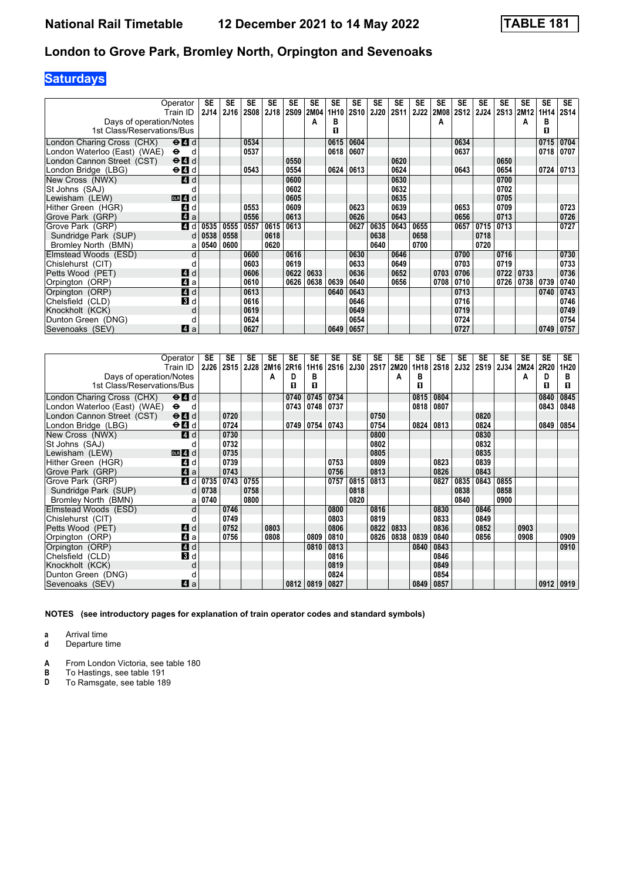# **Saturdays**

|                              | Operator                  | SE          | SE          | SE          | <b>SE</b> | <b>SE</b><br><b>2S09</b> | SE<br>2M04 | SE               | SE   | <b>SE</b> | SE          | SE<br>2J22 | SE<br>2M08 | SE<br>2S12 | <b>SE</b><br><b>2J24</b> | SE<br>2S13 | <b>SE</b> | <b>SE</b> | <b>SE</b>   |
|------------------------------|---------------------------|-------------|-------------|-------------|-----------|--------------------------|------------|------------------|------|-----------|-------------|------------|------------|------------|--------------------------|------------|-----------|-----------|-------------|
|                              | Train ID                  | <b>2J14</b> | <b>2J16</b> | <b>2S08</b> | 2J18      |                          |            | 1H <sub>10</sub> | 2S10 | 2J20      | <b>2S11</b> |            |            |            |                          |            | 2M12      | 1H14      | <b>2S14</b> |
| Days of operation/Notes      |                           |             |             |             |           |                          | А          | в                |      |           |             |            | А          |            |                          |            | А         | в         |             |
| 1st Class/Reservations/Bus   |                           |             |             |             |           |                          |            | п                |      |           |             |            |            |            |                          |            |           | п         |             |
| London Charing Cross (CHX)   | $\Theta$ $\blacksquare$ d |             |             | 0534        |           |                          |            | 0615             | 0604 |           |             |            |            | 0634       |                          |            |           | 0715      | 0704        |
| London Waterloo (East) (WAE) | $\bullet$<br>d            |             |             | 0537        |           |                          |            | 0618             | 0607 |           |             |            |            | 0637       |                          |            |           | 0718      | 0707        |
| London Cannon Street (CST)   | $\Theta$ $\blacksquare$ d |             |             |             |           | 0550                     |            |                  |      |           | 0620        |            |            |            |                          | 0650       |           |           |             |
| London Bridge (LBG)          | $\Theta$ $\blacksquare$ d |             |             | 0543        |           | 0554                     |            | 0624             | 0613 |           | 0624        |            |            | 0643       |                          | 0654       |           | 0724      | 0713        |
| New Cross (NWX)              | 4 d                       |             |             |             |           | 0600                     |            |                  |      |           | 0630        |            |            |            |                          | 0700       |           |           |             |
| St Johns (SAJ)               |                           |             |             |             |           | 0602                     |            |                  |      |           | 0632        |            |            |            |                          | 0702       |           |           |             |
| Lewisham (LEW)               | $DLR$ 4 $d$               |             |             |             |           | 0605                     |            |                  |      |           | 0635        |            |            |            |                          | 0705       |           |           |             |
| Hither Green (HGR)           | 4<br>d                    |             |             | 0553        |           | 0609                     |            |                  | 0623 |           | 0639        |            |            | 0653       |                          | 0709       |           |           | 0723        |
| Grove Park (GRP)             | $\blacksquare$ a          |             |             | 0556        |           | 0613                     |            |                  | 0626 |           | 0643        |            |            | 0656       |                          | 0713       |           |           | 0726        |
| Grove Park (GRP)             | 4 d                       | 0535        | 0555        | 0557        | 0615      | 0613                     |            |                  | 0627 | 0635      | 0643        | 0655       |            | 0657       | 0715                     | 0713       |           |           | 0727        |
| Sundridge Park (SUP)         | d                         | 0538        | 0558        |             | 0618      |                          |            |                  |      | 0638      |             | 0658       |            |            | 0718                     |            |           |           |             |
| Bromley North (BMN)          | a                         | 0540        | 0600        |             | 0620      |                          |            |                  |      | 0640      |             | 0700       |            |            | 0720                     |            |           |           |             |
| Elmstead Woods (ESD)         | d                         |             |             | 0600        |           | 0616                     |            |                  | 0630 |           | 0646        |            |            | 0700       |                          | 0716       |           |           | 0730        |
| Chislehurst (CIT)            |                           |             |             | 0603        |           | 0619                     |            |                  | 0633 |           | 0649        |            |            | 0703       |                          | 0719       |           |           | 0733        |
| Petts Wood (PET)             | 4 d                       |             |             | 0606        |           | 0622                     | 0633       |                  | 0636 |           | 0652        |            | 0703       | 0706       |                          | 0722       | 0733      |           | 0736        |
| Orpington (ORP)              | $\mathbf{A}$ a            |             |             | 0610        |           | 0626                     | 0638       | 0639             | 0640 |           | 0656        |            | 0708       | 0710       |                          | 0726       | 0738      | 0739      | 0740        |
| Orpington (ORP)              | $\blacksquare$ d          |             |             | 0613        |           |                          |            | 0640             | 0643 |           |             |            |            | 0713       |                          |            |           | 0740      | 0743        |
| Chelsfield (CLD)             | $\mathbf{3}$ d            |             |             | 0616        |           |                          |            |                  | 0646 |           |             |            |            | 0716       |                          |            |           |           | 0746        |
| Knockholt (KCK)              | d                         |             |             | 0619        |           |                          |            |                  | 0649 |           |             |            |            | 0719       |                          |            |           |           | 0749        |
| Dunton Green (DNG)           |                           |             |             | 0624        |           |                          |            |                  | 0654 |           |             |            |            | 0724       |                          |            |           |           | 0754        |
| Sevenoaks (SEV)              | ZI a                      |             |             | 0627        |           |                          |            | 0649             | 0657 |           |             |            |            | 0727       |                          |            |           | 0749      | 0757        |

|                               | Operator                                                     | SE          | <b>SE</b> | <b>SE</b> | <b>SE</b> | SE   | <b>SE</b> | <b>SE</b>        | <b>SE</b>   | <b>SE</b> | <b>SE</b> | <b>SE</b> | SE   | SE          | SE   | <b>SE</b> | <b>SE</b> | <b>SE</b> | <b>SE</b> |
|-------------------------------|--------------------------------------------------------------|-------------|-----------|-----------|-----------|------|-----------|------------------|-------------|-----------|-----------|-----------|------|-------------|------|-----------|-----------|-----------|-----------|
|                               | Train ID                                                     | <b>2J26</b> | 2S15      |           | 2J28 2M16 | 2R16 | 1H16      | 2S <sub>16</sub> | <b>2J30</b> |           | 2S17 2M20 | 1H18      | 2S18 | <b>2J32</b> | 2S19 | 2J34      | 2M24 2R20 |           | 1H20      |
| Days of operation/Notes       |                                                              |             |           |           | А         | D    | в         |                  |             |           | A         | в         |      |             |      |           | A         | D         | в         |
| 1st Class/Reservations/Bus    |                                                              |             |           |           |           | п    | п         |                  |             |           |           | п         |      |             |      |           |           | п         | п         |
| London Charing Cross (CHX)    | $\Theta$ $\blacksquare$ d                                    |             |           |           |           | 0740 | 0745      | 0734             |             |           |           | 0815      | 0804 |             |      |           |           | 0840      | 0845      |
| London Waterloo (East) (WAE). | $\bullet$<br>- d                                             |             |           |           |           | 0743 | 0748      | 0737             |             |           |           | 0818      | 0807 |             |      |           |           | 0843      | 0848      |
| London Cannon Street (CST)    | $\Theta$ $\blacksquare$ d                                    |             | 0720      |           |           |      |           |                  |             | 0750      |           |           |      |             | 0820 |           |           |           |           |
| London Bridge (LBG)           | $\Theta$ <sup><math>\blacksquare</math> <math>d</math></sup> |             | 0724      |           |           | 0749 | 0754      | 0743             |             | 0754      |           | 0824      | 0813 |             | 0824 |           |           | 0849      | 0854      |
| New Cross (NWX)               | <b>4</b> d                                                   |             | 0730      |           |           |      |           |                  |             | 0800      |           |           |      |             | 0830 |           |           |           |           |
| St Johns (SAJ)                |                                                              |             | 0732      |           |           |      |           |                  |             | 0802      |           |           |      |             | 0832 |           |           |           |           |
| Lewisham (LEW)                | $DLR$ 4 d                                                    |             | 0735      |           |           |      |           |                  |             | 0805      |           |           |      |             | 0835 |           |           |           |           |
| Hither Green (HGR)            | 4 d                                                          |             | 0739      |           |           |      |           | 0753             |             | 0809      |           |           | 0823 |             | 0839 |           |           |           |           |
| Grove Park (GRP)              | 4a                                                           |             | 0743      |           |           |      |           | 0756             |             | 0813      |           |           | 0826 |             | 0843 |           |           |           |           |
| Grove Park (GRP)              | 4 d                                                          | 0735        | 0743      | 0755      |           |      |           | 0757             | 0815        | 0813      |           |           | 0827 | 0835        | 0843 | 0855      |           |           |           |
| Sundridge Park (SUP)          | d                                                            | 0738        |           | 0758      |           |      |           |                  | 0818        |           |           |           |      | 0838        |      | 0858      |           |           |           |
| Bromley North (BMN)           | a                                                            | 0740        |           | 0800      |           |      |           |                  | 0820        |           |           |           |      | 0840        |      | 0900      |           |           |           |
| Elmstead Woods (ESD)          | d                                                            |             | 0746      |           |           |      |           | 0800             |             | 0816      |           |           | 0830 |             | 0846 |           |           |           |           |
| Chislehurst (CIT)             |                                                              |             | 0749      |           |           |      |           | 0803             |             | 0819      |           |           | 0833 |             | 0849 |           |           |           |           |
| Petts Wood (PET)              | ZI d                                                         |             | 0752      |           | 0803      |      |           | 0806             |             | 0822      | 0833      |           | 0836 |             | 0852 |           | 0903      |           |           |
| Orpington (ORP)               | 41 a                                                         |             | 0756      |           | 0808      |      | 0809      | 0810             |             | 0826      | 0838      | 0839      | 0840 |             | 0856 |           | 0908      |           | 0909      |
| Orpington (ORP)               | <b>4</b> d                                                   |             |           |           |           |      | 0810      | 0813             |             |           |           | 0840      | 0843 |             |      |           |           |           | 0910      |
| Chelsfield (CLD)              | 3d                                                           |             |           |           |           |      |           | 0816             |             |           |           |           | 0846 |             |      |           |           |           |           |
| Knockholt (KCK)               | d                                                            |             |           |           |           |      |           | 0819             |             |           |           |           | 0849 |             |      |           |           |           |           |
| Dunton Green (DNG)            |                                                              |             |           |           |           |      |           | 0824             |             |           |           |           | 0854 |             |      |           |           |           |           |
| Sevenoaks (SEV)               | ZI a                                                         |             |           |           |           | 0812 | 0819      | 0827             |             |           |           | 0849      | 0857 |             |      |           |           | 0912      | 0919      |

**NOTES (see introductory pages for explanation of train operator codes and standard symbols)**

**a** Arrival time

**d** Departure time

**A** From London Victoria, see table 180<br>**B** To Hastings, see table 191

**B** To Hastings, see table 191<br>**D** To Ramsgate, see table 189

To Ramsgate, see table 189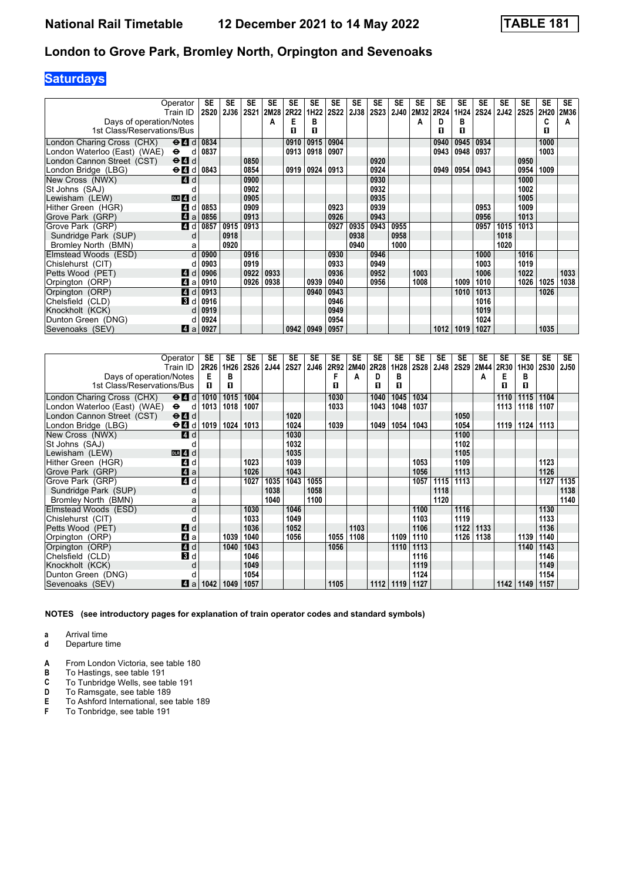# **Saturdays**

|                              | Operator                                  | SE          | SE          | <b>SE</b>   | SE   | SE   | SE   | <b>SE</b>   | SE   | <b>SE</b>   | SE          | SE   | SE   | SE   | SE   | <b>SE</b>   | <b>SE</b>   | <b>SE</b> | <b>SE</b> |
|------------------------------|-------------------------------------------|-------------|-------------|-------------|------|------|------|-------------|------|-------------|-------------|------|------|------|------|-------------|-------------|-----------|-----------|
|                              | Train ID                                  | <b>2S20</b> | <b>2J36</b> | <b>2S21</b> | 2M28 | 2R22 | 1H22 | <b>2S22</b> | 2J38 | <b>2S23</b> | <b>2J40</b> | 2M32 | 2R24 | 1H24 | 2S24 | <b>2J42</b> | <b>2S25</b> | 2H20      | 2M36      |
| Days of operation/Notes      |                                           |             |             |             | А    | Е    | в    |             |      |             |             | А    | D    | в    |      |             |             | c         | А         |
| 1st Class/Reservations/Bus   |                                           |             |             |             |      | п    | п    |             |      |             |             |      | п    | п    |      |             |             | п         |           |
| London Charing Cross (CHX)   | $\Theta$ <sup><math>\Omega</math></sup> d | 0834        |             |             |      | 0910 | 0915 | 0904        |      |             |             |      | 0940 | 0945 | 0934 |             |             | 1000      |           |
| London Waterloo (East) (WAE) | $\bullet$<br>d                            | 0837        |             |             |      | 0913 | 0918 | 0907        |      |             |             |      | 0943 | 0948 | 0937 |             |             | 1003      |           |
| London Cannon Street (CST)   | $\Theta$ <sup><math>\Omega</math></sup> d |             |             | 0850        |      |      |      |             |      | 0920        |             |      |      |      |      |             | 0950        |           |           |
| London Bridge (LBG)          | $\Theta$ <sup><math>d</math></sup>        | 0843        |             | 0854        |      | 0919 | 0924 | 0913        |      | 0924        |             |      | 0949 | 0954 | 0943 |             | 0954        | 1009      |           |
| New Cross (NWX)              | <b>4</b> d                                |             |             | 0900        |      |      |      |             |      | 0930        |             |      |      |      |      |             | 1000        |           |           |
| St Johns (SAJ)               |                                           |             |             | 0902        |      |      |      |             |      | 0932        |             |      |      |      |      |             | 1002        |           |           |
| Lewisham (LEW)               | $DLR$ 4 d                                 |             |             | 0905        |      |      |      |             |      | 0935        |             |      |      |      |      |             | 1005        |           |           |
| Hither Green (HGR)           | 4<br>d                                    | 0853        |             | 0909        |      |      |      | 0923        |      | 0939        |             |      |      |      | 0953 |             | 1009        |           |           |
| Grove Park (GRP)             | $\blacksquare$<br>a                       | 0856        |             | 0913        |      |      |      | 0926        |      | 0943        |             |      |      |      | 0956 |             | 1013        |           |           |
| Grove Park (GRP)             | 4 d                                       | 0857        | 0915        | 0913        |      |      |      | 0927        | 0935 | 0943        | 0955        |      |      |      | 0957 | 1015        | 1013        |           |           |
| Sundridge Park (SUP)         | d                                         |             | 0918        |             |      |      |      |             | 0938 |             | 0958        |      |      |      |      | 1018        |             |           |           |
| Bromley North (BMN)          | a                                         |             | 0920        |             |      |      |      |             | 0940 |             | 1000        |      |      |      |      | 1020        |             |           |           |
| Elmstead Woods (ESD)         | $\mathsf{d}$                              | 0900        |             | 0916        |      |      |      | 0930        |      | 0946        |             |      |      |      | 1000 |             | 1016        |           |           |
| Chislehurst (CIT)            |                                           | 0903        |             | 0919        |      |      |      | 0933        |      | 0949        |             |      |      |      | 1003 |             | 1019        |           |           |
| Petts Wood (PET)             | <b>A</b><br>d                             | 0906        |             | 0922        | 0933 |      |      | 0936        |      | 0952        |             | 1003 |      |      | 1006 |             | 1022        |           | 1033      |
| Orpington (ORP)              | 4<br>a                                    | 0910        |             | 0926        | 0938 |      | 0939 | 0940        |      | 0956        |             | 1008 |      | 1009 | 1010 |             | 1026        | 1025      | 1038      |
| Orpington (ORP)              | 4<br>d                                    | 0913        |             |             |      |      | 0940 | 0943        |      |             |             |      |      | 1010 | 1013 |             |             | 1026      |           |
| Chelsfield (CLD)             | В<br>. d '                                | 0916        |             |             |      |      |      | 0946        |      |             |             |      |      |      | 1016 |             |             |           |           |
| Knockholt (KCK)              |                                           | 0919        |             |             |      |      |      | 0949        |      |             |             |      |      |      | 1019 |             |             |           |           |
| Dunton Green (DNG)           |                                           | 0924        |             |             |      |      |      | 0954        |      |             |             |      |      |      | 1024 |             |             |           |           |
| Sevenoaks (SEV)              | 4<br>a                                    | 0927        |             |             |      | 0942 | 0949 | 0957        |      |             |             |      | 1012 | 1019 | 1027 |             |             | 1035      |           |

|                              | Operator                                                     | SE   | SE   | SE          | <b>SE</b> | SE          | SE   | <b>SE</b> | <b>SE</b> | <b>SE</b> | <b>SE</b> | <b>SE</b>   | <b>SE</b> | <b>SE</b>   | SE   | SE   | SE   | <b>SE</b>   | <b>SE</b>   |
|------------------------------|--------------------------------------------------------------|------|------|-------------|-----------|-------------|------|-----------|-----------|-----------|-----------|-------------|-----------|-------------|------|------|------|-------------|-------------|
|                              | Train ID                                                     | 2R26 | 1H26 | <b>2S26</b> | 2J44      | <b>2S27</b> | 2J46 | 2R92      | 2M40      | 2R28      | 1H28      | <b>2S28</b> | 2J48      | <b>2S29</b> | 2M44 | 2R30 | 1H30 | <b>2S30</b> | <b>2J50</b> |
| Days of operation/Notes      |                                                              | Е    | в    |             |           |             |      | F         | A         | D         | в         |             |           |             | A    | Е    | в    |             |             |
| 1st Class/Reservations/Bus   |                                                              | п    | п    |             |           |             |      | п         |           | п         | п         |             |           |             |      | п    | п    |             |             |
| London Charing Cross (CHX)   | $\Theta$ <sup><math>\blacksquare</math> <math>d</math></sup> | 1010 | 1015 | 1004        |           |             |      | 1030      |           | 1040      | 1045      | 1034        |           |             |      | 1110 | 1115 | 1104        |             |
| London Waterloo (East) (WAE) | $\bullet$<br>d                                               | 1013 | 1018 | 1007        |           |             |      | 1033      |           | 1043      | 1048      | 1037        |           |             |      | 1113 | 1118 | 1107        |             |
| London Cannon Street (CST)   | $\Theta$ <sup><math>\blacksquare</math> <math>d</math></sup> |      |      |             |           | 1020        |      |           |           |           |           |             |           | 1050        |      |      |      |             |             |
| London Bridge (LBG)          | $\Theta$ $\blacksquare$ d                                    | 1019 | 1024 | 1013        |           | 1024        |      | 1039      |           | 1049      | 1054      | 1043        |           | 1054        |      | 1119 | 1124 | 1113        |             |
| New Cross (NWX)              | <b>4</b> d                                                   |      |      |             |           | 1030        |      |           |           |           |           |             |           | 1100        |      |      |      |             |             |
| St Johns (SAJ)               |                                                              |      |      |             |           | 1032        |      |           |           |           |           |             |           | 1102        |      |      |      |             |             |
| Lewisham (LEW)               | $DLR$ 4 $d$                                                  |      |      |             |           | 1035        |      |           |           |           |           |             |           | 1105        |      |      |      |             |             |
| Hither Green (HGR)           | <b>4</b><br>d                                                |      |      | 1023        |           | 1039        |      |           |           |           |           | 1053        |           | 1109        |      |      |      | 1123        |             |
| Grove Park (GRP)             | $\blacksquare$ a                                             |      |      | 1026        |           | 1043        |      |           |           |           |           | 1056        |           | 1113        |      |      |      | 1126        |             |
| Grove Park (GRP)             | 4 d                                                          |      |      | 1027        | 1035      | 1043        | 1055 |           |           |           |           | 1057        | 1115      | 1113        |      |      |      | 1127        | 1135        |
| Sundridge Park (SUP)         | d                                                            |      |      |             | 1038      |             | 1058 |           |           |           |           |             | 1118      |             |      |      |      |             | 1138        |
| Bromley North (BMN)          | a                                                            |      |      |             | 1040      |             | 1100 |           |           |           |           |             | 1120      |             |      |      |      |             | 1140        |
| Elmstead Woods (ESD)         | d                                                            |      |      | 1030        |           | 1046        |      |           |           |           |           | 1100        |           | 1116        |      |      |      | 1130        |             |
| Chislehurst (CIT)            |                                                              |      |      | 1033        |           | 1049        |      |           |           |           |           | 1103        |           | 1119        |      |      |      | 1133        |             |
| Petts Wood (PET)             | 4 <sup>d</sup>                                               |      |      | 1036        |           | 1052        |      |           | 1103      |           |           | 1106        |           | 1122        | 1133 |      |      | 1136        |             |
| Orpington (ORP)              | ZI a                                                         |      | 1039 | 1040        |           | 1056        |      | 1055      | 1108      |           | 1109      | 1110        |           | 1126        | 1138 |      | 1139 | 1140        |             |
| Orpington (ORP)              | 4d                                                           |      | 1040 | 1043        |           |             |      | 1056      |           |           | 1110      | 1113        |           |             |      |      | 1140 | 1143        |             |
| Chelsfield (CLD)             | 3d                                                           |      |      | 1046        |           |             |      |           |           |           |           | 1116        |           |             |      |      |      | 1146        |             |
| Knockholt (KCK)              | d                                                            |      |      | 1049        |           |             |      |           |           |           |           | 1119        |           |             |      |      |      | 1149        |             |
| Dunton Green (DNG)           |                                                              |      |      | 1054        |           |             |      |           |           |           |           | 1124        |           |             |      |      |      | 1154        |             |
| Sevenoaks (SEV)              | ZI a                                                         | 1042 | 1049 | 1057        |           |             |      | 1105      |           | 1112      | 1119      | 1127        |           |             |      | 1142 | 1149 | 1157        |             |

**NOTES (see introductory pages for explanation of train operator codes and standard symbols)**

**a** Arrival time

**d** Departure time

**A** From London Victoria, see table 180<br>**B** To Hastings, see table 191

**B** To Hastings, see table 191<br>**C** To Tunbridge Wells, see tal

**C** To Tunbridge Wells, see table 191<br>**D** To Ramsgate, see table 189

**D** To Ramsgate, see table 189<br>**E** To Ashford International, see

**E** To Ashford International, see table 189<br>**F** To Tonbridge, see table 191

To Tonbridge, see table 191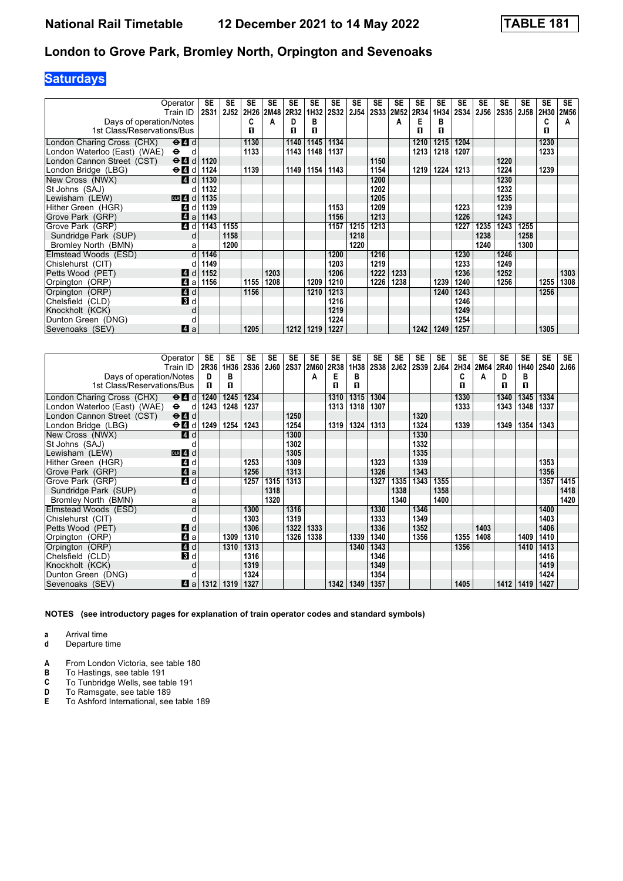# **Saturdays**

|                              | Operator                                     | SE   | SE          | <b>SE</b> | <b>SE</b> | SE   | SE   | <b>SE</b>   | <b>SE</b> | SE   | SE   | SE   | <b>SE</b> | <b>SE</b> | SE          | <b>SE</b> | <b>SE</b>   | <b>SE</b> | <b>SE</b> |
|------------------------------|----------------------------------------------|------|-------------|-----------|-----------|------|------|-------------|-----------|------|------|------|-----------|-----------|-------------|-----------|-------------|-----------|-----------|
|                              | Train ID                                     | 2S31 | <b>2J52</b> | 2H26      | 2M48      | 2R32 | 1H32 | <b>2S32</b> | 2J54      | 2S33 | 2M52 | 2R34 | 1H34      | 2S34      | <b>2J56</b> | 2S35      | <b>2J58</b> | 2H30      | 2M56      |
| Days of operation/Notes      |                                              |      |             | C         | А         | D    | в    |             |           |      | А    | Е    | в         |           |             |           |             | C         | А         |
| 1st Class/Reservations/Bus   |                                              |      |             | п         |           | п    | п    |             |           |      |      | п    | п         |           |             |           |             | п         |           |
| London Charing Cross (CHX)   | $\Theta$ $\blacksquare$ d                    |      |             | 1130      |           | 1140 | 1145 | 1134        |           |      |      | 1210 | 1215      | 1204      |             |           |             | 1230      |           |
| London Waterloo (East) (WAE) | $\bullet$<br>d                               |      |             | 1133      |           | 1143 | 1148 | 1137        |           |      |      | 1213 | 1218      | 1207      |             |           |             | 1233      |           |
| London Cannon Street (CST)   | $\Theta$ <sub><math>\Omega</math></sub><br>d | 1120 |             |           |           |      |      |             |           | 1150 |      |      |           |           |             | 1220      |             |           |           |
| London Bridge (LBG)          | $\Theta$ $\blacksquare$ d                    | 1124 |             | 1139      |           | 1149 | 1154 | 1143        |           | 1154 |      | 1219 | 1224      | 1213      |             | 1224      |             | 1239      |           |
| New Cross (NWX)              | $\boldsymbol{A}$<br>d                        | 1130 |             |           |           |      |      |             |           | 1200 |      |      |           |           |             | 1230      |             |           |           |
| St Johns (SAJ)               |                                              | 1132 |             |           |           |      |      |             |           | 1202 |      |      |           |           |             | 1232      |             |           |           |
| Lewisham (LEW)               | $DLR$ 4<br>d                                 | 1135 |             |           |           |      |      |             |           | 1205 |      |      |           |           |             | 1235      |             |           |           |
| Hither Green (HGR)           | 4<br>d                                       | 1139 |             |           |           |      |      | 1153        |           | 1209 |      |      |           | 1223      |             | 1239      |             |           |           |
| Grove Park (GRP)             | $\blacksquare$<br>a                          | 1143 |             |           |           |      |      | 1156        |           | 1213 |      |      |           | 1226      |             | 1243      |             |           |           |
| Grove Park (GRP)             | 4<br>d                                       | 1143 | 1155        |           |           |      |      | 1157        | 1215      | 1213 |      |      |           | 1227      | 1235        | 1243      | 1255        |           |           |
| Sundridge Park (SUP)         | d                                            |      | 1158        |           |           |      |      |             | 1218      |      |      |      |           |           | 1238        |           | 1258        |           |           |
| Bromley North (BMN)          | a                                            |      | 1200        |           |           |      |      |             | 1220      |      |      |      |           |           | 1240        |           | 1300        |           |           |
| Elmstead Woods (ESD)         | d                                            | 1146 |             |           |           |      |      | 1200        |           | 1216 |      |      |           | 1230      |             | 1246      |             |           |           |
| Chislehurst (CIT)            |                                              | 1149 |             |           |           |      |      | 1203        |           | 1219 |      |      |           | 1233      |             | 1249      |             |           |           |
| Petts Wood (PET)             | <b>A</b><br>d                                | 1152 |             |           | 1203      |      |      | 1206        |           | 1222 | 1233 |      |           | 1236      |             | 1252      |             |           | 1303      |
| Orpington (ORP)              | 4<br>a                                       | 1156 |             | 1155      | 1208      |      | 1209 | 1210        |           | 1226 | 1238 |      | 1239      | 1240      |             | 1256      |             | 1255      | 1308      |
| Orpington (ORP)              | 4 d                                          |      |             | 1156      |           |      | 1210 | 1213        |           |      |      |      | 1240      | 1243      |             |           |             | 1256      |           |
| Chelsfield (CLD)             | 3d                                           |      |             |           |           |      |      | 1216        |           |      |      |      |           | 1246      |             |           |             |           |           |
| Knockholt (KCK)              | d                                            |      |             |           |           |      |      | 1219        |           |      |      |      |           | 1249      |             |           |             |           |           |
| Dunton Green (DNG)           |                                              |      |             |           |           |      |      | 1224        |           |      |      |      |           | 1254      |             |           |             |           |           |
| Sevenoaks (SEV)              | ZI a                                         |      |             | 1205      |           | 1212 | 1219 | 1227        |           |      |      | 1242 | 1249      | 1257      |             |           |             | 1305      |           |

|                              | Operator                  | SE   | <b>SE</b> | <b>SE</b>   | <b>SE</b> | <b>SE</b>   | <b>SE</b> | <b>SE</b> | <b>SE</b> | <b>SE</b>   | SE          | <b>SE</b> | <b>SE</b> | <b>SE</b> | SE   | <b>SE</b>   | <b>SE</b> | <b>SE</b>   | <b>SE</b>   |
|------------------------------|---------------------------|------|-----------|-------------|-----------|-------------|-----------|-----------|-----------|-------------|-------------|-----------|-----------|-----------|------|-------------|-----------|-------------|-------------|
|                              | Train ID                  | 2R36 | 1H36      | <b>2S36</b> | 2J60      | <b>2S37</b> | 2M60      | 2R38      | 1H38      | <b>2S38</b> | <b>2J62</b> | 2S39      | 2J64      | 2H34      | 2M64 | <b>2R40</b> | 1H40      | <b>2S40</b> | <b>2J66</b> |
| Days of operation/Notes      |                           | D    | в         |             |           |             | А         | Е         | в         |             |             |           |           | C         | A    | D           | в         |             |             |
| 1st Class/Reservations/Bus   |                           | п    | п         |             |           |             |           | П         | п         |             |             |           |           | п         |      | п           | п         |             |             |
| London Charing Cross (CHX)   | $\Theta$ $\blacksquare$ d | 1240 | 1245      | 1234        |           |             |           | 1310      | 1315      | 1304        |             |           |           | 1330      |      | 1340        | 1345      | 1334        |             |
| London Waterloo (East) (WAE) | $\bullet$<br>d            | 1243 | 1248      | 1237        |           |             |           | 1313      | 1318      | 1307        |             |           |           | 1333      |      | 1343        | 1348      | 1337        |             |
| London Cannon Street (CST)   | $\Theta$ $\blacksquare$ d |      |           |             |           | 1250        |           |           |           |             |             | 1320      |           |           |      |             |           |             |             |
| London Bridge (LBG)          | $\Theta$ $\blacksquare$ d | 1249 | 1254      | 1243        |           | 1254        |           | 1319      | 1324      | 1313        |             | 1324      |           | 1339      |      | 1349        | 1354      | 1343        |             |
| New Cross (NWX)              | <b>4</b> d                |      |           |             |           | 1300        |           |           |           |             |             | 1330      |           |           |      |             |           |             |             |
| St Johns (SAJ)               |                           |      |           |             |           | 1302        |           |           |           |             |             | 1332      |           |           |      |             |           |             |             |
| Lewisham (LEW)               | $DLR$ 4 $d$               |      |           |             |           | 1305        |           |           |           |             |             | 1335      |           |           |      |             |           |             |             |
| Hither Green (HGR)           | <b>4</b><br>d             |      |           | 1253        |           | 1309        |           |           |           | 1323        |             | 1339      |           |           |      |             |           | 1353        |             |
| Grove Park (GRP)             | 4 a                       |      |           | 1256        |           | 1313        |           |           |           | 1326        |             | 1343      |           |           |      |             |           | 1356        |             |
| Grove Park (GRP)             | 4d                        |      |           | 1257        | 1315      | 1313        |           |           |           | 1327        | 1335        | 1343      | 1355      |           |      |             |           | 1357        | 1415        |
| Sundridge Park (SUP)         | d                         |      |           |             | 1318      |             |           |           |           |             | 1338        |           | 1358      |           |      |             |           |             | 1418        |
| Bromley North (BMN)          | a                         |      |           |             | 1320      |             |           |           |           |             | 1340        |           | 1400      |           |      |             |           |             | 1420        |
| Elmstead Woods (ESD)         | d                         |      |           | 1300        |           | 1316        |           |           |           | 1330        |             | 1346      |           |           |      |             |           | 1400        |             |
| Chislehurst (CIT)            |                           |      |           | 1303        |           | 1319        |           |           |           | 1333        |             | 1349      |           |           |      |             |           | 1403        |             |
| Petts Wood (PET)             | ZI d                      |      |           | 1306        |           | 1322        | 1333      |           |           | 1336        |             | 1352      |           |           | 1403 |             |           | 1406        |             |
| Orpington (ORP)              | 41 a                      |      | 1309      | 1310        |           | 1326        | 1338      |           | 1339      | 1340        |             | 1356      |           | 1355      | 1408 |             | 1409      | 1410        |             |
| Orpington (ORP)              | 4 d                       |      | 1310      | 1313        |           |             |           |           | 1340      | 1343        |             |           |           | 1356      |      |             | 1410      | 1413        |             |
| Chelsfield (CLD)             | 3d                        |      |           | 1316        |           |             |           |           |           | 1346        |             |           |           |           |      |             |           | 1416        |             |
| Knockholt (KCK)              | d                         |      |           | 1319        |           |             |           |           |           | 1349        |             |           |           |           |      |             |           | 1419        |             |
| Dunton Green (DNG)           |                           |      |           | 1324        |           |             |           |           |           | 1354        |             |           |           |           |      |             |           | 1424        |             |
| Sevenoaks (SEV)              | ZI a                      | 1312 | 1319      | 1327        |           |             |           | 1342      | 1349      | 1357        |             |           |           | 1405      |      | 1412        | 1419      | 1427        |             |

**NOTES (see introductory pages for explanation of train operator codes and standard symbols)**

**a** Arrival time

**d** Departure time

**A** From London Victoria, see table 180<br>**B** To Hastings, see table 191

**B** To Hastings, see table 191<br>**C** To Tunbridge Wells, see tal

**C** To Tunbridge Wells, see table 191<br>**D** To Ramsgate, see table 189

**D** To Ramsgate, see table 189<br>**E** To Ashford International, see

**E** To Ashford International, see table 18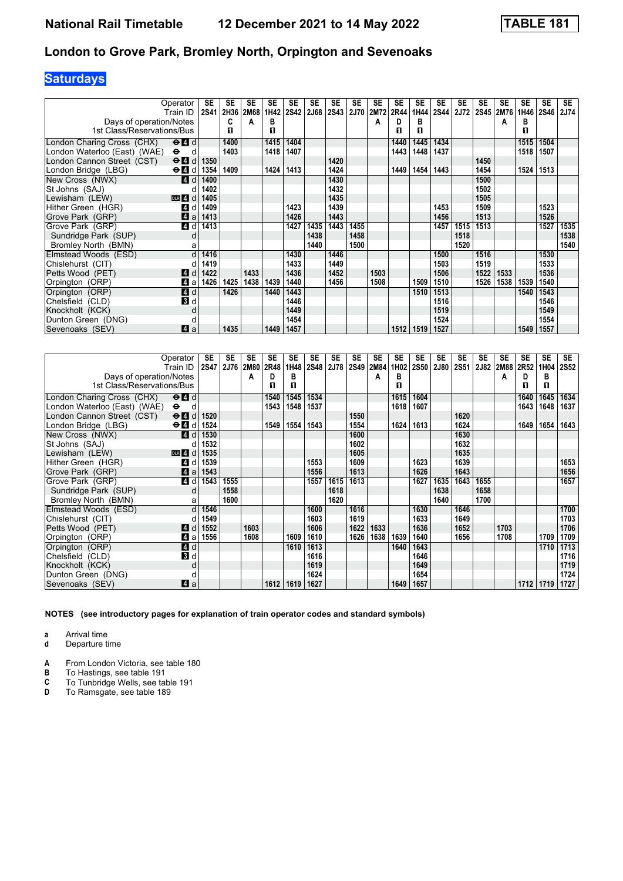# **Saturdays**

|                              | Operator                                  | SE          | SE   | <b>SE</b>   | <b>SE</b> | <b>SE</b>   | SE          | <b>SE</b> | <b>SE</b> | <b>SE</b> | SE          | <b>SE</b> | <b>SE</b>   | <b>SE</b>   | <b>SE</b> | <b>SE</b> | <b>SE</b> | <b>SE</b> | <b>SE</b>   |
|------------------------------|-------------------------------------------|-------------|------|-------------|-----------|-------------|-------------|-----------|-----------|-----------|-------------|-----------|-------------|-------------|-----------|-----------|-----------|-----------|-------------|
|                              | Train ID                                  | <b>2S41</b> | 2H36 | <b>2M68</b> | 1H42      | <b>2S42</b> | <b>2J68</b> | 2S43      | 2J70      | 2M72      | <b>2R44</b> | 1H44      | <b>2S44</b> | <b>2J72</b> | 2S45      | 2M76      | 1H46      | 2S46      | <b>2J74</b> |
| Days of operation/Notes      |                                           |             | C    | А           | в         |             |             |           |           | А         | D           | в         |             |             |           | А         | в         |           |             |
| 1st Class/Reservations/Bus   |                                           |             | п    |             | п         |             |             |           |           |           | п           | п         |             |             |           |           | п         |           |             |
| London Charing Cross (CHX)   | $\Theta$ <sup><math>\Omega</math></sup> d |             | 1400 |             | 1415      | 1404        |             |           |           |           | 1440        | 1445      | 1434        |             |           |           | 1515      | 1504      |             |
| London Waterloo (East) (WAE) | $\bullet$<br>d.                           |             | 1403 |             | 1418      | 1407        |             |           |           |           | 1443        | 1448      | 1437        |             |           |           | 1518      | 1507      |             |
| London Cannon Street (CST)   | $\Theta$ $\blacksquare$ d                 | 1350        |      |             |           |             |             | 1420      |           |           |             |           |             |             | 1450      |           |           |           |             |
| London Bridge (LBG)          | $\Theta$ $\blacksquare$ d                 | 1354        | 1409 |             | 1424      | 1413        |             | 1424      |           |           | 1449        | 1454      | 1443        |             | 1454      |           | 1524      | 1513      |             |
| New Cross (NWX)              | <b>4</b> d                                | 1400        |      |             |           |             |             | 1430      |           |           |             |           |             |             | 1500      |           |           |           |             |
| St Johns (SAJ)               |                                           | 1402        |      |             |           |             |             | 1432      |           |           |             |           |             |             | 1502      |           |           |           |             |
| Lewisham (LEW)               | $DLR$ 4<br>d                              | 1405        |      |             |           |             |             | 1435      |           |           |             |           |             |             | 1505      |           |           |           |             |
| Hither Green (HGR)           | 14<br>d                                   | 1409        |      |             |           | 1423        |             | 1439      |           |           |             |           | 1453        |             | 1509      |           |           | 1523      |             |
| Grove Park (GRP)             | $\overline{A}$<br>a                       | 1413        |      |             |           | 1426        |             | 1443      |           |           |             |           | 1456        |             | 1513      |           |           | 1526      |             |
| Grove Park (GRP)             | $\overline{A}$<br>d                       | 1413        |      |             |           | 1427        | 1435        | 1443      | 1455      |           |             |           | 1457        | 1515        | 1513      |           |           | 1527      | 1535        |
| Sundridge Park (SUP)         | d                                         |             |      |             |           |             | 1438        |           | 1458      |           |             |           |             | 1518        |           |           |           |           | 1538        |
| Bromley North (BMN)          | a                                         |             |      |             |           |             | 1440        |           | 1500      |           |             |           |             | 1520        |           |           |           |           | 1540        |
| Elmstead Woods (ESD)         | d                                         | 1416        |      |             |           | 1430        |             | 1446      |           |           |             |           | 1500        |             | 1516      |           |           | 1530      |             |
| Chislehurst (CIT)            |                                           | 1419        |      |             |           | 1433        |             | 1449      |           |           |             |           | 1503        |             | 1519      |           |           | 1533      |             |
| Petts Wood (PET)             | 4<br>d                                    | 1422        |      | 1433        |           | 1436        |             | 1452      |           | 1503      |             |           | 1506        |             | 1522      | 1533      |           | 1536      |             |
| Orpington (ORP)              | $\boldsymbol{A}$<br>a                     | 1426        | 1425 | 1438        | 1439      | 1440        |             | 1456      |           | 1508      |             | 1509      | 1510        |             | 1526      | 1538      | 1539      | 1540      |             |
| Orpington (ORP)              | 4d                                        |             | 1426 |             | 1440      | 1443        |             |           |           |           |             | 1510      | 1513        |             |           |           | 1540      | 1543      |             |
| Chelsfield (CLD)             | 3 d                                       |             |      |             |           | 1446        |             |           |           |           |             |           | 1516        |             |           |           |           | 1546      |             |
| Knockholt (KCK)              | d                                         |             |      |             |           | 1449        |             |           |           |           |             |           | 1519        |             |           |           |           | 1549      |             |
| Dunton Green (DNG)           | d                                         |             |      |             |           | 1454        |             |           |           |           |             |           | 1524        |             |           |           |           | 1554      |             |
| Sevenoaks (SEV)              | <b>4</b> a                                |             | 1435 |             | 1449      | 1457        |             |           |           |           | 1512        | 1519      | 1527        |             |           |           | 1549      | 1557      |             |

|                              | Operator<br>Train ID                        | SE<br>2S47 | <b>SE</b><br><b>2J76</b> | <b>SE</b><br><b>2M80</b> | <b>SE</b><br>2R48 | <b>SE</b><br>1H48 | <b>SE</b><br>2S48 | <b>SE</b><br>2J78 | <b>SE</b><br><b>2S49</b> | <b>SE</b><br>2M84 | <b>SE</b><br>1H02 | SE<br><b>2S50</b> | <b>SE</b><br><b>2J80</b> | SE<br>2S51 | <b>SE</b><br>2J82 | <b>SE</b><br>2M88 | <b>SE</b><br>2R52 | <b>SE</b><br>1H04 | <b>SE</b><br><b>2S52</b> |
|------------------------------|---------------------------------------------|------------|--------------------------|--------------------------|-------------------|-------------------|-------------------|-------------------|--------------------------|-------------------|-------------------|-------------------|--------------------------|------------|-------------------|-------------------|-------------------|-------------------|--------------------------|
| Days of operation/Notes      |                                             |            |                          | A                        | D                 | в                 |                   |                   |                          | A                 | в                 |                   |                          |            |                   | Α                 | D                 | в                 |                          |
| 1st Class/Reservations/Bus   |                                             |            |                          |                          | п                 | п                 |                   |                   |                          |                   | п                 |                   |                          |            |                   |                   | п                 | п                 |                          |
|                              |                                             |            |                          |                          |                   |                   |                   |                   |                          |                   |                   |                   |                          |            |                   |                   |                   |                   |                          |
| London Charing Cross (CHX)   | $\Theta$ <sup><math>\Omega</math></sup> $d$ |            |                          |                          | 1540              | 1545              | 1534              |                   |                          |                   | 1615              | 1604              |                          |            |                   |                   | 1640              | 1645              | 1634                     |
| London Waterloo (East) (WAE) | $\bullet$<br>d                              |            |                          |                          | 1543              | 1548              | 1537              |                   |                          |                   | 1618              | 1607              |                          |            |                   |                   | 1643              | 1648              | 1637                     |
| London Cannon Street (CST)   | $\Theta$ <sup><math>\Omega</math></sup> d   | 1520       |                          |                          |                   |                   |                   |                   | 1550                     |                   |                   |                   |                          | 1620       |                   |                   |                   |                   |                          |
| London Bridge (LBG)          | $\Theta$ $\blacksquare$ d                   | 1524       |                          |                          | 1549              | 1554              | 1543              |                   | 1554                     |                   | 1624              | 1613              |                          | 1624       |                   |                   | 1649              | 1654              | 1643                     |
| New Cross (NWX)              | ZI d                                        | 1530       |                          |                          |                   |                   |                   |                   | 1600                     |                   |                   |                   |                          | 1630       |                   |                   |                   |                   |                          |
| St Johns (SAJ)               |                                             | 1532       |                          |                          |                   |                   |                   |                   | 1602                     |                   |                   |                   |                          | 1632       |                   |                   |                   |                   |                          |
| Lewisham (LEW)               | $DLR$ 4 d                                   | 1535       |                          |                          |                   |                   |                   |                   | 1605                     |                   |                   |                   |                          | 1635       |                   |                   |                   |                   |                          |
| Hither Green (HGR)           | $\vert$ 4<br>d                              | 1539       |                          |                          |                   |                   | 1553              |                   | 1609                     |                   |                   | 1623              |                          | 1639       |                   |                   |                   |                   | 1653                     |
| Grove Park (GRP)             | 4a                                          | 1543       |                          |                          |                   |                   | 1556              |                   | 1613                     |                   |                   | 1626              |                          | 1643       |                   |                   |                   |                   | 1656                     |
| Grove Park (GRP)             | 4 d                                         | 1543       | 1555                     |                          |                   |                   | 1557              | 1615              | 1613                     |                   |                   | 1627              | 1635                     | 1643       | 1655              |                   |                   |                   | 1657                     |
| Sundridge Park (SUP)         | d                                           |            | 1558                     |                          |                   |                   |                   | 1618              |                          |                   |                   |                   | 1638                     |            | 1658              |                   |                   |                   |                          |
| Bromley North (BMN)          | a                                           |            | 1600                     |                          |                   |                   |                   | 1620              |                          |                   |                   |                   | 1640                     |            | 1700              |                   |                   |                   |                          |
| Elmstead Woods (ESD)         | q                                           | 1546       |                          |                          |                   |                   | 1600              |                   | 1616                     |                   |                   | 1630              |                          | 1646       |                   |                   |                   |                   | 1700                     |
| Chislehurst (CIT)            |                                             | 1549       |                          |                          |                   |                   | 1603              |                   | 1619                     |                   |                   | 1633              |                          | 1649       |                   |                   |                   |                   | 1703                     |
| Petts Wood (PET)             | <b>4</b> d                                  | 1552       |                          | 1603                     |                   |                   | 1606              |                   | 1622                     | 1633              |                   | 1636              |                          | 1652       |                   | 1703              |                   |                   | 1706                     |
| Orpington (ORP)              | Z1 a                                        | 1556       |                          | 1608                     |                   | 1609              | 1610              |                   | 1626                     | 1638              | 1639              | 1640              |                          | 1656       |                   | 1708              |                   | 1709              | 1709                     |
| Orpington (ORP)              | $\blacksquare$                              |            |                          |                          |                   | 1610              | 1613              |                   |                          |                   | 1640              | 1643              |                          |            |                   |                   |                   | 1710              | 1713                     |
| Chelsfield (CLD)             | 3d                                          |            |                          |                          |                   |                   | 1616              |                   |                          |                   |                   | 1646              |                          |            |                   |                   |                   |                   | 1716                     |
| Knockholt (KCK)              | d                                           |            |                          |                          |                   |                   | 1619              |                   |                          |                   |                   | 1649              |                          |            |                   |                   |                   |                   | 1719                     |
| Dunton Green (DNG)           |                                             |            |                          |                          |                   |                   | 1624              |                   |                          |                   |                   | 1654              |                          |            |                   |                   |                   |                   | 1724                     |
| Sevenoaks (SEV)              | $\blacksquare$ a                            |            |                          |                          | 1612              | 1619              | 1627              |                   |                          |                   | 1649              | 1657              |                          |            |                   |                   | 1712              | 1719              | 1727                     |

**NOTES (see introductory pages for explanation of train operator codes and standard symbols)**

**a** Arrival time

**d** Departure time

**A** From London Victoria, see table 180<br>**B** To Hastings, see table 191

**B** To Hastings, see table 191<br>**C** To Tunbridge Wells, see table<br>**D** To Ramsgate, see table 18

To Tunbridge Wells, see table 191

To Ramsgate, see table 189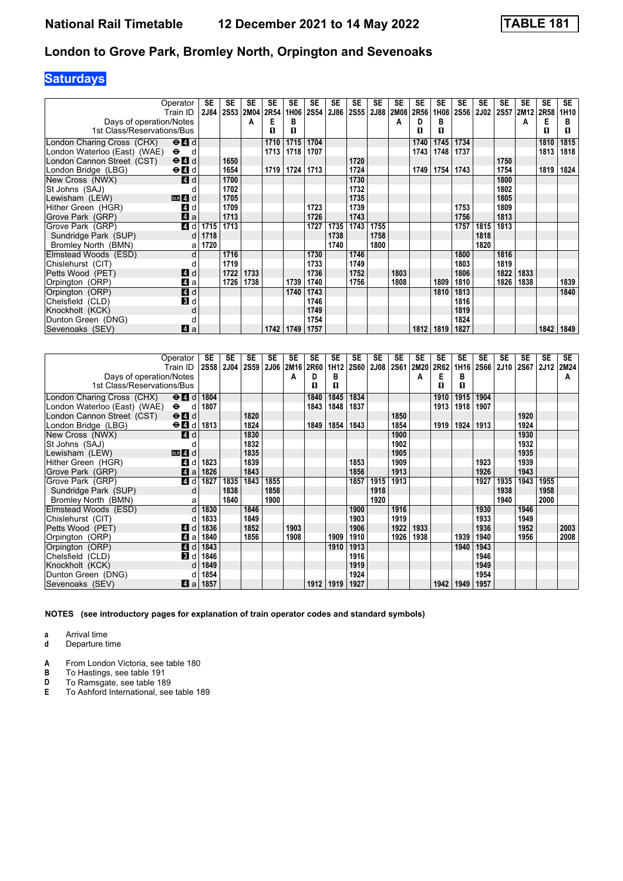# **Saturdays**

|                              | Operator<br>Train ID      | SE<br><b>2J84</b> | <b>SE</b><br>2S53 | SE<br>2M04 | <b>SE</b><br>2R54 | <b>SE</b><br>1H06 | SE<br><b>2S54</b> | SE<br><b>2J86</b> | <b>SE</b><br><b>2S55</b> | <b>SE</b><br>2J88 | <b>SE</b><br><b>2M08</b> | SE<br>2R56 | <b>SE</b><br>1H08 | <b>SE</b><br><b>2S56</b> | <b>SE</b><br><b>2J02</b> | <b>SE</b><br>2S57 | <b>SE</b><br>2M12 | <b>SE</b><br>2R58 | <b>SE</b><br>1H10 |
|------------------------------|---------------------------|-------------------|-------------------|------------|-------------------|-------------------|-------------------|-------------------|--------------------------|-------------------|--------------------------|------------|-------------------|--------------------------|--------------------------|-------------------|-------------------|-------------------|-------------------|
| Days of operation/Notes      |                           |                   |                   | А          | E                 | в                 |                   |                   |                          |                   | А                        | D          | в                 |                          |                          |                   | А                 | Е                 | в                 |
| 1st Class/Reservations/Bus   |                           |                   |                   |            | п                 | п                 |                   |                   |                          |                   |                          | п          | п                 |                          |                          |                   |                   | п                 | п                 |
| London Charing Cross (CHX)   | $\Theta$ $\blacksquare$ d |                   |                   |            | 1710              | 1715              | 1704              |                   |                          |                   |                          | 1740       | 1745              | 1734                     |                          |                   |                   | 1810              | 1815              |
| London Waterloo (East) (WAE) | $\bullet$<br>d            |                   |                   |            | 1713              | 1718              | 1707              |                   |                          |                   |                          | 1743       | 1748              | 1737                     |                          |                   |                   | 1813              | 1818              |
| London Cannon Street (CST)   | $\Theta$ $\blacksquare$ d |                   | 1650              |            |                   |                   |                   |                   | 1720                     |                   |                          |            |                   |                          |                          | 1750              |                   |                   |                   |
| London Bridge (LBG)          | $\Theta$ $\blacksquare$ d |                   | 1654              |            | 1719              | 1724              | 1713              |                   | 1724                     |                   |                          | 1749       | 1754              | 1743                     |                          | 1754              |                   | 1819              | 1824              |
| New Cross (NWX)              | <b>4</b> d                |                   | 1700              |            |                   |                   |                   |                   | 1730                     |                   |                          |            |                   |                          |                          | 1800              |                   |                   |                   |
| St Johns (SAJ)               |                           |                   | 1702              |            |                   |                   |                   |                   | 1732                     |                   |                          |            |                   |                          |                          | 1802              |                   |                   |                   |
| Lewisham (LEW)               | $DLR$ 4 $d$               |                   | 1705              |            |                   |                   |                   |                   | 1735                     |                   |                          |            |                   |                          |                          | 1805              |                   |                   |                   |
| Hither Green (HGR)           | 4 d                       |                   | 1709              |            |                   |                   | 1723              |                   | 1739                     |                   |                          |            |                   | 1753                     |                          | 1809              |                   |                   |                   |
| Grove Park (GRP)             | 4a                        |                   | 1713              |            |                   |                   | 1726              |                   | 1743                     |                   |                          |            |                   | 1756                     |                          | 1813              |                   |                   |                   |
| Grove Park (GRP)             | 4 d                       | 1715              | 1713              |            |                   |                   | 1727              | 1735              | 1743                     | 1755              |                          |            |                   | 1757                     | 1815                     | 1813              |                   |                   |                   |
| Sundridge Park (SUP)         | d                         | 1718              |                   |            |                   |                   |                   | 1738              |                          | 1758              |                          |            |                   |                          | 1818                     |                   |                   |                   |                   |
| Bromley North (BMN)          | a                         | 1720              |                   |            |                   |                   |                   | 1740              |                          | 1800              |                          |            |                   |                          | 1820                     |                   |                   |                   |                   |
| Elmstead Woods (ESD)         | d                         |                   | 1716              |            |                   |                   | 1730              |                   | 1746                     |                   |                          |            |                   | 1800                     |                          | 1816              |                   |                   |                   |
| Chislehurst (CIT)            |                           |                   | 1719              |            |                   |                   | 1733              |                   | 1749                     |                   |                          |            |                   | 1803                     |                          | 1819              |                   |                   |                   |
| Petts Wood (PET)             | 4 d                       |                   | 1722              | 1733       |                   |                   | 1736              |                   | 1752                     |                   | 1803                     |            |                   | 1806                     |                          | 1822              | 1833              |                   |                   |
| Orpington (ORP)              | ZI a                      |                   | 1726              | 1738       |                   | 1739              | 1740              |                   | 1756                     |                   | 1808                     |            | 1809              | 1810                     |                          | 1826              | 1838              |                   | 1839              |
| Orpington (ORP)              | $\blacksquare$ d          |                   |                   |            |                   | 1740              | 1743              |                   |                          |                   |                          |            | 1810              | 1813                     |                          |                   |                   |                   | 1840              |
| Chelsfield (CLD)             | <b>B</b> d                |                   |                   |            |                   |                   | 1746              |                   |                          |                   |                          |            |                   | 1816                     |                          |                   |                   |                   |                   |
| Knockholt (KCK)              | d                         |                   |                   |            |                   |                   | 1749              |                   |                          |                   |                          |            |                   | 1819                     |                          |                   |                   |                   |                   |
| Dunton Green (DNG)           | C                         |                   |                   |            |                   |                   | 1754              |                   |                          |                   |                          |            |                   | 1824                     |                          |                   |                   |                   |                   |
| Sevenoaks (SEV)              | ZI a                      |                   |                   |            | 1742              | 1749              | 1757              |                   |                          |                   |                          | 1812       | 1819              | 1827                     |                          |                   |                   | 1842              | 1849              |

|                               | Operator<br>Train ID                                         | SE<br><b>2S58</b> | SE<br><b>2J04</b> | <b>SE</b><br><b>2S59</b> | <b>SE</b><br><b>2J06</b> | <b>SE</b><br><b>2M16</b> | <b>SE</b><br>2R60 | <b>SE</b><br>1H12 | SE<br><b>2S60</b> | <b>SE</b><br><b>2J08</b> | SE<br><b>2S61</b> | <b>SE</b><br>2M20 | SE<br>2R62 | <b>SE</b><br>1H16 | <b>SE</b><br><b>2S66</b> | <b>SE</b><br><b>2J10</b> | <b>SE</b><br>2S67 | <b>SE</b><br><b>2J12</b> | SE<br>2M24 |
|-------------------------------|--------------------------------------------------------------|-------------------|-------------------|--------------------------|--------------------------|--------------------------|-------------------|-------------------|-------------------|--------------------------|-------------------|-------------------|------------|-------------------|--------------------------|--------------------------|-------------------|--------------------------|------------|
| Days of operation/Notes       |                                                              |                   |                   |                          |                          | Α                        | D                 | в                 |                   |                          |                   | А                 | Е          | в                 |                          |                          |                   |                          | А          |
| 1st Class/Reservations/Bus    |                                                              |                   |                   |                          |                          |                          | п                 | П                 |                   |                          |                   |                   | п          | п                 |                          |                          |                   |                          |            |
| London Charing Cross (CHX)    | $\Theta$ $\blacksquare$ d                                    | 1804              |                   |                          |                          |                          | 1840              | 1845              | 1834              |                          |                   |                   | 1910       | 1915              | 1904                     |                          |                   |                          |            |
| London Waterloo (East) (WAE). | $\bullet$<br>d                                               | 1807              |                   |                          |                          |                          | 1843              | 1848              | 1837              |                          |                   |                   | 1913       | 1918              | 1907                     |                          |                   |                          |            |
| London Cannon Street (CST)    | $\Theta$ $\blacksquare$ d                                    |                   |                   | 1820                     |                          |                          |                   |                   |                   |                          | 1850              |                   |            |                   |                          |                          | 1920              |                          |            |
| London Bridge (LBG)           | $\Theta$ <sup><math>\blacksquare</math> <math>d</math></sup> | 1813              |                   | 1824                     |                          |                          | 1849              | 1854              | 1843              |                          | 1854              |                   | 1919       | 1924              | 1913                     |                          | 1924              |                          |            |
| New Cross (NWX)               | ZI d                                                         |                   |                   | 1830                     |                          |                          |                   |                   |                   |                          | 1900              |                   |            |                   |                          |                          | 1930              |                          |            |
| St Johns (SAJ)                |                                                              |                   |                   | 1832                     |                          |                          |                   |                   |                   |                          | 1902              |                   |            |                   |                          |                          | 1932              |                          |            |
| Lewisham (LEW)                | $DLR$ 4 $d$                                                  |                   |                   | 1835                     |                          |                          |                   |                   |                   |                          | 1905              |                   |            |                   |                          |                          | 1935              |                          |            |
| Hither Green (HGR)            | $\overline{4}$<br>d                                          | 1823              |                   | 1839                     |                          |                          |                   |                   | 1853              |                          | 1909              |                   |            |                   | 1923                     |                          | 1939              |                          |            |
| Grove Park (GRP)              | 4a                                                           | 1826              |                   | 1843                     |                          |                          |                   |                   | 1856              |                          | 1913              |                   |            |                   | 1926                     |                          | 1943              |                          |            |
| Grove Park (GRP)              | 4 d                                                          | 1827              | 1835              | 1843                     | 1855                     |                          |                   |                   | 1857              | 1915                     | 1913              |                   |            |                   | 1927                     | 1935                     | 1943              | 1955                     |            |
| Sundridge Park (SUP)          | d                                                            |                   | 1838              |                          | 1858                     |                          |                   |                   |                   | 1918                     |                   |                   |            |                   |                          | 1938                     |                   | 1958                     |            |
| Bromley North (BMN)           | a                                                            |                   | 1840              |                          | 1900                     |                          |                   |                   |                   | 1920                     |                   |                   |            |                   |                          | 1940                     |                   | 2000                     |            |
| Elmstead Woods (ESD)          | d                                                            | 1830              |                   | 1846                     |                          |                          |                   |                   | 1900              |                          | 1916              |                   |            |                   | 1930                     |                          | 1946              |                          |            |
| Chislehurst (CIT)             |                                                              | 1833              |                   | 1849                     |                          |                          |                   |                   | 1903              |                          | 1919              |                   |            |                   | 1933                     |                          | 1949              |                          |            |
| Petts Wood (PET)              | <b>A</b><br>d                                                | 1836              |                   | 1852                     |                          | 1903                     |                   |                   | 1906              |                          | 1922              | 1933              |            |                   | 1936                     |                          | 1952              |                          | 2003       |
| Orpington (ORP)               | 4<br>a                                                       | 1840              |                   | 1856                     |                          | 1908                     |                   | 1909              | 1910              |                          | 1926              | 1938              |            | 1939              | 1940                     |                          | 1956              |                          | 2008       |
| Orpington (ORP)               | 4d                                                           | 1843              |                   |                          |                          |                          |                   | 1910              | 1913              |                          |                   |                   |            | 1940              | 1943                     |                          |                   |                          |            |
| Chelsfield (CLD)              | <b>3</b> d                                                   | 1846              |                   |                          |                          |                          |                   |                   | 1916              |                          |                   |                   |            |                   | 1946                     |                          |                   |                          |            |
| Knockholt (KCK)               |                                                              | 1849              |                   |                          |                          |                          |                   |                   | 1919              |                          |                   |                   |            |                   | 1949                     |                          |                   |                          |            |
| Dunton Green (DNG)            |                                                              | 1854              |                   |                          |                          |                          |                   |                   | 1924              |                          |                   |                   |            |                   | 1954                     |                          |                   |                          |            |
| Sevenoaks (SEV)               | ZI a                                                         | 1857              |                   |                          |                          |                          | 1912              | 1919              | 1927              |                          |                   |                   | 1942       | 1949              | 1957                     |                          |                   |                          |            |

**NOTES (see introductory pages for explanation of train operator codes and standard symbols)**

**a** Arrival time

**d** Departure time

**A** From London Victoria, see table 180<br>**B** To Hastings, see table 191

**B** To Hastings, see table 191<br>**D** To Ramsgate, see table 18

**D** To Ramsgate, see table 189<br>**E** To Ashford International, see

**E** To Ashford International, see table 18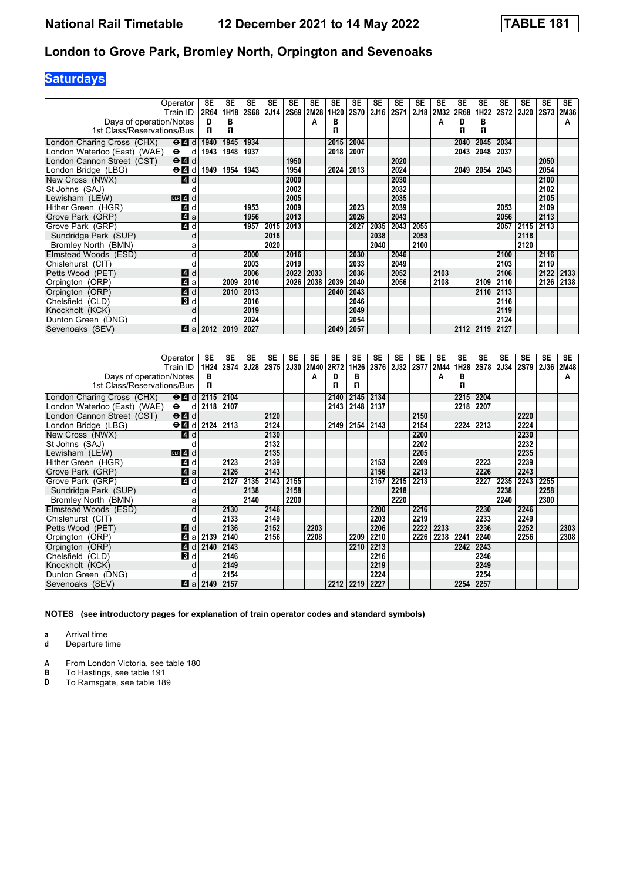# **Saturdays**

|                              | Operator                           | SE          | <b>SE</b> | <b>SE</b> | <b>SE</b> | <b>SE</b>   | SE   | <b>SE</b> | <b>SE</b>   | SE   | <b>SE</b>   | <b>SE</b> | <b>SE</b> | <b>SE</b> | <b>SE</b> | <b>SE</b>   | <b>SE</b>   | <b>SE</b>   | <b>SE</b> |
|------------------------------|------------------------------------|-------------|-----------|-----------|-----------|-------------|------|-----------|-------------|------|-------------|-----------|-----------|-----------|-----------|-------------|-------------|-------------|-----------|
|                              | Train ID                           | <b>2R64</b> | 1H18      | 2S68      | 2J14      | <b>2S69</b> | 2M28 | 1H20      | <b>2S70</b> | 2J16 | <b>2S71</b> | 2J18      | 2M32      | 2R68      | 1H22      | <b>2S72</b> | <b>2J20</b> | <b>2S73</b> | 2M36      |
| Days of operation/Notes      |                                    | D           | в         |           |           |             | А    | в         |             |      |             |           | А         | D         | в         |             |             |             | A         |
| 1st Class/Reservations/Bus   |                                    | п           | п         |           |           |             |      | п         |             |      |             |           |           | п         | п         |             |             |             |           |
| London Charing Cross (CHX)   | $\Theta$ $\blacksquare$ d          | 1940        | 1945      | 1934      |           |             |      | 2015      | 2004        |      |             |           |           | 2040      | 2045      | 2034        |             |             |           |
| London Waterloo (East) (WAE) | $\bullet$<br>d                     | 1943        | 1948      | 1937      |           |             |      | 2018      | 2007        |      |             |           |           | 2043      | 2048      | 2037        |             |             |           |
| London Cannon Street (CST)   | $\Theta$ $\blacksquare$ d          |             |           |           |           | 1950        |      |           |             |      | 2020        |           |           |           |           |             |             | 2050        |           |
| London Bridge (LBG)          | $\Theta$ <sup><math>d</math></sup> | 1949        | 1954      | 1943      |           | 1954        |      | 2024      | 2013        |      | 2024        |           |           | 2049      | 2054      | 2043        |             | 2054        |           |
| New Cross (NWX)              | ZI d                               |             |           |           |           | 2000        |      |           |             |      | 2030        |           |           |           |           |             |             | 2100        |           |
| St Johns (SAJ)               |                                    |             |           |           |           | 2002        |      |           |             |      | 2032        |           |           |           |           |             |             | 2102        |           |
| Lewisham (LEW)               | $DLR$ 4 $d$                        |             |           |           |           | 2005        |      |           |             |      | 2035        |           |           |           |           |             |             | 2105        |           |
| Hither Green (HGR)           | 4<br>d                             |             |           | 1953      |           | 2009        |      |           | 2023        |      | 2039        |           |           |           |           | 2053        |             | 2109        |           |
| Grove Park (GRP)             | 4a                                 |             |           | 1956      |           | 2013        |      |           | 2026        |      | 2043        |           |           |           |           | 2056        |             | 2113        |           |
| Grove Park (GRP)             | 4d                                 |             |           | 1957      | 2015      | 2013        |      |           | 2027        | 2035 | 2043        | 2055      |           |           |           | 2057        | 2115        | 2113        |           |
| Sundridge Park (SUP)         | d                                  |             |           |           | 2018      |             |      |           |             | 2038 |             | 2058      |           |           |           |             | 2118        |             |           |
| Bromley North (BMN)          | a                                  |             |           |           | 2020      |             |      |           |             | 2040 |             | 2100      |           |           |           |             | 2120        |             |           |
| Elmstead Woods (ESD)         | d                                  |             |           | 2000      |           | 2016        |      |           | 2030        |      | 2046        |           |           |           |           | 2100        |             | 2116        |           |
| Chislehurst (CIT)            |                                    |             |           | 2003      |           | 2019        |      |           | 2033        |      | 2049        |           |           |           |           | 2103        |             | 2119        |           |
| Petts Wood (PET)             | $\blacksquare$ d                   |             |           | 2006      |           | 2022        | 2033 |           | 2036        |      | 2052        |           | 2103      |           |           | 2106        |             | 2122        | 2133      |
| Orpington (ORP)              | 71 a                               |             | 2009      | 2010      |           | 2026        | 2038 | 2039      | 2040        |      | 2056        |           | 2108      |           | 2109      | 2110        |             | 2126        | 2138      |
| Orpington (ORP)              | $\blacksquare$ d                   |             | 2010      | 2013      |           |             |      | 2040      | 2043        |      |             |           |           |           | 2110      | 2113        |             |             |           |
| Chelsfield (CLD)             | <b>B</b> d                         |             |           | 2016      |           |             |      |           | 2046        |      |             |           |           |           |           | 2116        |             |             |           |
| Knockholt (KCK)              |                                    |             |           | 2019      |           |             |      |           | 2049        |      |             |           |           |           |           | 2119        |             |             |           |
| Dunton Green (DNG)           |                                    |             |           | 2024      |           |             |      |           | 2054        |      |             |           |           |           |           | 2124        |             |             |           |
| Sevenoaks (SEV)              | ZI a                               | 2012        | 2019      | 2027      |           |             |      | 2049      | 2057        |      |             |           |           | 2112      | 2119      | 2127        |             |             |           |

|                              | Operator                                    | SE   | <b>SE</b> | <b>SE</b>   | <b>SE</b> | <b>SE</b>   | <b>SE</b> | <b>SE</b> | <b>SE</b> | <b>SE</b>   | <b>SE</b>   | <b>SE</b> | <b>SE</b>   | <b>SE</b> | <b>SE</b>   | <b>SE</b>   | <b>SE</b>   | <b>SE</b> | <b>SE</b> |
|------------------------------|---------------------------------------------|------|-----------|-------------|-----------|-------------|-----------|-----------|-----------|-------------|-------------|-----------|-------------|-----------|-------------|-------------|-------------|-----------|-----------|
|                              | Train ID                                    |      | 1H24 2S74 | <b>2J28</b> | 2S75      | <b>2J30</b> | 2M40      | 2R72      | 1H26      | <b>2S76</b> | <b>2J32</b> | 2S77      | <b>2M44</b> | 1H28      | <b>2S78</b> | <b>2J34</b> | <b>2S79</b> | 2J36      | 2M48      |
| Days of operation/Notes      |                                             | в    |           |             |           |             | А         | D         | в         |             |             |           | А           | в         |             |             |             |           | A         |
| 1st Class/Reservations/Bus   |                                             | п    |           |             |           |             |           | п         | п         |             |             |           |             | п         |             |             |             |           |           |
| London Charing Cross (CHX)   | $\Theta$ $\blacksquare$ d   2115            |      | 2104      |             |           |             |           | 2140      | 2145      | 2134        |             |           |             | 2215      | 2204        |             |             |           |           |
| London Waterloo (East) (WAE) | $\Theta$ d                                  | 2118 | 2107      |             |           |             |           | 2143      | 2148      | 2137        |             |           |             | 2218      | 2207        |             |             |           |           |
| London Cannon Street (CST)   | $\Theta$ <sup><math>\Omega</math></sup> $d$ |      |           |             | 2120      |             |           |           |           |             |             | 2150      |             |           |             |             | 2220        |           |           |
| London Bridge (LBG)          | $\Theta$ d $\theta$ d 2124                  |      | 2113      |             | 2124      |             |           | 2149      | 2154      | 2143        |             | 2154      |             | 2224      | 2213        |             | 2224        |           |           |
| New Cross (NWX)              | ZI d                                        |      |           |             | 2130      |             |           |           |           |             |             | 2200      |             |           |             |             | 2230        |           |           |
| St Johns (SAJ)               |                                             |      |           |             | 2132      |             |           |           |           |             |             | 2202      |             |           |             |             | 2232        |           |           |
| Lewisham (LEW)               | $DLR$ 4 $d$                                 |      |           |             | 2135      |             |           |           |           |             |             | 2205      |             |           |             |             | 2235        |           |           |
| Hither Green (HGR)           | 4 d                                         |      | 2123      |             | 2139      |             |           |           |           | 2153        |             | 2209      |             |           | 2223        |             | 2239        |           |           |
| Grove Park (GRP)             | $\mathbf{A}$ a                              |      | 2126      |             | 2143      |             |           |           |           | 2156        |             | 2213      |             |           | 2226        |             | 2243        |           |           |
| Grove Park (GRP)             | 4d                                          |      | 2127      | 2135        | 2143      | 2155        |           |           |           | 2157        | 2215        | 2213      |             |           | 2227        | 2235        | 2243        | 2255      |           |
| Sundridge Park (SUP)         | d                                           |      |           | 2138        |           | 2158        |           |           |           |             | 2218        |           |             |           |             | 2238        |             | 2258      |           |
| Bromley North (BMN)          | а                                           |      |           | 2140        |           | 2200        |           |           |           |             | 2220        |           |             |           |             | 2240        |             | 2300      |           |
| Elmstead Woods (ESD)         | d                                           |      | 2130      |             | 2146      |             |           |           |           | 2200        |             | 2216      |             |           | 2230        |             | 2246        |           |           |
| Chislehurst (CIT)            |                                             |      | 2133      |             | 2149      |             |           |           |           | 2203        |             | 2219      |             |           | 2233        |             | 2249        |           |           |
| Petts Wood (PET)             | ZI d                                        |      | 2136      |             | 2152      |             | 2203      |           |           | 2206        |             | 2222      | 2233        |           | 2236        |             | 2252        |           | 2303      |
| Orpington (ORP)              | ZI a                                        | 2139 | 2140      |             | 2156      |             | 2208      |           | 2209      | 2210        |             | 2226      | 2238        | 2241      | 2240        |             | 2256        |           | 2308      |
| Orpington (ORP)              | 4 <sup>d</sup>                              | 2140 | 2143      |             |           |             |           |           | 2210      | 2213        |             |           |             | 2242      | 2243        |             |             |           |           |
| Chelsfield (CLD)             | 3d                                          |      | 2146      |             |           |             |           |           |           | 2216        |             |           |             |           | 2246        |             |             |           |           |
| Knockholt (KCK)              | d                                           |      | 2149      |             |           |             |           |           |           | 2219        |             |           |             |           | 2249        |             |             |           |           |
| Dunton Green (DNG)           |                                             |      | 2154      |             |           |             |           |           |           | 2224        |             |           |             |           | 2254        |             |             |           |           |
| Sevenoaks (SEV)              | ZI a                                        | 2149 | 2157      |             |           |             |           | 2212      | 2219      | 2227        |             |           |             | 2254      | 2257        |             |             |           |           |

**NOTES (see introductory pages for explanation of train operator codes and standard symbols)**

**a** Arrival time

**d** Departure time

**A** From London Victoria, see table 180<br>**B** To Hastings, see table 191

**B** To Hastings, see table 191<br>**D** To Ramsgate, see table 189

To Ramsgate, see table 189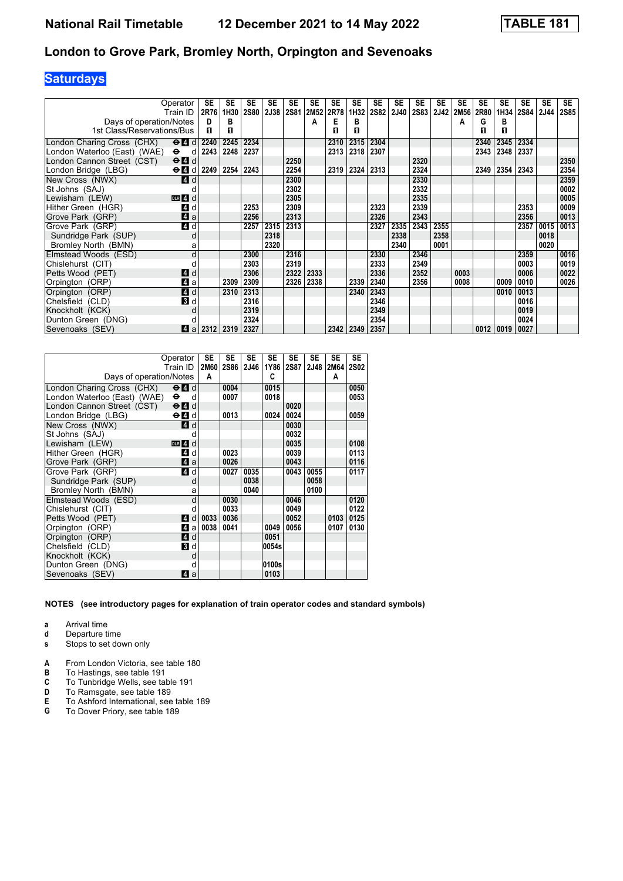# **Saturdays**

|                              | Operator                                  | SE   | SE   | <b>SE</b>   | <b>SE</b> | SE          | SE   | SE   | <b>SE</b> | SE          | SE          | SE          | <b>SE</b> | <b>SE</b> | SE   | SE   | SE   | <b>SE</b>   | <b>SE</b>   |
|------------------------------|-------------------------------------------|------|------|-------------|-----------|-------------|------|------|-----------|-------------|-------------|-------------|-----------|-----------|------|------|------|-------------|-------------|
|                              | Train ID                                  | 2R76 | 1H30 | <b>2S80</b> | 2J38      | <b>2S81</b> | 2M52 | 2R78 | 1H32      | <b>2S82</b> | <b>2J40</b> | <b>2S83</b> | 2J42      | 2M56      | 2R80 | 1H34 | 2S84 | <b>2J44</b> | <b>2S85</b> |
| Days of operation/Notes      |                                           | D    | в    |             |           |             | А    | E    | в         |             |             |             |           | A         | G    | в    |      |             |             |
| 1st Class/Reservations/Bus   |                                           | п    | п    |             |           |             |      | п    | п         |             |             |             |           |           | п    | п    |      |             |             |
| London Charing Cross (CHX)   | $\Theta$ 4                                | 2240 | 2245 | 2234        |           |             |      | 2310 | 2315      | 2304        |             |             |           |           | 2340 | 2345 | 2334 |             |             |
| London Waterloo (East) (WAE) | $\bullet$<br>d                            | 2243 | 2248 | 2237        |           |             |      | 2313 | 2318      | 2307        |             |             |           |           | 2343 | 2348 | 2337 |             |             |
| London Cannon Street (CST)   | $\Theta$ <sup><math>\Omega</math></sup> d |      |      |             |           | 2250        |      |      |           |             |             | 2320        |           |           |      |      |      |             | 2350        |
| London Bridge (LBG)          | $\Theta$ $\blacksquare$ $d$               | 2249 | 2254 | 2243        |           | 2254        |      | 2319 | 2324      | 2313        |             | 2324        |           |           | 2349 | 2354 | 2343 |             | 2354        |
| New Cross (NWX)              | <b>4</b> d                                |      |      |             |           | 2300        |      |      |           |             |             | 2330        |           |           |      |      |      |             | 2359        |
| St Johns (SAJ)               |                                           |      |      |             |           | 2302        |      |      |           |             |             | 2332        |           |           |      |      |      |             | 0002        |
| Lewisham (LEW)               | $DLR$ 4 $d$                               |      |      |             |           | 2305        |      |      |           |             |             | 2335        |           |           |      |      |      |             | 0005        |
| Hither Green (HGR)           | 4<br>d                                    |      |      | 2253        |           | 2309        |      |      |           | 2323        |             | 2339        |           |           |      |      | 2353 |             | 0009        |
| Grove Park (GRP)             | 4a                                        |      |      | 2256        |           | 2313        |      |      |           | 2326        |             | 2343        |           |           |      |      | 2356 |             | 0013        |
| Grove Park (GRP)             | 4d                                        |      |      | 2257        | 2315      | 2313        |      |      |           | 2327        | 2335        | 2343        | 2355      |           |      |      | 2357 | 0015        | 0013        |
| Sundridge Park (SUP)         | d                                         |      |      |             | 2318      |             |      |      |           |             | 2338        |             | 2358      |           |      |      |      | 0018        |             |
| Bromley North (BMN)          | a                                         |      |      |             | 2320      |             |      |      |           |             | 2340        |             | 0001      |           |      |      |      | 0020        |             |
| Elmstead Woods (ESD)         | d                                         |      |      | 2300        |           | 2316        |      |      |           | 2330        |             | 2346        |           |           |      |      | 2359 |             | 0016        |
| Chislehurst (CIT)            |                                           |      |      | 2303        |           | 2319        |      |      |           | 2333        |             | 2349        |           |           |      |      | 0003 |             | 0019        |
| Petts Wood (PET)             | 4 d                                       |      |      | 2306        |           | 2322        | 2333 |      |           | 2336        |             | 2352        |           | 0003      |      |      | 0006 |             | 0022        |
| Orpington (ORP)              | 71 a                                      |      | 2309 | 2309        |           | 2326        | 2338 |      | 2339      | 2340        |             | 2356        |           | 0008      |      | 0009 | 0010 |             | 0026        |
| Orpington (ORP)              | 4d                                        |      | 2310 | 2313        |           |             |      |      | 2340      | 2343        |             |             |           |           |      | 0010 | 0013 |             |             |
| Chelsfield (CLD)             | <b>B</b> d                                |      |      | 2316        |           |             |      |      |           | 2346        |             |             |           |           |      |      | 0016 |             |             |
| Knockholt (KCK)              |                                           |      |      | 2319        |           |             |      |      |           | 2349        |             |             |           |           |      |      | 0019 |             |             |
| Dunton Green (DNG)           |                                           |      |      | 2324        |           |             |      |      |           | 2354        |             |             |           |           |      |      | 0024 |             |             |
| Sevenoaks (SEV)              | ZI a                                      | 2312 | 2319 | 2327        |           |             |      | 2342 | 2349      | 2357        |             |             |           |           | 0012 | 0019 | 0027 |             |             |

|                              | Operator<br>Train ID                      | SE<br>A | <b>SE</b><br>2M60 2S86 | <b>SE</b><br>2J46 | <b>SE</b><br>C | <b>SE</b> | <b>SE</b> | <b>SE</b><br>1Y86 2S87 2J48 2M64 2S02<br>A | <b>SE</b> |
|------------------------------|-------------------------------------------|---------|------------------------|-------------------|----------------|-----------|-----------|--------------------------------------------|-----------|
| Days of operation/Notes      |                                           |         |                        |                   |                |           |           |                                            |           |
| London Charing Cross (CHX)   | $\Theta$ <sup><math>\Omega</math></sup> d |         | 0004                   |                   | 0015           |           |           |                                            | 0050      |
| London Waterloo (East) (WAE) | $\bullet$<br>d                            |         | 0007                   |                   | 0018           |           |           |                                            | 0053      |
| London Cannon Street (CST)   | $\Theta$ <sup><math>\Omega</math></sup> d |         |                        |                   |                | 0020      |           |                                            |           |
| London Bridge (LBG)          | $\Theta$ $\blacksquare$ d                 |         | 0013                   |                   | 0024           | 0024      |           |                                            | 0059      |
| New Cross (NWX)              | ZI d                                      |         |                        |                   |                | 0030      |           |                                            |           |
| St Johns (SAJ)               | d                                         |         |                        |                   |                | 0032      |           |                                            |           |
| Lewisham (LEW)               | $DLR$ 4 d                                 |         |                        |                   |                | 0035      |           |                                            | 0108      |
| Hither Green (HGR)           | 4 d                                       |         | 0023                   |                   |                | 0039      |           |                                            | 0113      |
| Grove Park (GRP)             | ZI a                                      |         | 0026                   |                   |                | 0043      |           |                                            | 0116      |
| Grove Park (GRP)             | 4 d                                       |         | 0027                   | 0035              |                | 0043      | 0055      |                                            | 0117      |
| Sundridge Park (SUP)         | d                                         |         |                        | 0038              |                |           | 0058      |                                            |           |
| Bromley North (BMN)          | a                                         |         |                        | 0040              |                |           | 0100      |                                            |           |
| Elmstead Woods (ESD)         | d                                         |         | 0030                   |                   |                | 0046      |           |                                            | 0120      |
| Chislehurst (CIT)            | d                                         |         | 0033                   |                   |                | 0049      |           |                                            | 0122      |
| Petts Wood (PET)             | d<br>4                                    | 0033    | 0036                   |                   |                | 0052      |           | 0103                                       | 0125      |
| Orpington (ORP)              | l4l a l                                   | 0038    | 0041                   |                   | 0049           | 0056      |           | 0107                                       | 0130      |
| Orpington (ORP)              | <b>4 d</b>                                |         |                        |                   | 0051           |           |           |                                            |           |
| Chelsfield (CLD)             | 3 d                                       |         |                        |                   | 0054s          |           |           |                                            |           |
| Knockholt (KCK)              | d                                         |         |                        |                   |                |           |           |                                            |           |
| Dunton Green (DNG)           | d                                         |         |                        |                   | 0100s          |           |           |                                            |           |
| Sevenoaks (SEV)              | $\vert$ 4<br>a                            |         |                        |                   | 0103           |           |           |                                            |           |

- **a** Arrival time<br>**d** Departure t **d** Departure time
- **s** Stops to set down only
- **A** From London Victoria, see table 180<br>**B** To Hastings, see table 191
- **B** To Hastings, see table 191<br>**C** To Tunbridge Wells, see tal
- **C** To Tunbridge Wells, see table 191<br>**D** To Ramsgate, see table 189
- **D** To Ramsgate, see table 189<br>**E** To Ashford International, see
- **E** To Ashford International, see table 189<br>**G** To Dover Priory, see table 189
- **\*** To Dover Priory, see table 18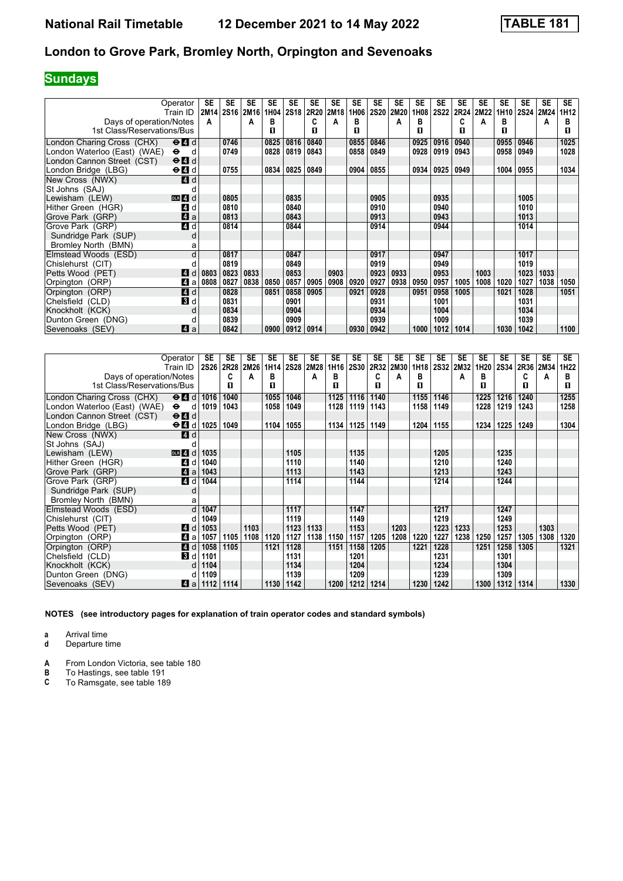# **Sundays**

| Operator<br>Train ID                                                    | SE   | <b>SE</b><br>2M14 2S16 2M16 | SE   | <b>SE</b><br>1H04 | <b>SE</b><br>2S18 | <b>SE</b><br><b>2R20</b> | SE<br>2M18 | <b>SE</b><br>1H06 | <b>SE</b><br><b>2S20</b> | <b>SE</b><br>2M20 | <b>SE</b><br>1H08 | <b>SE</b><br><b>2S22</b> | <b>SE</b><br>2R24 | <b>SE</b><br>2M22 | <b>SE</b><br>1H10 | SE<br>2S24 | <b>SE</b><br>2M24 | SE.<br>1H12 |
|-------------------------------------------------------------------------|------|-----------------------------|------|-------------------|-------------------|--------------------------|------------|-------------------|--------------------------|-------------------|-------------------|--------------------------|-------------------|-------------------|-------------------|------------|-------------------|-------------|
| Days of operation/Notes                                                 | A    |                             | A    | в                 |                   |                          | A          | в                 |                          | A                 | в                 |                          | C                 | А                 | в                 |            | А                 | в           |
| 1st Class/Reservations/Bus                                              |      |                             |      | П                 |                   | п                        |            | п                 |                          |                   | п                 |                          | п                 |                   | п                 |            |                   | п           |
| London Charing Cross (CHX)<br>$\Theta$ $\blacksquare$ d                 |      | 0746                        |      | 0825              | 0816              | 0840                     |            | 0855              | 0846                     |                   | 0925              | 0916                     | 0940              |                   | 0955              | 0946       |                   | 1025        |
| London Waterloo (East) (WAE)<br>$\bullet$<br>⊂ d                        |      | 0749                        |      | 0828              | 0819              | 0843                     |            | 0858              | 0849                     |                   | 0928              | 0919                     | 0943              |                   | 0958              | 0949       |                   | 1028        |
| London Cannon Street (CST)<br>$\Theta$ <sup><math>\Omega</math></sup> d |      |                             |      |                   |                   |                          |            |                   |                          |                   |                   |                          |                   |                   |                   |            |                   |             |
| $\Theta$ $\blacksquare$ d<br>London Bridge (LBG)                        |      | 0755                        |      | 0834              | 0825              | 0849                     |            | 0904              | 0855                     |                   | 0934              | 0925                     | 0949              |                   | 1004              | 0955       |                   | 1034        |
| New Cross (NWX)<br>4 d                                                  |      |                             |      |                   |                   |                          |            |                   |                          |                   |                   |                          |                   |                   |                   |            |                   |             |
| St Johns (SAJ)                                                          |      |                             |      |                   |                   |                          |            |                   |                          |                   |                   |                          |                   |                   |                   |            |                   |             |
| Lewisham (LEW)<br>$DLR$ 4 d                                             |      | 0805                        |      |                   | 0835              |                          |            |                   | 0905                     |                   |                   | 0935                     |                   |                   |                   | 1005       |                   |             |
| Hither Green (HGR)<br>4 d                                               |      | 0810                        |      |                   | 0840              |                          |            |                   | 0910                     |                   |                   | 0940                     |                   |                   |                   | 1010       |                   |             |
| $\blacksquare$ a<br>Grove Park (GRP)                                    |      | 0813                        |      |                   | 0843              |                          |            |                   | 0913                     |                   |                   | 0943                     |                   |                   |                   | 1013       |                   |             |
| 4d<br>Grove Park (GRP)                                                  |      | 0814                        |      |                   | 0844              |                          |            |                   | 0914                     |                   |                   | 0944                     |                   |                   |                   | 1014       |                   |             |
| Sundridge Park (SUP)<br>d                                               |      |                             |      |                   |                   |                          |            |                   |                          |                   |                   |                          |                   |                   |                   |            |                   |             |
| Bromley North (BMN)<br>a                                                |      |                             |      |                   |                   |                          |            |                   |                          |                   |                   |                          |                   |                   |                   |            |                   |             |
| Elmstead Woods (ESD)<br>d                                               |      | 0817                        |      |                   | 0847              |                          |            |                   | 0917                     |                   |                   | 0947                     |                   |                   |                   | 1017       |                   |             |
| Chislehurst (CIT)<br>d                                                  |      | 0819                        |      |                   | 0849              |                          |            |                   | 0919                     |                   |                   | 0949                     |                   |                   |                   | 1019       |                   |             |
| Petts Wood (PET)<br>L4 d                                                | 0803 | 0823                        | 0833 |                   | 0853              |                          | 0903       |                   | 0923                     | 0933              |                   | 0953                     |                   | 1003              |                   | 1023       | 1033              |             |
| 4<br>Orpington (ORP)<br>a                                               | 0808 | 0827                        | 0838 | 0850              | 0857              | 0905                     | 0908       | 0920              | 0927                     | 0938              | 0950              | 0957                     | 1005              | 1008              | 1020              | 1027       | 1038              | 1050        |
| 4d<br>Orpington (ORP)                                                   |      | 0828                        |      | 0851              | 0858              | 0905                     |            | 0921              | 0928                     |                   | 0951              | 0958                     | 1005              |                   | 1021              | 1028       |                   | 1051        |
| <b>B</b> d<br>Chelsfield (CLD)                                          |      | 0831                        |      |                   | 0901              |                          |            |                   | 0931                     |                   |                   | 1001                     |                   |                   |                   | 1031       |                   |             |
| Knockholt (KCK)<br>d                                                    |      | 0834                        |      |                   | 0904              |                          |            |                   | 0934                     |                   |                   | 1004                     |                   |                   |                   | 1034       |                   |             |
| Dunton Green (DNG)<br>d                                                 |      | 0839                        |      |                   | 0909              |                          |            |                   | 0939                     |                   |                   | 1009                     |                   |                   |                   | 1039       |                   |             |
| Sevenoaks (SEV)<br>Z1 a                                                 |      | 0842                        |      | 0900              | 0912              | 0914                     |            | 0930              | 0942                     |                   | 1000              | 1012                     | 1014              |                   | 1030              | 1042       |                   | 1100        |

|                              | Operator<br>Train ID                                         | SE   | <b>SE</b><br>2S26 2R28 | <b>SE</b><br>2M26 | <b>SE</b><br>1H14 | <b>SE</b><br>2S28 2M28 | SE   | <b>SE</b><br>1H16 | <b>SE</b><br><b>2S30</b> | <b>SE</b><br>2R32 | SE<br>2M30 | <b>SE</b><br>1H18 | <b>SE</b> | <b>SE</b><br>2S32 2M32 | <b>SE</b><br>1H20 | <b>SE</b><br>2S34 | SE<br>2R36 | <b>SE</b><br>2M34 | <b>SE</b><br>1H <sub>22</sub> |
|------------------------------|--------------------------------------------------------------|------|------------------------|-------------------|-------------------|------------------------|------|-------------------|--------------------------|-------------------|------------|-------------------|-----------|------------------------|-------------------|-------------------|------------|-------------------|-------------------------------|
| Days of operation/Notes      |                                                              |      | C                      | А                 | в                 |                        | A    | в                 |                          | C                 | A          | в                 |           | А                      | в                 |                   | C          | A                 | в                             |
| 1st Class/Reservations/Bus   |                                                              |      | п                      |                   | п                 |                        |      | п                 |                          | п                 |            | п                 |           |                        | п                 |                   | п          |                   | п                             |
| London Charing Cross (CHX)   | $\Theta$ <sup><math>\Omega</math></sup> d                    | 1016 | 1040                   |                   | 1055              | 1046                   |      | 1125              | 1116                     | 1140              |            | 1155              | 1146      |                        | 1225              | 1216              | 1240       |                   | 1255                          |
| London Waterloo (East) (WAE) | $\bullet$<br>d                                               | 1019 | 1043                   |                   | 1058              | 1049                   |      | 1128              | 1119                     | 1143              |            | 1158              | 1149      |                        | 1228              | 1219              | 1243       |                   | 1258                          |
| London Cannon Street (CST)   | $\Theta$ <sup><math>\blacksquare</math> <math>d</math></sup> |      |                        |                   |                   |                        |      |                   |                          |                   |            |                   |           |                        |                   |                   |            |                   |                               |
| London Bridge (LBG)          | $\Theta$ $\blacksquare$ d                                    | 1025 | 1049                   |                   | 1104              | 1055                   |      | 1134              | 1125                     | 1149              |            | 1204              | 1155      |                        | 1234              | 1225              | 1249       |                   | 1304                          |
| New Cross (NWX)              | 4 d                                                          |      |                        |                   |                   |                        |      |                   |                          |                   |            |                   |           |                        |                   |                   |            |                   |                               |
| St Johns (SAJ)               |                                                              |      |                        |                   |                   |                        |      |                   |                          |                   |            |                   |           |                        |                   |                   |            |                   |                               |
| Lewisham (LEW)               | DLR 4<br>d                                                   | 1035 |                        |                   |                   | 1105                   |      |                   | 1135                     |                   |            |                   | 1205      |                        |                   | 1235              |            |                   |                               |
| Hither Green (HGR)           | $\overline{4}$<br>d                                          | 1040 |                        |                   |                   | 1110                   |      |                   | 1140                     |                   |            |                   | 1210      |                        |                   | 1240              |            |                   |                               |
| Grove Park (GRP)             | ZI a                                                         | 1043 |                        |                   |                   | 1113                   |      |                   | 1143                     |                   |            |                   | 1213      |                        |                   | 1243              |            |                   |                               |
| Grove Park (GRP)             | $\blacksquare$<br>d                                          | 1044 |                        |                   |                   | 1114                   |      |                   | 1144                     |                   |            |                   | 1214      |                        |                   | 1244              |            |                   |                               |
| Sundridge Park (SUP)         | d                                                            |      |                        |                   |                   |                        |      |                   |                          |                   |            |                   |           |                        |                   |                   |            |                   |                               |
| Bromley North (BMN)          | a                                                            |      |                        |                   |                   |                        |      |                   |                          |                   |            |                   |           |                        |                   |                   |            |                   |                               |
| Elmstead Woods (ESD)         | d                                                            | 1047 |                        |                   |                   | 1117                   |      |                   | 1147                     |                   |            |                   | 1217      |                        |                   | 1247              |            |                   |                               |
| Chislehurst (CIT)            |                                                              | 1049 |                        |                   |                   | 1119                   |      |                   | 1149                     |                   |            |                   | 1219      |                        |                   | 1249              |            |                   |                               |
| Petts Wood (PET)             | <b>4</b> d                                                   | 1053 |                        | 1103              |                   | 1123                   | 1133 |                   | 1153                     |                   | 1203       |                   | 1223      | 1233                   |                   | 1253              |            | 1303              |                               |
| Orpington (ORP)              | 4<br>a                                                       | 1057 | 1105                   | 1108              | 1120              | 1127                   | 1138 | 1150              | 1157                     | 1205              | 1208       | 1220              | 1227      | 1238                   | 1250              | 1257              | 1305       | 1308              | 1320                          |
| Orpington (ORP)              | <b>4</b> d                                                   | 1058 | 1105                   |                   | 1121              | 1128                   |      | 1151              | 1158                     | 1205              |            | 1221              | 1228      |                        | 1251              | 1258              | 1305       |                   | 1321                          |
| Chelsfield (CLD)             | 3 d                                                          | 1101 |                        |                   |                   | 1131                   |      |                   | 1201                     |                   |            |                   | 1231      |                        |                   | 1301              |            |                   |                               |
| Knockholt (KCK)              | d                                                            | 1104 |                        |                   |                   | 1134                   |      |                   | 1204                     |                   |            |                   | 1234      |                        |                   | 1304              |            |                   |                               |
| Dunton Green (DNG)           |                                                              | 1109 |                        |                   |                   | 1139                   |      |                   | 1209                     |                   |            |                   | 1239      |                        |                   | 1309              |            |                   |                               |
| Sevenoaks (SEV)              | ZI a                                                         | 1112 | 1114                   |                   | 1130              | 1142                   |      | 1200              | 1212                     | 1214              |            | 1230              | 1242      |                        | 1300              | 1312              | 1314       |                   | 1330                          |

**NOTES (see introductory pages for explanation of train operator codes and standard symbols)**

**a** Arrival time

**d** Departure time

**A** From London Victoria, see table 180<br>**B** To Hastings, see table 191

**B** To Hastings, see table 191<br>**C** To Ramsgate, see table 189

To Ramsgate, see table 189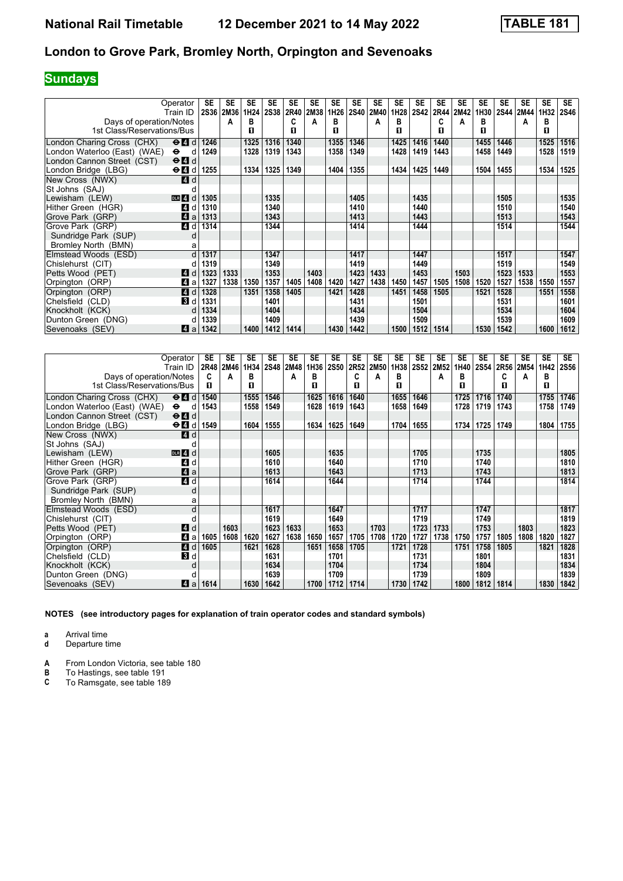# **Sundays**

| Operator<br>Train ID                                    | SE   | <b>SE</b><br>2S36 2M36 | SE<br>1H24 | <b>SE</b><br><b>2S38</b> | <b>SE</b><br>2R40 | <b>SE</b><br>2M38 | <b>SE</b><br>1H26 | <b>SE</b><br><b>2S40</b> | <b>SE</b><br>2M40 | <b>SE</b><br>1H28 | <b>SE</b><br><b>2S42</b> | <b>SE</b><br>2R44 | <b>SE</b><br>2M42 | <b>SE</b><br>1H30 | <b>SE</b><br>2S44 | SE<br>2M44 | <b>SE</b><br>1H32 | <b>SE</b><br><b>2S46</b> |
|---------------------------------------------------------|------|------------------------|------------|--------------------------|-------------------|-------------------|-------------------|--------------------------|-------------------|-------------------|--------------------------|-------------------|-------------------|-------------------|-------------------|------------|-------------------|--------------------------|
| Days of operation/Notes                                 |      | А                      | в          |                          | C                 | А                 | в                 |                          | A                 | в                 |                          | C                 | A                 | в                 |                   | А          | в                 |                          |
| 1st Class/Reservations/Bus                              |      |                        | п          |                          | п                 |                   | п                 |                          |                   | п                 |                          | п                 |                   | п                 |                   |            | п                 |                          |
| London Charing Cross (CHX)<br>$\Theta$ $\blacksquare$ d | 1246 |                        | 1325       | 1316                     | 1340              |                   | 1355              | 1346                     |                   | 1425              | 1416                     | 1440              |                   | 1455              | 1446              |            | 1525              | 1516                     |
| London Waterloo (East) (WAE)<br>$\bullet$<br>d          | 1249 |                        | 1328       | 1319                     | 1343              |                   | 1358              | 1349                     |                   | 1428              | 1419                     | 1443              |                   | 1458              | 1449              |            | 1528              | 1519                     |
| London Cannon Street (CST)<br>$\Theta$ $\blacksquare$ d |      |                        |            |                          |                   |                   |                   |                          |                   |                   |                          |                   |                   |                   |                   |            |                   |                          |
| London Bridge (LBG)<br>$\Theta$ $\blacksquare$ $d$      | 1255 |                        | 1334       | 1325                     | 1349              |                   | 1404              | 1355                     |                   | 1434              | 1425                     | 1449              |                   | 1504              | 1455              |            | 1534              | 1525                     |
| New Cross (NWX)<br><b>4</b> d                           |      |                        |            |                          |                   |                   |                   |                          |                   |                   |                          |                   |                   |                   |                   |            |                   |                          |
| St Johns (SAJ)                                          |      |                        |            |                          |                   |                   |                   |                          |                   |                   |                          |                   |                   |                   |                   |            |                   |                          |
| Lewisham (LEW)<br>DLR 4<br>d                            | 1305 |                        |            | 1335                     |                   |                   |                   | 1405                     |                   |                   | 1435                     |                   |                   |                   | 1505              |            |                   | 1535                     |
| Hither Green (HGR)<br><b>A</b><br>d                     | 1310 |                        |            | 1340                     |                   |                   |                   | 1410                     |                   |                   | 1440                     |                   |                   |                   | 1510              |            |                   | 1540                     |
| 4a<br>Grove Park (GRP)                                  | 1313 |                        |            | 1343                     |                   |                   |                   | 1413                     |                   |                   | 1443                     |                   |                   |                   | 1513              |            |                   | 1543                     |
| 4 d<br>Grove Park (GRP)                                 | 1314 |                        |            | 1344                     |                   |                   |                   | 1414                     |                   |                   | 1444                     |                   |                   |                   | 1514              |            |                   | 1544                     |
| Sundridge Park (SUP)<br>d                               |      |                        |            |                          |                   |                   |                   |                          |                   |                   |                          |                   |                   |                   |                   |            |                   |                          |
| Bromley North (BMN)<br>а                                |      |                        |            |                          |                   |                   |                   |                          |                   |                   |                          |                   |                   |                   |                   |            |                   |                          |
| Elmstead Woods (ESD)                                    | 1317 |                        |            | 1347                     |                   |                   |                   | 1417                     |                   |                   | 1447                     |                   |                   |                   | 1517              |            |                   | 1547                     |
| Chislehurst (CIT)                                       | 1319 |                        |            | 1349                     |                   |                   |                   | 1419                     |                   |                   | 1449                     |                   |                   |                   | 1519              |            |                   | 1549                     |
| Petts Wood (PET)<br><b>4</b> d                          | 1323 | 1333                   |            | 1353                     |                   | 1403              |                   | 1423                     | 1433              |                   | 1453                     |                   | 1503              |                   | 1523              | 1533       |                   | 1553                     |
| Orpington (ORP)<br>4<br>a                               | 1327 | 1338                   | 1350       | 1357                     | 1405              | 1408              | 1420              | 1427                     | 1438              | 1450              | 1457                     | 1505              | 1508              | 1520              | 1527              | 1538       | 1550              | 1557                     |
| Orpington (ORP)<br><b>4</b> d                           | 1328 |                        | 1351       | 1358                     | 1405              |                   | 1421              | 1428                     |                   | 1451              | 1458                     | 1505              |                   | 1521              | 1528              |            | 1551              | 1558                     |
| <b>3</b> d<br>Chelsfield (CLD)                          | 1331 |                        |            | 1401                     |                   |                   |                   | 1431                     |                   |                   | 1501                     |                   |                   |                   | 1531              |            |                   | 1601                     |
| Knockholt (KCK)                                         | 1334 |                        |            | 1404                     |                   |                   |                   | 1434                     |                   |                   | 1504                     |                   |                   |                   | 1534              |            |                   | 1604                     |
| Dunton Green (DNG)                                      | 1339 |                        |            | 1409                     |                   |                   |                   | 1439                     |                   |                   | 1509                     |                   |                   |                   | 1539              |            |                   | 1609                     |
| Sevenoaks (SEV)<br>Z1 a                                 | 1342 |                        | 1400       | 1412                     | 1414              |                   | 1430              | 1442                     |                   | 1500              | 1512                     | 1514              |                   | 1530              | 1542              |            | 1600              | 1612                     |

|                              | Operator<br>Train ID                                         | SE   | <b>SE</b><br>2R48 2M46 | SE<br>1H34 | <b>SE</b> | <b>SE</b><br>2S48 2M48 | <b>SE</b><br>1H36 | SE<br><b>2S50</b> | <b>SE</b><br>2R52 | <b>SE</b><br>2M50 | <b>SE</b><br>1H38 | <b>SE</b><br>2S52 | <b>SE</b><br>2M52 | <b>SE</b><br>1H40 | <b>SE</b><br>2S54 | <b>SE</b> | SE<br>2R56 2M54 | <b>SE</b><br>1H42 | SE.<br><b>2S56</b> |
|------------------------------|--------------------------------------------------------------|------|------------------------|------------|-----------|------------------------|-------------------|-------------------|-------------------|-------------------|-------------------|-------------------|-------------------|-------------------|-------------------|-----------|-----------------|-------------------|--------------------|
| Days of operation/Notes      |                                                              | C    | A                      | в          |           | А                      | в                 |                   | C                 | A                 | в                 |                   | A                 | в                 |                   | C         | A               | в                 |                    |
| 1st Class/Reservations/Bus   |                                                              | п    |                        | п          |           |                        | п                 |                   | п                 |                   | п                 |                   |                   | п                 |                   | п         |                 | п                 |                    |
| London Charing Cross (CHX)   | $\Theta$ <sup><math>\blacksquare</math> <math>d</math></sup> | 1540 |                        | 1555       | 1546      |                        | 1625              | 1616              | 1640              |                   | 1655              | 1646              |                   | 1725              | 1716              | 1740      |                 | 1755              | 1746               |
| London Waterloo (East) (WAE) | $\bullet$<br>d                                               | 1543 |                        | 1558       | 1549      |                        | 1628              | 1619              | 1643              |                   | 1658              | 1649              |                   | 1728              | 1719              | 1743      |                 | 1758              | 1749               |
| London Cannon Street (CST)   | $\Theta$ <sup><math>\blacksquare</math> <math>d</math></sup> |      |                        |            |           |                        |                   |                   |                   |                   |                   |                   |                   |                   |                   |           |                 |                   |                    |
| London Bridge (LBG)          | $\Theta$ <b><math>\blacksquare</math></b> d                  | 1549 |                        | 1604       | 1555      |                        | 1634              | 1625              | 1649              |                   | 1704              | 1655              |                   | 1734              | 1725              | 1749      |                 | 1804              | 1755               |
| New Cross (NWX)              | 4d                                                           |      |                        |            |           |                        |                   |                   |                   |                   |                   |                   |                   |                   |                   |           |                 |                   |                    |
| St Johns (SAJ)               |                                                              |      |                        |            |           |                        |                   |                   |                   |                   |                   |                   |                   |                   |                   |           |                 |                   |                    |
| Lewisham (LEW)               | $DLR$ 4 $d$                                                  |      |                        |            | 1605      |                        |                   | 1635              |                   |                   |                   | 1705              |                   |                   | 1735              |           |                 |                   | 1805               |
| Hither Green (HGR)           | ZI d                                                         |      |                        |            | 1610      |                        |                   | 1640              |                   |                   |                   | 1710              |                   |                   | 1740              |           |                 |                   | 1810               |
| Grove Park (GRP)             | $\mathbf{A}$ a                                               |      |                        |            | 1613      |                        |                   | 1643              |                   |                   |                   | 1713              |                   |                   | 1743              |           |                 |                   | 1813               |
| Grove Park (GRP)             | 4d                                                           |      |                        |            | 1614      |                        |                   | 1644              |                   |                   |                   | 1714              |                   |                   | 1744              |           |                 |                   | 1814               |
| Sundridge Park (SUP)         | d                                                            |      |                        |            |           |                        |                   |                   |                   |                   |                   |                   |                   |                   |                   |           |                 |                   |                    |
| Bromley North (BMN)          | a                                                            |      |                        |            |           |                        |                   |                   |                   |                   |                   |                   |                   |                   |                   |           |                 |                   |                    |
| Elmstead Woods (ESD)         | d                                                            |      |                        |            | 1617      |                        |                   | 1647              |                   |                   |                   | 1717              |                   |                   | 1747              |           |                 |                   | 1817               |
| Chislehurst (CIT)            |                                                              |      |                        |            | 1619      |                        |                   | 1649              |                   |                   |                   | 1719              |                   |                   | 1749              |           |                 |                   | 1819               |
| Petts Wood (PET)             | 4d                                                           |      | 1603                   |            | 1623      | 1633                   |                   | 1653              |                   | 1703              |                   | 1723              | 1733              |                   | 1753              |           | 1803            |                   | 1823               |
| Orpington (ORP)              | Да                                                           | 1605 | 1608                   | 1620       | 1627      | 1638                   | 1650              | 1657              | 1705              | 1708              | 1720              | 1727              | 1738              | 1750              | 1757              | 1805      | 1808            | 1820              | 1827               |
| Orpington (ORP)              | 4d                                                           | 1605 |                        | 1621       | 1628      |                        | 1651              | 1658              | 1705              |                   | 1721              | 1728              |                   | 1751              | 1758              | 1805      |                 | 1821              | 1828               |
| Chelsfield (CLD)             | <b>3</b> d                                                   |      |                        |            | 1631      |                        |                   | 1701              |                   |                   |                   | 1731              |                   |                   | 1801              |           |                 |                   | 1831               |
| Knockholt (KCK)              | d                                                            |      |                        |            | 1634      |                        |                   | 1704              |                   |                   |                   | 1734              |                   |                   | 1804              |           |                 |                   | 1834               |
| Dunton Green (DNG)           | п                                                            |      |                        |            | 1639      |                        |                   | 1709              |                   |                   |                   | 1739              |                   |                   | 1809              |           |                 |                   | 1839               |
| Sevenoaks (SEV)              | $\vert$ all                                                  | 1614 |                        | 1630       | 1642      |                        | 1700              | 1712              | 1714              |                   | 1730              | 1742              |                   | 1800              | 1812              | 1814      |                 | 1830              | 1842               |

**NOTES (see introductory pages for explanation of train operator codes and standard symbols)**

**a** Arrival time

**d** Departure time

**A** From London Victoria, see table 180<br>**B** To Hastings, see table 191

**B** To Hastings, see table 191<br>**C** To Ramsgate, see table 189

To Ramsgate, see table 189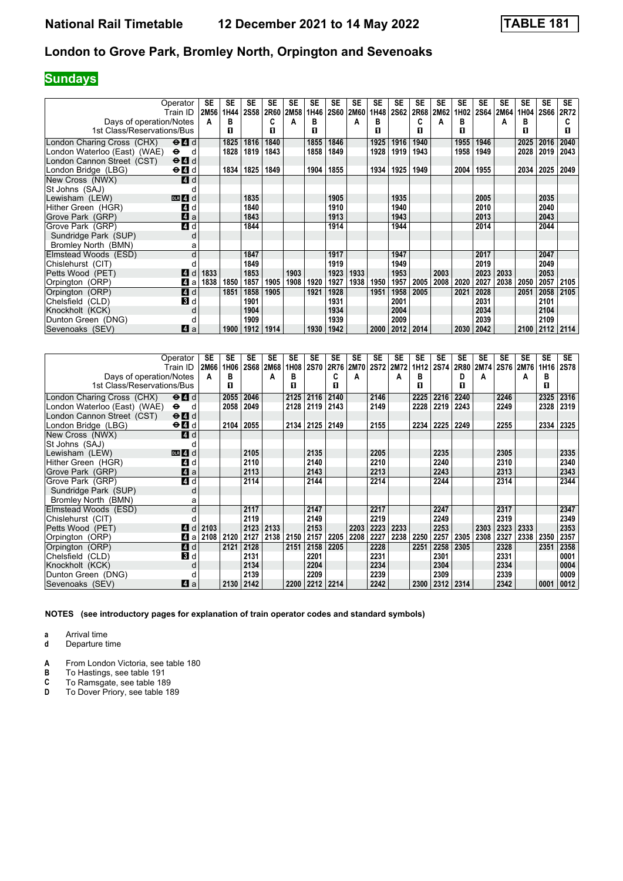# **Sundays**

| Operator<br>Train ID                                                      | <b>SE</b><br>2M56 | SE<br>1H44 | <b>SE</b><br>2S58 | <b>SE</b><br>2R60 | <b>SE</b><br>2M58 | <b>SE</b><br>1H46 | <b>SE</b><br><b>2S60</b> | <b>SE</b><br>2M60 | SE<br>1H48 | <b>SE</b><br><b>2S62</b> | <b>SE</b><br>2R68 | <b>SE</b><br>2M62 | <b>SE</b><br>1H02 | <b>SE</b><br><b>2S64</b> | <b>SE</b><br>2M64 | <b>SE</b><br>1H04 | <b>SE</b><br><b>2S66</b> | <b>SE</b><br>2R72 |
|---------------------------------------------------------------------------|-------------------|------------|-------------------|-------------------|-------------------|-------------------|--------------------------|-------------------|------------|--------------------------|-------------------|-------------------|-------------------|--------------------------|-------------------|-------------------|--------------------------|-------------------|
| Days of operation/Notes                                                   | A                 | в          |                   | C                 | А                 | в                 |                          | A                 | в          |                          | c                 | A                 | в                 |                          | А                 | в                 |                          |                   |
| 1st Class/Reservations/Bus                                                |                   | п          |                   | П                 |                   | п                 |                          |                   | п          |                          | п                 |                   | п                 |                          |                   | п                 |                          | п                 |
| London Charing Cross (CHX)<br>$\Theta$ <sup><math>\Omega</math></sup> $d$ |                   | 1825       | 1816              | 1840              |                   | 1855              | 1846                     |                   | 1925       | 1916                     | 1940              |                   | 1955              | 1946                     |                   | 2025              | 2016                     | 2040              |
| London Waterloo (East) (WAE)<br>$\bullet$<br>d                            |                   | 1828       | 1819              | 1843              |                   | 1858              | 1849                     |                   | 1928       | 1919                     | 1943              |                   | 1958              | 1949                     |                   | 2028              | 2019                     | 2043              |
| London Cannon Street (CST)<br>$\Theta$ <sup><math>\Omega</math></sup> d   |                   |            |                   |                   |                   |                   |                          |                   |            |                          |                   |                   |                   |                          |                   |                   |                          |                   |
| London Bridge (LBG)<br>$\Theta$ $\blacksquare$ d                          |                   | 1834       | 1825              | 1849              |                   | 1904              | 1855                     |                   | 1934       | 1925                     | 1949              |                   | 2004              | 1955                     |                   | 2034              | 2025                     | 2049              |
| New Cross (NWX)<br>4 d                                                    |                   |            |                   |                   |                   |                   |                          |                   |            |                          |                   |                   |                   |                          |                   |                   |                          |                   |
| St Johns (SAJ)                                                            |                   |            |                   |                   |                   |                   |                          |                   |            |                          |                   |                   |                   |                          |                   |                   |                          |                   |
| Lewisham (LEW)<br>$DLR$ 4 d                                               |                   |            | 1835              |                   |                   |                   | 1905                     |                   |            | 1935                     |                   |                   |                   | 2005                     |                   |                   | 2035                     |                   |
| Hither Green (HGR)<br>ZI d                                                |                   |            | 1840              |                   |                   |                   | 1910                     |                   |            | 1940                     |                   |                   |                   | 2010                     |                   |                   | 2040                     |                   |
| $\blacksquare$ a<br>Grove Park (GRP)                                      |                   |            | 1843              |                   |                   |                   | 1913                     |                   |            | 1943                     |                   |                   |                   | 2013                     |                   |                   | 2043                     |                   |
| 4d<br>Grove Park (GRP)                                                    |                   |            | 1844              |                   |                   |                   | 1914                     |                   |            | 1944                     |                   |                   |                   | 2014                     |                   |                   | 2044                     |                   |
| Sundridge Park (SUP)<br>d                                                 |                   |            |                   |                   |                   |                   |                          |                   |            |                          |                   |                   |                   |                          |                   |                   |                          |                   |
| Bromley North (BMN)<br>a                                                  |                   |            |                   |                   |                   |                   |                          |                   |            |                          |                   |                   |                   |                          |                   |                   |                          |                   |
| Elmstead Woods (ESD)<br>d                                                 |                   |            | 1847              |                   |                   |                   | 1917                     |                   |            | 1947                     |                   |                   |                   | 2017                     |                   |                   | 2047                     |                   |
| Chislehurst (CIT)                                                         |                   |            | 1849              |                   |                   |                   | 1919                     |                   |            | 1949                     |                   |                   |                   | 2019                     |                   |                   | 2049                     |                   |
| Petts Wood (PET)<br><b>4</b> d                                            | 1833              |            | 1853              |                   | 1903              |                   | 1923                     | 1933              |            | 1953                     |                   | 2003              |                   | 2023                     | 2033              |                   | 2053                     |                   |
| Orpington (ORP)<br>$\boldsymbol{A}$<br>a                                  | 1838              | 1850       | 1857              | 1905              | 1908              | 1920              | 1927                     | 1938              | 1950       | 1957                     | 2005              | 2008              | 2020              | 2027                     | 2038              | 2050              | 2057                     | 2105              |
| 4d<br>Orpington (ORP)                                                     |                   | 1851       | 1858              | 1905              |                   | 1921              | 1928                     |                   | 1951       | 1958                     | 2005              |                   | 2021              | 2028                     |                   | 2051              | 2058                     | 2105              |
| <b>B</b> d<br>Chelsfield (CLD)                                            |                   |            | 1901              |                   |                   |                   | 1931                     |                   |            | 2001                     |                   |                   |                   | 2031                     |                   |                   | 2101                     |                   |
| Knockholt (KCK)<br>d                                                      |                   |            | 1904              |                   |                   |                   | 1934                     |                   |            | 2004                     |                   |                   |                   | 2034                     |                   |                   | 2104                     |                   |
| Dunton Green (DNG)<br>d                                                   |                   |            | 1909              |                   |                   |                   | 1939                     |                   |            | 2009                     |                   |                   |                   | 2039                     |                   |                   | 2109                     |                   |
| Sevenoaks (SEV)<br>Z1 a                                                   |                   | 1900       | 1912              | 1914              |                   | 1930              | 1942                     |                   | 2000       | 2012                     | 2014              |                   | 2030              | 2042                     |                   | 2100              | 2112                     | 2114              |

|                              | Operator<br>Train ID                        | SE<br>2M66 | <b>SE</b><br>1H06 | <b>SE</b> | <b>SE</b><br>2S68 2M68 | <b>SE</b><br>1H08 | <b>SE</b><br><b>2S70</b> | <b>SE</b><br>2R76 | <b>SE</b><br>2M70 | <b>SE</b> | <b>SE</b><br>2S72 2M72 | <b>SE</b><br>1H12 | <b>SE</b><br>2S74 | <b>SE</b><br>2R80 | <b>SE</b><br>2M74 | <b>SE</b> | SE<br>2S76 2M76 | <b>SE</b><br>1H16 | <b>SE</b><br><b>2S78</b> |
|------------------------------|---------------------------------------------|------------|-------------------|-----------|------------------------|-------------------|--------------------------|-------------------|-------------------|-----------|------------------------|-------------------|-------------------|-------------------|-------------------|-----------|-----------------|-------------------|--------------------------|
| Days of operation/Notes      |                                             | A          | в                 |           | A                      | в                 |                          | C                 | A                 |           | A                      | в                 |                   | D                 | A                 |           | А               | в                 |                          |
| 1st Class/Reservations/Bus   |                                             |            | п                 |           |                        | п                 |                          | п                 |                   |           |                        | п                 |                   | п                 |                   |           |                 | п                 |                          |
| London Charing Cross (CHX)   | $\Theta$ $\blacksquare$ d                   |            | 2055              | 2046      |                        | 2125              | 2116                     | 2140              |                   | 2146      |                        | 2225              | 2216              | 2240              |                   | 2246      |                 | 2325              | 2316                     |
| London Waterloo (East) (WAE) | $\bullet$<br>ി                              |            | 2058              | 2049      |                        | 2128              | 2119                     | 2143              |                   | 2149      |                        | 2228              | 2219              | 2243              |                   | 2249      |                 | 2328              | 2319                     |
| London Cannon Street (CST)   | $\Theta$ <sup><math>\Omega</math></sup> d   |            |                   |           |                        |                   |                          |                   |                   |           |                        |                   |                   |                   |                   |           |                 |                   |                          |
| London Bridge (LBG)          | $\Theta$ <b><math>\blacksquare</math></b> d |            | 2104              | 2055      |                        |                   | 2134 2125                | 2149              |                   | 2155      |                        | 2234              | 2225              | 2249              |                   | 2255      |                 | 2334              | 2325                     |
| New Cross (NWX)              | <b>4</b> d                                  |            |                   |           |                        |                   |                          |                   |                   |           |                        |                   |                   |                   |                   |           |                 |                   |                          |
| St Johns (SAJ)               |                                             |            |                   |           |                        |                   |                          |                   |                   |           |                        |                   |                   |                   |                   |           |                 |                   |                          |
| Lewisham (LEW)               | $DLR$ 4 $d$                                 |            |                   | 2105      |                        |                   | 2135                     |                   |                   | 2205      |                        |                   | 2235              |                   |                   | 2305      |                 |                   | 2335                     |
| Hither Green (HGR)           | 4 d                                         |            |                   | 2110      |                        |                   | 2140                     |                   |                   | 2210      |                        |                   | 2240              |                   |                   | 2310      |                 |                   | 2340                     |
| Grove Park (GRP)             | $\mathbf{A}$ a                              |            |                   | 2113      |                        |                   | 2143                     |                   |                   | 2213      |                        |                   | 2243              |                   |                   | 2313      |                 |                   | 2343                     |
| Grove Park (GRP)             | 4 d                                         |            |                   | 2114      |                        |                   | 2144                     |                   |                   | 2214      |                        |                   | 2244              |                   |                   | 2314      |                 |                   | 2344                     |
| Sundridge Park (SUP)         | d                                           |            |                   |           |                        |                   |                          |                   |                   |           |                        |                   |                   |                   |                   |           |                 |                   |                          |
| Bromley North (BMN)          | a                                           |            |                   |           |                        |                   |                          |                   |                   |           |                        |                   |                   |                   |                   |           |                 |                   |                          |
| Elmstead Woods (ESD)         | d                                           |            |                   | 2117      |                        |                   | 2147                     |                   |                   | 2217      |                        |                   | 2247              |                   |                   | 2317      |                 |                   | 2347                     |
| Chislehurst (CIT)            |                                             |            |                   | 2119      |                        |                   | 2149                     |                   |                   | 2219      |                        |                   | 2249              |                   |                   | 2319      |                 |                   | 2349                     |
| Petts Wood (PET)             | <b>4</b> d                                  | 2103       |                   | 2123      | 2133                   |                   | 2153                     |                   | 2203              | 2223      | 2233                   |                   | 2253              |                   | 2303              | 2323      | 2333            |                   | 2353                     |
| Orpington (ORP)              | 41 a                                        | 2108 2120  |                   | 2127      | 2138                   | 2150              | 2157                     | 2205              | 2208              | 2227      | 2238                   | 2250              | 2257              | 2305              | 2308              | 2327      | 2338            | 2350              | 2357                     |
| Orpington (ORP)              | 4 d                                         |            | 2121              | 2128      |                        | 2151              | 2158                     | 2205              |                   | 2228      |                        | 2251              | 2258              | 2305              |                   | 2328      |                 | 2351              | 2358                     |
| Chelsfield (CLD)             | <b>3</b> d                                  |            |                   | 2131      |                        |                   | 2201                     |                   |                   | 2231      |                        |                   | 2301              |                   |                   | 2331      |                 |                   | 0001                     |
| Knockholt (KCK)              | d                                           |            |                   | 2134      |                        |                   | 2204                     |                   |                   | 2234      |                        |                   | 2304              |                   |                   | 2334      |                 |                   | 0004                     |
| Dunton Green (DNG)           | п                                           |            |                   | 2139      |                        |                   | 2209                     |                   |                   | 2239      |                        |                   | 2309              |                   |                   | 2339      |                 |                   | 0009                     |
| Sevenoaks (SEV)              | ZI a                                        |            | 2130              | 2142      |                        | 2200              | 2212 2214                |                   |                   | 2242      |                        | 2300              | 2312              | 2314              |                   | 2342      |                 | 0001              | 0012                     |

**NOTES (see introductory pages for explanation of train operator codes and standard symbols)**

**a** Arrival time

**d** Departure time

**A** From London Victoria, see table 180<br>**B** To Hastings, see table 191

**B** To Hastings, see table 191<br>**C** To Ramsgate, see table 18<br>**D** To Dover Priory, see table

To Ramsgate, see table 189

To Dover Priory, see table 189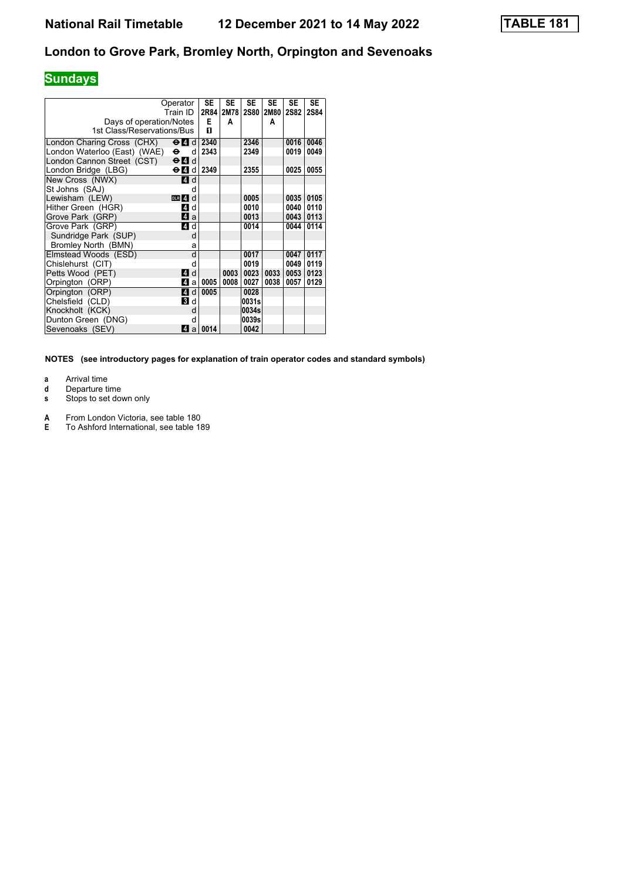# **Sundays**

|                              | Operator                                  | <b>SE</b><br>2R84 | <b>SE</b> | <b>SE</b>   | <b>SE</b> | <b>SE</b>   | <b>SE</b> |
|------------------------------|-------------------------------------------|-------------------|-----------|-------------|-----------|-------------|-----------|
|                              | Train ID                                  |                   | 2M78      | <b>2S80</b> | 2M80      | <b>2S82</b> | 2S84      |
| Days of operation/Notes      |                                           | E                 | A         |             | A         |             |           |
| 1st Class/Reservations/Bus   |                                           | п                 |           |             |           |             |           |
| London Charing Cross (CHX)   | $\Theta$ $\blacksquare$ di                | 2340              |           | 2346        |           | 0016        | 0046      |
| London Waterloo (East) (WAE) | $\bullet$<br>d                            | 2343              |           | 2349        |           | 0019        | 0049      |
| London Cannon Street (CST)   | $\Theta$ <sup><math>\Omega</math></sup> d |                   |           |             |           |             |           |
| London Bridge (LBG)          | $\Theta$ $\blacksquare$ di                | 2349              |           | 2355        |           | 0025        | 0055      |
| New Cross (NWX)              | <b>4 d</b>                                |                   |           |             |           |             |           |
| St Johns (SAJ)               | d                                         |                   |           |             |           |             |           |
| Lewisham (LEW)               | $DLR$ 4 $d$                               |                   |           | 0005        |           | 0035        | 0105      |
| Hither Green (HGR)           | ZI d                                      |                   |           | 0010        |           | 0040        | 0110      |
| Grove Park (GRP)             | <b>4</b> a                                |                   |           | 0013        |           | 0043        | 0113      |
| Grove Park (GRP)             | ZI d                                      |                   |           | 0014        |           | 0044        | 0114      |
| Sundridge Park (SUP)         | d                                         |                   |           |             |           |             |           |
| Bromley North (BMN)          | a                                         |                   |           |             |           |             |           |
| Elmstead Woods (ESD)         | d                                         |                   |           | 0017        |           | 0047        | 0117      |
| Chislehurst (CIT)            | d                                         |                   |           | 0019        |           | 0049        | 0119      |
| Petts Wood (PET)             | 4 d                                       |                   | 0003      | 0023        | 0033      | 0053        | 0123      |
| Orpington (ORP)              | $\overline{A}$<br>a                       | 0005              | 0008      | 0027        | 0038      | 0057        | 0129      |
| Orpington (ORP)              | <b>4d</b>                                 | 0005              |           | 0028        |           |             |           |
| Chelsfield (CLD)             | <b>B</b> d                                |                   |           | 0031s       |           |             |           |
| Knockholt (KCK)              | d                                         |                   |           | 0034s       |           |             |           |
| Dunton Green (DNG)           | d                                         |                   |           | 0039s       |           |             |           |
| Sevenoaks (SEV)              | 41<br>a                                   | 0014              |           | 0042        |           |             |           |

- **a** Arrival time
- **d** Departure time<br>**s** Stops to set dow
- Stops to set down only
- **A** From London Victoria, see table 180<br>**E** To Ashford International, see table 18
- **E** To Ashford International, see table 18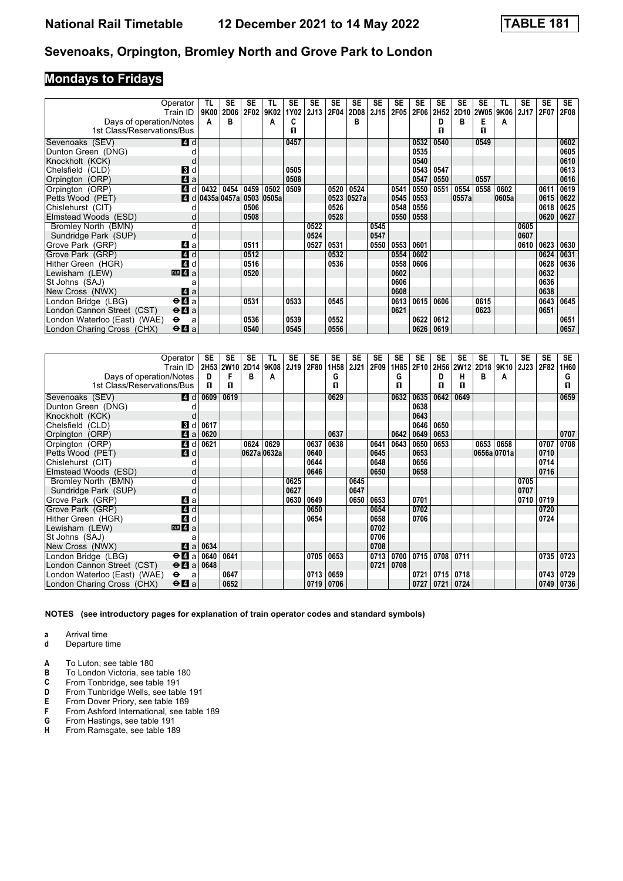# **Mondays to Fridays**

|                              | Operator<br>Train ID                        | TL<br>9K00 | SE<br><b>2D06</b> | SE<br>2F02 | TL<br>9K02 | <b>SE</b><br>1Y02 | SE<br>2J13 | SE<br>2F04 | <b>SE</b><br>2D08 | <b>SE</b><br>2J15 | <b>SE</b><br>2F05 | SE<br>2F06 | <b>SE</b><br>2H52 | <b>SE</b> | SE   | TL<br>2D10 2W05 9K06 | SE<br>2J17 | <b>SE</b><br>2F07 | SE.<br><b>2F08</b> |
|------------------------------|---------------------------------------------|------------|-------------------|------------|------------|-------------------|------------|------------|-------------------|-------------------|-------------------|------------|-------------------|-----------|------|----------------------|------------|-------------------|--------------------|
| Days of operation/Notes      |                                             | A          | B                 |            | А          | C                 |            |            | в                 |                   |                   |            | D                 | B         | Е    | A                    |            |                   |                    |
| 1st Class/Reservations/Bus   |                                             |            |                   |            |            | п                 |            |            |                   |                   |                   |            | п                 |           | п    |                      |            |                   |                    |
|                              |                                             |            |                   |            |            |                   |            |            |                   |                   |                   |            |                   |           |      |                      |            |                   |                    |
| Sevenoaks (SEV)              | 4 d                                         |            |                   |            |            | 0457              |            |            |                   |                   |                   | 0532       | 0540              |           | 0549 |                      |            |                   | 0602               |
| Dunton Green (DNG)           |                                             |            |                   |            |            |                   |            |            |                   |                   |                   | 0535       |                   |           |      |                      |            |                   | 0605               |
| Knockholt (KCK)              |                                             |            |                   |            |            |                   |            |            |                   |                   |                   | 0540       |                   |           |      |                      |            |                   | 0610               |
| Chelsfield (CLD)             | 3 d                                         |            |                   |            |            | 0505              |            |            |                   |                   |                   | 0543       | 0547              |           |      |                      |            |                   | 0613               |
| Orpington (ORP)              | $\blacksquare$ a                            |            |                   |            |            | 0508              |            |            |                   |                   |                   | 0547       | 0550              |           | 0557 |                      |            |                   | 0616               |
| Orpington (ORP)              | 4 d                                         | 0432       | 0454              | 0459       | 0502       | 0509              |            | 0520       | 0524              |                   | 0541              | 0550       | 0551              | 0554      | 0558 | 0602                 |            | 0611              | 0619               |
| Petts Wood (PET)             |                                             |            | 4 d 0435a 0457a   |            | 0503 0505a |                   |            | 0523       | 0527a             |                   | 0545              | 0553       |                   | 0557a     |      | 0605a                |            | 0615              | 0622               |
| Chislehurst (CIT)            |                                             |            |                   | 0506       |            |                   |            | 0526       |                   |                   | 0548              | 0556       |                   |           |      |                      |            | 0618              | 0625               |
| Elmstead Woods (ESD)         |                                             |            |                   | 0508       |            |                   |            | 0528       |                   |                   | 0550              | 0558       |                   |           |      |                      |            | 0620              | 0627               |
| Bromley North (BMN)          |                                             |            |                   |            |            |                   | 0522       |            |                   | 0545              |                   |            |                   |           |      |                      | 0605       |                   |                    |
| Sundridge Park (SUP)         | d                                           |            |                   |            |            |                   | 0524       |            |                   | 0547              |                   |            |                   |           |      |                      | 0607       |                   |                    |
| Grove Park (GRP)             | ZI a                                        |            |                   | 0511       |            |                   | 0527       | 0531       |                   | 0550              | 0553              | 0601       |                   |           |      |                      | 0610       | 0623              | 0630               |
| Grove Park (GRP)             | 4d                                          |            |                   | 0512       |            |                   |            | 0532       |                   |                   | 0554              | 0602       |                   |           |      |                      |            | 0624              | 0631               |
| Hither Green (HGR)           | 4 d                                         |            |                   | 0516       |            |                   |            | 0536       |                   |                   | 0558              | 0606       |                   |           |      |                      |            | 0628              | 0636               |
| Lewisham (LEW)               | $\overline{m}$ 4 a                          |            |                   | 0520       |            |                   |            |            |                   |                   | 0602              |            |                   |           |      |                      |            | 0632              |                    |
| St Johns (SAJ)               |                                             |            |                   |            |            |                   |            |            |                   |                   | 0606              |            |                   |           |      |                      |            | 0636              |                    |
| New Cross (NWX)              | ZI a                                        |            |                   |            |            |                   |            |            |                   |                   | 0608              |            |                   |           |      |                      |            | 0638              |                    |
| London Bridge (LBG)          | $\Theta$ <b><math>\blacksquare</math></b> a |            |                   | 0531       |            | 0533              |            | 0545       |                   |                   | 0613              | 0615       | 0606              |           | 0615 |                      |            | 0643              | 0645               |
| London Cannon Street (CST)   | $\Theta$ <b><math>\Omega</math></b> a       |            |                   |            |            |                   |            |            |                   |                   | 0621              |            |                   |           | 0623 |                      |            | 0651              |                    |
| London Waterloo (East) (WAE) | $\bullet$<br>a                              |            |                   | 0536       |            | 0539              |            | 0552       |                   |                   |                   | 0622       | 0612              |           |      |                      |            |                   | 0651               |
| London Charing Cross (CHX)   | $\Theta$ <b>A</b> a                         |            |                   | 0540       |            | 0545              |            | 0556       |                   |                   |                   | 0626       | 0619              |           |      |                      |            |                   | 0657               |

|                                           | Operator                                    | SE        | SE   | <b>SE</b>   | TL   | SE   | SE   | <b>SE</b>   | <b>SE</b>   | SE   | SE   | SE   | SE   | <b>SE</b> | SE             | TL          | <b>SE</b>   | <b>SE</b> | <b>SE</b> |
|-------------------------------------------|---------------------------------------------|-----------|------|-------------|------|------|------|-------------|-------------|------|------|------|------|-----------|----------------|-------------|-------------|-----------|-----------|
|                                           | Train ID                                    | 2H53 2W10 |      | 2D14        | 9K08 | 2J19 | 2F80 | 1H58        | <b>2J21</b> | 2F09 | 1H85 | 2F10 |      |           | 2H56 2W12 2D18 | 9K10        | <b>2J23</b> | 2F82      | 1H60      |
| Days of operation/Notes                   |                                             | D         | F    | в           | А    |      |      | G           |             |      | G    |      | D    | н         | в              | A           |             |           | G         |
| 1st Class/Reservations/Bus                |                                             | п         | п    |             |      |      |      | п           |             |      | п    |      | п    | п         |                |             |             |           | п         |
| Sevenoaks (SEV)                           | 4 d                                         | 0609      | 0619 |             |      |      |      | 0629        |             |      | 0632 | 0635 | 0642 | 0649      |                |             |             |           | 0659      |
| Dunton Green (DNG)                        |                                             |           |      |             |      |      |      |             |             |      |      | 0638 |      |           |                |             |             |           |           |
| Knockholt (KCK)                           |                                             |           |      |             |      |      |      |             |             |      |      | 0643 |      |           |                |             |             |           |           |
| Chelsfield (CLD)                          | В<br>d                                      | 0617      |      |             |      |      |      |             |             |      |      | 0646 | 0650 |           |                |             |             |           |           |
| Orpington (ORP)                           | $\blacksquare$<br>a                         | 0620      |      |             |      |      |      | 0637        |             |      | 0642 | 0649 | 0653 |           |                |             |             |           | 0707      |
| Orpington (ORP)                           | $\overline{A}$<br>d                         | 0621      |      | 0624        | 0629 |      | 0637 | 0638        |             | 0641 | 0643 | 0650 | 0653 |           |                | 0653 0658   |             | 0707      | 0708      |
| Petts Wood (PET)                          | 4d                                          |           |      | 0627a 0632a |      |      | 0640 |             |             | 0645 |      | 0653 |      |           |                | 0656a 0701a |             | 0710      |           |
| Chislehurst (CIT)                         |                                             |           |      |             |      |      | 0644 |             |             | 0648 |      | 0656 |      |           |                |             |             | 0714      |           |
| Elmstead Woods (ESD)                      |                                             |           |      |             |      |      | 0646 |             |             | 0650 |      | 0658 |      |           |                |             |             | 0716      |           |
| Bromley North (BMN)                       | d                                           |           |      |             |      | 0625 |      |             | 0645        |      |      |      |      |           |                |             | 0705        |           |           |
| Sundridge Park (SUP)                      | d                                           |           |      |             |      | 0627 |      |             | 0647        |      |      |      |      |           |                |             | 0707        |           |           |
| Grove Park (GRP)                          | 41 a                                        |           |      |             |      | 0630 | 0649 |             | 0650        | 0653 |      | 0701 |      |           |                |             | 0710        | 0719      |           |
| Grove Park (GRP)                          | 4 d                                         |           |      |             |      |      | 0650 |             |             | 0654 |      | 0702 |      |           |                |             |             | 0720      |           |
| Hither Green (HGR)                        | 4 d                                         |           |      |             |      |      | 0654 |             |             | 0658 |      | 0706 |      |           |                |             |             | 0724      |           |
| Lewisham (LEW)                            | $\overline{m}$ 4 $\overline{a}$             |           |      |             |      |      |      |             |             | 0702 |      |      |      |           |                |             |             |           |           |
| St Johns (SAJ)                            | a                                           |           |      |             |      |      |      |             |             | 0706 |      |      |      |           |                |             |             |           |           |
| New Cross (NWX)                           | 4a                                          | 0634      |      |             |      |      |      |             |             | 0708 |      |      |      |           |                |             |             |           |           |
| London Bridge (LBG)                       | $\Theta$ <b><math>\mathbf{H}</math></b> a   | 0640      | 0641 |             |      |      | 0705 | 0653        |             | 0713 | 0700 | 0715 | 0708 | 0711      |                |             |             | 0735      | 0723      |
| London Cannon Street (CST)                | $\Theta$ <b>A</b> a                         | 0648      |      |             |      |      |      |             |             | 0721 | 0708 |      |      |           |                |             |             |           |           |
| London Waterloo (East) (WAE)<br>$\bullet$ | a                                           |           | 0647 |             |      |      | 0713 | 0659        |             |      |      | 0721 | 0715 | 0718      |                |             |             | 0743      | 0729      |
| London Charing Cross (CHX)                | $\Theta$ <b><math>\blacksquare</math></b> a |           | 0652 |             |      |      |      | 0719   0706 |             |      |      | 0727 | 0721 | 0724      |                |             |             | 0749      | 0736      |

- **a** Arrival time
- **d** Departure time
- **A** To Luton, see table 180<br>**B** To London Victoria, see
- **B** To London Victoria, see table 18
- **C** From Tonbridge, see table 191<br>**D** From Tunbridge Wells, see table
- **D** From Tunbridge Wells, see table 191<br>**E** From Dover Priory, see table 189
- **E** From Dover Priory, see table 189<br>**F** From Ashford International, see ta
- **F** From Ashford International, see table 189<br>**G** From Hastings, see table 191
- **6** From Hastings, see table 191<br>**H** From Ramsgate, see table 18 From Ramsgate, see table 189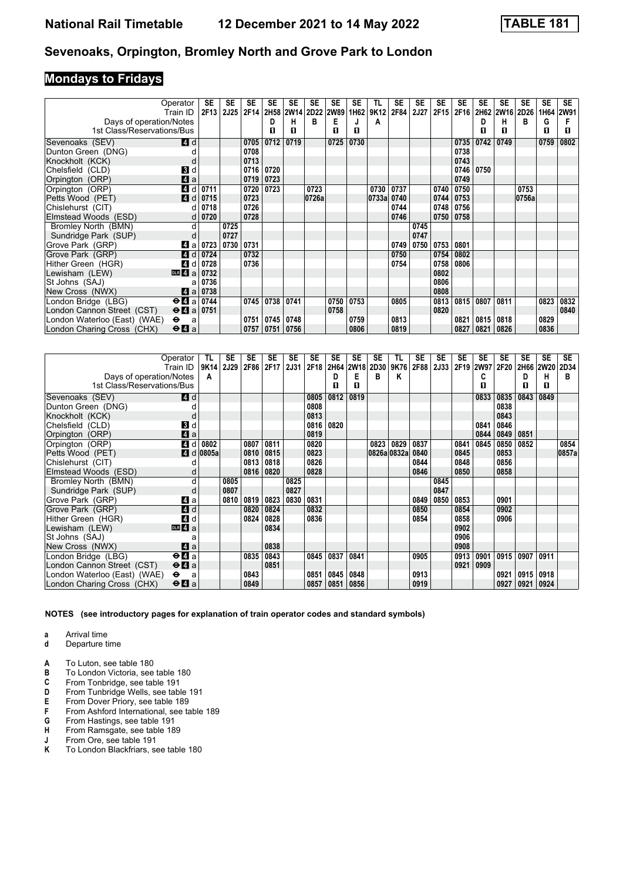# **Mondays to Fridays**

|                                                       | Operator<br>Train ID                        | SE<br>2F13 | SE<br><b>2J25</b> | SE<br>2F14 | SE   | <b>SE</b> | SE<br>2H58 2W14 2D22 | SE<br><b>2W89</b> | <b>SE</b><br>1H62 | TL<br>9K12 | <b>SE</b><br>2F84 | SE<br>2J27 | SE<br>2F15 | SE<br>2F16 | SE   | SE<br>2H62 2W16 2D26 | SE    | <b>SE</b> | <b>SE</b><br>1H64 2W91 |
|-------------------------------------------------------|---------------------------------------------|------------|-------------------|------------|------|-----------|----------------------|-------------------|-------------------|------------|-------------------|------------|------------|------------|------|----------------------|-------|-----------|------------------------|
|                                                       |                                             |            |                   |            | D    | н         | в                    | Е                 |                   |            |                   |            |            |            | D    | н                    | B     | G         |                        |
| Days of operation/Notes<br>1st Class/Reservations/Bus |                                             |            |                   |            | П    | п         |                      | п                 | п                 | A          |                   |            |            |            | п    | п                    |       | п         | п                      |
|                                                       |                                             |            |                   |            |      |           |                      |                   |                   |            |                   |            |            |            |      |                      |       |           |                        |
| Sevenoaks (SEV)                                       | 4 d                                         |            |                   | 0705       | 0712 | 0719      |                      | 0725              | 0730              |            |                   |            |            | 0735       | 0742 | 0749                 |       | 0759      | 0802                   |
| Dunton Green (DNG)                                    |                                             |            |                   | 0708       |      |           |                      |                   |                   |            |                   |            |            | 0738       |      |                      |       |           |                        |
| Knockholt (KCK)                                       |                                             |            |                   | 0713       |      |           |                      |                   |                   |            |                   |            |            | 0743       |      |                      |       |           |                        |
| Chelsfield (CLD)                                      | <b>B</b> d                                  |            |                   | 0716       | 0720 |           |                      |                   |                   |            |                   |            |            | 0746       | 0750 |                      |       |           |                        |
| Orpington (ORP)                                       | 4a                                          |            |                   | 0719       | 0723 |           |                      |                   |                   |            |                   |            |            | 0749       |      |                      |       |           |                        |
| Orpington (ORP)                                       | 4 d                                         | 0711       |                   | 0720       | 0723 |           | 0723                 |                   |                   | 0730       | 0737              |            | 0740       | 0750       |      |                      | 0753  |           |                        |
| Petts Wood (PET)                                      | 4d                                          | 0715       |                   | 0723       |      |           | 0726a                |                   |                   | 0733a      | 0740              |            | 0744       | 0753       |      |                      | 0756a |           |                        |
| Chislehurst (CIT)                                     | d                                           | 0718       |                   | 0726       |      |           |                      |                   |                   |            | 0744              |            | 0748       | 0756       |      |                      |       |           |                        |
| Elmstead Woods (ESD)                                  | d                                           | 0720       |                   | 0728       |      |           |                      |                   |                   |            | 0746              |            | 0750       | 0758       |      |                      |       |           |                        |
| Bromley North (BMN)                                   | d                                           |            | 0725              |            |      |           |                      |                   |                   |            |                   | 0745       |            |            |      |                      |       |           |                        |
| Sundridge Park (SUP)                                  |                                             |            | 0727              |            |      |           |                      |                   |                   |            |                   | 0747       |            |            |      |                      |       |           |                        |
| Grove Park (GRP)                                      | Z1 a                                        | 0723       | 0730              | 0731       |      |           |                      |                   |                   |            | 0749              | 0750       | 0753       | 0801       |      |                      |       |           |                        |
| Grove Park (GRP)                                      | 4 d                                         | 0724       |                   | 0732       |      |           |                      |                   |                   |            | 0750              |            | 0754       | 0802       |      |                      |       |           |                        |
| Hither Green (HGR)                                    | $\boldsymbol{A}$<br>d                       | 0728       |                   | 0736       |      |           |                      |                   |                   |            | 0754              |            | 0758       | 0806       |      |                      |       |           |                        |
| Lewisham (LEW)                                        | DR <sub>4</sub> a                           | 0732       |                   |            |      |           |                      |                   |                   |            |                   |            | 0802       |            |      |                      |       |           |                        |
| St Johns (SAJ)                                        |                                             | 0736       |                   |            |      |           |                      |                   |                   |            |                   |            | 0806       |            |      |                      |       |           |                        |
| New Cross (NWX)                                       | ZI a                                        | 0738       |                   |            |      |           |                      |                   |                   |            |                   |            | 0808       |            |      |                      |       |           |                        |
| London Bridge (LBG)                                   | $\Theta$ 4 a 0744                           |            |                   | 0745       | 0738 | 0741      |                      | 0750              | 0753              |            | 0805              |            | 0813       | 0815       | 0807 | 0811                 |       | 0823      | 0832                   |
| London Cannon Street (CST)                            | $\Theta$ 4 a 0751                           |            |                   |            |      |           |                      | 0758              |                   |            |                   |            | 0820       |            |      |                      |       |           | 0840                   |
| London Waterloo (East) (WAE)                          | $\bullet$<br>a                              |            |                   | 0751       | 0745 | 0748      |                      |                   | 0759              |            | 0813              |            |            | 0821       | 0815 | 0818                 |       | 0829      |                        |
| London Charing Cross (CHX)                            | $\Theta$ <b><math>\blacksquare</math></b> a |            |                   | 0757       | 0751 | 0756      |                      |                   | 0806              |            | 0819              |            |            | 0827       | 0821 | 0826                 |       | 0836      |                        |

|                              | Operator<br>Train ID                        | TL<br>9K14 | <b>SE</b><br>2J29 | <b>SE</b><br>2F86 | <b>SE</b><br>2F17 | <b>SE</b><br>2J31 | <b>SE</b><br>2F18 | <b>SE</b> | <b>SE</b><br>2H64 2W18 | SE<br>2D30 | TL<br>9K76  | <b>SE</b><br>2F88 | <b>SE</b><br>2J33 | <b>SE</b><br>2F19 | <b>SE</b><br><b>2W97</b> | <b>SE</b><br>2F20 | <b>SE</b><br>2H66 | <b>SE</b><br><b>2W20</b> | <b>SE</b><br>2D34 |
|------------------------------|---------------------------------------------|------------|-------------------|-------------------|-------------------|-------------------|-------------------|-----------|------------------------|------------|-------------|-------------------|-------------------|-------------------|--------------------------|-------------------|-------------------|--------------------------|-------------------|
| Days of operation/Notes      |                                             | A          |                   |                   |                   |                   |                   | D         | Е                      | В          | Κ           |                   |                   |                   | C                        |                   | D                 | н                        | в                 |
| 1st Class/Reservations/Bus   |                                             |            |                   |                   |                   |                   |                   | п         | п                      |            |             |                   |                   |                   | п                        |                   | п                 | п                        |                   |
| Sevenoaks (SEV)              | <b>4</b> d                                  |            |                   |                   |                   |                   | 0805              | 0812      | 0819                   |            |             |                   |                   |                   | 0833                     | 0835              | 0843              | 0849                     |                   |
| Dunton Green (DNG)           |                                             |            |                   |                   |                   |                   | 0808              |           |                        |            |             |                   |                   |                   |                          | 0838              |                   |                          |                   |
| Knockholt (KCK)              |                                             |            |                   |                   |                   |                   | 0813              |           |                        |            |             |                   |                   |                   |                          | 0843              |                   |                          |                   |
| Chelsfield (CLD)             | 3d                                          |            |                   |                   |                   |                   | 0816              | 0820      |                        |            |             |                   |                   |                   | 0841                     | 0846              |                   |                          |                   |
| Orpington (ORP)              | 4a                                          |            |                   |                   |                   |                   | 0819              |           |                        |            |             |                   |                   |                   | 0844                     | 0849              | 0851              |                          |                   |
| Orpington (ORP)              | $\boldsymbol{A}$<br>d                       | 0802       |                   | 0807              | 0811              |                   | 0820              |           |                        | 0823       | 0829        | 0837              |                   | 0841              | 0845                     | 0850              | 0852              |                          | 0854              |
| Petts Wood (PET)             | $\blacksquare$                              | $d$ 0805a  |                   | 0810              | 0815              |                   | 0823              |           |                        |            | 0826a 0832a | 0840              |                   | 0845              |                          | 0853              |                   |                          | 0857a             |
| Chislehurst (CIT)            |                                             |            |                   | 0813              | 0818              |                   | 0826              |           |                        |            |             | 0844              |                   | 0848              |                          | 0856              |                   |                          |                   |
| Elmstead Woods (ESD)         | d                                           |            |                   | 0816              | 0820              |                   | 0828              |           |                        |            |             | 0846              |                   | 0850              |                          | 0858              |                   |                          |                   |
| Bromley North (BMN)          | d                                           |            | 0805              |                   |                   | 0825              |                   |           |                        |            |             |                   | 0845              |                   |                          |                   |                   |                          |                   |
| Sundridge Park (SUP)         | d                                           |            | 0807              |                   |                   | 0827              |                   |           |                        |            |             |                   | 0847              |                   |                          |                   |                   |                          |                   |
| Grove Park (GRP)             | ZI a                                        |            | 0810              | 0819              | 0823              | 0830              | 0831              |           |                        |            |             | 0849              | 0850              | 0853              |                          | 0901              |                   |                          |                   |
| Grove Park (GRP)             | 4d                                          |            |                   | 0820              | 0824              |                   | 0832              |           |                        |            |             | 0850              |                   | 0854              |                          | 0902              |                   |                          |                   |
| Hither Green (HGR)           | $\boldsymbol{A}$<br>d                       |            |                   | 0824              | 0828              |                   | 0836              |           |                        |            |             | 0854              |                   | 0858              |                          | 0906              |                   |                          |                   |
| Lewisham (LEW)               | DR 4a                                       |            |                   |                   | 0834              |                   |                   |           |                        |            |             |                   |                   | 0902              |                          |                   |                   |                          |                   |
| St Johns (SAJ)               | a                                           |            |                   |                   |                   |                   |                   |           |                        |            |             |                   |                   | 0906              |                          |                   |                   |                          |                   |
| New Cross (NWX)              | ZI a                                        |            |                   |                   | 0838              |                   |                   |           |                        |            |             |                   |                   | 0908              |                          |                   |                   |                          |                   |
| London Bridge (LBG)          | $\Theta$ <b><math>\blacksquare</math></b> a |            |                   | 0835              | 0843              |                   | 0845              | 0837      | 0841                   |            |             | 0905              |                   | 0913              | 0901                     | 0915              | 0907              | 0911                     |                   |
| London Cannon Street (CST)   | $\Theta$ <b><math>\blacksquare</math></b> a |            |                   |                   | 0851              |                   |                   |           |                        |            |             |                   |                   | 0921              | 0909                     |                   |                   |                          |                   |
| London Waterloo (East) (WAE) | $\bullet$<br>a                              |            |                   | 0843              |                   |                   | 0851              | 0845      | 0848                   |            |             | 0913              |                   |                   |                          | 0921              | 0915              | 0918                     |                   |
| London Charing Cross (CHX)   | $\Theta$ <b><math>\blacksquare</math></b> a |            |                   | 0849              |                   |                   | 0857              | 0851      | 0856                   |            |             | 0919              |                   |                   |                          | 0927              | 0921              | 0924                     |                   |

- **a** Arrival time
- **d** Departure time
- **A** To Luton, see table 180<br>**B** To London Victoria, see
- **B** To London Victoria, see table 18
- **C** From Tonbridge, see table 191<br>**D** From Tunbridge Wells, see table
- **D** From Tunbridge Wells, see table 191<br>**E** From Dover Priory, see table 189
- **E** From Dover Priory, see table 189<br>**F** From Ashford International, see ta
- From Ashford International, see table 189
- **6** From Hastings, see table 191<br>**H** From Ramsgate, see table 18
- **H** From Ramsgate, see table 189<br>**J** From Ore, see table 191
- **J** From Ore, see table 191<br>**K** To London Blackfriars, se **K** To London Blackfriars, see table 18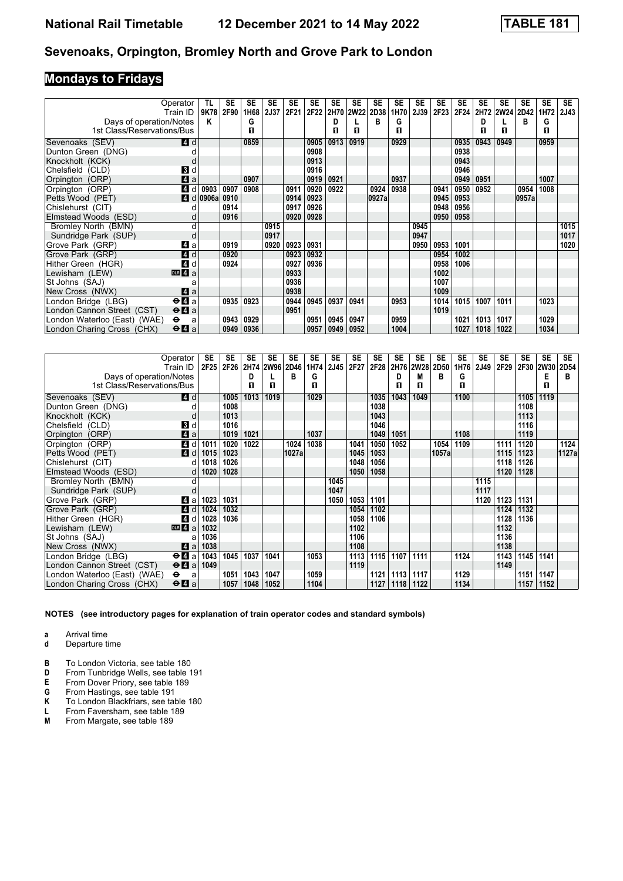# **Mondays to Fridays**

|                                                       | Operator<br>Train ID                  | TL<br>9K78                  | SE<br>2F90 | <b>SE</b><br>1H68 | <b>SE</b><br>2J37 | <b>SE</b><br>2F21 | SE<br>2F22 | <b>SE</b> | <b>SE</b><br>2H70 2W22 | <b>SE</b><br>2D38 | <b>SE</b><br>1H70 | <b>SE</b><br>2J39 | <b>SE</b><br>2F23 | <b>SE</b><br>2F24 | <b>SE</b> | <b>SE</b> | SE<br>2H72 2W24 2D42 | SE<br>1H72 | <b>SE</b><br><b>2J43</b> |
|-------------------------------------------------------|---------------------------------------|-----------------------------|------------|-------------------|-------------------|-------------------|------------|-----------|------------------------|-------------------|-------------------|-------------------|-------------------|-------------------|-----------|-----------|----------------------|------------|--------------------------|
|                                                       |                                       | Κ                           |            | G                 |                   |                   |            | D         |                        | в                 | G                 |                   |                   |                   | D         |           | в                    | G          |                          |
| Days of operation/Notes<br>1st Class/Reservations/Bus |                                       |                             |            | П                 |                   |                   |            | п         | п                      |                   | п                 |                   |                   |                   | п         | п         |                      | п          |                          |
|                                                       |                                       |                             |            |                   |                   |                   |            |           |                        |                   |                   |                   |                   |                   |           |           |                      |            |                          |
| Sevenoaks (SEV)                                       | <b>4</b> d                            |                             |            | 0859              |                   |                   | 0905       | 0913      | 0919                   |                   | 0929              |                   |                   | 0935              | 0943      | 0949      |                      | 0959       |                          |
| Dunton Green (DNG)                                    |                                       |                             |            |                   |                   |                   | 0908       |           |                        |                   |                   |                   |                   | 0938              |           |           |                      |            |                          |
| Knockholt (KCK)                                       | d                                     |                             |            |                   |                   |                   | 0913       |           |                        |                   |                   |                   |                   | 0943              |           |           |                      |            |                          |
| Chelsfield (CLD)                                      | <b>B</b> d                            |                             |            |                   |                   |                   | 0916       |           |                        |                   |                   |                   |                   | 0946              |           |           |                      |            |                          |
| Orpington (ORP)                                       | 4a                                    |                             |            | 0907              |                   |                   | 0919       | 0921      |                        |                   | 0937              |                   |                   | 0949              | 0951      |           |                      | 1007       |                          |
| Orpington (ORP)                                       | 4 d                                   | 0903                        | 0907       | 0908              |                   | 0911              | 0920       | 0922      |                        | 0924              | 0938              |                   | 0941              | 0950              | 0952      |           | 0954                 | 1008       |                          |
| Petts Wood (PET)                                      |                                       | $\blacksquare$ d 0906a 0910 |            |                   |                   | 0914              | 0923       |           |                        | 0927a             |                   |                   | 0945              | 0953              |           |           | 0957a                |            |                          |
| Chislehurst (CIT)                                     |                                       |                             | 0914       |                   |                   | 0917              | 0926       |           |                        |                   |                   |                   | 0948              | 0956              |           |           |                      |            |                          |
| Elmstead Woods (ESD)                                  | d                                     |                             | 0916       |                   |                   | 0920              | 0928       |           |                        |                   |                   |                   | 0950              | 0958              |           |           |                      |            |                          |
| Bromley North (BMN)                                   | d                                     |                             |            |                   | 0915              |                   |            |           |                        |                   |                   | 0945              |                   |                   |           |           |                      |            | 1015                     |
| Sundridge Park (SUP)                                  | d                                     |                             |            |                   | 0917              |                   |            |           |                        |                   |                   | 0947              |                   |                   |           |           |                      |            | 1017                     |
| Grove Park (GRP)                                      | ZI a                                  |                             | 0919       |                   | 0920              | 0923              | 0931       |           |                        |                   |                   | 0950              | 0953              | 1001              |           |           |                      |            | 1020                     |
| Grove Park (GRP)                                      | 4 d                                   |                             | 0920       |                   |                   | 0923              | 0932       |           |                        |                   |                   |                   | 0954              | 1002              |           |           |                      |            |                          |
| Hither Green (HGR)                                    | 4 d                                   |                             | 0924       |                   |                   | 0927              | 0936       |           |                        |                   |                   |                   | 0958              | 1006              |           |           |                      |            |                          |
| Lewisham (LEW)                                        | DR 4a                                 |                             |            |                   |                   | 0933              |            |           |                        |                   |                   |                   | 1002              |                   |           |           |                      |            |                          |
| St Johns (SAJ)                                        | a                                     |                             |            |                   |                   | 0936              |            |           |                        |                   |                   |                   | 1007              |                   |           |           |                      |            |                          |
| New Cross (NWX)                                       | ZI a                                  |                             |            |                   |                   | 0938              |            |           |                        |                   |                   |                   | 1009              |                   |           |           |                      |            |                          |
| London Bridge (LBG)                                   | $\Theta$ <b>d</b> a                   |                             | 0935       | 0923              |                   | 0944              | 0945       | 0937      | 0941                   |                   | 0953              |                   | 1014              | 1015              | 1007      | 1011      |                      | 1023       |                          |
| London Cannon Street (CST)                            | $\Theta$ <b><math>\Omega</math></b> a |                             |            |                   |                   | 0951              |            |           |                        |                   |                   |                   | 1019              |                   |           |           |                      |            |                          |
| London Waterloo (East) (WAE)                          | $\bullet$<br>a                        |                             | 0943       | 0929              |                   |                   | 0951       | 0945      | 0947                   |                   | 0959              |                   |                   | 1021              | 1013      | 1017      |                      | 1029       |                          |
| London Charing Cross (CHX)                            | $\Theta$ <b><math>\Omega</math></b> a |                             | 0949       | 0936              |                   |                   | 0957       | 0949      | 0952                   |                   | 1004              |                   |                   | 1027              | 1018      | 1022      |                      | 1034       |                          |

|                              | Operator<br>Train ID                        | <b>SE</b><br>2F25 | <b>SE</b><br>2F26 | <b>SE</b> | <b>SE</b><br>2H74 2W96 2D46 | <b>SE</b> | SE<br>1H74 | <b>SE</b><br>2J45 | <b>SE</b><br>2F27 | <b>SE</b><br>2F28 | SE   | <b>SE</b><br>2H76 2W28 | <b>SE</b><br><b>2D50</b> | <b>SE</b><br>1H76 | <b>SE</b><br><b>2J49</b> | <b>SE</b><br>2F29 | <b>SE</b><br>2F30 2W30 | <b>SE</b> | <b>SE</b><br><b>2D54</b> |
|------------------------------|---------------------------------------------|-------------------|-------------------|-----------|-----------------------------|-----------|------------|-------------------|-------------------|-------------------|------|------------------------|--------------------------|-------------------|--------------------------|-------------------|------------------------|-----------|--------------------------|
| Days of operation/Notes      |                                             |                   |                   | D         |                             | в         | G          |                   |                   |                   | D    | M                      | в                        | G                 |                          |                   |                        | Е         | в                        |
| 1st Class/Reservations/Bus   |                                             |                   |                   | П         | п                           |           | п          |                   |                   |                   | п    | п                      |                          | п                 |                          |                   |                        | п         |                          |
| Sevenoaks (SEV)              | <b>4</b> d                                  |                   | 1005              | 1013      | 1019                        |           | 1029       |                   |                   | 1035              | 1043 | 1049                   |                          | 1100              |                          |                   | 1105                   | 1119      |                          |
| Dunton Green (DNG)           |                                             |                   | 1008              |           |                             |           |            |                   |                   | 1038              |      |                        |                          |                   |                          |                   | 1108                   |           |                          |
| Knockholt (KCK)              | d                                           |                   | 1013              |           |                             |           |            |                   |                   | 1043              |      |                        |                          |                   |                          |                   | 1113                   |           |                          |
| Chelsfield (CLD)             | 3d                                          |                   | 1016              |           |                             |           |            |                   |                   | 1046              |      |                        |                          |                   |                          |                   | 1116                   |           |                          |
| Orpington (ORP)              | 4a                                          |                   | 1019              | 1021      |                             |           | 1037       |                   |                   | 1049              | 1051 |                        |                          | 1108              |                          |                   | 1119                   |           |                          |
| Orpington (ORP)              | 4 d                                         | 1011              | 1020              | 1022      |                             | 1024      | 1038       |                   | 1041              | 1050              | 1052 |                        | 1054                     | 1109              |                          | 1111              | 1120                   |           | 1124                     |
| Petts Wood (PET)             | 4d                                          | 1015              | 1023              |           |                             | 1027a     |            |                   | 1045              | 1053              |      |                        | 1057al                   |                   |                          | 1115              | 1123                   |           | 1127a                    |
| Chislehurst (CIT)            | d                                           | 1018              | 1026              |           |                             |           |            |                   | 1048              | 1056              |      |                        |                          |                   |                          | 1118              | 1126                   |           |                          |
| Elmstead Woods (ESD)         | d                                           | 1020              | 1028              |           |                             |           |            |                   | 1050              | 1058              |      |                        |                          |                   |                          | 1120              | 1128                   |           |                          |
| Bromley North (BMN)          | d                                           |                   |                   |           |                             |           |            | 1045              |                   |                   |      |                        |                          |                   | 1115                     |                   |                        |           |                          |
| Sundridge Park (SUP)         |                                             |                   |                   |           |                             |           |            | 1047              |                   |                   |      |                        |                          |                   | 1117                     |                   |                        |           |                          |
| Grove Park (GRP)             | Z1 a                                        | 1023              | 1031              |           |                             |           |            | 1050              | 1053              | 1101              |      |                        |                          |                   | 1120                     | 1123              | 1131                   |           |                          |
| Grove Park (GRP)             | ZI d                                        | 1024              | 1032              |           |                             |           |            |                   | 1054              | 1102              |      |                        |                          |                   |                          | 1124              | 1132                   |           |                          |
| Hither Green (HGR)           | 4 d                                         | 1028              | 1036              |           |                             |           |            |                   | 1058              | 1106              |      |                        |                          |                   |                          | 1128              | 1136                   |           |                          |
| Lewisham (LEW)               | $\overline{DB}$ 4 a                         | 1032              |                   |           |                             |           |            |                   | 1102              |                   |      |                        |                          |                   |                          | 1132              |                        |           |                          |
| St Johns (SAJ)               |                                             | 1036              |                   |           |                             |           |            |                   | 1106              |                   |      |                        |                          |                   |                          | 1136              |                        |           |                          |
| New Cross (NWX)              | ZI a                                        | 1038              |                   |           |                             |           |            |                   | 1108              |                   |      |                        |                          |                   |                          | 1138              |                        |           |                          |
| London Bridge (LBG)          | $\Theta$ <b><math>\blacksquare</math></b> a | 1043              | 1045              | 1037      | 1041                        |           | 1053       |                   | 1113              | 1115              | 1107 | 1111                   |                          | 1124              |                          | 1143              | 1145                   | 1141      |                          |
| London Cannon Street (CST)   | $\Theta$ <b><math>\Omega</math></b> a       | 1049              |                   |           |                             |           |            |                   | 1119              |                   |      |                        |                          |                   |                          | 1149              |                        |           |                          |
| London Waterloo (East) (WAE) | $\bullet$<br>a                              |                   | 1051              | 1043      | 1047                        |           | 1059       |                   |                   | 1121              | 1113 | 1117                   |                          | 1129              |                          |                   | 1151                   | 1147      |                          |
| London Charing Cross (CHX)   | $\Theta$ <b><math>\blacksquare</math></b> a |                   | 1057              | 1048      | 1052                        |           | 1104       |                   |                   | 1127              | 1118 | 1122                   |                          | 1134              |                          |                   | 1157                   | 1152      |                          |

**NOTES (see introductory pages for explanation of train operator codes and standard symbols)**

**a** Arrival time

**d** Departure time

**B** To London Victoria, see table 180<br>**D** From Tunbridge Wells, see table 1

**From Tunbridge Wells, see table 191** 

**E** From Dover Priory, see table 189<br>**G** From Hastings, see table 191

- **4** From Hastings, see table 191<br>**K** To London Blackfriars, see table 1<br>**L** From Faversham, see table 1
- **K** To London Blackfriars, see table 18

**L** From Faversham, see table 189<br>**M** From Margate, see table 189

From Margate, see table 189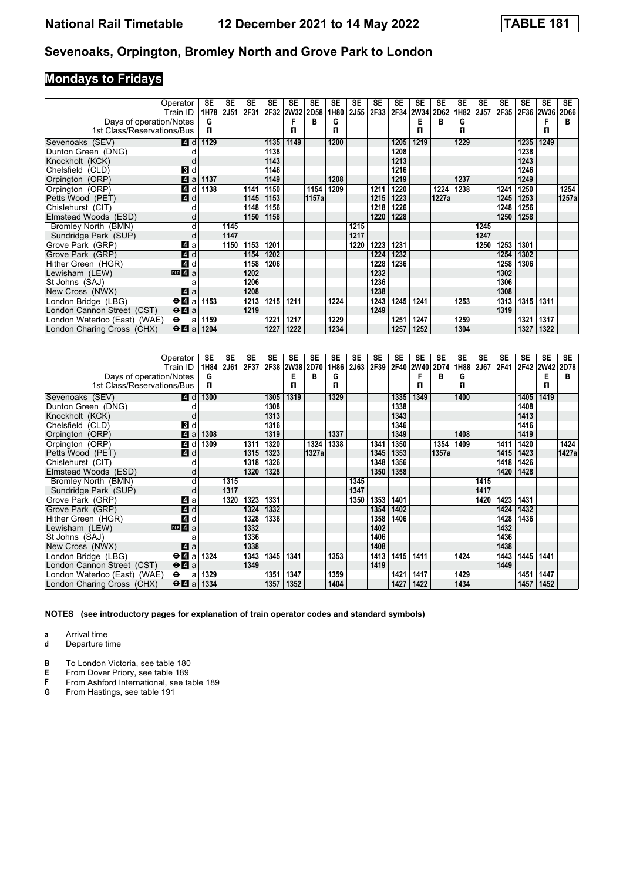# **Mondays to Fridays**

|                              | Operator                                    | SE   | SE          | <b>SE</b> | <b>SE</b> | <b>SE</b> | SE    | SE   | <b>SE</b> | SE   | SE   | SE   | SE    | <b>SE</b> | <b>SE</b>   | <b>SE</b> | <b>SE</b> | <b>SE</b>   | <b>SE</b> |
|------------------------------|---------------------------------------------|------|-------------|-----------|-----------|-----------|-------|------|-----------|------|------|------|-------|-----------|-------------|-----------|-----------|-------------|-----------|
|                              | Train ID                                    | 1H78 | <b>2J51</b> | 2F31      |           | 2F32 2W32 | 2D58  | 1H80 | 2J55      | 2F33 | 2F34 | 2W34 | 2D62  | 1H82      | <b>2J57</b> | 2F35      | 2F36      | <b>2W36</b> | 2D66      |
| Days of operation/Notes      |                                             | G    |             |           |           |           | в     | G    |           |      |      | Е    | в     | G         |             |           |           | F           | в         |
| 1st Class/Reservations/Bus   |                                             | п    |             |           |           | п         |       | п    |           |      |      | п    |       | п         |             |           |           | п           |           |
| Sevenoaks (SEV)              | <b>4</b> d                                  | 1129 |             |           | 1135      | 1149      |       | 1200 |           |      | 1205 | 1219 |       | 1229      |             |           | 1235      | 1249        |           |
| Dunton Green (DNG)           |                                             |      |             |           | 1138      |           |       |      |           |      | 1208 |      |       |           |             |           | 1238      |             |           |
| Knockholt (KCK)              |                                             |      |             |           | 1143      |           |       |      |           |      | 1213 |      |       |           |             |           | 1243      |             |           |
| Chelsfield (CLD)             | <b>3</b> d                                  |      |             |           | 1146      |           |       |      |           |      | 1216 |      |       |           |             |           | 1246      |             |           |
| Orpington (ORP)              | $\boldsymbol{A}$<br>a                       | 1137 |             |           | 1149      |           |       | 1208 |           |      | 1219 |      |       | 1237      |             |           | 1249      |             |           |
| Orpington (ORP)              | $\boldsymbol{A}$<br>d                       | 1138 |             | 1141      | 1150      |           | 1154  | 1209 |           | 1211 | 1220 |      | 1224  | 1238      |             | 1241      | 1250      |             | 1254      |
| Petts Wood (PET)             | 4d                                          |      |             | 1145      | 1153      |           | 1157a |      |           | 1215 | 1223 |      | 1227a |           |             | 1245      | 1253      |             | 1257a     |
| Chislehurst (CIT)            |                                             |      |             | 1148      | 1156      |           |       |      |           | 1218 | 1226 |      |       |           |             | 1248      | 1256      |             |           |
| Elmstead Woods (ESD)         | d                                           |      |             | 1150      | 1158      |           |       |      |           | 1220 | 1228 |      |       |           |             | 1250      | 1258      |             |           |
| Bromley North (BMN)          | d                                           |      | 1145        |           |           |           |       |      | 1215      |      |      |      |       |           | 1245        |           |           |             |           |
| Sundridge Park (SUP)         | d                                           |      | 1147        |           |           |           |       |      | 1217      |      |      |      |       |           | 1247        |           |           |             |           |
| Grove Park (GRP)             | ZI a                                        |      | 1150        | 1153      | 1201      |           |       |      | 1220      | 1223 | 1231 |      |       |           | 1250        | 1253      | 1301      |             |           |
| Grove Park (GRP)             | $\blacksquare$ d                            |      |             | 1154      | 1202      |           |       |      |           | 1224 | 1232 |      |       |           |             | 1254      | 1302      |             |           |
| Hither Green (HGR)           | $\boldsymbol{A}$<br>d                       |      |             | 1158      | 1206      |           |       |      |           | 1228 | 1236 |      |       |           |             | 1258      | 1306      |             |           |
| Lewisham (LEW)               | $DLR$ 4 a                                   |      |             | 1202      |           |           |       |      |           | 1232 |      |      |       |           |             | 1302      |           |             |           |
| St Johns (SAJ)               | a                                           |      |             | 1206      |           |           |       |      |           | 1236 |      |      |       |           |             | 1306      |           |             |           |
| New Cross (NWX)              | ZI a                                        |      |             | 1208      |           |           |       |      |           | 1238 |      |      |       |           |             | 1308      |           |             |           |
| London Bridge (LBG)          | $\Theta$ <b><math>\blacksquare</math></b> a | 1153 |             | 1213      | 1215      | 1211      |       | 1224 |           | 1243 | 1245 | 1241 |       | 1253      |             | 1313      | 1315      | 1311        |           |
| London Cannon Street (CST)   | $\Theta$ <b>A</b> a                         |      |             | 1219      |           |           |       |      |           | 1249 |      |      |       |           |             | 1319      |           |             |           |
| London Waterloo (East) (WAE) | $\bullet$<br>a                              | 1159 |             |           | 1221      | 1217      |       | 1229 |           |      | 1251 | 1247 |       | 1259      |             |           | 1321      | 1317        |           |
| London Charing Cross (CHX)   | $\Theta$ <b><math>\blacksquare</math></b> a | 1204 |             |           | 1227      | 1222      |       | 1234 |           |      | 1257 | 1252 |       | 1304      |             |           | 1327      | 1322        |           |

|                              | Operator<br>Train ID                        | SE<br>1H84 | SE<br>2J61 | <b>SE</b><br>2F37 | <b>SE</b><br>2F38 | <b>SE</b><br>2W38 2D70 | SE    | <b>SE</b><br>1H86 | <b>SE</b><br>2J63 | SE<br>2F39 | <b>SE</b> | <b>SE</b><br>2F40 2W40 | SE<br>2D74 | <b>SE</b><br>1H88 | <b>SE</b><br>2J67 | <b>SE</b><br>2F41 | <b>SE</b><br>2F42 2W42 | <b>SE</b> | <b>SE</b><br>2D78 |
|------------------------------|---------------------------------------------|------------|------------|-------------------|-------------------|------------------------|-------|-------------------|-------------------|------------|-----------|------------------------|------------|-------------------|-------------------|-------------------|------------------------|-----------|-------------------|
| Days of operation/Notes      |                                             | G          |            |                   |                   | Е                      | в     | G                 |                   |            |           |                        | в          | G                 |                   |                   |                        | E         | в                 |
| 1st Class/Reservations/Bus   |                                             | п          |            |                   |                   | п                      |       | п                 |                   |            |           | п                      |            | п                 |                   |                   |                        | п         |                   |
| Sevenoaks (SEV)              | <b>4</b> d                                  | 1300       |            |                   | 1305              | 1319                   |       | 1329              |                   |            | 1335      | 1349                   |            | 1400              |                   |                   | 1405                   | 1419      |                   |
| Dunton Green (DNG)           |                                             |            |            |                   | 1308              |                        |       |                   |                   |            | 1338      |                        |            |                   |                   |                   | 1408                   |           |                   |
| Knockholt (KCK)              | d                                           |            |            |                   | 1313              |                        |       |                   |                   |            | 1343      |                        |            |                   |                   |                   | 1413                   |           |                   |
| Chelsfield (CLD)             | BI d                                        |            |            |                   | 1316              |                        |       |                   |                   |            | 1346      |                        |            |                   |                   |                   | 1416                   |           |                   |
| Orpington (ORP)              | $\blacksquare$ a                            | 1308       |            |                   | 1319              |                        |       | 1337              |                   |            | 1349      |                        |            | 1408              |                   |                   | 1419                   |           |                   |
| Orpington (ORP)              | $\boldsymbol{A}$<br>d                       | 1309       |            | 1311              | 1320              |                        | 1324  | 1338              |                   | 1341       | 1350      |                        | 1354       | 1409              |                   | 1411              | 1420                   |           | 1424              |
| Petts Wood (PET)             | 4d                                          |            |            | 1315              | 1323              |                        | 1327a |                   |                   | 1345       | 1353      |                        | 1357a      |                   |                   | 1415              | 1423                   |           | 1427a             |
| Chislehurst (CIT)            |                                             |            |            | 1318              | 1326              |                        |       |                   |                   | 1348       | 1356      |                        |            |                   |                   | 1418              | 1426                   |           |                   |
| Elmstead Woods (ESD)         | d                                           |            |            | 1320              | 1328              |                        |       |                   |                   | 1350       | 1358      |                        |            |                   |                   | 1420              | 1428                   |           |                   |
| Bromley North (BMN)          | d                                           |            | 1315       |                   |                   |                        |       |                   | 1345              |            |           |                        |            |                   | 1415              |                   |                        |           |                   |
| Sundridge Park (SUP)         | d                                           |            | 1317       |                   |                   |                        |       |                   | 1347              |            |           |                        |            |                   | 1417              |                   |                        |           |                   |
| Grove Park (GRP)             | Z1 a                                        |            | 1320       | 1323              | 1331              |                        |       |                   | 1350              | 1353       | 1401      |                        |            |                   | 1420              | 1423              | 1431                   |           |                   |
| Grove Park (GRP)             | 4d                                          |            |            | 1324              | 1332              |                        |       |                   |                   | 1354       | 1402      |                        |            |                   |                   | 1424              | 1432                   |           |                   |
| Hither Green (HGR)           | 4 d                                         |            |            | 1328              | 1336              |                        |       |                   |                   | 1358       | 1406      |                        |            |                   |                   | 1428              | 1436                   |           |                   |
| Lewisham (LEW)               | DR 4a                                       |            |            | 1332              |                   |                        |       |                   |                   | 1402       |           |                        |            |                   |                   | 1432              |                        |           |                   |
| St Johns (SAJ)               | a                                           |            |            | 1336              |                   |                        |       |                   |                   | 1406       |           |                        |            |                   |                   | 1436              |                        |           |                   |
| New Cross (NWX)              | ZI a                                        |            |            | 1338              |                   |                        |       |                   |                   | 1408       |           |                        |            |                   |                   | 1438              |                        |           |                   |
| London Bridge (LBG)          | $\Theta$ <b><math>\blacksquare</math></b> a | 1324       |            | 1343              | 1345              | 1341                   |       | 1353              |                   | 1413       | 1415      | 1411                   |            | 1424              |                   | 1443              | 1445                   | 1441      |                   |
| London Cannon Street (CST)   | $\Theta$ <b>A</b> a                         |            |            | 1349              |                   |                        |       |                   |                   | 1419       |           |                        |            |                   |                   | 1449              |                        |           |                   |
| London Waterloo (East) (WAE) | $\bullet$<br>a                              | 1329       |            |                   | 1351              | 1347                   |       | 1359              |                   |            | 1421      | 1417                   |            | 1429              |                   |                   | 1451                   | 1447      |                   |
| London Charing Cross (CHX)   | $\Theta$ <b>A</b> a                         | 1334       |            |                   | 1357              | 1352                   |       | 1404              |                   |            | 1427      | 1422                   |            | 1434              |                   |                   | 1457                   | 1452      |                   |

**NOTES (see introductory pages for explanation of train operator codes and standard symbols)**

**a** Arrival time

**d** Departure time

**B** To London Victoria, see table 180<br>**E** From Dover Priory, see table 189

**E** From Dover Priory, see table 189<br>**F** From Ashford International, see ta

- **F** From Ashford International, see table 189<br>**G** From Hastings, see table 191
- From Hastings, see table 191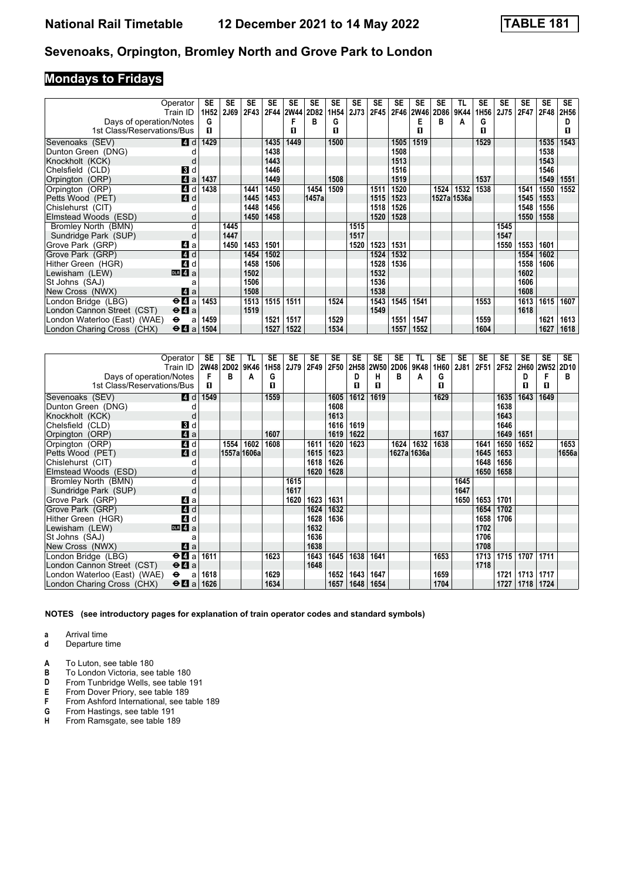# **Mondays to Fridays**

|                              | Operator                                    | SE        | SE   | SE   | SE   | <b>SE</b>      | <b>SE</b> | SE               | <b>SE</b> | <b>SE</b> | <b>SE</b> | SE          | SE   | TL          | <b>SE</b> | <b>SE</b> | SE   | <b>SE</b>   | <b>SE</b> |
|------------------------------|---------------------------------------------|-----------|------|------|------|----------------|-----------|------------------|-----------|-----------|-----------|-------------|------|-------------|-----------|-----------|------|-------------|-----------|
|                              | Train ID                                    | 1H52 2J69 |      | 2F43 |      | 2F44 2W44 2D82 |           | 1H <sub>54</sub> | 2J73      | 2F45      | 2F46      | <b>2W46</b> | 2D86 | 9K44        | 1H56      | 2J75      | 2F47 | <b>2F48</b> | 2H56      |
| Days of operation/Notes      |                                             | G         |      |      |      |                | в         | G                |           |           |           | Е           | в    | A           | G         |           |      |             | D         |
| 1st Class/Reservations/Bus   |                                             | п         |      |      |      | п              |           | п                |           |           |           | п           |      |             | п         |           |      |             | П.        |
| Sevenoaks (SEV)              | <b>4</b> d                                  | 1429      |      |      | 1435 | 1449           |           | 1500             |           |           | 1505      | 1519        |      |             | 1529      |           |      | 1535        | 1543      |
| Dunton Green (DNG)           |                                             |           |      |      | 1438 |                |           |                  |           |           | 1508      |             |      |             |           |           |      | 1538        |           |
| Knockholt (KCK)              | d                                           |           |      |      | 1443 |                |           |                  |           |           | 1513      |             |      |             |           |           |      | 1543        |           |
| Chelsfield (CLD)             | <b>3</b> d                                  |           |      |      | 1446 |                |           |                  |           |           | 1516      |             |      |             |           |           |      | 1546        |           |
| Orpington (ORP)              | $\blacksquare$ a                            | 1437      |      |      | 1449 |                |           | 1508             |           |           | 1519      |             |      |             | 1537      |           |      | 1549        | 1551      |
| Orpington (ORP)              | 4 d                                         | 1438      |      | 1441 | 1450 |                | 1454      | 1509             |           | 1511      | 1520      |             | 1524 | 1532        | 1538      |           | 1541 | 1550        | 1552      |
| Petts Wood (PET)             | 4d                                          |           |      | 1445 | 1453 |                | 1457a     |                  |           | 1515      | 1523      |             |      | 1527a 1536a |           |           | 1545 | 1553        |           |
| Chislehurst (CIT)            |                                             |           |      | 1448 | 1456 |                |           |                  |           | 1518      | 1526      |             |      |             |           |           | 1548 | 1556        |           |
| Elmstead Woods (ESD)         | d                                           |           |      | 1450 | 1458 |                |           |                  |           | 1520      | 1528      |             |      |             |           |           | 1550 | 1558        |           |
| Bromley North (BMN)          | d                                           |           | 1445 |      |      |                |           |                  | 1515      |           |           |             |      |             |           | 1545      |      |             |           |
| Sundridge Park (SUP)         | d                                           |           | 1447 |      |      |                |           |                  | 1517      |           |           |             |      |             |           | 1547      |      |             |           |
| Grove Park (GRP)             | Z1 a                                        |           | 1450 | 1453 | 1501 |                |           |                  | 1520      | 1523      | 1531      |             |      |             |           | 1550      | 1553 | 1601        |           |
| Grove Park (GRP)             | 4d                                          |           |      | 1454 | 1502 |                |           |                  |           | 1524      | 1532      |             |      |             |           |           | 1554 | 1602        |           |
| Hither Green (HGR)           | 4 d                                         |           |      | 1458 | 1506 |                |           |                  |           | 1528      | 1536      |             |      |             |           |           | 1558 | 1606        |           |
| Lewisham (LEW)               | DR 4a                                       |           |      | 1502 |      |                |           |                  |           | 1532      |           |             |      |             |           |           | 1602 |             |           |
| St Johns (SAJ)               |                                             |           |      | 1506 |      |                |           |                  |           | 1536      |           |             |      |             |           |           | 1606 |             |           |
| New Cross (NWX)              | ZI a                                        |           |      | 1508 |      |                |           |                  |           | 1538      |           |             |      |             |           |           | 1608 |             |           |
| London Bridge (LBG)          | $\Theta$ <b><math>\Omega</math></b> a       | 1453      |      | 1513 | 1515 | 1511           |           | 1524             |           | 1543      | 1545      | 1541        |      |             | 1553      |           | 1613 | 1615        | 1607      |
| London Cannon Street (CST)   | $\Theta$ <b>A</b> a                         |           |      | 1519 |      |                |           |                  |           | 1549      |           |             |      |             |           |           | 1618 |             |           |
| London Waterloo (East) (WAE) | $\bullet$<br>a                              | 1459      |      |      | 1521 | 1517           |           | 1529             |           |           | 1551      | 1547        |      |             | 1559      |           |      | 1621        | 1613      |
| London Charing Cross (CHX)   | $\Theta$ <b><math>\blacksquare</math></b> a | 1504      |      |      | 1527 | 1522           |           | 1534             |           |           | 1557      | 1552        |      |             | 1604      |           |      | 1627        | 1618      |

|                              | Operator<br>Train ID                      | SE<br><b>2W48</b> | SE<br>2D02 | TL<br>9K46  | <b>SE</b><br>1H <sub>58</sub> | <b>SE</b><br>2J79 | SE<br>2F49 | <b>SE</b><br>2F50 | <b>SE</b><br>2H58 | SE<br><b>2W50</b> | SE<br>2D06 | TL<br>9K48  | SE<br>1H60 | <b>SE</b><br>2J81 | SE<br>2F51 | SE<br>2F52 | SE<br>2H60 2W52 | <b>SE</b> | <b>SE</b><br>2D10 |
|------------------------------|-------------------------------------------|-------------------|------------|-------------|-------------------------------|-------------------|------------|-------------------|-------------------|-------------------|------------|-------------|------------|-------------------|------------|------------|-----------------|-----------|-------------------|
| Days of operation/Notes      |                                           | F                 | в          | А           | G                             |                   |            |                   | D                 | н                 | В          | A           | G          |                   |            |            | D               | F         | в                 |
| 1st Class/Reservations/Bus   |                                           | п                 |            |             | п                             |                   |            |                   | п                 | п                 |            |             | п          |                   |            |            | П               | п         |                   |
| Sevenoaks (SEV)              | <b>4d</b>                                 | 1549              |            |             | 1559                          |                   |            | 1605              | 1612              | 1619              |            |             | 1629       |                   |            | 1635       | 1643            | 1649      |                   |
| Dunton Green (DNG)           |                                           |                   |            |             |                               |                   |            | 1608              |                   |                   |            |             |            |                   |            | 1638       |                 |           |                   |
| Knockholt (KCK)              | d                                         |                   |            |             |                               |                   |            | 1613              |                   |                   |            |             |            |                   |            | 1643       |                 |           |                   |
| Chelsfield (CLD)             | BI d                                      |                   |            |             |                               |                   |            | 1616              | 1619              |                   |            |             |            |                   |            | 1646       |                 |           |                   |
| Orpington (ORP)              | $\mathbf{A}$ a                            |                   |            |             | 1607                          |                   |            | 1619              | 1622              |                   |            |             | 1637       |                   |            | 1649       | 1651            |           |                   |
| Orpington (ORP)              | 4 d                                       |                   | 1554       | 1602        | 1608                          |                   | 1611       | 1620              | 1623              |                   | 1624       | 1632        | 1638       |                   | 1641       | 1650       | 1652            |           | 1653              |
| Petts Wood (PET)             | 4d                                        |                   |            | 1557a 1606a |                               |                   | 1615       | 1623              |                   |                   |            | 1627a 1636a |            |                   | 1645       | 1653       |                 |           | 1656a             |
| Chislehurst (CIT)            |                                           |                   |            |             |                               |                   | 1618       | 1626              |                   |                   |            |             |            |                   | 1648       | 1656       |                 |           |                   |
| Elmstead Woods (ESD)         |                                           |                   |            |             |                               |                   | 1620       | 1628              |                   |                   |            |             |            |                   | 1650       | 1658       |                 |           |                   |
| Bromley North (BMN)          | d                                         |                   |            |             |                               | 1615              |            |                   |                   |                   |            |             |            | 1645              |            |            |                 |           |                   |
| Sundridge Park (SUP)         | d                                         |                   |            |             |                               | 1617              |            |                   |                   |                   |            |             |            | 1647              |            |            |                 |           |                   |
| Grove Park (GRP)             | Z1 a                                      |                   |            |             |                               | 1620              | 1623       | 1631              |                   |                   |            |             |            | 1650              | 1653       | 1701       |                 |           |                   |
| Grove Park (GRP)             | 4 d                                       |                   |            |             |                               |                   | 1624       | 1632              |                   |                   |            |             |            |                   | 1654       | 1702       |                 |           |                   |
| Hither Green (HGR)           | 4 d                                       |                   |            |             |                               |                   | 1628       | 1636              |                   |                   |            |             |            |                   | 1658       | 1706       |                 |           |                   |
| Lewisham (LEW)               | $\overline{m}$ 4 a                        |                   |            |             |                               |                   | 1632       |                   |                   |                   |            |             |            |                   | 1702       |            |                 |           |                   |
| St Johns (SAJ)               | a                                         |                   |            |             |                               |                   | 1636       |                   |                   |                   |            |             |            |                   | 1706       |            |                 |           |                   |
| New Cross (NWX)              | ZI a                                      |                   |            |             |                               |                   | 1638       |                   |                   |                   |            |             |            |                   | 1708       |            |                 |           |                   |
| London Bridge (LBG)          | $\Theta$ <b><math>\mathbf{u}</math></b> a | 1611              |            |             | 1623                          |                   | 1643       | 1645              | 1638              | 1641              |            |             | 1653       |                   | 1713       | 1715       | 1707            | 1711      |                   |
| London Cannon Street (CST)   | $\Theta$ <b><math>\Omega</math></b> a     |                   |            |             |                               |                   | 1648       |                   |                   |                   |            |             |            |                   | 1718       |            |                 |           |                   |
| London Waterloo (East) (WAE) | $\bullet$<br>a                            | 1618              |            |             | 1629                          |                   |            | 1652              | 1643              | 1647              |            |             | 1659       |                   |            | 1721       | 1713            | 1717      |                   |
| London Charing Cross (CHX)   | $\Theta$ <b>A</b> a                       | 1626              |            |             | 1634                          |                   |            | 1657              | 1648              | 1654              |            |             | 1704       |                   |            | 1727       | 1718            | 1724      |                   |

**NOTES (see introductory pages for explanation of train operator codes and standard symbols)**

**a** Arrival time

**d** Departure time

**A** To Luton, see table 180<br>**B** To London Victoria, see

**B** To London Victoria, see table 18

**D** From Tunbridge Wells, see table 191<br>**E** From Dover Priory, see table 189

**E** From Dover Priory, see table 189<br>**F** From Ashford International, see ta

**F** From Ashford International, see table 189<br>**G** From Hastings, see table 191

**6** From Hastings, see table 191<br>**H** From Ramsgate, see table 18

From Ramsgate, see table 189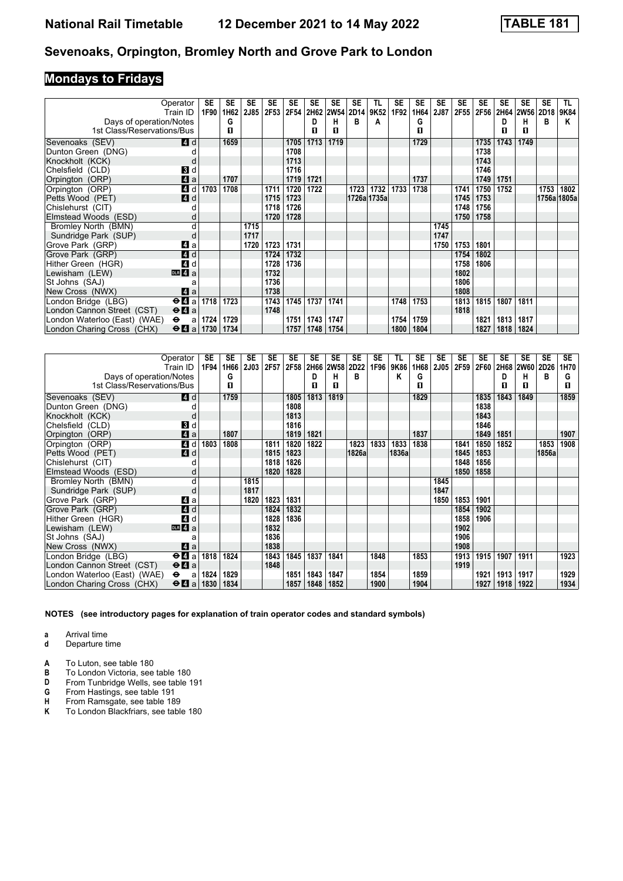# **Mondays to Fridays**

|                              | Operator<br>Train ID                        | SE<br>1F90 | <b>SE</b><br>1H62 | <b>SE</b><br><b>2J85</b> | <b>SE</b><br>2F53 | <b>SE</b><br>2F54 | SE   | SE<br>2H62 2W54 | SE<br>2D14 | TL.<br>9K52 | <b>SE</b><br>1F92 | SE<br>1H64 | SE<br>2J87 | <b>SE</b><br>2F55 | <b>SE</b><br>2F56 | <b>SE</b> | SE<br>2H64 2W56 | <b>SE</b><br>2D18 | TL.<br>9K84 |
|------------------------------|---------------------------------------------|------------|-------------------|--------------------------|-------------------|-------------------|------|-----------------|------------|-------------|-------------------|------------|------------|-------------------|-------------------|-----------|-----------------|-------------------|-------------|
| Days of operation/Notes      |                                             |            | G                 |                          |                   |                   | D    | н               | в          | А           |                   | G          |            |                   |                   | D         | н               | в                 | ĸ           |
| 1st Class/Reservations/Bus   |                                             |            | п                 |                          |                   |                   | П    | п               |            |             |                   | п          |            |                   |                   | п         | п               |                   |             |
| Sevenoaks (SEV)              | ZI d                                        |            | 1659              |                          |                   | 1705              | 1713 | 1719            |            |             |                   | 1729       |            |                   | 1735              | 1743      | 1749            |                   |             |
| Dunton Green (DNG)           |                                             |            |                   |                          |                   | 1708              |      |                 |            |             |                   |            |            |                   | 1738              |           |                 |                   |             |
| Knockholt (KCK)              |                                             |            |                   |                          |                   | 1713              |      |                 |            |             |                   |            |            |                   | 1743              |           |                 |                   |             |
| Chelsfield (CLD)             | 3d                                          |            |                   |                          |                   | 1716              |      |                 |            |             |                   |            |            |                   | 1746              |           |                 |                   |             |
| Orpington (ORP)              | 4a                                          |            | 1707              |                          |                   | 1719              | 1721 |                 |            |             |                   | 1737       |            |                   | 1749              | 1751      |                 |                   |             |
| Orpington (ORP)              | 4 d                                         | 1703       | 1708              |                          | 1711              | 1720              | 1722 |                 | 1723       | 1732        | 1733              | 1738       |            | 1741              | 1750              | 1752      |                 | 1753              | 1802        |
| Petts Wood (PET)             | 4d                                          |            |                   |                          | 1715              | 1723              |      |                 |            | 1726a 1735a |                   |            |            | 1745              | 1753              |           |                 | 1756a 1805a       |             |
| Chislehurst (CIT)            |                                             |            |                   |                          | 1718              | 1726              |      |                 |            |             |                   |            |            | 1748              | 1756              |           |                 |                   |             |
| Elmstead Woods (ESD)         |                                             |            |                   |                          | 1720              | 1728              |      |                 |            |             |                   |            |            | 1750              | 1758              |           |                 |                   |             |
| Bromley North (BMN)          | d                                           |            |                   | 1715                     |                   |                   |      |                 |            |             |                   |            | 1745       |                   |                   |           |                 |                   |             |
| Sundridge Park (SUP)         |                                             |            |                   | 1717                     |                   |                   |      |                 |            |             |                   |            | 1747       |                   |                   |           |                 |                   |             |
| Grove Park (GRP)             | ZI a                                        |            |                   | 1720                     | 1723              | 1731              |      |                 |            |             |                   |            | 1750       | 1753              | 1801              |           |                 |                   |             |
| Grove Park (GRP)             | $\blacksquare$ d                            |            |                   |                          | 1724              | 1732              |      |                 |            |             |                   |            |            | 1754              | 1802              |           |                 |                   |             |
| Hither Green (HGR)           | 4 d                                         |            |                   |                          | 1728              | 1736              |      |                 |            |             |                   |            |            | 1758              | 1806              |           |                 |                   |             |
| Lewisham (LEW)               | DR <sub>4</sub> a                           |            |                   |                          | 1732              |                   |      |                 |            |             |                   |            |            | 1802              |                   |           |                 |                   |             |
| St Johns (SAJ)               | a                                           |            |                   |                          | 1736              |                   |      |                 |            |             |                   |            |            | 1806              |                   |           |                 |                   |             |
| New Cross (NWX)              | ZI a                                        |            |                   |                          | 1738              |                   |      |                 |            |             |                   |            |            | 1808              |                   |           |                 |                   |             |
| London Bridge (LBG)          | $\Theta$ <b>El</b> a 1718                   |            | 1723              |                          | 1743              | 1745              | 1737 | 1741            |            |             | 1748              | 1753       |            | 1813              | 1815              | 1807      | 1811            |                   |             |
| London Cannon Street (CST)   | $\Theta$ <b><math>\blacksquare</math></b> a |            |                   |                          | 1748              |                   |      |                 |            |             |                   |            |            | 1818              |                   |           |                 |                   |             |
| London Waterloo (East) (WAE) | $\bullet$<br>a                              | 1724       | 1729              |                          |                   | 1751              | 1743 | 1747            |            |             | 1754              | 1759       |            |                   | 1821              | 1813      | 1817            |                   |             |
| London Charing Cross (CHX)   | $\Theta$ 4 a 1730                           |            | 1734              |                          |                   | 1757              | 1748 | 1754            |            |             | 1800              | 1804       |            |                   | 1827              | 1818      | 1824            |                   |             |

|                              | Operator<br>Train ID                        | SE<br>1F94 | <b>SE</b><br>1H66 | <b>SE</b><br><b>2J03</b> | <b>SE</b><br>2F57 | <b>SE</b><br>2F58 | <b>SE</b><br>2H66 | <b>SE</b><br><b>2W58</b> | <b>SE</b><br>2D22 | <b>SE</b><br>1F96 | TL<br>9K86 | <b>SE</b><br>1H68 | <b>SE</b><br><b>2J05</b> | <b>SE</b><br>2F59 | <b>SE</b><br>2F60 | <b>SE</b> | <b>SE</b><br>2H68 2W60 2D26 | <b>SE</b> | <b>SE</b><br>1H70 |
|------------------------------|---------------------------------------------|------------|-------------------|--------------------------|-------------------|-------------------|-------------------|--------------------------|-------------------|-------------------|------------|-------------------|--------------------------|-------------------|-------------------|-----------|-----------------------------|-----------|-------------------|
| Days of operation/Notes      |                                             |            | G                 |                          |                   |                   | D                 | н                        | B                 |                   | Κ          | G                 |                          |                   |                   | D         | н                           | в         | G                 |
| 1st Class/Reservations/Bus   |                                             |            | П                 |                          |                   |                   | п                 | п                        |                   |                   |            | п                 |                          |                   |                   | п         | п                           |           | п                 |
| Sevenoaks (SEV)              | ZI d                                        |            | 1759              |                          |                   | 1805              | 1813              | 1819                     |                   |                   |            | 1829              |                          |                   | 1835              | 1843      | 1849                        |           | 1859              |
| Dunton Green (DNG)           |                                             |            |                   |                          |                   | 1808              |                   |                          |                   |                   |            |                   |                          |                   | 1838              |           |                             |           |                   |
| Knockholt (KCK)              |                                             |            |                   |                          |                   | 1813              |                   |                          |                   |                   |            |                   |                          |                   | 1843              |           |                             |           |                   |
| Chelsfield (CLD)             | 3d                                          |            |                   |                          |                   | 1816              |                   |                          |                   |                   |            |                   |                          |                   | 1846              |           |                             |           |                   |
| Orpington (ORP)              | $\blacksquare$ a                            |            | 1807              |                          |                   | 1819              | 1821              |                          |                   |                   |            | 1837              |                          |                   | 1849              | 1851      |                             |           | 1907              |
| Orpington (ORP)              | $\boldsymbol{A}$<br>d                       | 1803       | 1808              |                          | 1811              | 1820              | 1822              |                          | 1823              | 1833              | 1833       | 1838              |                          | 1841              | 1850              | 1852      |                             | 1853      | 1908              |
| Petts Wood (PET)             | 4d                                          |            |                   |                          | 1815              | 1823              |                   |                          | 1826a             |                   | 1836a      |                   |                          | 1845              | 1853              |           |                             | 1856a     |                   |
| Chislehurst (CIT)            |                                             |            |                   |                          | 1818              | 1826              |                   |                          |                   |                   |            |                   |                          | 1848              | 1856              |           |                             |           |                   |
| Elmstead Woods (ESD)         |                                             |            |                   |                          | 1820              | 1828              |                   |                          |                   |                   |            |                   |                          | 1850              | 1858              |           |                             |           |                   |
| Bromley North (BMN)          | d                                           |            |                   | 1815                     |                   |                   |                   |                          |                   |                   |            |                   | 1845                     |                   |                   |           |                             |           |                   |
| Sundridge Park (SUP)         |                                             |            |                   | 1817                     |                   |                   |                   |                          |                   |                   |            |                   | 1847                     |                   |                   |           |                             |           |                   |
| Grove Park (GRP)             | ZI a                                        |            |                   | 1820                     | 1823              | 1831              |                   |                          |                   |                   |            |                   | 1850                     | 1853              | 1901              |           |                             |           |                   |
| Grove Park (GRP)             | 4 d                                         |            |                   |                          | 1824              | 1832              |                   |                          |                   |                   |            |                   |                          | 1854              | 1902              |           |                             |           |                   |
| Hither Green (HGR)           | 4d                                          |            |                   |                          | 1828              | 1836              |                   |                          |                   |                   |            |                   |                          | 1858              | 1906              |           |                             |           |                   |
| Lewisham (LEW)               | $DR 4a$                                     |            |                   |                          | 1832              |                   |                   |                          |                   |                   |            |                   |                          | 1902              |                   |           |                             |           |                   |
| St Johns (SAJ)               | а                                           |            |                   |                          | 1836              |                   |                   |                          |                   |                   |            |                   |                          | 1906              |                   |           |                             |           |                   |
| New Cross (NWX)              | ZI a                                        |            |                   |                          | 1838              |                   |                   |                          |                   |                   |            |                   |                          | 1908              |                   |           |                             |           |                   |
| London Bridge (LBG)          | $\Theta$ <b><math>\blacksquare</math></b> a | 1818       | 1824              |                          | 1843              | 1845              | 1837              | 1841                     |                   | 1848              |            | 1853              |                          | 1913              | 1915              | 1907      | 1911                        |           | 1923              |
| London Cannon Street (CST)   | $\Theta$ <b><math>\Omega</math></b> a       |            |                   |                          | 1848              |                   |                   |                          |                   |                   |            |                   |                          | 1919              |                   |           |                             |           |                   |
| London Waterloo (East) (WAE) | $\bullet$<br>a                              | 1824       | 1829              |                          |                   | 1851              | 1843              | 1847                     |                   | 1854              |            | 1859              |                          |                   | 1921              | 1913      | 1917                        |           | 1929              |
| London Charing Cross (CHX)   | $\Theta$ $\blacksquare$ a                   | 1830       | 1834              |                          |                   | 1857              | 1848              | 1852                     |                   | 1900              |            | 1904              |                          |                   | 1927              | 1918      | 1922                        |           | 1934              |

**NOTES (see introductory pages for explanation of train operator codes and standard symbols)**

**a** Arrival time

**d** Departure time

**A** To Luton, see table 180<br>**B** To London Victoria, see

**B** To London Victoria, see table 18

**D** From Tunbridge Wells, see table 191<br>**G** From Hastings, see table 191

**4** From Hastings, see table 191<br>**H** From Ramsgate, see table 18<br>**K** To London Blackfriars, see table

From Ramsgate, see table 189

**K** To London Blackfriars, see table 18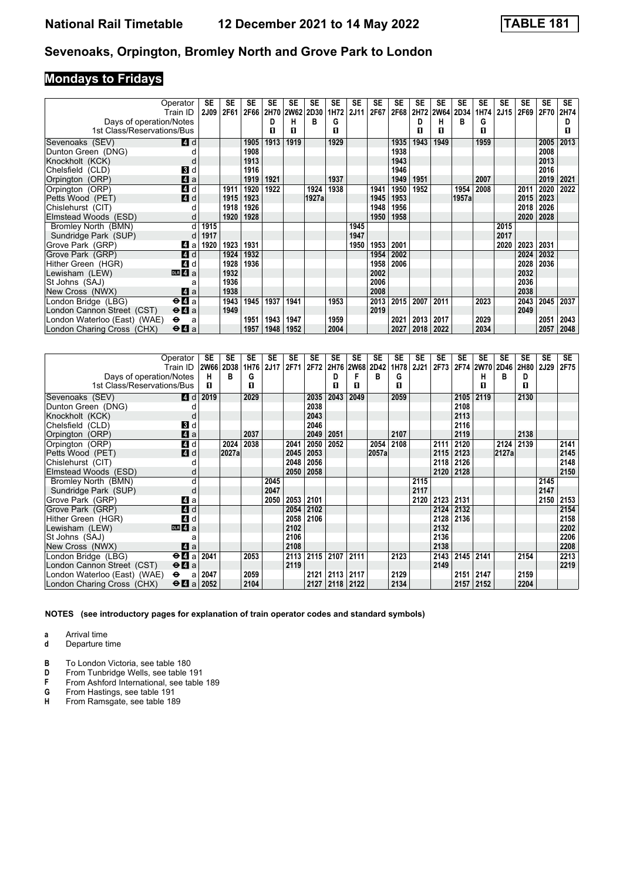# **Mondays to Fridays**

| Operator                                  | Train ID                                    | SE<br><b>2J09</b> | SE<br>2F61 | SE<br>2F66 | <b>SE</b> | <b>SE</b><br>2H70 2W62 | SE<br>2D30 | SE<br>1H72 | <b>SE</b><br>2J11 | <b>SE</b><br>2F67 | SE<br>2F68 | SE<br>2H72 | SE<br><b>2W64</b> | SE    | SE     | SE<br>2J15 | SE<br>2F69 | <b>SE</b><br>2F70 | <b>SE</b> |
|-------------------------------------------|---------------------------------------------|-------------------|------------|------------|-----------|------------------------|------------|------------|-------------------|-------------------|------------|------------|-------------------|-------|--------|------------|------------|-------------------|-----------|
|                                           |                                             |                   |            |            |           |                        | в          |            |                   |                   |            |            |                   | 2D34  | 1H74   |            |            |                   | 2H74      |
| Days of operation/Notes                   |                                             |                   |            |            | D         | н                      |            | G          |                   |                   |            | D          | н<br>п            | в     | G<br>п |            |            |                   |           |
| 1st Class/Reservations/Bus                |                                             |                   |            |            | П         | п                      |            | п          |                   |                   |            | п          |                   |       |        |            |            |                   | п         |
| Sevenoaks (SEV)                           | 4 d                                         |                   |            | 1905       | 1913      | 1919                   |            | 1929       |                   |                   | 1935       | 1943       | 1949              |       | 1959   |            |            | 2005              | 2013      |
| Dunton Green (DNG)                        |                                             |                   |            | 1908       |           |                        |            |            |                   |                   | 1938       |            |                   |       |        |            |            | 2008              |           |
| Knockholt (KCK)                           | d                                           |                   |            | 1913       |           |                        |            |            |                   |                   | 1943       |            |                   |       |        |            |            | 2013              |           |
| Chelsfield (CLD)                          | <b>B</b> d                                  |                   |            | 1916       |           |                        |            |            |                   |                   | 1946       |            |                   |       |        |            |            | 2016              |           |
| Orpington (ORP)                           | $\mathbf{A}$ a                              |                   |            | 1919       | 1921      |                        |            | 1937       |                   |                   | 1949       | 1951       |                   |       | 2007   |            |            | 2019              | 2021      |
| Orpington (ORP)                           | 4 d                                         |                   | 1911       | 1920       | 1922      |                        | 1924       | 1938       |                   | 1941              | 1950       | 1952       |                   | 1954  | 2008   |            | 2011       | 2020              | 2022      |
| Petts Wood (PET)                          | 4d                                          |                   | 1915       | 1923       |           |                        | 1927al     |            |                   | 1945              | 1953       |            |                   | 1957a |        |            | 2015       | 2023              |           |
| Chislehurst (CIT)                         |                                             |                   | 1918       | 1926       |           |                        |            |            |                   | 1948              | 1956       |            |                   |       |        |            | 2018       | 2026              |           |
| Elmstead Woods (ESD)                      | d                                           |                   | 1920       | 1928       |           |                        |            |            |                   | 1950              | 1958       |            |                   |       |        |            | 2020       | 2028              |           |
| Bromley North (BMN)                       | d                                           | 1915              |            |            |           |                        |            |            | 1945              |                   |            |            |                   |       |        | 2015       |            |                   |           |
| Sundridge Park (SUP)                      | d                                           | 1917              |            |            |           |                        |            |            | 1947              |                   |            |            |                   |       |        | 2017       |            |                   |           |
| Grove Park (GRP)                          | Z1 a                                        | 1920              | 1923       | 1931       |           |                        |            |            | 1950              | 1953              | 2001       |            |                   |       |        | 2020       | 2023       | 2031              |           |
| Grove Park (GRP)                          | 4 d                                         |                   | 1924       | 1932       |           |                        |            |            |                   | 1954              | 2002       |            |                   |       |        |            | 2024       | 2032              |           |
| Hither Green (HGR)                        | 4 d                                         |                   | 1928       | 1936       |           |                        |            |            |                   | 1958              | 2006       |            |                   |       |        |            | 2028       | 2036              |           |
| Lewisham (LEW)                            | $\overline{DB}$ 4 $\overline{a}$            |                   | 1932       |            |           |                        |            |            |                   | 2002              |            |            |                   |       |        |            | 2032       |                   |           |
| St Johns (SAJ)                            | a                                           |                   | 1936       |            |           |                        |            |            |                   | 2006              |            |            |                   |       |        |            | 2036       |                   |           |
| New Cross (NWX)                           | ZI a                                        |                   | 1938       |            |           |                        |            |            |                   | 2008              |            |            |                   |       |        |            | 2038       |                   |           |
| London Bridge (LBG)                       | $\Theta$ <b>d</b> a                         |                   | 1943       | 1945       | 1937      | 1941                   |            | 1953       |                   | 2013              | 2015       | 2007       | 2011              |       | 2023   |            | 2043       | 2045              | 2037      |
| London Cannon Street (CST)                | $\Theta$ <b><math>\Omega</math></b> a       |                   | 1949       |            |           |                        |            |            |                   | 2019              |            |            |                   |       |        |            | 2049       |                   |           |
| London Waterloo (East) (WAE)<br>$\bullet$ | a                                           |                   |            | 1951       | 1943      | 1947                   |            | 1959       |                   |                   | 2021       | 2013       | 2017              |       | 2029   |            |            | 2051              | 2043      |
| London Charing Cross (CHX)                | $\Theta$ <b><math>\blacksquare</math></b> a |                   |            | 1957       | 1948      | 1952                   |            | 2004       |                   |                   | 2027       | 2018       | 2022              |       | 2034   |            |            | 2057              | 2048      |

|                              | Operator                                    | SE          | SE    | <b>SE</b> | <b>SE</b> | <b>SE</b> | SE   | <b>SE</b> | <b>SE</b> | SE        | SE   | <b>SE</b>   | SE   | SE   | SE        | SE    | <b>SE</b> | <b>SE</b> | SE   |
|------------------------------|---------------------------------------------|-------------|-------|-----------|-----------|-----------|------|-----------|-----------|-----------|------|-------------|------|------|-----------|-------|-----------|-----------|------|
|                              | Train ID                                    | <b>2W66</b> | 2D38  | 1H76      | 2J17      | 2F71      | 2F72 |           | 2H76 2W68 | 2D42<br>в | 1H78 | <b>2J21</b> | 2F73 |      | 2F74 2W70 | 2D46  | 2H80      | 2J29      | 2F75 |
| Days of operation/Notes      |                                             | н           | в     | G         |           |           |      | D         | F         |           | G    |             |      |      | н         | в     | D         |           |      |
| 1st Class/Reservations/Bus   |                                             | п           |       | п         |           |           |      | п         | п         |           | п    |             |      |      | п         |       | п         |           |      |
| Sevenoaks (SEV)              | <b>4</b> d                                  | 2019        |       | 2029      |           |           | 2035 | 2043      | 2049      |           | 2059 |             |      | 2105 | 2119      |       | 2130      |           |      |
| Dunton Green (DNG)           |                                             |             |       |           |           |           | 2038 |           |           |           |      |             |      | 2108 |           |       |           |           |      |
| Knockholt (KCK)              |                                             |             |       |           |           |           | 2043 |           |           |           |      |             |      | 2113 |           |       |           |           |      |
| Chelsfield (CLD)             | 3d                                          |             |       |           |           |           | 2046 |           |           |           |      |             |      | 2116 |           |       |           |           |      |
| Orpington (ORP)              | $\blacksquare$ a                            |             |       | 2037      |           |           | 2049 | 2051      |           |           | 2107 |             |      | 2119 |           |       | 2138      |           |      |
| Orpington (ORP)              | 4 d                                         |             | 2024  | 2038      |           | 2041      | 2050 | 2052      |           | 2054      | 2108 |             | 2111 | 2120 |           | 2124  | 2139      |           | 2141 |
| Petts Wood (PET)             | 4d                                          |             | 2027a |           |           | 2045      | 2053 |           |           | 2057a     |      |             | 2115 | 2123 |           | 2127a |           |           | 2145 |
| Chislehurst (CIT)            |                                             |             |       |           |           | 2048      | 2056 |           |           |           |      |             | 2118 | 2126 |           |       |           |           | 2148 |
| Elmstead Woods (ESD)         |                                             |             |       |           |           | 2050      | 2058 |           |           |           |      |             | 2120 | 2128 |           |       |           |           | 2150 |
| Bromley North (BMN)          | d                                           |             |       |           | 2045      |           |      |           |           |           |      | 2115        |      |      |           |       |           | 2145      |      |
| Sundridge Park (SUP)         |                                             |             |       |           | 2047      |           |      |           |           |           |      | 2117        |      |      |           |       |           | 2147      |      |
| Grove Park (GRP)             | ZI a                                        |             |       |           | 2050      | 2053      | 2101 |           |           |           |      | 2120        | 2123 | 2131 |           |       |           | 2150      | 2153 |
| Grove Park (GRP)             | 4 d                                         |             |       |           |           | 2054      | 2102 |           |           |           |      |             | 2124 | 2132 |           |       |           |           | 2154 |
| Hither Green (HGR)           | 4 d                                         |             |       |           |           | 2058      | 2106 |           |           |           |      |             | 2128 | 2136 |           |       |           |           | 2158 |
| Lewisham (LEW)               | DR <sub>4</sub> a                           |             |       |           |           | 2102      |      |           |           |           |      |             | 2132 |      |           |       |           |           | 2202 |
| St Johns (SAJ)               | а                                           |             |       |           |           | 2106      |      |           |           |           |      |             | 2136 |      |           |       |           |           | 2206 |
| New Cross (NWX)              | ZI a                                        |             |       |           |           | 2108      |      |           |           |           |      |             | 2138 |      |           |       |           |           | 2208 |
| London Bridge (LBG)          | $\Theta$ <b><math>\blacksquare</math></b> a | 2041        |       | 2053      |           | 2113      | 2115 | 2107      | 2111      |           | 2123 |             | 2143 | 2145 | 2141      |       | 2154      |           | 2213 |
| London Cannon Street (CST)   | $\Theta$ <b><math>\blacksquare</math></b> a |             |       |           |           | 2119      |      |           |           |           |      |             | 2149 |      |           |       |           |           | 2219 |
| London Waterloo (East) (WAE) | $\bullet$<br>a                              | 2047        |       | 2059      |           |           | 2121 | 2113      | 2117      |           | 2129 |             |      | 2151 | 2147      |       | 2159      |           |      |
| London Charing Cross (CHX)   | $\Theta$ <b>A</b> a                         | 2052        |       | 2104      |           |           | 2127 | 2118      | 2122      |           | 2134 |             |      | 2157 | 2152      |       | 2204      |           |      |

**NOTES (see introductory pages for explanation of train operator codes and standard symbols)**

**a** Arrival time

**d** Departure time

**B** To London Victoria, see table 180<br>**D** From Tunbridge Wells, see table 1

**D** From Tunbridge Wells, see table 191<br>**F** From Ashford International, see table

**F** From Ashford International, see table 189<br>**G** From Hastings, see table 191

**6** From Hastings, see table 191<br>**H** From Ramsgate, see table 18 From Ramsgate, see table 189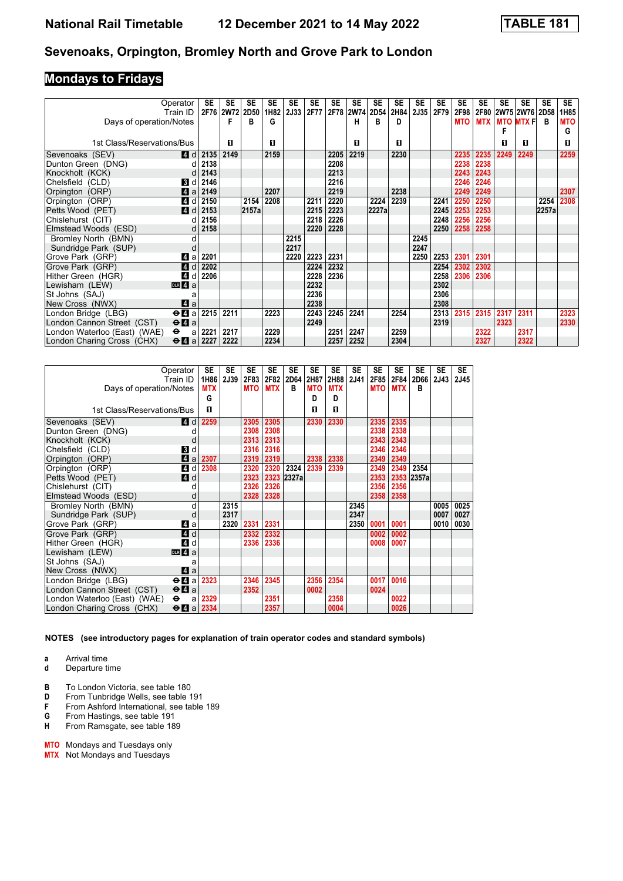# **Mondays to Fridays**

|                              | Operator<br>Train ID                        | SE   | <b>SE</b><br>2F76 2W72 | SE<br><b>2D50</b> | <b>SE</b><br>1H82 | <b>SE</b><br>2J33 | <b>SE</b><br>2F77 | <b>SE</b> | <b>SE</b><br>2F78 2W74 2D54 | <b>SE</b> | <b>SE</b><br>2H84 | SE<br><b>2J35</b> | <b>SE</b><br>2F79 | <b>SE</b><br>2F98 | SE         | SE   | <b>SE</b><br>2F80 2W75 2W76 | <b>SE</b><br>2D58 | <b>SE</b><br>1H85 |
|------------------------------|---------------------------------------------|------|------------------------|-------------------|-------------------|-------------------|-------------------|-----------|-----------------------------|-----------|-------------------|-------------------|-------------------|-------------------|------------|------|-----------------------------|-------------------|-------------------|
| Days of operation/Notes      |                                             |      |                        | В                 | G                 |                   |                   |           | н                           | в         | D                 |                   |                   | <b>MTO</b>        | <b>MTX</b> |      | <b>MTO MTX F</b>            | в                 | <b>MTO</b>        |
|                              |                                             |      |                        |                   |                   |                   |                   |           |                             |           |                   |                   |                   |                   |            |      |                             |                   | G                 |
|                              |                                             |      |                        |                   |                   |                   |                   |           |                             |           |                   |                   |                   |                   |            |      |                             |                   |                   |
| 1st Class/Reservations/Bus   |                                             |      | п                      |                   | п                 |                   |                   |           | п                           |           | п                 |                   |                   |                   |            | п    | п                           |                   | п                 |
| Sevenoaks (SEV)              | <b>4</b> d                                  | 2135 | 2149                   |                   | 2159              |                   |                   | 2205      | 2219                        |           | 2230              |                   |                   | 2235              | 2235       | 2249 | 2249                        |                   | 2259              |
| Dunton Green (DNG)           |                                             | 2138 |                        |                   |                   |                   |                   | 2208      |                             |           |                   |                   |                   | 2238              | 2238       |      |                             |                   |                   |
| Knockholt (KCK)              |                                             | 2143 |                        |                   |                   |                   |                   | 2213      |                             |           |                   |                   |                   | 2243              | 2243       |      |                             |                   |                   |
| Chelsfield (CLD)             | BJ d                                        | 2146 |                        |                   |                   |                   |                   | 2216      |                             |           |                   |                   |                   | 2246              | 2246       |      |                             |                   |                   |
| Orpington (ORP)              | Zi a                                        | 2149 |                        |                   | 2207              |                   |                   | 2219      |                             |           | 2238              |                   |                   | 2249              | 2249       |      |                             |                   | 2307              |
| Orpington (ORP)              | 4 d                                         | 2150 |                        | 2154              | 2208              |                   | 2211              | 2220      |                             | 2224      | 2239              |                   | 2241              | 2250              | 2250       |      |                             | 2254              | 2308              |
| Petts Wood (PET)             | 4d                                          | 2153 |                        | 2157a             |                   |                   | 2215              | 2223      |                             | 2227a     |                   |                   | 2245              | 2253              | 2253       |      |                             | 2257a             |                   |
| Chislehurst (CIT)            |                                             | 2156 |                        |                   |                   |                   | 2218              | 2226      |                             |           |                   |                   | 2248              | 2256              | 2256       |      |                             |                   |                   |
| Elmstead Woods (ESD)         |                                             | 2158 |                        |                   |                   |                   | 2220              | 2228      |                             |           |                   |                   | 2250              | 2258              | 2258       |      |                             |                   |                   |
| Bromley North (BMN)          | d                                           |      |                        |                   |                   | 2215              |                   |           |                             |           |                   | 2245              |                   |                   |            |      |                             |                   |                   |
| Sundridge Park (SUP)         |                                             |      |                        |                   |                   | 2217              |                   |           |                             |           |                   | 2247              |                   |                   |            |      |                             |                   |                   |
| Grove Park (GRP)             | ZI a                                        | 2201 |                        |                   |                   | 2220              | 2223              | 2231      |                             |           |                   | 2250              | 2253              | 2301              | 2301       |      |                             |                   |                   |
| Grove Park (GRP)             | 4d                                          | 2202 |                        |                   |                   |                   | 2224              | 2232      |                             |           |                   |                   | 2254              | 2302              | 2302       |      |                             |                   |                   |
| Hither Green (HGR)           | 4 d                                         | 2206 |                        |                   |                   |                   | 2228              | 2236      |                             |           |                   |                   | 2258              | 2306              | 2306       |      |                             |                   |                   |
| Lewisham (LEW)               | DR 4a                                       |      |                        |                   |                   |                   | 2232              |           |                             |           |                   |                   | 2302              |                   |            |      |                             |                   |                   |
| St Johns (SAJ)               |                                             |      |                        |                   |                   |                   | 2236              |           |                             |           |                   |                   | 2306              |                   |            |      |                             |                   |                   |
| New Cross (NWX)              | ZI a                                        |      |                        |                   |                   |                   | 2238              |           |                             |           |                   |                   | 2308              |                   |            |      |                             |                   |                   |
| London Bridge (LBG)          | $\Theta$ <b><math>\blacksquare</math></b> a | 2215 | 2211                   |                   | 2223              |                   | 2243              | 2245      | 2241                        |           | 2254              |                   | 2313              | 2315              | 2315       | 2317 | 2311                        |                   | 2323              |
| London Cannon Street (CST)   | $\Theta$ <b><math>\blacksquare</math></b> a |      |                        |                   |                   |                   | 2249              |           |                             |           |                   |                   | 2319              |                   |            | 2323 |                             |                   | 2330              |
| London Waterloo (East) (WAE) | $\ddot{\phantom{1}}$<br>a                   | 2221 | 2217                   |                   | 2229              |                   |                   | 2251      | 2247                        |           | 2259              |                   |                   |                   | 2322       |      | 2317                        |                   |                   |
| London Charing Cross (CHX)   | $\Theta$ 4 a 2227                           |      | 2222                   |                   | 2234              |                   |                   | 2257      | 2252                        |           | 2304              |                   |                   |                   | 2327       |      | 2322                        |                   |                   |

| Operator                                                                  | <b>SE</b>  | <b>SE</b> | <b>SE</b>  | <b>SE</b>  | <b>SE</b>  | <b>SE</b>  | <b>SE</b>  | <b>SE</b>   | <b>SE</b>  | <b>SE</b>  | <b>SE</b>  | <b>SE</b> | <b>SE</b> |
|---------------------------------------------------------------------------|------------|-----------|------------|------------|------------|------------|------------|-------------|------------|------------|------------|-----------|-----------|
| Train ID                                                                  | 1H86       | 2J39      |            | 2F83 2F82  | 2D64       | 2H87       | 2H88       | <b>2J41</b> | 2F85       | 2F84       | 2D66       | 2J43      | 2J45      |
| Days of operation/Notes                                                   | <b>MTX</b> |           | <b>MTO</b> | <b>MTX</b> | B          | <b>MTO</b> | <b>MTX</b> |             | <b>MTO</b> | <b>MTX</b> | R          |           |           |
|                                                                           | G          |           |            |            |            | D          | D          |             |            |            |            |           |           |
| 1st Class/Reservations/Bus                                                | п          |           |            |            |            | п          | п          |             |            |            |            |           |           |
| Sevenoaks (SEV)<br>14 d                                                   | 2259       |           | 2305       | 2305       |            | 2330       | 2330       |             | 2335       | 2335       |            |           |           |
| Dunton Green (DNG)<br>d                                                   |            |           | 2308       | 2308       |            |            |            |             | 2338       | 2338       |            |           |           |
| Knockholt (KCK)<br>d                                                      |            |           | 2313       | 2313       |            |            |            |             | 2343       | 2343       |            |           |           |
| Chelsfield (CLD)<br>$\mathbf{B}$ d                                        |            |           | 2316       | 2316       |            |            |            |             | 2346       | 2346       |            |           |           |
| Orpington (ORP)<br>ZI a                                                   | 2307       |           | 2319       | 2319       |            | 2338       | 2338       |             | 2349       | 2349       |            |           |           |
| 4 d<br>Orpington (ORP)                                                    | 2308       |           | 2320       | 2320       | 2324       | 2339       | 2339       |             | 2349       | 2349       | 2354       |           |           |
| $\blacksquare$ d<br>Petts Wood (PET)                                      |            |           | 2323       |            | 2323 2327a |            |            |             | 2353       |            | 2353 2357a |           |           |
| Chislehurst (CIT)<br>d                                                    |            |           | 2326       | 2326       |            |            |            |             | 2356       | 2356       |            |           |           |
| Elmstead Woods (ESD)<br>d                                                 |            |           | 2328       | 2328       |            |            |            |             | 2358       | 2358       |            |           |           |
| Bromley North (BMN)<br>d                                                  |            | 2315      |            |            |            |            |            | 2345        |            |            |            | 0005      | 0025      |
| Sundridge Park (SUP)<br>d                                                 |            | 2317      |            |            |            |            |            | 2347        |            |            |            | 0007      | 0027      |
| Grove Park (GRP)<br>Z1 a                                                  |            | 2320      |            | 2331 2331  |            |            |            | 2350        | 0001       | 0001       |            | 0010      | 0030      |
| 4d<br>Grove Park (GRP)                                                    |            |           | 2332       | 2332       |            |            |            |             | 0002       | 0002       |            |           |           |
| 4d<br>Hither Green (HGR)                                                  |            |           | 2336       | 2336       |            |            |            |             | 0008       | 0007       |            |           |           |
| Lewisham (LEW)<br>DR 4a                                                   |            |           |            |            |            |            |            |             |            |            |            |           |           |
| St Johns (SAJ)<br>a                                                       |            |           |            |            |            |            |            |             |            |            |            |           |           |
| ZI a<br>New Cross (NWX)                                                   |            |           |            |            |            |            |            |             |            |            |            |           |           |
| $\Theta$ <b><math>\Omega</math></b> a<br>London Bridge (LBG)              | 2323       |           | 2346       | 2345       |            | 2356       | 2354       |             | 0017       | 0016       |            |           |           |
| London Cannon Street (CST)<br>$\Theta$ <b><math>\blacksquare</math></b> a |            |           | 2352       |            |            | 0002       |            |             | 0024       |            |            |           |           |
| London Waterloo (East) (WAE)<br>$\bullet$<br>a                            | 2329       |           |            | 2351       |            |            | 2358       |             |            | 0022       |            |           |           |
| London Charing Cross (CHX)<br>$\Theta$ <b>A</b> a                         | 2334       |           |            | 2357       |            |            | 0004       |             |            | 0026       |            |           |           |

- **a** Arrival time
- **d** Departure time
- **B** To London Victoria, see table 180<br>**D** From Tunbridge Wells, see table 1
- From Tunbridge Wells, see table 191
- **F** From Ashford International, see table 189<br>**G** From Hastings, see table 191
- **6** From Hastings, see table 191<br>**H** From Ramsgate, see table 18
- From Ramsgate, see table 189
- **MTO** Mondays and Tuesdays only
- **MTX** Not Mondays and Tuesdays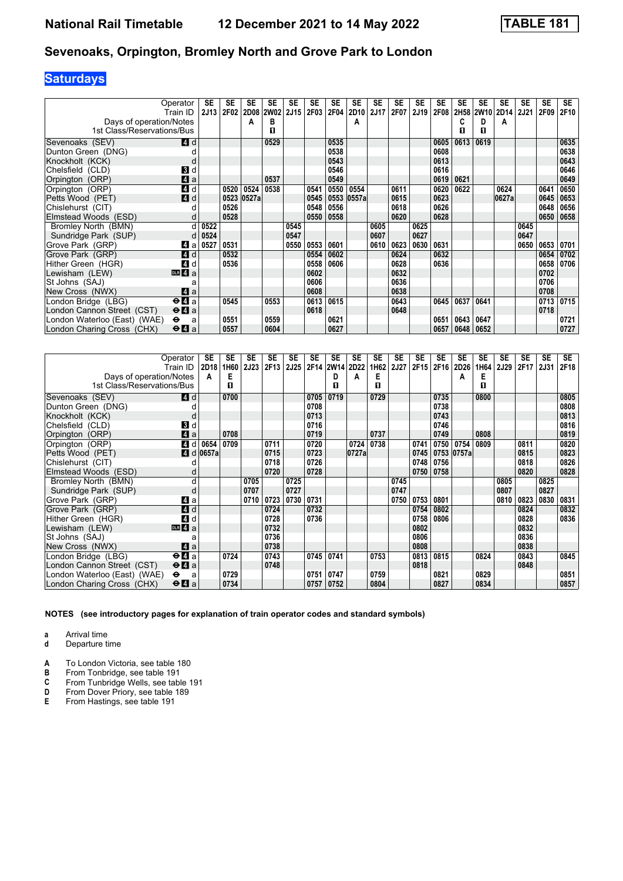# **Saturdays**

|                              | Operator                                    | <b>SE</b> | SE   | <b>SE</b> | SE        | <b>SE</b> | <b>SE</b> | SE   | <b>SE</b> | <b>SE</b> | <b>SE</b> | SE   | <b>SE</b>   | <b>SE</b> | SE   | <b>SE</b>      | SE          | <b>SE</b> | SE.  |
|------------------------------|---------------------------------------------|-----------|------|-----------|-----------|-----------|-----------|------|-----------|-----------|-----------|------|-------------|-----------|------|----------------|-------------|-----------|------|
|                              | Train ID                                    | 2J13      | 2F02 |           | 2D08 2W02 | 2J15      | 2F03      | 2F04 | 2D10      | 2J17      | 2F07      | 2J19 | <b>2F08</b> |           |      | 2H58 2W10 2D14 | <b>2J21</b> | 2F09      | 2F10 |
| Days of operation/Notes      |                                             |           |      | A         | в         |           |           |      | A         |           |           |      |             | C         | D    | А              |             |           |      |
| 1st Class/Reservations/Bus   |                                             |           |      |           | П         |           |           |      |           |           |           |      |             | п         | п    |                |             |           |      |
| Sevenoaks (SEV)              | <b>4</b> d                                  |           |      |           | 0529      |           |           | 0535 |           |           |           |      | 0605        | 0613      | 0619 |                |             |           | 0635 |
| Dunton Green (DNG)           |                                             |           |      |           |           |           |           | 0538 |           |           |           |      | 0608        |           |      |                |             |           | 0638 |
| Knockholt (KCK)              | d                                           |           |      |           |           |           |           | 0543 |           |           |           |      | 0613        |           |      |                |             |           | 0643 |
| Chelsfield (CLD)             | 3 d                                         |           |      |           |           |           |           | 0546 |           |           |           |      | 0616        |           |      |                |             |           | 0646 |
| Orpington (ORP)              | $\blacksquare$ a                            |           |      |           | 0537      |           |           | 0549 |           |           |           |      | 0619        | 0621      |      |                |             |           | 0649 |
| Orpington (ORP)              | 4 d                                         |           | 0520 | 0524      | 0538      |           | 0541      | 0550 | 0554      |           | 0611      |      | 0620        | 0622      |      | 0624           |             | 0641      | 0650 |
| Petts Wood (PET)             | 4d                                          |           | 0523 | 0527a     |           |           | 0545      | 0553 | 0557a     |           | 0615      |      | 0623        |           |      | 0627a          |             | 0645      | 0653 |
| Chislehurst (CIT)            |                                             |           | 0526 |           |           |           | 0548      | 0556 |           |           | 0618      |      | 0626        |           |      |                |             | 0648      | 0656 |
| Elmstead Woods (ESD)         | d                                           |           | 0528 |           |           |           | 0550      | 0558 |           |           | 0620      |      | 0628        |           |      |                |             | 0650      | 0658 |
| Bromley North (BMN)          | d                                           | 0522      |      |           |           | 0545      |           |      |           | 0605      |           | 0625 |             |           |      |                | 0645        |           |      |
| Sundridge Park (SUP)         | d                                           | 0524      |      |           |           | 0547      |           |      |           | 0607      |           | 0627 |             |           |      |                | 0647        |           |      |
| Grove Park (GRP)             | ZI a                                        | 0527      | 0531 |           |           | 0550      | 0553      | 0601 |           | 0610      | 0623      | 0630 | 0631        |           |      |                | 0650        | 0653      | 0701 |
| Grove Park (GRP)             | 4 d                                         |           | 0532 |           |           |           | 0554      | 0602 |           |           | 0624      |      | 0632        |           |      |                |             | 0654      | 0702 |
| Hither Green (HGR)           | 4d                                          |           | 0536 |           |           |           | 0558      | 0606 |           |           | 0628      |      | 0636        |           |      |                |             | 0658      | 0706 |
| Lewisham (LEW)               | $n = 4a$                                    |           |      |           |           |           | 0602      |      |           |           | 0632      |      |             |           |      |                |             | 0702      |      |
| St Johns (SAJ)               |                                             |           |      |           |           |           | 0606      |      |           |           | 0636      |      |             |           |      |                |             | 0706      |      |
| New Cross (NWX)              | ZI a                                        |           |      |           |           |           | 0608      |      |           |           | 0638      |      |             |           |      |                |             | 0708      |      |
| London Bridge (LBG)          | $e$ <b><math>a</math></b>                   |           | 0545 |           | 0553      |           | 0613      | 0615 |           |           | 0643      |      | 0645        | 0637      | 0641 |                |             | 0713      | 0715 |
| London Cannon Street (CST)   | $\Theta$ <b><math>\Omega</math></b> a       |           |      |           |           |           | 0618      |      |           |           | 0648      |      |             |           |      |                |             | 0718      |      |
| London Waterloo (East) (WAE) | $\bullet$<br>a                              |           | 0551 |           | 0559      |           |           | 0621 |           |           |           |      | 0651        | 0643      | 0647 |                |             |           | 0721 |
| London Charing Cross (CHX)   | $\Theta$ <b><math>\blacksquare</math></b> a |           | 0557 |           | 0604      |           |           | 0627 |           |           |           |      | 0657        | 0648      | 0652 |                |             |           | 0727 |

|                              | Operator<br>Train ID                        | SE<br>2D18             | SE<br>1H60 | SE<br><b>2J23</b> | <b>SE</b><br>2F13 | <b>SE</b><br>2J25 | SE   | <b>SE</b><br>2F14 2W14 2D22 | <b>SE</b> | SE<br>1H62 | SE<br><b>2J27</b> | SE<br>2F15 | SE<br>2F16 | <b>SE</b><br>2D26 | SE<br>1H64 | SE<br>2J29 | SE<br>2F17 | <b>SE</b><br>2J31 | <b>SE</b><br>2F18 |
|------------------------------|---------------------------------------------|------------------------|------------|-------------------|-------------------|-------------------|------|-----------------------------|-----------|------------|-------------------|------------|------------|-------------------|------------|------------|------------|-------------------|-------------------|
| Days of operation/Notes      |                                             | A                      | Е          |                   |                   |                   |      | D                           | A         | E          |                   |            |            | A                 | Е          |            |            |                   |                   |
| 1st Class/Reservations/Bus   |                                             |                        | п          |                   |                   |                   |      | п                           |           | п          |                   |            |            |                   | п          |            |            |                   |                   |
| Sevenoaks (SEV)              | ZI d                                        |                        | 0700       |                   |                   |                   | 0705 | 0719                        |           | 0729       |                   |            | 0735       |                   | 0800       |            |            |                   | 0805              |
| Dunton Green (DNG)           |                                             |                        |            |                   |                   |                   | 0708 |                             |           |            |                   |            | 0738       |                   |            |            |            |                   | 0808              |
| Knockholt (KCK)              |                                             |                        |            |                   |                   |                   | 0713 |                             |           |            |                   |            | 0743       |                   |            |            |            |                   | 0813              |
| Chelsfield (CLD)             | 3d                                          |                        |            |                   |                   |                   | 0716 |                             |           |            |                   |            | 0746       |                   |            |            |            |                   | 0816              |
| Orpington (ORP)              | Zi a                                        |                        | 0708       |                   |                   |                   | 0719 |                             |           | 0737       |                   |            | 0749       |                   | 0808       |            |            |                   | 0819              |
| Orpington (ORP)              | 4 d                                         | 0654                   | 0709       |                   | 0711              |                   | 0720 |                             | 0724      | 0738       |                   | 0741       | 0750       | 0754              | 0809       |            | 0811       |                   | 0820              |
| Petts Wood (PET)             |                                             | $\blacksquare$ d 0657a |            |                   | 0715              |                   | 0723 |                             | 0727a     |            |                   | 0745       |            | 0753 0757a        |            |            | 0815       |                   | 0823              |
| Chislehurst (CIT)            |                                             |                        |            |                   | 0718              |                   | 0726 |                             |           |            |                   | 0748       | 0756       |                   |            |            | 0818       |                   | 0826              |
| Elmstead Woods (ESD)         |                                             |                        |            |                   | 0720              |                   | 0728 |                             |           |            |                   | 0750       | 0758       |                   |            |            | 0820       |                   | 0828              |
| Bromley North (BMN)          | d                                           |                        |            | 0705              |                   | 0725              |      |                             |           |            | 0745              |            |            |                   |            | 0805       |            | 0825              |                   |
| Sundridge Park (SUP)         | d                                           |                        |            | 0707              |                   | 0727              |      |                             |           |            | 0747              |            |            |                   |            | 0807       |            | 0827              |                   |
| Grove Park (GRP)             | Z1 a                                        |                        |            | 0710              | 0723              | 0730              | 0731 |                             |           |            | 0750              | 0753       | 0801       |                   |            | 0810       | 0823       | 0830              | 0831              |
| Grove Park (GRP)             | <b>4</b> d                                  |                        |            |                   | 0724              |                   | 0732 |                             |           |            |                   | 0754       | 0802       |                   |            |            | 0824       |                   | 0832              |
| Hither Green (HGR)           | 4 d                                         |                        |            |                   | 0728              |                   | 0736 |                             |           |            |                   | 0758       | 0806       |                   |            |            | 0828       |                   | 0836              |
| Lewisham (LEW)               | DR <sub>4</sub> a                           |                        |            |                   | 0732              |                   |      |                             |           |            |                   | 0802       |            |                   |            |            | 0832       |                   |                   |
| St Johns (SAJ)               | а                                           |                        |            |                   | 0736              |                   |      |                             |           |            |                   | 0806       |            |                   |            |            | 0836       |                   |                   |
| New Cross (NWX)              | ZI a                                        |                        |            |                   | 0738              |                   |      |                             |           |            |                   | 0808       |            |                   |            |            | 0838       |                   |                   |
| London Bridge (LBG)          | $\Theta$ <b><math>\blacksquare</math></b> a |                        | 0724       |                   | 0743              |                   | 0745 | 0741                        |           | 0753       |                   | 0813       | 0815       |                   | 0824       |            | 0843       |                   | 0845              |
| London Cannon Street (CST)   | $\Theta$ <b><math>\blacksquare</math></b> a |                        |            |                   | 0748              |                   |      |                             |           |            |                   | 0818       |            |                   |            |            | 0848       |                   |                   |
| London Waterloo (East) (WAE) | $\bullet$<br>a                              |                        | 0729       |                   |                   |                   | 0751 | 0747                        |           | 0759       |                   |            | 0821       |                   | 0829       |            |            |                   | 0851              |
| London Charing Cross (CHX)   | $\Theta$ <b>A</b> a                         |                        | 0734       |                   |                   |                   | 0757 | 0752                        |           | 0804       |                   |            | 0827       |                   | 0834       |            |            |                   | 0857              |

**NOTES (see introductory pages for explanation of train operator codes and standard symbols)**

**a** Arrival time

**d** Departure time

**A** To London Victoria, see table 180<br>**B** From Tonbridge, see table 191

**B** From Tonbridge, see table 191<br>**C** From Tunbridge Wells, see table **C** From Tunbridge Wells, see table 191<br>**D** From Dover Priory, see table 189

**D** From Dover Priory, see table 189<br>**E** From Hastings, see table 191

From Hastings, see table 191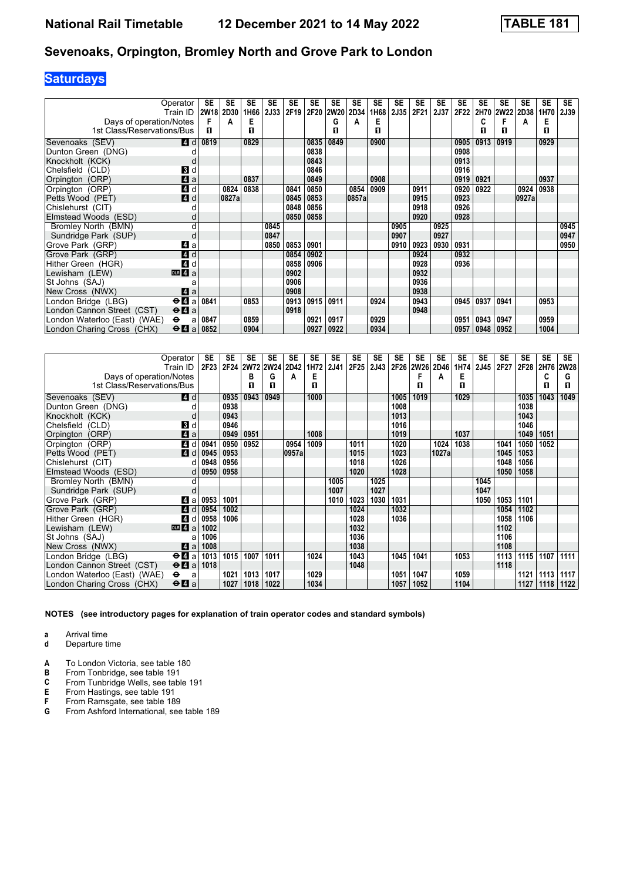# **Saturdays**

|                                                       | Operator<br>Train ID | SE   | SE<br>2W18 2D30 | SE<br>1H66 | <b>SE</b><br>2J33 | <b>SE</b><br>2F19 | SE<br>2F20 | <b>SE</b><br>2W20 | <b>SE</b><br>2D34 | SE<br>1H68 | SE<br><b>2J35</b> | SE<br>2F21 | <b>SE</b><br>2J37 | <b>SE</b><br>2F22 | <b>SE</b> | <b>SE</b><br>2H70 2W22 | <b>SE</b><br><b>2D38</b> | <b>SE</b><br>1H70 | <b>SE</b><br><b>2J39</b> |
|-------------------------------------------------------|----------------------|------|-----------------|------------|-------------------|-------------------|------------|-------------------|-------------------|------------|-------------------|------------|-------------------|-------------------|-----------|------------------------|--------------------------|-------------------|--------------------------|
|                                                       |                      | F    |                 | Е          |                   |                   |            | G                 |                   | Е          |                   |            |                   |                   |           |                        |                          | Е                 |                          |
| Days of operation/Notes<br>1st Class/Reservations/Bus |                      | п    | A               | П          |                   |                   |            | п                 | А                 | п          |                   |            |                   |                   | п         | п                      | A                        | п                 |                          |
|                                                       |                      |      |                 |            |                   |                   |            |                   |                   |            |                   |            |                   |                   |           |                        |                          |                   |                          |
| Sevenoaks (SEV)                                       | <b>4</b> d           | 0819 |                 | 0829       |                   |                   | 0835       | 0849              |                   | 0900       |                   |            |                   | 0905              | 0913      | 0919                   |                          | 0929              |                          |
| Dunton Green (DNG)                                    |                      |      |                 |            |                   |                   | 0838       |                   |                   |            |                   |            |                   | 0908              |           |                        |                          |                   |                          |
| Knockholt (KCK)                                       |                      |      |                 |            |                   |                   | 0843       |                   |                   |            |                   |            |                   | 0913              |           |                        |                          |                   |                          |
| Chelsfield (CLD)                                      | 3d                   |      |                 |            |                   |                   | 0846       |                   |                   |            |                   |            |                   | 0916              |           |                        |                          |                   |                          |
| Orpington (ORP)                                       | 4a                   |      |                 | 0837       |                   |                   | 0849       |                   |                   | 0908       |                   |            |                   | 0919              | 0921      |                        |                          | 0937              |                          |
| Orpington (ORP)                                       | 4 d                  |      | 0824            | 0838       |                   | 0841              | 0850       |                   | 0854              | 0909       |                   | 0911       |                   | 0920              | 0922      |                        | 0924                     | 0938              |                          |
| Petts Wood (PET)                                      | 4d                   |      | 0827a           |            |                   | 0845              | 0853       |                   | 0857a             |            |                   | 0915       |                   | 0923              |           |                        | 0927a                    |                   |                          |
| Chislehurst (CIT)                                     |                      |      |                 |            |                   | 0848              | 0856       |                   |                   |            |                   | 0918       |                   | 0926              |           |                        |                          |                   |                          |
| Elmstead Woods (ESD)                                  |                      |      |                 |            |                   | 0850              | 0858       |                   |                   |            |                   | 0920       |                   | 0928              |           |                        |                          |                   |                          |
| Bromley North (BMN)                                   | d                    |      |                 |            | 0845              |                   |            |                   |                   |            | 0905              |            | 0925              |                   |           |                        |                          |                   | 0945                     |
| Sundridge Park (SUP)                                  | d                    |      |                 |            | 0847              |                   |            |                   |                   |            | 0907              |            | 0927              |                   |           |                        |                          |                   | 0947                     |
| Grove Park (GRP)                                      | ZI a                 |      |                 |            | 0850              | 0853              | 0901       |                   |                   |            | 0910              | 0923       | 0930              | 0931              |           |                        |                          |                   | 0950                     |
| Grove Park (GRP)                                      | 4d                   |      |                 |            |                   | 0854              | 0902       |                   |                   |            |                   | 0924       |                   | 0932              |           |                        |                          |                   |                          |
| Hither Green (HGR)                                    | 4d                   |      |                 |            |                   | 0858              | 0906       |                   |                   |            |                   | 0928       |                   | 0936              |           |                        |                          |                   |                          |
| Lewisham (LEW)                                        | DR <sub>4</sub> a    |      |                 |            |                   | 0902              |            |                   |                   |            |                   | 0932       |                   |                   |           |                        |                          |                   |                          |
| St Johns (SAJ)                                        | a                    |      |                 |            |                   | 0906              |            |                   |                   |            |                   | 0936       |                   |                   |           |                        |                          |                   |                          |
| New Cross (NWX)                                       | ZI a                 |      |                 |            |                   | 0908              |            |                   |                   |            |                   | 0938       |                   |                   |           |                        |                          |                   |                          |
| London Bridge (LBG)                                   | $\Theta$ <b>l</b> a  | 0841 |                 | 0853       |                   | 0913              | 0915       | 0911              |                   | 0924       |                   | 0943       |                   | 0945              | 0937      | 0941                   |                          | 0953              |                          |
| London Cannon Street (CST)                            | $\Theta$ <b>A</b> a  |      |                 |            |                   | 0918              |            |                   |                   |            |                   | 0948       |                   |                   |           |                        |                          |                   |                          |
| London Waterloo (East) (WAE)                          | $\bullet$<br>a       | 0847 |                 | 0859       |                   |                   | 0921       | 0917              |                   | 0929       |                   |            |                   | 0951              | 0943      | 0947                   |                          | 0959              |                          |
| London Charing Cross (CHX)                            | $\Theta$ <b>A</b> a  | 0852 |                 | 0904       |                   |                   | 0927       | 0922              |                   | 0934       |                   |            |                   | 0957              | 0948      | 0952                   |                          | 1004              |                          |

|                                                       | Operator<br>Train ID                        | SE<br><b>2F23</b> | SE   | <b>SE</b><br>2F24 2W72 2W24 2D42 | <b>SE</b> | <b>SE</b> | SE<br>1H72 | <b>SE</b><br>2J41 | <b>SE</b><br>2F25 | SE<br>2J43 | SE   | SE<br>2F26 2W26 | SE<br>2D46 | SE<br>1H74 | SE<br>2J45 | SE<br>2F27 | <b>SE</b><br>2F28 | SE<br>2H76 | <b>SE</b><br>2W28 |
|-------------------------------------------------------|---------------------------------------------|-------------------|------|----------------------------------|-----------|-----------|------------|-------------------|-------------------|------------|------|-----------------|------------|------------|------------|------------|-------------------|------------|-------------------|
|                                                       |                                             |                   |      | в                                | G         | А         | Е          |                   |                   |            |      | F               | A          | Е          |            |            |                   | C          | G                 |
| Days of operation/Notes<br>1st Class/Reservations/Bus |                                             |                   |      | П                                | п         |           | п          |                   |                   |            |      | п               |            | п          |            |            |                   | п          | п                 |
|                                                       |                                             |                   |      |                                  |           |           |            |                   |                   |            |      |                 |            |            |            |            |                   |            |                   |
| Sevenoaks (SEV)                                       | <b>4</b> d                                  |                   | 0935 | 0943                             | 0949      |           | 1000       |                   |                   |            | 1005 | 1019            |            | 1029       |            |            | 1035              | 1043       | 1049              |
| Dunton Green (DNG)                                    | d                                           |                   | 0938 |                                  |           |           |            |                   |                   |            | 1008 |                 |            |            |            |            | 1038              |            |                   |
| Knockholt (KCK)                                       | d                                           |                   | 0943 |                                  |           |           |            |                   |                   |            | 1013 |                 |            |            |            |            | 1043              |            |                   |
| Chelsfield (CLD)                                      | <b>B</b> d                                  |                   | 0946 |                                  |           |           |            |                   |                   |            | 1016 |                 |            |            |            |            | 1046              |            |                   |
| Orpington (ORP)                                       | $\blacksquare$ a                            |                   | 0949 | 0951                             |           |           | 1008       |                   |                   |            | 1019 |                 |            | 1037       |            |            | 1049              | 1051       |                   |
| Orpington (ORP)                                       | $\boldsymbol{A}$<br>d                       | 0941              | 0950 | 0952                             |           | 0954      | 1009       |                   | 1011              |            | 1020 |                 | 1024       | 1038       |            | 1041       | 1050              | 1052       |                   |
| Petts Wood (PET)                                      | 4d                                          | 0945              | 0953 |                                  |           | 0957a     |            |                   | 1015              |            | 1023 |                 | 1027a      |            |            | 1045       | 1053              |            |                   |
| Chislehurst (CIT)                                     | d                                           | 0948              | 0956 |                                  |           |           |            |                   | 1018              |            | 1026 |                 |            |            |            | 1048       | 1056              |            |                   |
| Elmstead Woods (ESD)                                  | d                                           | 0950              | 0958 |                                  |           |           |            |                   | 1020              |            | 1028 |                 |            |            |            | 1050       | 1058              |            |                   |
| Bromley North (BMN)                                   | d                                           |                   |      |                                  |           |           |            | 1005              |                   | 1025       |      |                 |            |            | 1045       |            |                   |            |                   |
| Sundridge Park (SUP)                                  |                                             |                   |      |                                  |           |           |            | 1007              |                   | 1027       |      |                 |            |            | 1047       |            |                   |            |                   |
| Grove Park (GRP)                                      | Z1 a                                        | 0953              | 1001 |                                  |           |           |            | 1010              | 1023              | 1030       | 1031 |                 |            |            | 1050       | 1053       | 1101              |            |                   |
| Grove Park (GRP)                                      | ZI d                                        | 0954              | 1002 |                                  |           |           |            |                   | 1024              |            | 1032 |                 |            |            |            | 1054       | 1102              |            |                   |
| Hither Green (HGR)                                    | 4 d                                         | 0958              | 1006 |                                  |           |           |            |                   | 1028              |            | 1036 |                 |            |            |            | 1058       | 1106              |            |                   |
| Lewisham (LEW)                                        | DR 4a                                       | 1002              |      |                                  |           |           |            |                   | 1032              |            |      |                 |            |            |            | 1102       |                   |            |                   |
| St Johns (SAJ)                                        |                                             | 1006              |      |                                  |           |           |            |                   | 1036              |            |      |                 |            |            |            | 1106       |                   |            |                   |
| New Cross (NWX)                                       | ZI a                                        | 1008              |      |                                  |           |           |            |                   | 1038              |            |      |                 |            |            |            | 1108       |                   |            |                   |
| London Bridge (LBG)                                   | $\Theta$ <b><math>\blacksquare</math></b> a | 1013              | 1015 | 1007                             | 1011      |           | 1024       |                   | 1043              |            | 1045 | 1041            |            | 1053       |            | 1113       | 1115              | 1107       | 1111              |
| London Cannon Street (CST)                            | $\Theta$ <b><math>\blacksquare</math></b> a | 1018              |      |                                  |           |           |            |                   | 1048              |            |      |                 |            |            |            | 1118       |                   |            |                   |
| London Waterloo (East) (WAE)                          | $\bullet$<br>a                              |                   | 1021 | 1013                             | 1017      |           | 1029       |                   |                   |            | 1051 | 1047            |            | 1059       |            |            | 1121              | 1113       | 1117              |
| London Charing Cross (CHX)                            | $\Theta$ <b><math>\blacksquare</math></b> a |                   | 1027 | 1018                             | 1022      |           | 1034       |                   |                   |            | 1057 | 1052            |            | 1104       |            |            | 1127              | 1118       | 1122              |

- **a** Arrival time
- **d** Departure time
- **A** To London Victoria, see table 180<br>**B** From Tonbridge, see table 191
- **B** From Tonbridge, see table 191<br>**C** From Tunbridge Wells, see table
- **C** From Tunbridge Wells, see table 191<br>**E** From Hastings, see table 191
- **E** From Hastings, see table 191<br>**F** From Ramsgate, see table 18
- **F** From Ramsgate, see table 189<br>**G** From Ashford International, see **\*** From Ashford International, see table 18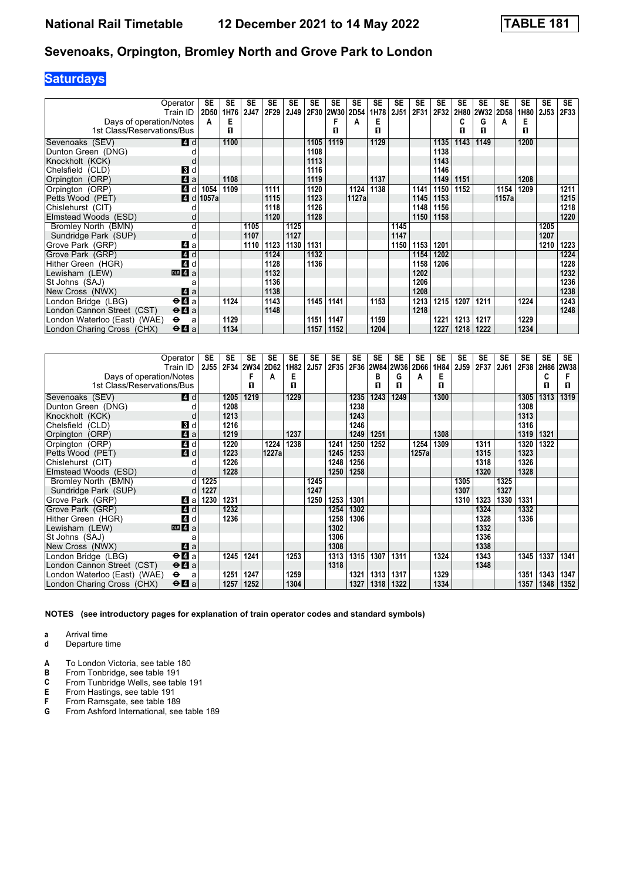# **Saturdays**

|                              | Operator                                    | SE    | SE   | <b>SE</b> | SE   | <b>SE</b> | <b>SE</b> | <b>SE</b> | <b>SE</b> | SE   | <b>SE</b>   | SE   | <b>SE</b> | <b>SE</b> | SE        | <b>SE</b>        | SE   | <b>SE</b> | <b>SE</b> |
|------------------------------|---------------------------------------------|-------|------|-----------|------|-----------|-----------|-----------|-----------|------|-------------|------|-----------|-----------|-----------|------------------|------|-----------|-----------|
|                              | Train ID                                    | 2D50  | 1H76 | 2J47      | 2F29 | 2J49      | 2F30      | 2W30      | 2D54      | 1H78 | <b>2J51</b> | 2F31 | 2F32      |           | 2H80 2W32 | 2D <sub>58</sub> | 1H80 | 2J53      | 2F33      |
| Days of operation/Notes      |                                             | A     | Е    |           |      |           |           | F         | A         | Е    |             |      |           | C         | G         | А                | Е    |           |           |
| 1st Class/Reservations/Bus   |                                             |       | п    |           |      |           |           | п         |           | п    |             |      |           | п         | п         |                  | п    |           |           |
| Sevenoaks (SEV)              | 4 d                                         |       | 1100 |           |      |           | 1105      | 1119      |           | 1129 |             |      | 1135      | 1143      | 1149      |                  | 1200 |           |           |
| Dunton Green (DNG)           |                                             |       |      |           |      |           | 1108      |           |           |      |             |      | 1138      |           |           |                  |      |           |           |
| Knockholt (KCK)              | d                                           |       |      |           |      |           | 1113      |           |           |      |             |      | 1143      |           |           |                  |      |           |           |
| Chelsfield (CLD)             | <b>3</b> d                                  |       |      |           |      |           | 1116      |           |           |      |             |      | 1146      |           |           |                  |      |           |           |
| Orpington (ORP)              | $\mathbf{A}$ a                              |       | 1108 |           |      |           | 1119      |           |           | 1137 |             |      | 1149      | 1151      |           |                  | 1208 |           |           |
| Orpington (ORP)              | $\boldsymbol{A}$<br>d                       | 1054  | 1109 |           | 1111 |           | 1120      |           | 1124      | 1138 |             | 1141 | 1150      | 1152      |           | 1154             | 1209 |           | 1211      |
| Petts Wood (PET)             | $\boldsymbol{A}$<br>$\mathsf{d}$            | 1057a |      |           | 1115 |           | 1123      |           | 1127a     |      |             | 1145 | 1153      |           |           | 1157a            |      |           | 1215      |
| Chislehurst (CIT)            |                                             |       |      |           | 1118 |           | 1126      |           |           |      |             | 1148 | 1156      |           |           |                  |      |           | 1218      |
| Elmstead Woods (ESD)         | d                                           |       |      |           | 1120 |           | 1128      |           |           |      |             | 1150 | 1158      |           |           |                  |      |           | 1220      |
| Bromley North (BMN)          | d                                           |       |      | 1105      |      | 1125      |           |           |           |      | 1145        |      |           |           |           |                  |      | 1205      |           |
| Sundridge Park (SUP)         | d                                           |       |      | 1107      |      | 1127      |           |           |           |      | 1147        |      |           |           |           |                  |      | 1207      |           |
| Grove Park (GRP)             | 41 a                                        |       |      | 1110      | 1123 | 1130      | 1131      |           |           |      | 1150        | 1153 | 1201      |           |           |                  |      | 1210      | 1223      |
| Grove Park (GRP)             | 4d                                          |       |      |           | 1124 |           | 1132      |           |           |      |             | 1154 | 1202      |           |           |                  |      |           | 1224      |
| Hither Green (HGR)           | $\boldsymbol{A}$<br>d                       |       |      |           | 1128 |           | 1136      |           |           |      |             | 1158 | 1206      |           |           |                  |      |           | 1228      |
| Lewisham (LEW)               | $\overline{m}$ 4 a                          |       |      |           | 1132 |           |           |           |           |      |             | 1202 |           |           |           |                  |      |           | 1232      |
| St Johns (SAJ)               | a                                           |       |      |           | 1136 |           |           |           |           |      |             | 1206 |           |           |           |                  |      |           | 1236      |
| New Cross (NWX)              | ZI a                                        |       |      |           | 1138 |           |           |           |           |      |             | 1208 |           |           |           |                  |      |           | 1238      |
| London Bridge (LBG)          | $\Theta$ <b><math>\blacksquare</math></b> a |       | 1124 |           | 1143 |           | 1145      | 1141      |           | 1153 |             | 1213 | 1215      | 1207      | 1211      |                  | 1224 |           | 1243      |
| London Cannon Street (CST)   | $\Theta$ <b><math>\Omega</math></b> a       |       |      |           | 1148 |           |           |           |           |      |             | 1218 |           |           |           |                  |      |           | 1248      |
| London Waterloo (East) (WAE) | $\bullet$<br>a                              |       | 1129 |           |      |           | 1151      | 1147      |           | 1159 |             |      | 1221      | 1213      | 1217      |                  | 1229 |           |           |
| London Charing Cross (CHX)   | $\Theta$ <b>A</b> a                         |       | 1134 |           |      |           | 1157      | 1152      |           | 1204 |             |      | 1227      | 1218      | 1222      |                  | 1234 |           |           |

|                              | Operator<br>Train ID                        | SE<br><b>2J55</b> | SE   | <b>SE</b><br>2F34 2W34 2D62 | <b>SE</b> | SE<br>1H82 | SE<br>2J57 | <b>SE</b><br>2F35 | SE   | <b>SE</b> | SE<br>2F36 2W84 2W36 | SE<br>2D66 | SE<br>1H84 | SE<br>2J59 | <b>SE</b><br>2F37 | <b>SE</b><br>2J61 | <b>SE</b><br>2F38 | <b>SE</b> | <b>SE</b><br>2H86 2W38 |
|------------------------------|---------------------------------------------|-------------------|------|-----------------------------|-----------|------------|------------|-------------------|------|-----------|----------------------|------------|------------|------------|-------------------|-------------------|-------------------|-----------|------------------------|
| Days of operation/Notes      |                                             |                   |      |                             | А         | Е          |            |                   |      | в         | G                    | A          | Е          |            |                   |                   |                   | c         |                        |
| 1st Class/Reservations/Bus   |                                             |                   |      | п                           |           | п          |            |                   |      | п         | п                    |            | п          |            |                   |                   |                   | п         | п                      |
| Sevenoaks (SEV)              | <b>4</b> d                                  |                   | 1205 | 1219                        |           | 1229       |            |                   | 1235 | 1243      | 1249                 |            | 1300       |            |                   |                   | 1305              | 1313      | 1319                   |
| Dunton Green (DNG)           |                                             |                   | 1208 |                             |           |            |            |                   | 1238 |           |                      |            |            |            |                   |                   | 1308              |           |                        |
| Knockholt (KCK)              | d                                           |                   | 1213 |                             |           |            |            |                   | 1243 |           |                      |            |            |            |                   |                   | 1313              |           |                        |
| Chelsfield (CLD)             | <b>B</b> Id                                 |                   | 1216 |                             |           |            |            |                   | 1246 |           |                      |            |            |            |                   |                   | 1316              |           |                        |
| Orpington (ORP)              | 4a                                          |                   | 1219 |                             |           | 1237       |            |                   | 1249 | 1251      |                      |            | 1308       |            |                   |                   | 1319              | 1321      |                        |
| Orpington (ORP)              | 4 d                                         |                   | 1220 |                             | 1224      | 1238       |            | 1241              | 1250 | 1252      |                      | 1254       | 1309       |            | 1311              |                   | 1320              | 1322      |                        |
| Petts Wood (PET)             | 4d                                          |                   | 1223 |                             | 1227a     |            |            | 1245              | 1253 |           |                      | 1257a      |            |            | 1315              |                   | 1323              |           |                        |
| Chislehurst (CIT)            |                                             |                   | 1226 |                             |           |            |            | 1248              | 1256 |           |                      |            |            |            | 1318              |                   | 1326              |           |                        |
| Elmstead Woods (ESD)         | d                                           |                   | 1228 |                             |           |            |            | 1250              | 1258 |           |                      |            |            |            | 1320              |                   | 1328              |           |                        |
| Bromley North (BMN)          | d                                           | 1225              |      |                             |           |            | 1245       |                   |      |           |                      |            |            | 1305       |                   | 1325              |                   |           |                        |
| Sundridge Park (SUP)         |                                             | 1227              |      |                             |           |            | 1247       |                   |      |           |                      |            |            | 1307       |                   | 1327              |                   |           |                        |
| Grove Park (GRP)             | ZI a                                        | 1230              | 1231 |                             |           |            | 1250       | 1253              | 1301 |           |                      |            |            | 1310       | 1323              | 1330              | 1331              |           |                        |
| Grove Park (GRP)             | <b>4</b> d                                  |                   | 1232 |                             |           |            |            | 1254              | 1302 |           |                      |            |            |            | 1324              |                   | 1332              |           |                        |
| Hither Green (HGR)           | $\boldsymbol{A}$<br>d                       |                   | 1236 |                             |           |            |            | 1258              | 1306 |           |                      |            |            |            | 1328              |                   | 1336              |           |                        |
| Lewisham (LEW)               | DB 4a                                       |                   |      |                             |           |            |            | 1302              |      |           |                      |            |            |            | 1332              |                   |                   |           |                        |
| St Johns (SAJ)               | a                                           |                   |      |                             |           |            |            | 1306              |      |           |                      |            |            |            | 1336              |                   |                   |           |                        |
| New Cross (NWX)              | $\mathbf{a}$                                |                   |      |                             |           |            |            | 1308              |      |           |                      |            |            |            | 1338              |                   |                   |           |                        |
| London Bridge (LBG)          | $\Theta$ <b><math>\blacksquare</math></b> a |                   | 1245 | 1241                        |           | 1253       |            | 1313              | 1315 | 1307      | 1311                 |            | 1324       |            | 1343              |                   | 1345              | 1337      | 1341                   |
| London Cannon Street (CST)   | $\Theta$ <b><math>\blacksquare</math></b> a |                   |      |                             |           |            |            | 1318              |      |           |                      |            |            |            | 1348              |                   |                   |           |                        |
| London Waterloo (East) (WAE) | $\bullet$<br>a                              |                   | 1251 | 1247                        |           | 1259       |            |                   | 1321 | 1313      | 1317                 |            | 1329       |            |                   |                   | 1351              | 1343      | 1347                   |
| London Charing Cross (CHX)   | $\Theta$ <b>A</b> a                         |                   | 1257 | 1252                        |           | 1304       |            |                   | 1327 | 1318      | 1322                 |            | 1334       |            |                   |                   | 1357              | 1348      | 1352                   |

**NOTES (see introductory pages for explanation of train operator codes and standard symbols)**

**a** Arrival time

**d** Departure time

**A** To London Victoria, see table 180<br>**B** From Tonbridge, see table 191

**B** From Tonbridge, see table 191<br>**C** From Tunbridge Wells, see table

**C** From Tunbridge Wells, see table 191<br>**E** From Hastings, see table 191

**E** From Hastings, see table 191<br>**F** From Ramsgate, see table 18

**F** From Ramsgate, see table 189<br>**G** From Ashford International, see **\*** From Ashford International, see table 18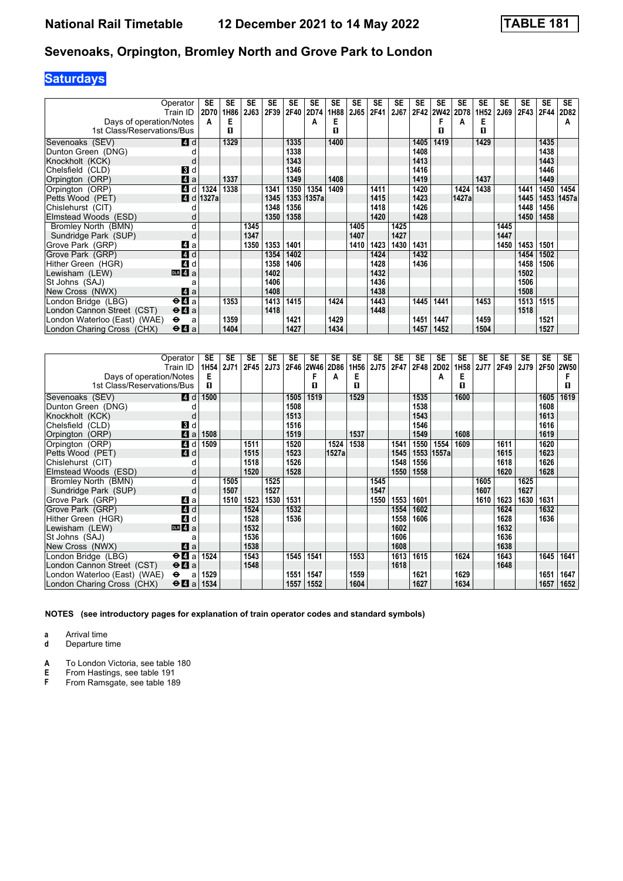# **Saturdays**

|                              | Operator                                    | SE    | <b>SE</b> | <b>SE</b> | <b>SE</b> | <b>SE</b> | <b>SE</b> | <b>SE</b> | <b>SE</b> | <b>SE</b> | <b>SE</b> | SE   | <b>SE</b> | <b>SE</b> | <b>SE</b>        | <b>SE</b> | <b>SE</b> | <b>SE</b> | <b>SE</b>    |
|------------------------------|---------------------------------------------|-------|-----------|-----------|-----------|-----------|-----------|-----------|-----------|-----------|-----------|------|-----------|-----------|------------------|-----------|-----------|-----------|--------------|
|                              | Train ID                                    | 2D70  | 1H86      | 2J63      | 2F39      | 2F40      | 2D74      | 1H88      | 2J65      | 2F41      | 2J67      |      | 2F42 2W42 | 2D78      | 1H <sub>52</sub> | 2J69      | 2F43      | 2F44      | 2D82         |
| Days of operation/Notes      |                                             | A     | Е         |           |           |           | А         | E         |           |           |           |      | F         | А         | Е                |           |           |           | А            |
| 1st Class/Reservations/Bus   |                                             |       | п         |           |           |           |           | п         |           |           |           |      | п         |           | П                |           |           |           |              |
| Sevenoaks (SEV)              | 4 d                                         |       | 1329      |           |           | 1335      |           | 1400      |           |           |           | 1405 | 1419      |           | 1429             |           |           | 1435      |              |
| Dunton Green (DNG)           |                                             |       |           |           |           | 1338      |           |           |           |           |           | 1408 |           |           |                  |           |           | 1438      |              |
| Knockholt (KCK)              |                                             |       |           |           |           | 1343      |           |           |           |           |           | 1413 |           |           |                  |           |           | 1443      |              |
| Chelsfield (CLD)             | <b>3</b> d                                  |       |           |           |           | 1346      |           |           |           |           |           | 1416 |           |           |                  |           |           | 1446      |              |
| Orpington (ORP)              | 4a                                          |       | 1337      |           |           | 1349      |           | 1408      |           |           |           | 1419 |           |           | 1437             |           |           | 1449      |              |
| Orpington (ORP)              | $\boldsymbol{A}$<br>d                       | 1324  | 1338      |           | 1341      | 1350      | 1354      | 1409      |           | 1411      |           | 1420 |           | 1424      | 1438             |           | 1441      | 1450      | 1454         |
| Petts Wood (PET)             | $\overline{A}$<br>d                         | 1327a |           |           | 1345      | 1353      | 1357a     |           |           | 1415      |           | 1423 |           | 1427a     |                  |           | 1445      |           | 1453   1457a |
| Chislehurst (CIT)            |                                             |       |           |           | 1348      | 1356      |           |           |           | 1418      |           | 1426 |           |           |                  |           | 1448      | 1456      |              |
| Elmstead Woods (ESD)         | d                                           |       |           |           | 1350      | 1358      |           |           |           | 1420      |           | 1428 |           |           |                  |           | 1450      | 1458      |              |
| Bromley North (BMN)          | d                                           |       |           | 1345      |           |           |           |           | 1405      |           | 1425      |      |           |           |                  | 1445      |           |           |              |
| Sundridge Park (SUP)         | d                                           |       |           | 1347      |           |           |           |           | 1407      |           | 1427      |      |           |           |                  | 1447      |           |           |              |
| Grove Park (GRP)             | 41 a                                        |       |           | 1350      | 1353      | 1401      |           |           | 1410      | 1423      | 1430      | 1431 |           |           |                  | 1450      | 1453      | 1501      |              |
| Grove Park (GRP)             | $\blacksquare$ d                            |       |           |           | 1354      | 1402      |           |           |           | 1424      |           | 1432 |           |           |                  |           | 1454      | 1502      |              |
| Hither Green (HGR)           | $\boldsymbol{A}$<br>d                       |       |           |           | 1358      | 1406      |           |           |           | 1428      |           | 1436 |           |           |                  |           | 1458      | 1506      |              |
| Lewisham (LEW)               | $DLR$ 4 $a$                                 |       |           |           | 1402      |           |           |           |           | 1432      |           |      |           |           |                  |           | 1502      |           |              |
| St Johns (SAJ)               | a                                           |       |           |           | 1406      |           |           |           |           | 1436      |           |      |           |           |                  |           | 1506      |           |              |
| New Cross (NWX)              | $\mathbf 4$ a                               |       |           |           | 1408      |           |           |           |           | 1438      |           |      |           |           |                  |           | 1508      |           |              |
| London Bridge (LBG)          | $\Theta$ <b><math>\blacksquare</math></b> a |       | 1353      |           | 1413      | 1415      |           | 1424      |           | 1443      |           | 1445 | 1441      |           | 1453             |           | 1513      | 1515      |              |
| London Cannon Street (CST)   | $\Theta$ <b>A</b> a                         |       |           |           | 1418      |           |           |           |           | 1448      |           |      |           |           |                  |           | 1518      |           |              |
| London Waterloo (East) (WAE) | $\bullet$<br>a                              |       | 1359      |           |           | 1421      |           | 1429      |           |           |           | 1451 | 1447      |           | 1459             |           |           | 1521      |              |
| London Charing Cross (CHX)   | $\Theta$ <b><math>\blacksquare</math></b> a |       | 1404      |           |           | 1427      |           | 1434      |           |           |           | 1457 | 1452      |           | 1504             |           |           | 1527      |              |

|                              | Operator<br>Train ID                  | SE<br>1H <sub>54</sub> | SE<br><b>2J71</b> | SE<br>2F45 | SE<br>2J73 | <b>SE</b> | SE<br>2F46 2W46 | SE<br>2D86 | SE<br>1H56 | SE<br>2J75 | SE<br>2F47 | SE<br>2F48 | SE<br>2D02 | <b>SE</b><br>1H <sub>58</sub> | SE<br><b>2J77</b> | SE<br>2F49 | <b>SE</b><br>2J79 2F50 | <b>SE</b> | <b>SE</b><br><b>2W50</b> |
|------------------------------|---------------------------------------|------------------------|-------------------|------------|------------|-----------|-----------------|------------|------------|------------|------------|------------|------------|-------------------------------|-------------------|------------|------------------------|-----------|--------------------------|
| Days of operation/Notes      |                                       | Е                      |                   |            |            |           |                 | A          | Е          |            |            |            | А          | Е                             |                   |            |                        |           |                          |
| 1st Class/Reservations/Bus   |                                       | п                      |                   |            |            |           | п               |            | п          |            |            |            |            | п                             |                   |            |                        |           | п                        |
| Sevenoaks (SEV)              | <b>4d</b>                             | 1500                   |                   |            |            | 1505      | 1519            |            | 1529       |            |            | 1535       |            | 1600                          |                   |            |                        | 1605      | 1619                     |
| Dunton Green (DNG)           |                                       |                        |                   |            |            | 1508      |                 |            |            |            |            | 1538       |            |                               |                   |            |                        | 1608      |                          |
| Knockholt (KCK)              | d                                     |                        |                   |            |            | 1513      |                 |            |            |            |            | 1543       |            |                               |                   |            |                        | 1613      |                          |
| Chelsfield (CLD)             | BI d                                  |                        |                   |            |            | 1516      |                 |            |            |            |            | 1546       |            |                               |                   |            |                        | 1616      |                          |
| Orpington (ORP)              | $\blacksquare$ a                      | 1508                   |                   |            |            | 1519      |                 |            | 1537       |            |            | 1549       |            | 1608                          |                   |            |                        | 1619      |                          |
| Orpington (ORP)              | 4 d                                   | 1509                   |                   | 1511       |            | 1520      |                 | 1524       | 1538       |            | 1541       | 1550       | 1554       | 1609                          |                   | 1611       |                        | 1620      |                          |
| Petts Wood (PET)             | 4d                                    |                        |                   | 1515       |            | 1523      |                 | 1527a      |            |            | 1545       |            | 1553 1557a |                               |                   | 1615       |                        | 1623      |                          |
| Chislehurst (CIT)            |                                       |                        |                   | 1518       |            | 1526      |                 |            |            |            | 1548       | 1556       |            |                               |                   | 1618       |                        | 1626      |                          |
| Elmstead Woods (ESD)         | d                                     |                        |                   | 1520       |            | 1528      |                 |            |            |            | 1550       | 1558       |            |                               |                   | 1620       |                        | 1628      |                          |
| Bromley North (BMN)          | d                                     |                        | 1505              |            | 1525       |           |                 |            |            | 1545       |            |            |            |                               | 1605              |            | 1625                   |           |                          |
| Sundridge Park (SUP)         | d                                     |                        | 1507              |            | 1527       |           |                 |            |            | 1547       |            |            |            |                               | 1607              |            | 1627                   |           |                          |
| Grove Park (GRP)             | ZI a                                  |                        | 1510              | 1523       | 1530       | 1531      |                 |            |            | 1550       | 1553       | 1601       |            |                               | 1610              | 1623       | 1630                   | 1631      |                          |
| Grove Park (GRP)             | 4d                                    |                        |                   | 1524       |            | 1532      |                 |            |            |            | 1554       | 1602       |            |                               |                   | 1624       |                        | 1632      |                          |
| Hither Green (HGR)           | 4d                                    |                        |                   | 1528       |            | 1536      |                 |            |            |            | 1558       | 1606       |            |                               |                   | 1628       |                        | 1636      |                          |
| Lewisham (LEW)               | $DLR$ 4 a                             |                        |                   | 1532       |            |           |                 |            |            |            | 1602       |            |            |                               |                   | 1632       |                        |           |                          |
| St Johns (SAJ)               | а                                     |                        |                   | 1536       |            |           |                 |            |            |            | 1606       |            |            |                               |                   | 1636       |                        |           |                          |
| New Cross (NWX)              | ZI a                                  |                        |                   | 1538       |            |           |                 |            |            |            | 1608       |            |            |                               |                   | 1638       |                        |           |                          |
| London Bridge (LBG)          | $\Theta$ <b><math>\Omega</math></b> a | 1524                   |                   | 1543       |            | 1545      | 1541            |            | 1553       |            | 1613       | 1615       |            | 1624                          |                   | 1643       |                        | 1645      | 1641                     |
| London Cannon Street (CST)   | $\Theta$ <b>A</b> a                   |                        |                   | 1548       |            |           |                 |            |            |            | 1618       |            |            |                               |                   | 1648       |                        |           |                          |
| London Waterloo (East) (WAE) | $\bullet$<br>a                        | 1529                   |                   |            |            | 1551      | 1547            |            | 1559       |            |            | 1621       |            | 1629                          |                   |            |                        | 1651      | 1647                     |
| London Charing Cross (CHX)   | $\Theta$ <b>A</b> a                   | 1534                   |                   |            |            | 1557      | 1552            |            | 1604       |            |            | 1627       |            | 1634                          |                   |            |                        | 1657      | 1652                     |

**NOTES (see introductory pages for explanation of train operator codes and standard symbols)**

**a** Arrival time

**d** Departure time

**A** To London Victoria, see table 180<br>**E** From Hastings, see table 191

**E** From Hastings, see table 191<br>**F** From Ramsgate, see table 18

From Ramsgate, see table 189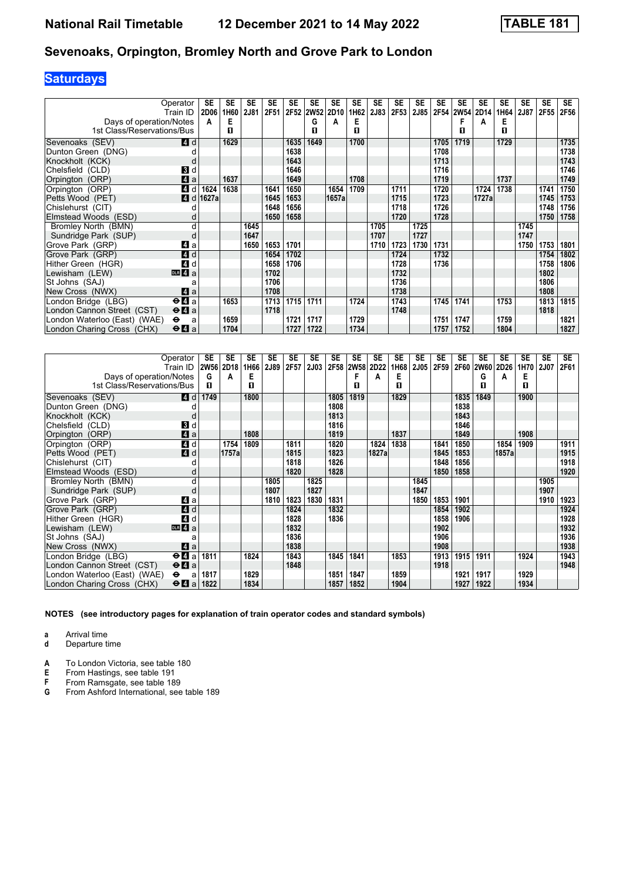# **Saturdays**

|                              | Operator                                    | SE          | <b>SE</b> | <b>SE</b> | <b>SE</b> | <b>SE</b> | <b>SE</b> | <b>SE</b> | <b>SE</b> | <b>SE</b> | <b>SE</b> | <b>SE</b>   | <b>SE</b> | <b>SE</b>   | <b>SE</b> | <b>SE</b> | <b>SE</b> | <b>SE</b> | <b>SE</b> |
|------------------------------|---------------------------------------------|-------------|-----------|-----------|-----------|-----------|-----------|-----------|-----------|-----------|-----------|-------------|-----------|-------------|-----------|-----------|-----------|-----------|-----------|
|                              | Train ID                                    | <b>2D06</b> | 1H60      | 2J81      | 2F51      |           | 2F52 2W52 | 2D10      | 1H62      | 2J83      | 2F53      | <b>2J85</b> | 2F54      | <b>2W54</b> | 2D14      | 1H64      | 2J87      | 2F55      | 2F56      |
| Days of operation/Notes      |                                             | A           | Е         |           |           |           | G         | А         | Е         |           |           |             |           | F           | А         | Е         |           |           |           |
| 1st Class/Reservations/Bus   |                                             |             | п         |           |           |           | п         |           | п         |           |           |             |           | п           |           | п         |           |           |           |
| Sevenoaks (SEV)              | <b>4</b> d                                  |             | 1629      |           |           | 1635      | 1649      |           | 1700      |           |           |             | 1705      | 1719        |           | 1729      |           |           | 1735      |
| Dunton Green (DNG)           |                                             |             |           |           |           | 1638      |           |           |           |           |           |             | 1708      |             |           |           |           |           | 1738      |
| Knockholt (KCK)              |                                             |             |           |           |           | 1643      |           |           |           |           |           |             | 1713      |             |           |           |           |           | 1743      |
| Chelsfield (CLD)             | 3d                                          |             |           |           |           | 1646      |           |           |           |           |           |             | 1716      |             |           |           |           |           | 1746      |
| Orpington (ORP)              | ZI a                                        |             | 1637      |           |           | 1649      |           |           | 1708      |           |           |             | 1719      |             |           | 1737      |           |           | 1749      |
| Orpington (ORP)              | 4 d                                         | 1624        | 1638      |           | 1641      | 1650      |           | 1654      | 1709      |           | 1711      |             | 1720      |             | 1724      | 1738      |           | 1741      | 1750      |
| Petts Wood (PET)             | 4 d                                         | 1627a       |           |           | 1645      | 1653      |           | 1657a     |           |           | 1715      |             | 1723      |             | 1727a     |           |           | 1745      | 1753      |
| Chislehurst (CIT)            |                                             |             |           |           | 1648      | 1656      |           |           |           |           | 1718      |             | 1726      |             |           |           |           | 1748      | 1756      |
| Elmstead Woods (ESD)         |                                             |             |           |           | 1650      | 1658      |           |           |           |           | 1720      |             | 1728      |             |           |           |           | 1750      | 1758      |
| Bromley North (BMN)          | d                                           |             |           | 1645      |           |           |           |           |           | 1705      |           | 1725        |           |             |           |           | 1745      |           |           |
| Sundridge Park (SUP)         | d                                           |             |           | 1647      |           |           |           |           |           | 1707      |           | 1727        |           |             |           |           | 1747      |           |           |
| Grove Park (GRP)             | ZI a                                        |             |           | 1650      | 1653      | 1701      |           |           |           | 1710      | 1723      | 1730        | 1731      |             |           |           | 1750      | 1753      | 1801      |
| Grove Park (GRP)             | 4 d                                         |             |           |           | 1654      | 1702      |           |           |           |           | 1724      |             | 1732      |             |           |           |           | 1754      | 1802      |
| Hither Green (HGR)           | 4d                                          |             |           |           | 1658      | 1706      |           |           |           |           | 1728      |             | 1736      |             |           |           |           | 1758      | 1806      |
| Lewisham (LEW)               | $\overline{DB}$ 4 a                         |             |           |           | 1702      |           |           |           |           |           | 1732      |             |           |             |           |           |           | 1802      |           |
| St Johns (SAJ)               |                                             |             |           |           | 1706      |           |           |           |           |           | 1736      |             |           |             |           |           |           | 1806      |           |
| New Cross (NWX)              | ZI a                                        |             |           |           | 1708      |           |           |           |           |           | 1738      |             |           |             |           |           |           | 1808      |           |
| London Bridge (LBG)          | $\overline{H}$ a                            |             | 1653      |           | 1713      | 1715      | 1711      |           | 1724      |           | 1743      |             | 1745      | 1741        |           | 1753      |           | 1813      | 1815      |
| London Cannon Street (CST)   | $\Theta$ <b><math>\blacksquare</math></b> a |             |           |           | 1718      |           |           |           |           |           | 1748      |             |           |             |           |           |           | 1818      |           |
| London Waterloo (East) (WAE) | $\bullet$<br>a                              |             | 1659      |           |           | 1721      | 1717      |           | 1729      |           |           |             | 1751      | 1747        |           | 1759      |           |           | 1821      |
| London Charing Cross (CHX)   | $\Theta$ <b><math>\blacksquare</math></b> a |             | 1704      |           |           | 1727      | 1722      |           | 1734      |           |           |             | 1757      | 1752        |           | 1804      |           |           | 1827      |

|                              | Operator                              | SE        | <b>SE</b> | <b>SE</b> | SE   | <b>SE</b> | <b>SE</b>   | <b>SE</b> | <b>SE</b> | <b>SE</b> | <b>SE</b> | SE          | <b>SE</b> | <b>SE</b> | <b>SE</b> | <b>SE</b> | <b>SE</b> | <b>SE</b>   | <b>SE</b> |
|------------------------------|---------------------------------------|-----------|-----------|-----------|------|-----------|-------------|-----------|-----------|-----------|-----------|-------------|-----------|-----------|-----------|-----------|-----------|-------------|-----------|
|                              | Train ID                              | 2W56 2D18 |           | 1H66      | 2J89 | 2F57      | <b>2J03</b> |           | 2F58 2W58 | 2D22      | 1H68      | <b>2J05</b> | 2F59      |           | 2F60 2W60 | 2D26      | 1H70      | <b>2J07</b> | 2F61      |
| Days of operation/Notes      |                                       | G         | A         | Е         |      |           |             |           |           | A         | Е         |             |           |           | G         | Α         | Е         |             |           |
| 1st Class/Reservations/Bus   |                                       | п         |           | п         |      |           |             |           | п         |           | п         |             |           |           | п         |           | п         |             |           |
| Sevenoaks (SEV)              | <b>4d</b>                             | 1749      |           | 1800      |      |           |             | 1805      | 1819      |           | 1829      |             |           | 1835      | 1849      |           | 1900      |             |           |
| Dunton Green (DNG)           |                                       |           |           |           |      |           |             | 1808      |           |           |           |             |           | 1838      |           |           |           |             |           |
| Knockholt (KCK)              |                                       |           |           |           |      |           |             | 1813      |           |           |           |             |           | 1843      |           |           |           |             |           |
| Chelsfield (CLD)             | 3d                                    |           |           |           |      |           |             | 1816      |           |           |           |             |           | 1846      |           |           |           |             |           |
| Orpington (ORP)              | $\blacksquare$ a                      |           |           | 1808      |      |           |             | 1819      |           |           | 1837      |             |           | 1849      |           |           | 1908      |             |           |
| Orpington (ORP)              | 4d                                    |           | 1754      | 1809      |      | 1811      |             | 1820      |           | 1824      | 1838      |             | 1841      | 1850      |           | 1854      | 1909      |             | 1911      |
| Petts Wood (PET)             | 4d                                    |           | 1757al    |           |      | 1815      |             | 1823      |           | 1827a     |           |             | 1845      | 1853      |           | 1857a     |           |             | 1915      |
| Chislehurst (CIT)            |                                       |           |           |           |      | 1818      |             | 1826      |           |           |           |             | 1848      | 1856      |           |           |           |             | 1918      |
| Elmstead Woods (ESD)         |                                       |           |           |           |      | 1820      |             | 1828      |           |           |           |             | 1850      | 1858      |           |           |           |             | 1920      |
| Bromley North (BMN)          |                                       |           |           |           | 1805 |           | 1825        |           |           |           |           | 1845        |           |           |           |           |           | 1905        |           |
| Sundridge Park (SUP)         |                                       |           |           |           | 1807 |           | 1827        |           |           |           |           | 1847        |           |           |           |           |           | 1907        |           |
| Grove Park (GRP)             | ZI a                                  |           |           |           | 1810 | 1823      | 1830        | 1831      |           |           |           | 1850        | 1853      | 1901      |           |           |           | 1910        | 1923      |
| Grove Park (GRP)             | 4d                                    |           |           |           |      | 1824      |             | 1832      |           |           |           |             | 1854      | 1902      |           |           |           |             | 1924      |
| Hither Green (HGR)           | 4 d                                   |           |           |           |      | 1828      |             | 1836      |           |           |           |             | 1858      | 1906      |           |           |           |             | 1928      |
| Lewisham (LEW)               | DR 4a                                 |           |           |           |      | 1832      |             |           |           |           |           |             | 1902      |           |           |           |           |             | 1932      |
| St Johns (SAJ)               |                                       |           |           |           |      | 1836      |             |           |           |           |           |             | 1906      |           |           |           |           |             | 1936      |
| New Cross (NWX)              | ZI a                                  |           |           |           |      | 1838      |             |           |           |           |           |             | 1908      |           |           |           |           |             | 1938      |
| London Bridge (LBG)          | $\Theta$ <b><math>\Omega</math></b> a | 1811      |           | 1824      |      | 1843      |             | 1845      | 1841      |           | 1853      |             | 1913      | 1915      | 1911      |           | 1924      |             | 1943      |
| London Cannon Street (CST)   | $\Theta$ <b>A</b> a                   |           |           |           |      | 1848      |             |           |           |           |           |             | 1918      |           |           |           |           |             | 1948      |
| London Waterloo (East) (WAE) | $\bullet$<br>a                        | 1817      |           | 1829      |      |           |             | 1851      | 1847      |           | 1859      |             |           | 1921      | 1917      |           | 1929      |             |           |
| London Charing Cross (CHX)   | $\Theta$ <b>A</b> a                   | 1822      |           | 1834      |      |           |             | 1857      | 1852      |           | 1904      |             |           | 1927      | 1922      |           | 1934      |             |           |

**NOTES (see introductory pages for explanation of train operator codes and standard symbols)**

**a** Arrival time

**d** Departure time

**A** To London Victoria, see table 180<br>**E** From Hastings, see table 191

**E** From Hastings, see table 191<br>**F** From Ramsgate, see table 18

**F** From Ramsgate, see table 189<br>**G** From Ashford International, see

**\*** From Ashford International, see table 18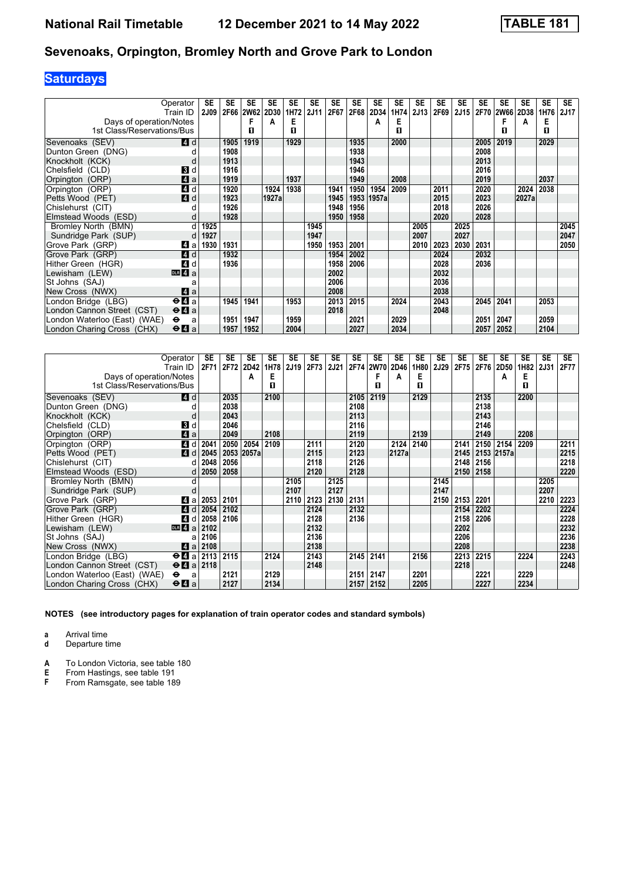# **Saturdays**

|                                                       | Operator<br>Train ID                        | SE<br><b>2J09</b> | SE   | <b>SE</b><br>2F66 2W62 2D30 | <b>SE</b> | <b>SE</b><br>1H72 | SE<br><b>2J11</b> | SE<br>2F67 | <b>SE</b><br>2F68 | <b>SE</b><br>2D34 | SE<br>1H74 | SE<br>2J13 | <b>SE</b><br>2F69 | <b>SE</b><br>2J15 | <b>SE</b> | <b>SE</b><br>2F70 2W66 | <b>SE</b><br>2D38 | <b>SE</b><br>1H76 | <b>SE</b><br><b>2J17</b> |
|-------------------------------------------------------|---------------------------------------------|-------------------|------|-----------------------------|-----------|-------------------|-------------------|------------|-------------------|-------------------|------------|------------|-------------------|-------------------|-----------|------------------------|-------------------|-------------------|--------------------------|
|                                                       |                                             |                   |      | F                           |           | Е                 |                   |            |                   |                   | Е          |            |                   |                   |           |                        |                   | Е                 |                          |
| Days of operation/Notes<br>1st Class/Reservations/Bus |                                             |                   |      | п                           | А         | п                 |                   |            |                   | А                 | п          |            |                   |                   |           | п                      | А                 | п                 |                          |
|                                                       |                                             |                   |      |                             |           |                   |                   |            |                   |                   |            |            |                   |                   |           |                        |                   |                   |                          |
| Sevenoaks (SEV)                                       | <b>4</b> d                                  |                   | 1905 | 1919                        |           | 1929              |                   |            | 1935              |                   | 2000       |            |                   |                   | 2005      | 2019                   |                   | 2029              |                          |
| Dunton Green (DNG)                                    | d                                           |                   | 1908 |                             |           |                   |                   |            | 1938              |                   |            |            |                   |                   | 2008      |                        |                   |                   |                          |
| Knockholt (KCK)                                       | d                                           |                   | 1913 |                             |           |                   |                   |            | 1943              |                   |            |            |                   |                   | 2013      |                        |                   |                   |                          |
| Chelsfield (CLD)                                      | <b>3</b> d                                  |                   | 1916 |                             |           |                   |                   |            | 1946              |                   |            |            |                   |                   | 2016      |                        |                   |                   |                          |
| Orpington (ORP)                                       | $\blacksquare$ a                            |                   | 1919 |                             |           | 1937              |                   |            | 1949              |                   | 2008       |            |                   |                   | 2019      |                        |                   | 2037              |                          |
| Orpington (ORP)                                       | $\overline{4}$ d                            |                   | 1920 |                             | 1924      | 1938              |                   | 1941       | 1950              | 1954              | 2009       |            | 2011              |                   | 2020      |                        | 2024              | 2038              |                          |
| Petts Wood (PET)                                      | 4d                                          |                   | 1923 |                             | 1927a     |                   |                   | 1945       | 1953              | 1957a             |            |            | 2015              |                   | 2023      |                        | 2027a             |                   |                          |
| Chislehurst (CIT)                                     |                                             |                   | 1926 |                             |           |                   |                   | 1948       | 1956              |                   |            |            | 2018              |                   | 2026      |                        |                   |                   |                          |
| Elmstead Woods (ESD)                                  | d                                           |                   | 1928 |                             |           |                   |                   | 1950       | 1958              |                   |            |            | 2020              |                   | 2028      |                        |                   |                   |                          |
| Bromley North (BMN)                                   | d                                           | 1925              |      |                             |           |                   | 1945              |            |                   |                   |            | 2005       |                   | 2025              |           |                        |                   |                   | 2045                     |
| Sundridge Park (SUP)                                  |                                             | 1927              |      |                             |           |                   | 1947              |            |                   |                   |            | 2007       |                   | 2027              |           |                        |                   |                   | 2047                     |
| Grove Park (GRP)                                      | 4 a                                         | 1930              | 1931 |                             |           |                   | 1950              | 1953       | 2001              |                   |            | 2010       | 2023              | 2030              | 2031      |                        |                   |                   | 2050                     |
| Grove Park (GRP)                                      | 4d                                          |                   | 1932 |                             |           |                   |                   | 1954       | 2002              |                   |            |            | 2024              |                   | 2032      |                        |                   |                   |                          |
| Hither Green (HGR)                                    | $\boldsymbol{A}$<br>d                       |                   | 1936 |                             |           |                   |                   | 1958       | 2006              |                   |            |            | 2028              |                   | 2036      |                        |                   |                   |                          |
| Lewisham (LEW)                                        | DR <sub>4</sub> a                           |                   |      |                             |           |                   |                   | 2002       |                   |                   |            |            | 2032              |                   |           |                        |                   |                   |                          |
| St Johns (SAJ)                                        | a                                           |                   |      |                             |           |                   |                   | 2006       |                   |                   |            |            | 2036              |                   |           |                        |                   |                   |                          |
| New Cross (NWX)                                       | ZI a                                        |                   |      |                             |           |                   |                   | 2008       |                   |                   |            |            | 2038              |                   |           |                        |                   |                   |                          |
| London Bridge (LBG)                                   | $\Theta$ <b>d</b> a                         |                   | 1945 | 1941                        |           | 1953              |                   | 2013       | 2015              |                   | 2024       |            | 2043              |                   | 2045      | 2041                   |                   | 2053              |                          |
| London Cannon Street (CST)                            | $\Theta$ <b>A</b> a                         |                   |      |                             |           |                   |                   | 2018       |                   |                   |            |            | 2048              |                   |           |                        |                   |                   |                          |
| London Waterloo (East) (WAE)                          | $\bullet$<br>a                              |                   | 1951 | 1947                        |           | 1959              |                   |            | 2021              |                   | 2029       |            |                   |                   | 2051      | 2047                   |                   | 2059              |                          |
| London Charing Cross (CHX)                            | $\Theta$ <b><math>\blacksquare</math></b> a |                   | 1957 | 1952                        |           | 2004              |                   |            | 2027              |                   | 2034       |            |                   |                   | 2057      | 2052                   |                   | 2104              |                          |

|                              | Operator                                    | SE   | <b>SE</b> | SE    | SE   | <b>SE</b> | SE   | SE   | <b>SE</b> | SE   | SE             | SE        | SE          | SE   | <b>SE</b> | SE         | SE   | <b>SE</b> | <b>SE</b> |
|------------------------------|---------------------------------------------|------|-----------|-------|------|-----------|------|------|-----------|------|----------------|-----------|-------------|------|-----------|------------|------|-----------|-----------|
|                              | Train ID                                    | 2F71 | 2F72      | 2D42  | 1H78 | 2J19      | 2F73 | 2J21 |           |      | 2F74 2W70 2D46 | 1H80<br>Е | <b>2J29</b> | 2F75 | 2F76      | 2D50       | 1H82 | 2J31      | 2F77      |
| Days of operation/Notes      |                                             |      |           | A     | Е    |           |      |      |           |      | A              |           |             |      |           | A          | Е    |           |           |
| 1st Class/Reservations/Bus   |                                             |      |           |       | п    |           |      |      |           | п    |                | п         |             |      |           |            | п    |           |           |
| Sevenoaks (SEV)              | <b>4</b> d                                  |      | 2035      |       | 2100 |           |      |      | 2105      | 2119 |                | 2129      |             |      | 2135      |            | 2200 |           |           |
| Dunton Green (DNG)           |                                             |      | 2038      |       |      |           |      |      | 2108      |      |                |           |             |      | 2138      |            |      |           |           |
| Knockholt (KCK)              |                                             |      | 2043      |       |      |           |      |      | 2113      |      |                |           |             |      | 2143      |            |      |           |           |
| Chelsfield (CLD)             | 3d                                          |      | 2046      |       |      |           |      |      | 2116      |      |                |           |             |      | 2146      |            |      |           |           |
| Orpington (ORP)              | $\mathbf{A}$ a                              |      | 2049      |       | 2108 |           |      |      | 2119      |      |                | 2139      |             |      | 2149      |            | 2208 |           |           |
| Orpington (ORP)              | 4 d                                         | 2041 | 2050      | 2054  | 2109 |           | 2111 |      | 2120      |      | 2124           | 2140      |             | 2141 |           | 2150 2154  | 2209 |           | 2211      |
| Petts Wood (PET)             | <b>4</b> d                                  | 2045 | 2053      | 2057a |      |           | 2115 |      | 2123      |      | 2127a          |           |             | 2145 |           | 2153 2157a |      |           | 2215      |
| Chislehurst (CIT)            | d                                           | 2048 | 2056      |       |      |           | 2118 |      | 2126      |      |                |           |             | 2148 | 2156      |            |      |           | 2218      |
| Elmstead Woods (ESD)         |                                             | 2050 | 2058      |       |      |           | 2120 |      | 2128      |      |                |           |             | 2150 | 2158      |            |      |           | 2220      |
| Bromley North (BMN)          |                                             |      |           |       |      | 2105      |      | 2125 |           |      |                |           | 2145        |      |           |            |      | 2205      |           |
| Sundridge Park (SUP)         |                                             |      |           |       |      | 2107      |      | 2127 |           |      |                |           | 2147        |      |           |            |      | 2207      |           |
| Grove Park (GRP)             | Z1 a                                        | 2053 | 2101      |       |      | 2110      | 2123 | 2130 | 2131      |      |                |           | 2150        | 2153 | 2201      |            |      | 2210      | 2223      |
| Grove Park (GRP)             | 4 d                                         | 2054 | 2102      |       |      |           | 2124 |      | 2132      |      |                |           |             | 2154 | 2202      |            |      |           | 2224      |
| Hither Green (HGR)           | 4 d                                         | 2058 | 2106      |       |      |           | 2128 |      | 2136      |      |                |           |             | 2158 | 2206      |            |      |           | 2228      |
| Lewisham (LEW)               | DR 4a                                       | 2102 |           |       |      |           | 2132 |      |           |      |                |           |             | 2202 |           |            |      |           | 2232      |
| St Johns (SAJ)               |                                             | 2106 |           |       |      |           | 2136 |      |           |      |                |           |             | 2206 |           |            |      |           | 2236      |
| New Cross (NWX)              | ZI a                                        | 2108 |           |       |      |           | 2138 |      |           |      |                |           |             | 2208 |           |            |      |           | 2238      |
| London Bridge (LBG)          | $\Theta$ 4 a 2113                           |      | 2115      |       | 2124 |           | 2143 |      | 2145      | 2141 |                | 2156      |             | 2213 | 2215      |            | 2224 |           | 2243      |
| London Cannon Street (CST)   | $\Theta$ 4 a 2118                           |      |           |       |      |           | 2148 |      |           |      |                |           |             | 2218 |           |            |      |           | 2248      |
| London Waterloo (East) (WAE) | $\bullet$<br>a                              |      | 2121      |       | 2129 |           |      |      | 2151      | 2147 |                | 2201      |             |      | 2221      |            | 2229 |           |           |
| London Charing Cross (CHX)   | $\Theta$ <b><math>\blacksquare</math></b> a |      | 2127      |       | 2134 |           |      |      | 2157      | 2152 |                | 2205      |             |      | 2227      |            | 2234 |           |           |

**NOTES (see introductory pages for explanation of train operator codes and standard symbols)**

**a** Arrival time

**d** Departure time

**A** To London Victoria, see table 180<br>**E** From Hastings, see table 191

**E** From Hastings, see table 191<br>**F** From Ramsgate, see table 18

From Ramsgate, see table 189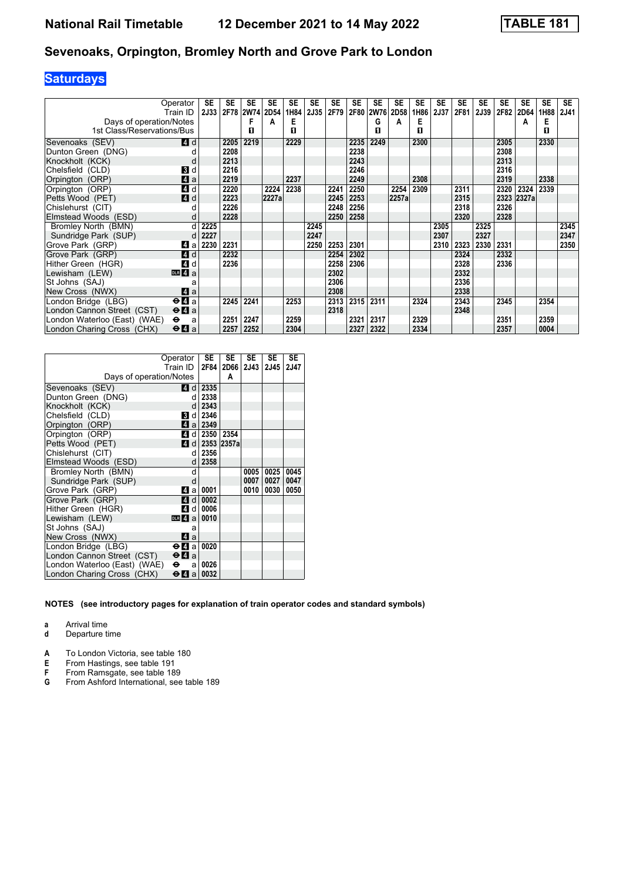# **Saturdays**

|                              | Operator                                    | SE   | <b>SE</b> | SE             | <b>SE</b> | <b>SE</b> | <b>SE</b> | SE   | <b>SE</b> | <b>SE</b>   | SE    | <b>SE</b> | <b>SE</b> | <b>SE</b> | <b>SE</b> | SE   | SE         | <b>SE</b> | <b>SE</b>   |
|------------------------------|---------------------------------------------|------|-----------|----------------|-----------|-----------|-----------|------|-----------|-------------|-------|-----------|-----------|-----------|-----------|------|------------|-----------|-------------|
|                              | Train ID                                    | 2J33 |           | 2F78 2W74 2D54 |           | 1H84      | 2J35      | 2F79 | 2F80      | <b>2W76</b> | 2D58  | 1H86      | 2J37      | 2F81      | 2J39      | 2F82 | 2D64       | 1H88      | <b>2J41</b> |
| Days of operation/Notes      |                                             |      |           |                | А         | Е         |           |      |           | G           | A     | Е         |           |           |           |      | А          | Е         |             |
| 1st Class/Reservations/Bus   |                                             |      |           | п              |           | п         |           |      |           | п           |       | п         |           |           |           |      |            | п         |             |
| Sevenoaks (SEV)              | 4 d                                         |      | 2205      | 2219           |           | 2229      |           |      | 2235      | 2249        |       | 2300      |           |           |           | 2305 |            | 2330      |             |
| Dunton Green (DNG)           |                                             |      | 2208      |                |           |           |           |      | 2238      |             |       |           |           |           |           | 2308 |            |           |             |
| Knockholt (KCK)              |                                             |      | 2213      |                |           |           |           |      | 2243      |             |       |           |           |           |           | 2313 |            |           |             |
| Chelsfield (CLD)             | <b>3</b> d                                  |      | 2216      |                |           |           |           |      | 2246      |             |       |           |           |           |           | 2316 |            |           |             |
| Orpington (ORP)              | $\mathbf{A}$ a                              |      | 2219      |                |           | 2237      |           |      | 2249      |             |       | 2308      |           |           |           | 2319 |            | 2338      |             |
| Orpington (ORP)              | 41 d                                        |      | 2220      |                | 2224      | 2238      |           | 2241 | 2250      |             | 2254  | 2309      |           | 2311      |           | 2320 | 2324       | 2339      |             |
| Petts Wood (PET)             | $\blacksquare$ d                            |      | 2223      |                | 2227a     |           |           | 2245 | 2253      |             | 2257a |           |           | 2315      |           |      | 2323 2327a |           |             |
| Chislehurst (CIT)            |                                             |      | 2226      |                |           |           |           | 2248 | 2256      |             |       |           |           | 2318      |           | 2326 |            |           |             |
| Elmstead Woods (ESD)         | d                                           |      | 2228      |                |           |           |           | 2250 | 2258      |             |       |           |           | 2320      |           | 2328 |            |           |             |
| Bromley North (BMN)          |                                             | 2225 |           |                |           |           | 2245      |      |           |             |       |           | 2305      |           | 2325      |      |            |           | 2345        |
| Sundridge Park (SUP)         |                                             | 2227 |           |                |           |           | 2247      |      |           |             |       |           | 2307      |           | 2327      |      |            |           | 2347        |
| Grove Park (GRP)             | 4<br>a                                      | 2230 | 2231      |                |           |           | 2250      | 2253 | 2301      |             |       |           | 2310      | 2323      | 2330      | 2331 |            |           | 2350        |
| Grove Park (GRP)             | $\blacksquare$ d                            |      | 2232      |                |           |           |           | 2254 | 2302      |             |       |           |           | 2324      |           | 2332 |            |           |             |
| Hither Green (HGR)           | 4 d                                         |      | 2236      |                |           |           |           | 2258 | 2306      |             |       |           |           | 2328      |           | 2336 |            |           |             |
| Lewisham (LEW)               | DR 4a                                       |      |           |                |           |           |           | 2302 |           |             |       |           |           | 2332      |           |      |            |           |             |
| St Johns (SAJ)               | a                                           |      |           |                |           |           |           | 2306 |           |             |       |           |           | 2336      |           |      |            |           |             |
| New Cross (NWX)              | ZI a                                        |      |           |                |           |           |           | 2308 |           |             |       |           |           | 2338      |           |      |            |           |             |
| London Bridge (LBG)          | $\Theta$ <b><math>\blacksquare</math></b> a |      | 2245      | 2241           |           | 2253      |           | 2313 | 2315      | 2311        |       | 2324      |           | 2343      |           | 2345 |            | 2354      |             |
| London Cannon Street (CST)   | $\Theta$ <b><math>\blacksquare</math></b> a |      |           |                |           |           |           | 2318 |           |             |       |           |           | 2348      |           |      |            |           |             |
| London Waterloo (East) (WAE) | $\bullet$<br>a                              |      | 2251      | 2247           |           | 2259      |           |      | 2321      | 2317        |       | 2329      |           |           |           | 2351 |            | 2359      |             |
| London Charing Cross (CHX)   | $\Theta$ <b><math>\blacksquare</math></b> a |      | 2257      | 2252           |           | 2304      |           |      | 2327      | 2322        |       | 2334      |           |           |           | 2357 |            | 0004      |             |

|                              | Operator<br>Train ID                        | <b>SE</b><br>2F84       | <b>SE</b><br>2D66 | <b>SE</b><br>2J43 | <b>SE</b><br>2J45 | <b>SE</b><br>2J47 |
|------------------------------|---------------------------------------------|-------------------------|-------------------|-------------------|-------------------|-------------------|
| Days of operation/Notes      |                                             |                         | A                 |                   |                   |                   |
| Sevenoaks (SEV)              | <b>4d</b>                                   | 2335                    |                   |                   |                   |                   |
| Dunton Green (DNG)           | d                                           | 2338                    |                   |                   |                   |                   |
| Knockholt (KCK)              | d                                           | 2343                    |                   |                   |                   |                   |
| Chelsfield (CLD)             | В<br>d                                      | 2346                    |                   |                   |                   |                   |
| Orpington (ORP)              |                                             | Z1 a 2349               |                   |                   |                   |                   |
| Orpington (ORP)              | 4<br>dl                                     |                         | 2350 2354         |                   |                   |                   |
| Petts Wood (PET)             |                                             | $\blacksquare$ d   2353 | 2357a             |                   |                   |                   |
| Chislehurst (CIT)            | d                                           | 2356                    |                   |                   |                   |                   |
| Elmstead Woods (ESD)         | d                                           | 2358                    |                   |                   |                   |                   |
| Bromley North (BMN)          | d                                           |                         |                   | 0005              | 0025              | 0045              |
| Sundridge Park (SUP)         | d                                           |                         |                   | 0007              | 0027              | 0047              |
| Grove Park (GRP)             | 4<br>a                                      | 0001                    |                   | 0010              | 0030              | 0050              |
| Grove Park (GRP)             | 41<br>$d \mid$                              | 0002                    |                   |                   |                   |                   |
| Hither Green (HGR)           | 4<br>d l                                    | 0006                    |                   |                   |                   |                   |
| Lewisham (LEW)               | $DLR$ 4 a                                   | 0010                    |                   |                   |                   |                   |
| St Johns (SAJ)               | a                                           |                         |                   |                   |                   |                   |
| New Cross (NWX)              | <b>4</b> a                                  |                         |                   |                   |                   |                   |
| London Bridge (LBG)          | ⊖Иа                                         | 0020                    |                   |                   |                   |                   |
| London Cannon Street (CST)   | $\Theta$ <b><math>\blacksquare</math></b> a |                         |                   |                   |                   |                   |
| London Waterloo (East) (WAE) | ⊖<br>a                                      | 0026                    |                   |                   |                   |                   |
| London Charing Cross (CHX)   | өи<br>a                                     | 0032                    |                   |                   |                   |                   |

#### **NOTES (see introductory pages for explanation of train operator codes and standard symbols)**

**a** Arrival time<br>**d** Departure t **d** Departure time

**A** To London Victoria, see table 180<br>**E** From Hastings, see table 191

**E** From Hastings, see table 191<br>**F** From Ramsgate, see table 18

**F** From Ramsgate, see table 189<br>**G** From Ashford International, see

From Ashford International, see table 189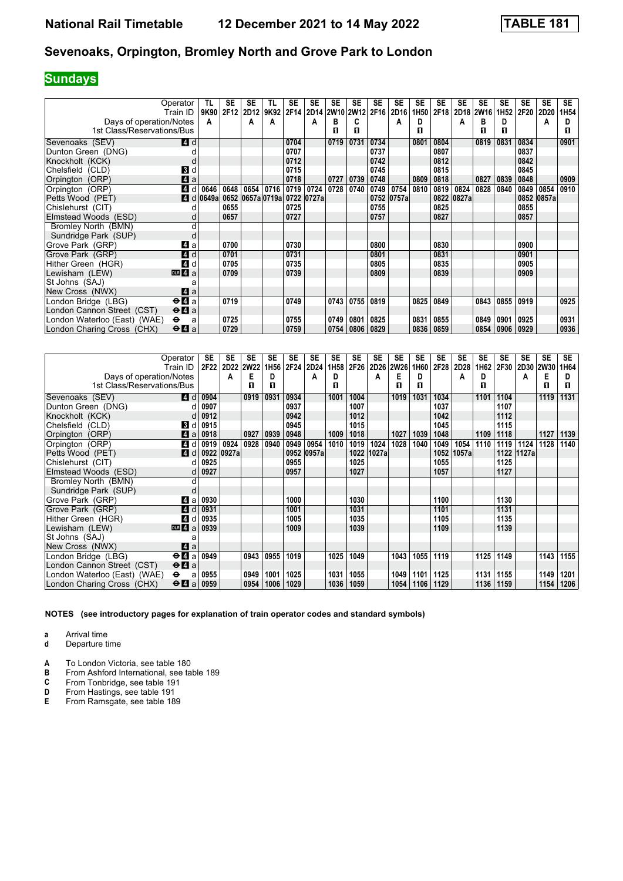# **Sundays**

|                              | Operator                              | TL                          | <b>SE</b> | <b>SE</b> | TL          | <b>SE</b> | <b>SE</b>           | <b>SE</b> | <b>SE</b> | <b>SE</b> | <b>SE</b>  | <b>SE</b>        | <b>SE</b> | <b>SE</b>  | <b>SE</b> | <b>SE</b> | <b>SE</b> | <b>SE</b>  | <b>SE</b>        |
|------------------------------|---------------------------------------|-----------------------------|-----------|-----------|-------------|-----------|---------------------|-----------|-----------|-----------|------------|------------------|-----------|------------|-----------|-----------|-----------|------------|------------------|
|                              | Train ID                              | 9K90                        | 2F12      | 2D12      | 9K92        |           | 2F14 2D14 2W10 2W12 |           |           |           | 2F16 2D16  | 1H <sub>50</sub> | 2F18      |            | 2D18 2W16 | 1H52      | 2F20      | 2D20       | 1H <sub>54</sub> |
| Days of operation/Notes      |                                       | A                           |           | A         | A           |           | А                   | в         | C         |           | A          | D                |           | А          | в         | D         |           | A          | D                |
| 1st Class/Reservations/Bus   |                                       |                             |           |           |             |           |                     | п         | п         |           |            | п                |           |            | п         | п         |           |            | п                |
| Sevenoaks (SEV)              | 4 d                                   |                             |           |           |             | 0704      |                     | 0719      | 0731      | 0734      |            | 0801             | 0804      |            | 0819      | 0831      | 0834      |            | 0901             |
| Dunton Green (DNG)           |                                       |                             |           |           |             | 0707      |                     |           |           | 0737      |            |                  | 0807      |            |           |           | 0837      |            |                  |
| Knockholt (KCK)              | d                                     |                             |           |           |             | 0712      |                     |           |           | 0742      |            |                  | 0812      |            |           |           | 0842      |            |                  |
| Chelsfield (CLD)             | 3 d                                   |                             |           |           |             | 0715      |                     |           |           | 0745      |            |                  | 0815      |            |           |           | 0845      |            |                  |
| Orpington (ORP)              | Z1 a                                  |                             |           |           |             | 0718      |                     | 0727      | 0739      | 0748      |            | 0809             | 0818      |            | 0827      | 0839      | 0848      |            | 0909             |
| Orpington (ORP)              | 4 d                                   | 0646                        | 0648      |           | 0654 0716   | 0719      | 0724                | 0728      | 0740      | 0749      | 0754       | 0810             | 0819      | 0824       | 0828      | 0840      | 0849      | 0854       | 0910             |
| Petts Wood (PET)             |                                       | $\blacksquare$ d 0649a 0652 |           |           | 0657a 0719a |           | 0722 0727a          |           |           |           | 0752 0757a |                  |           | 0822 0827a |           |           |           | 0852 0857a |                  |
| Chislehurst (CIT)            |                                       |                             | 0655      |           |             | 0725      |                     |           |           | 0755      |            |                  | 0825      |            |           |           | 0855      |            |                  |
| Elmstead Woods (ESD)         | d                                     |                             | 0657      |           |             | 0727      |                     |           |           | 0757      |            |                  | 0827      |            |           |           | 0857      |            |                  |
| Bromley North (BMN)          | d                                     |                             |           |           |             |           |                     |           |           |           |            |                  |           |            |           |           |           |            |                  |
| Sundridge Park (SUP)         | d                                     |                             |           |           |             |           |                     |           |           |           |            |                  |           |            |           |           |           |            |                  |
| Grove Park (GRP)             | 41 a                                  |                             | 0700      |           |             | 0730      |                     |           |           | 0800      |            |                  | 0830      |            |           |           | 0900      |            |                  |
| Grove Park (GRP)             | 4d                                    |                             | 0701      |           |             | 0731      |                     |           |           | 0801      |            |                  | 0831      |            |           |           | 0901      |            |                  |
| Hither Green (HGR)           | 4d                                    |                             | 0705      |           |             | 0735      |                     |           |           | 0805      |            |                  | 0835      |            |           |           | 0905      |            |                  |
| Lewisham (LEW)               | DR 4a                                 |                             | 0709      |           |             | 0739      |                     |           |           | 0809      |            |                  | 0839      |            |           |           | 0909      |            |                  |
| St Johns (SAJ)               | a                                     |                             |           |           |             |           |                     |           |           |           |            |                  |           |            |           |           |           |            |                  |
| New Cross (NWX)              | ZI a                                  |                             |           |           |             |           |                     |           |           |           |            |                  |           |            |           |           |           |            |                  |
| London Bridge (LBG)          | $\Theta$ <b>d</b> a                   |                             | 0719      |           |             | 0749      |                     | 0743      | 0755      | 0819      |            | 0825             | 0849      |            | 0843      | 0855      | 0919      |            | 0925             |
| London Cannon Street (CST)   | $\Theta$ <b><math>\Omega</math></b> a |                             |           |           |             |           |                     |           |           |           |            |                  |           |            |           |           |           |            |                  |
| London Waterloo (East) (WAE) | $\bullet$<br>a                        |                             | 0725      |           |             | 0755      |                     | 0749      | 0801      | 0825      |            | 0831             | 0855      |            | 0849      | 0901      | 0925      |            | 0931             |
| London Charing Cross (CHX)   | $\Theta$ <b>A</b> a                   |                             | 0729      |           |             | 0759      |                     | 0754      | 0806      | 0829      |            | 0836             | 0859      |            | 0854      | 0906      | 0929      |            | 0936             |

| Operator                                                                  | SE   | SE    | <b>SE</b> | <b>SE</b>        | <b>SE</b> | SE    | <b>SE</b>        | SE   | SE    | SE          | SE   | <b>SE</b> | <b>SE</b> | SE   | <b>SE</b> | <b>SE</b>      | SE   | <b>SE</b> |
|---------------------------------------------------------------------------|------|-------|-----------|------------------|-----------|-------|------------------|------|-------|-------------|------|-----------|-----------|------|-----------|----------------|------|-----------|
| Train ID                                                                  | 2F22 |       | 2D22 2W22 | 1H <sub>56</sub> | 2F24      | 2D24  | 1H <sub>58</sub> | 2F26 | 2D26  | <b>2W26</b> | 1H60 | 2F28      | 2D28      | 1H62 |           | 2F30 2D30 2W30 |      | 1H64      |
| Days of operation/Notes                                                   |      | А     | Е         | D                |           | А     | D                |      | A     | Е           | D    |           | A         | D    |           | A              | Е    | D         |
| 1st Class/Reservations/Bus                                                |      |       | п         | п                |           |       | п                |      |       | п           | п    |           |           | л    |           |                | п    | п         |
| <b>4</b> d<br>Sevenoaks (SEV)                                             | 0904 |       | 0919      | 0931             | 0934      |       | 1001             | 1004 |       | 1019        | 1031 | 1034      |           | 1101 | 1104      |                | 1119 | 1131      |
| Dunton Green (DNG)                                                        | 0907 |       |           |                  | 0937      |       |                  | 1007 |       |             |      | 1037      |           |      | 1107      |                |      |           |
| Knockholt (KCK)                                                           | 0912 |       |           |                  | 0942      |       |                  | 1012 |       |             |      | 1042      |           |      | 1112      |                |      |           |
| Chelsfield (CLD)<br><b>3</b> d                                            | 0915 |       |           |                  | 0945      |       |                  | 1015 |       |             |      | 1045      |           |      | 1115      |                |      |           |
| 4a<br>Orpington (ORP)                                                     | 0918 |       | 0927      | 0939             | 0948      |       | 1009             | 1018 |       | 1027        | 1039 | 1048      |           | 1109 | 1118      |                | 1127 | 1139      |
| $\boldsymbol{A}$<br>Orpington (ORP)<br>d                                  | 0919 | 0924  | 0928      | 0940             | 0949      | 0954  | 1010             | 1019 | 1024  | 1028        | 1040 | 1049      | 1054      | 1110 | 1119      | 1124           | 1128 | 1140      |
| 4d<br>Petts Wood (PET)                                                    | 0922 | 0927a |           |                  | 0952      | 0957a |                  | 1022 | 1027a |             |      | 1052      | 1057a     |      | 1122      | 1127a          |      |           |
| Chislehurst (CIT)                                                         | 0925 |       |           |                  | 0955      |       |                  | 1025 |       |             |      | 1055      |           |      | 1125      |                |      |           |
| Elmstead Woods (ESD)                                                      | 0927 |       |           |                  | 0957      |       |                  | 1027 |       |             |      | 1057      |           |      | 1127      |                |      |           |
| Bromley North (BMN)<br>d                                                  |      |       |           |                  |           |       |                  |      |       |             |      |           |           |      |           |                |      |           |
| Sundridge Park (SUP)                                                      |      |       |           |                  |           |       |                  |      |       |             |      |           |           |      |           |                |      |           |
| Grove Park (GRP)<br>41 a                                                  | 0930 |       |           |                  | 1000      |       |                  | 1030 |       |             |      | 1100      |           |      | 1130      |                |      |           |
| Grove Park (GRP)<br><b>4d</b>                                             | 0931 |       |           |                  | 1001      |       |                  | 1031 |       |             |      | 1101      |           |      | 1131      |                |      |           |
| $\boldsymbol{A}$<br>Hither Green (HGR)<br>d                               | 0935 |       |           |                  | 1005      |       |                  | 1035 |       |             |      | 1105      |           |      | 1135      |                |      |           |
| DR 4a<br>Lewisham (LEW)                                                   | 0939 |       |           |                  | 1009      |       |                  | 1039 |       |             |      | 1109      |           |      | 1139      |                |      |           |
| St Johns (SAJ)<br>a                                                       |      |       |           |                  |           |       |                  |      |       |             |      |           |           |      |           |                |      |           |
| 4 a<br>New Cross (NWX)                                                    |      |       |           |                  |           |       |                  |      |       |             |      |           |           |      |           |                |      |           |
| $\Theta$ <b><math>\Omega</math></b> a<br>London Bridge (LBG)              | 0949 |       | 0943      | 0955             | 1019      |       | 1025             | 1049 |       | 1043        | 1055 | 1119      |           | 1125 | 1149      |                | 1143 | 1155      |
| $\Theta$ <b><math>\blacksquare</math></b> a<br>London Cannon Street (CST) |      |       |           |                  |           |       |                  |      |       |             |      |           |           |      |           |                |      |           |
| London Waterloo (East) (WAE)<br>$\bullet$<br>a                            | 0955 |       | 0949      | 1001             | 1025      |       | 1031             | 1055 |       | 1049        | 1101 | 1125      |           | 1131 | 1155      |                | 1149 | 1201      |
| London Charing Cross (CHX)<br>$\Theta$ <b><math>\blacksquare</math></b> a | 0959 |       | 0954      | 1006             | 1029      |       | 1036             | 1059 |       | 1054        | 1106 | 1129      |           | 1136 | 1159      |                | 1154 | 1206      |

**NOTES (see introductory pages for explanation of train operator codes and standard symbols)**

**a** Arrival time

**d** Departure time

- **A** To London Victoria, see table 180<br>**B** From Ashford International, see ta
- **B** From Ashford International, see table 189<br>**C** From Tonbridge, see table 191

**C** From Tonbridge, see table 191<br>**D** From Hastings, see table 191

- **D** From Hastings, see table 191<br>**E** From Ramsgate, see table 18
- **E** From Ramsgate, see table 18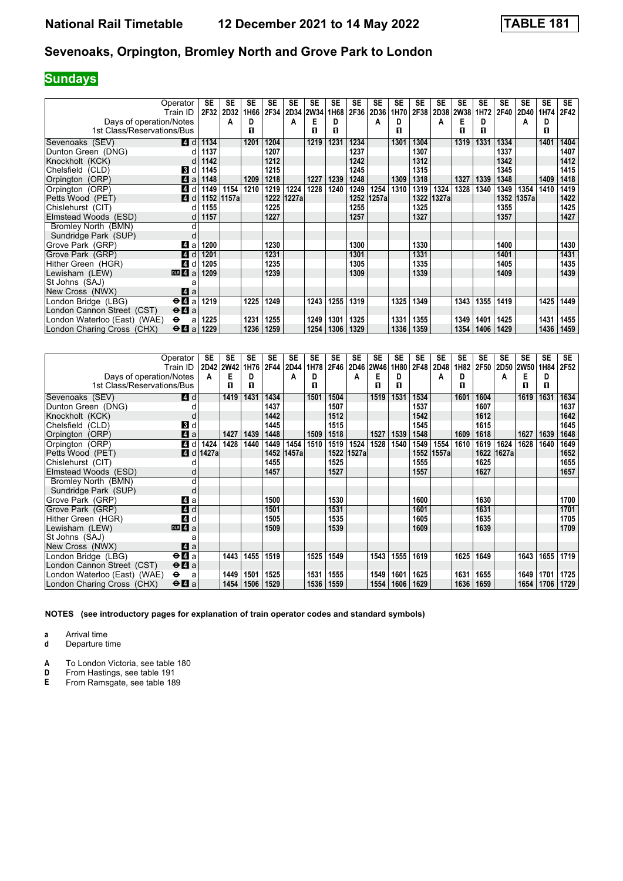# **Sundays**

|                              | Operator                              | <b>SE</b> | SE        | SE   | <b>SE</b> | <b>SE</b> | <b>SE</b> | SE   | <b>SE</b> | SE    | <b>SE</b> | <b>SE</b> | <b>SE</b> | SE        | <b>SE</b> | SE   | SE    | <b>SE</b> | SE.  |
|------------------------------|---------------------------------------|-----------|-----------|------|-----------|-----------|-----------|------|-----------|-------|-----------|-----------|-----------|-----------|-----------|------|-------|-----------|------|
|                              | Train ID                              |           | 2F32 2D32 | 1H66 | 2F34      |           | 2D34 2W34 | 1H68 | 2F36      | 2D36  | 1H70      | 2F38      |           | 2D38 2W38 | 1H72      | 2F40 | 2D40  | 1H74      | 2F42 |
| Days of operation/Notes      |                                       |           | A         | D    |           | А         | Е         | D.   |           | A     | D         |           | А         | Е         | D         |      | А     | D         |      |
| 1st Class/Reservations/Bus   |                                       |           |           | 0    |           |           | п         | п    |           |       | п         |           |           | п         | п         |      |       | п         |      |
| Sevenoaks (SEV)              | 4 d                                   | 1134      |           | 1201 | 1204      |           | 1219      | 1231 | 1234      |       | 1301      | 1304      |           | 1319      | 1331      | 1334 |       | 1401      | 1404 |
| Dunton Green (DNG)           | d                                     | 1137      |           |      | 1207      |           |           |      | 1237      |       |           | 1307      |           |           |           | 1337 |       |           | 1407 |
| Knockholt (KCK)              |                                       | 1142      |           |      | 1212      |           |           |      | 1242      |       |           | 1312      |           |           |           | 1342 |       |           | 1412 |
| Chelsfield (CLD)             | <b>3</b> d                            | 1145      |           |      | 1215      |           |           |      | 1245      |       |           | 1315      |           |           |           | 1345 |       |           | 1415 |
| Orpington (ORP)              | $\blacksquare$ a                      | 1148      |           | 1209 | 1218      |           | 1227      | 1239 | 1248      |       | 1309      | 1318      |           | 1327      | 1339      | 1348 |       | 1409      | 1418 |
| Orpington (ORP)              | 4 d                                   | 1149      | 1154      | 1210 | 1219      | 1224      | 1228      | 1240 | 1249      | 1254  | 1310      | 1319      | 1324      | 1328      | 1340      | 1349 | 1354  | 1410      | 1419 |
| Petts Wood (PET)             | 4 d                                   | 1152      | 1157a     |      | 1222      | 1227a     |           |      | 1252      | 1257a |           | 1322      | 1327a     |           |           | 1352 | 1357a |           | 1422 |
| Chislehurst (CIT)            |                                       | 1155      |           |      | 1225      |           |           |      | 1255      |       |           | 1325      |           |           |           | 1355 |       |           | 1425 |
| Elmstead Woods (ESD)         | d                                     | 1157      |           |      | 1227      |           |           |      | 1257      |       |           | 1327      |           |           |           | 1357 |       |           | 1427 |
| Bromley North (BMN)          | d                                     |           |           |      |           |           |           |      |           |       |           |           |           |           |           |      |       |           |      |
| Sundridge Park (SUP)         | d                                     |           |           |      |           |           |           |      |           |       |           |           |           |           |           |      |       |           |      |
| Grove Park (GRP)             | ZI a                                  | 1200      |           |      | 1230      |           |           |      | 1300      |       |           | 1330      |           |           |           | 1400 |       |           | 1430 |
| Grove Park (GRP)             | 4d                                    | 1201      |           |      | 1231      |           |           |      | 1301      |       |           | 1331      |           |           |           | 1401 |       |           | 1431 |
| Hither Green (HGR)           | <b>4</b> d                            | 1205      |           |      | 1235      |           |           |      | 1305      |       |           | 1335      |           |           |           | 1405 |       |           | 1435 |
| Lewisham (LEW)               | DR 4a                                 | 1209      |           |      | 1239      |           |           |      | 1309      |       |           | 1339      |           |           |           | 1409 |       |           | 1439 |
| St Johns (SAJ)               | a                                     |           |           |      |           |           |           |      |           |       |           |           |           |           |           |      |       |           |      |
| New Cross (NWX)              | ZI a                                  |           |           |      |           |           |           |      |           |       |           |           |           |           |           |      |       |           |      |
| London Bridge (LBG)          | $\Theta$ <b><math>\Omega</math></b> a | 1219      |           | 1225 | 1249      |           | 1243      | 1255 | 1319      |       | 1325      | 1349      |           | 1343      | 1355      | 1419 |       | 1425      | 1449 |
| London Cannon Street (CST)   | $\Theta$ <b><math>\Omega</math></b> a |           |           |      |           |           |           |      |           |       |           |           |           |           |           |      |       |           |      |
| London Waterloo (East) (WAE) | $\bullet$<br>a                        | 1225      |           | 1231 | 1255      |           | 1249      | 1301 | 1325      |       | 1331      | 1355      |           | 1349      | 1401      | 1425 |       | 1431      | 1455 |
| London Charing Cross (CHX)   | $\Theta$ <b>A</b> a                   | 1229      |           | 1236 | 1259      |           | 1254      | 1306 | 1329      |       | 1336      | 1359      |           | 1354      | 1406      | 1429 |       | 1436      | 1459 |

|                              | Operator<br>Train ID                        | SE    | <b>SE</b><br>2D42 2W42 | <b>SE</b><br>1H76 | <b>SE</b><br>2F44 | <b>SE</b><br><b>2D44</b> | <b>SE</b><br>1H78 | <b>SE</b><br>2F46 | <b>SE</b><br>2D46 | <b>SE</b><br><b>2W46</b> | <b>SE</b><br>1H80 | <b>SE</b><br>2F48 | <b>SE</b><br>2D48 | <b>SE</b><br>1H82 | <b>SE</b><br><b>2F50</b> | <b>SE</b> | <b>SE</b><br>2D50 2W50 | <b>SE</b><br>1H84 | <b>SE</b><br>2F52 |
|------------------------------|---------------------------------------------|-------|------------------------|-------------------|-------------------|--------------------------|-------------------|-------------------|-------------------|--------------------------|-------------------|-------------------|-------------------|-------------------|--------------------------|-----------|------------------------|-------------------|-------------------|
| Days of operation/Notes      |                                             | A     | Е                      | D                 |                   | A                        | D                 |                   | A                 | Е                        | D                 |                   | А                 | D                 |                          | А         | Е                      | D                 |                   |
| 1st Class/Reservations/Bus   |                                             |       | п                      | п                 |                   |                          | п                 |                   |                   | п                        | п                 |                   |                   | п                 |                          |           | п                      | п                 |                   |
| Sevenoaks (SEV)              | 4 d                                         |       | 1419                   | 1431              | 1434              |                          | 1501              | 1504              |                   | 1519                     | 1531              | 1534              |                   | 1601              | 1604                     |           | 1619                   | 1631              | 1634              |
| Dunton Green (DNG)           |                                             |       |                        |                   | 1437              |                          |                   | 1507              |                   |                          |                   | 1537              |                   |                   | 1607                     |           |                        |                   | 1637              |
| Knockholt (KCK)              |                                             |       |                        |                   | 1442              |                          |                   | 1512              |                   |                          |                   | 1542              |                   |                   | 1612                     |           |                        |                   | 1642              |
| Chelsfield (CLD)             | BI d                                        |       |                        |                   | 1445              |                          |                   | 1515              |                   |                          |                   | 1545              |                   |                   | 1615                     |           |                        |                   | 1645              |
| Orpington (ORP)              | ZI a                                        |       | 1427                   | 1439              | 1448              |                          | 1509              | 1518              |                   | 1527                     | 1539              | 1548              |                   | 1609              | 1618                     |           | 1627                   | 1639              | 1648              |
| Orpington (ORP)              | $\boldsymbol{A}$<br>d                       | 1424  | 1428                   | 1440              | 1449              | 1454                     | 1510              | 1519              | 1524              | 1528                     | 1540              | 1549              | 1554              | 1610              | 1619                     | 1624      | 1628                   | 1640              | 1649              |
| Petts Wood (PET)             | 4d                                          | 1427a |                        |                   | 1452              | 1457a                    |                   | 1522              | 1527a             |                          |                   | 1552              | 1557a             |                   | 1622                     | 1627a     |                        |                   | 1652              |
| Chislehurst (CIT)            |                                             |       |                        |                   | 1455              |                          |                   | 1525              |                   |                          |                   | 1555              |                   |                   | 1625                     |           |                        |                   | 1655              |
| Elmstead Woods (ESD)         |                                             |       |                        |                   | 1457              |                          |                   | 1527              |                   |                          |                   | 1557              |                   |                   | 1627                     |           |                        |                   | 1657              |
| Bromley North (BMN)          | d                                           |       |                        |                   |                   |                          |                   |                   |                   |                          |                   |                   |                   |                   |                          |           |                        |                   |                   |
| Sundridge Park (SUP)         |                                             |       |                        |                   |                   |                          |                   |                   |                   |                          |                   |                   |                   |                   |                          |           |                        |                   |                   |
| Grove Park (GRP)             | ZI a                                        |       |                        |                   | 1500              |                          |                   | 1530              |                   |                          |                   | 1600              |                   |                   | 1630                     |           |                        |                   | 1700              |
| Grove Park (GRP)             | 4d                                          |       |                        |                   | 1501              |                          |                   | 1531              |                   |                          |                   | 1601              |                   |                   | 1631                     |           |                        |                   | 1701              |
| Hither Green (HGR)           | 4<br>d                                      |       |                        |                   | 1505              |                          |                   | 1535              |                   |                          |                   | 1605              |                   |                   | 1635                     |           |                        |                   | 1705              |
| Lewisham (LEW)               | DR 4a                                       |       |                        |                   | 1509              |                          |                   | 1539              |                   |                          |                   | 1609              |                   |                   | 1639                     |           |                        |                   | 1709              |
| St Johns (SAJ)               | a                                           |       |                        |                   |                   |                          |                   |                   |                   |                          |                   |                   |                   |                   |                          |           |                        |                   |                   |
| New Cross (NWX)              | ZI a                                        |       |                        |                   |                   |                          |                   |                   |                   |                          |                   |                   |                   |                   |                          |           |                        |                   |                   |
| London Bridge (LBG)          | $\Theta$ <b><math>\mathbf{u}</math></b> a   |       | 1443                   | 1455              | 1519              |                          | 1525              | 1549              |                   | 1543                     | 1555              | 1619              |                   | 1625              | 1649                     |           | 1643                   | 1655              | 1719              |
| London Cannon Street (CST)   | $\Theta$ <b><math>\blacksquare</math></b> a |       |                        |                   |                   |                          |                   |                   |                   |                          |                   |                   |                   |                   |                          |           |                        |                   |                   |
| London Waterloo (East) (WAE) | $\bullet$<br>a                              |       | 1449                   | 1501              | 1525              |                          | 1531              | 1555              |                   | 1549                     | 1601              | 1625              |                   | 1631              | 1655                     |           | 1649                   | 1701              | 1725              |
| London Charing Cross (CHX)   | $\Theta$ <b><math>\blacksquare</math></b> a |       | 1454                   | 1506              | 1529              |                          | 1536              | 1559              |                   | 1554                     | 1606              | 1629              |                   | 1636              | 1659                     |           | 1654                   | 1706              | 1729              |

**NOTES (see introductory pages for explanation of train operator codes and standard symbols)**

**a** Arrival time

**d** Departure time

**A** To London Victoria, see table 180<br>**D** From Hastings, see table 191

**D** From Hastings, see table 191<br>**E** From Ramsgate, see table 18

From Ramsgate, see table 189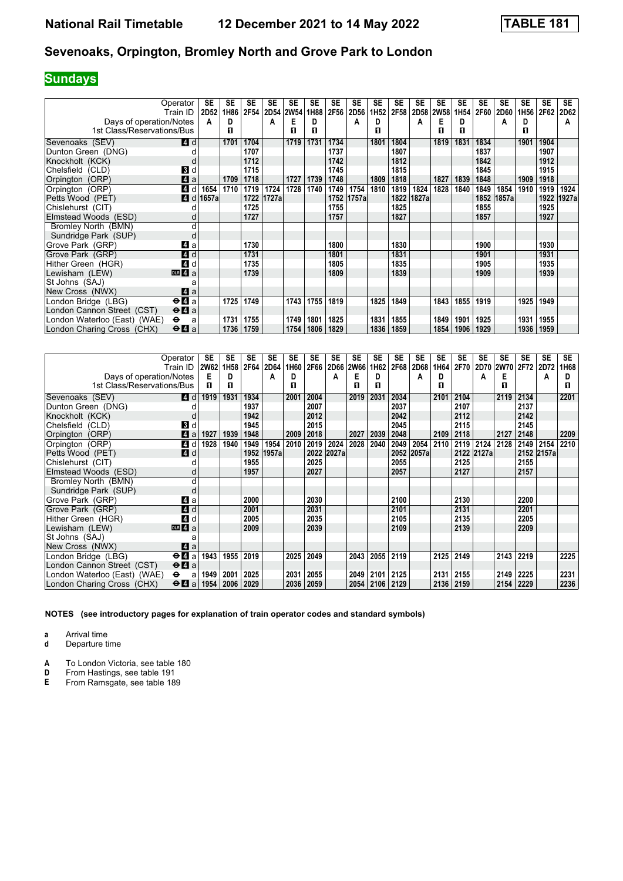# **Sundays**

|                              | Operator<br>Train ID                        | <b>SE</b><br>2D <sub>52</sub> | SE<br>1H86 | <b>SE</b><br>2F54 | <b>SE</b><br>2D54 2W54 | <b>SE</b> | SE<br>1H88 | <b>SE</b><br>2F56 | SE<br>2D56 | SE<br>1H <sub>52</sub> | SE<br>2F58 | <b>SE</b><br><b>2D58</b> | SE<br><b>2W58</b> | <b>SE</b><br>1H <sub>54</sub> | SE<br>2F60 | SE<br><b>2D60</b> | <b>SE</b><br>1H <sub>56</sub> | <b>SE</b><br>2F62 | <b>SE</b><br>2D62 |
|------------------------------|---------------------------------------------|-------------------------------|------------|-------------------|------------------------|-----------|------------|-------------------|------------|------------------------|------------|--------------------------|-------------------|-------------------------------|------------|-------------------|-------------------------------|-------------------|-------------------|
| Days of operation/Notes      |                                             | A                             | D          |                   | А                      | E         | D          |                   | A          | D                      |            | A                        | Е                 | D                             |            | A                 | D                             |                   | A                 |
| 1st Class/Reservations/Bus   |                                             |                               | п          |                   |                        | П         | п          |                   |            | п                      |            |                          | п                 | п                             |            |                   | п                             |                   |                   |
|                              |                                             |                               |            |                   |                        |           |            |                   |            |                        |            |                          |                   |                               |            |                   |                               |                   |                   |
| Sevenoaks (SEV)              | 4 d                                         |                               | 1701       | 1704              |                        | 1719      | 1731       | 1734              |            | 1801                   | 1804       |                          | 1819              | 1831                          | 1834       |                   | 1901                          | 1904              |                   |
| Dunton Green (DNG)           | d                                           |                               |            | 1707              |                        |           |            | 1737              |            |                        | 1807       |                          |                   |                               | 1837       |                   |                               | 1907              |                   |
| Knockholt (KCK)              | d                                           |                               |            | 1712              |                        |           |            | 1742              |            |                        | 1812       |                          |                   |                               | 1842       |                   |                               | 1912              |                   |
| Chelsfield (CLD)             | <b>3</b> d                                  |                               |            | 1715              |                        |           |            | 1745              |            |                        | 1815       |                          |                   |                               | 1845       |                   |                               | 1915              |                   |
| Orpington (ORP)              | Z1 a                                        |                               | 1709       | 1718              |                        | 1727      | 1739       | 1748              |            | 1809                   | 1818       |                          | 1827              | 1839                          | 1848       |                   | 1909                          | 1918              |                   |
| Orpington (ORP)              | 4<br>d                                      | 1654                          | 1710       | 1719              | 1724                   | 1728      | 1740       | 1749              | 1754       | 1810                   | 1819       | 1824                     | 1828              | 1840                          | 1849       | 1854              | 1910                          | 1919              | 1924              |
| Petts Wood (PET)             | 4 d                                         | 1657a                         |            | 1722              | 1727a                  |           |            | 1752              | 1757a      |                        | 1822       | 1827a                    |                   |                               |            | 1852 1857a        |                               | 1922              | 1927a             |
| Chislehurst (CIT)            |                                             |                               |            | 1725              |                        |           |            | 1755              |            |                        | 1825       |                          |                   |                               | 1855       |                   |                               | 1925              |                   |
| Elmstead Woods (ESD)         | d                                           |                               |            | 1727              |                        |           |            | 1757              |            |                        | 1827       |                          |                   |                               | 1857       |                   |                               | 1927              |                   |
| Bromley North (BMN)          | d                                           |                               |            |                   |                        |           |            |                   |            |                        |            |                          |                   |                               |            |                   |                               |                   |                   |
| Sundridge Park (SUP)         | d                                           |                               |            |                   |                        |           |            |                   |            |                        |            |                          |                   |                               |            |                   |                               |                   |                   |
| Grove Park (GRP)             | Z1 a                                        |                               |            | 1730              |                        |           |            | 1800              |            |                        | 1830       |                          |                   |                               | 1900       |                   |                               | 1930              |                   |
| Grove Park (GRP)             | 4d                                          |                               |            | 1731              |                        |           |            | 1801              |            |                        | 1831       |                          |                   |                               | 1901       |                   |                               | 1931              |                   |
| Hither Green (HGR)           | 4 d                                         |                               |            | 1735              |                        |           |            | 1805              |            |                        | 1835       |                          |                   |                               | 1905       |                   |                               | 1935              |                   |
| Lewisham (LEW)               | $DLR$ 4 a                                   |                               |            | 1739              |                        |           |            | 1809              |            |                        | 1839       |                          |                   |                               | 1909       |                   |                               | 1939              |                   |
| St Johns (SAJ)               | a                                           |                               |            |                   |                        |           |            |                   |            |                        |            |                          |                   |                               |            |                   |                               |                   |                   |
| New Cross (NWX)              | ZI a                                        |                               |            |                   |                        |           |            |                   |            |                        |            |                          |                   |                               |            |                   |                               |                   |                   |
| London Bridge (LBG)          | $\Theta$ <b><math>\blacksquare</math></b> a |                               | 1725       | 1749              |                        | 1743      | 1755       | 1819              |            | 1825                   | 1849       |                          | 1843              | 1855                          | 1919       |                   | 1925                          | 1949              |                   |
| London Cannon Street (CST)   | $\Theta$ <b>A</b> a                         |                               |            |                   |                        |           |            |                   |            |                        |            |                          |                   |                               |            |                   |                               |                   |                   |
| London Waterloo (East) (WAE) | $\bullet$<br>a                              |                               | 1731       | 1755              |                        | 1749      | 1801       | 1825              |            | 1831                   | 1855       |                          | 1849              | 1901                          | 1925       |                   | 1931                          | 1955              |                   |
| London Charing Cross (CHX)   | $\Theta$ <b>l</b> a                         |                               | 1736       | 1759              |                        | 1754      | 1806       | 1829              |            | 1836                   | 1859       |                          | 1854              | 1906                          | 1929       |                   | 1936                          | 1959              |                   |

|                              | Operator<br>Train ID                        | SE<br><b>2W62</b> | <b>SE</b><br>1H58 | <b>SE</b><br>2F64 | <b>SE</b><br>2D64 | <b>SE</b><br>1H60 | <b>SE</b><br>2F66 | <b>SE</b> | <b>SE</b><br>2D66 2W66 | <b>SE</b><br>1H62 | <b>SE</b><br>2F68 | <b>SE</b><br><b>2D68</b> | <b>SE</b><br>1H64 | <b>SE</b><br>2F70 | <b>SE</b>  | <b>SE</b><br>2D70 2W70 | <b>SE</b><br>2F72 | <b>SE</b><br>2D72 | <b>SE</b><br>1H68 |
|------------------------------|---------------------------------------------|-------------------|-------------------|-------------------|-------------------|-------------------|-------------------|-----------|------------------------|-------------------|-------------------|--------------------------|-------------------|-------------------|------------|------------------------|-------------------|-------------------|-------------------|
| Days of operation/Notes      |                                             | Е                 | D                 |                   | A                 | D                 |                   | A         | Е                      | D                 |                   | А                        | D                 |                   | A          | Е                      |                   | A                 | D                 |
| 1st Class/Reservations/Bus   |                                             | п                 | 0                 |                   |                   | п                 |                   |           | п                      | п                 |                   |                          | п                 |                   |            | п                      |                   |                   | п                 |
|                              |                                             |                   |                   |                   |                   |                   |                   |           |                        |                   |                   |                          |                   |                   |            |                        |                   |                   |                   |
| Sevenoaks (SEV)              | <b>4d</b>                                   | 1919              | 1931              | 1934              |                   | 2001              | 2004              |           | 2019                   | 2031              | 2034              |                          | 2101              | 2104              |            | 2119                   | 2134              |                   | 2201              |
| Dunton Green (DNG)           |                                             |                   |                   | 1937              |                   |                   | 2007              |           |                        |                   | 2037              |                          |                   | 2107              |            |                        | 2137              |                   |                   |
| Knockholt (KCK)              |                                             |                   |                   | 1942              |                   |                   | 2012              |           |                        |                   | 2042              |                          |                   | 2112              |            |                        | 2142              |                   |                   |
| Chelsfield (CLD)             | <b>B</b> d                                  |                   |                   | 1945              |                   |                   | 2015              |           |                        |                   | 2045              |                          |                   | 2115              |            |                        | 2145              |                   |                   |
| Orpington (ORP)              | Zi a                                        | 1927              | 1939              | 1948              |                   | 2009              | 2018              |           | 2027                   | 2039              | 2048              |                          | 2109              | 2118              |            | 2127                   | 2148              |                   | 2209              |
| Orpington (ORP)              | $\boldsymbol{A}$<br>d                       | 1928              | 1940              | 1949              | 1954              | 2010              | 2019              | 2024      | 2028                   | 2040              | 2049              | 2054                     | 2110              | 2119              | 2124       | 2128                   | 2149              | 2154              | 2210              |
| Petts Wood (PET)             | 4d                                          |                   |                   | 1952              | 1957a             |                   | 2022              | 2027a     |                        |                   |                   | 2052 2057a               |                   |                   | 2122 2127a |                        |                   | 2152 2157a        |                   |
| Chislehurst (CIT)            |                                             |                   |                   | 1955              |                   |                   | 2025              |           |                        |                   | 2055              |                          |                   | 2125              |            |                        | 2155              |                   |                   |
| Elmstead Woods (ESD)         |                                             |                   |                   | 1957              |                   |                   | 2027              |           |                        |                   | 2057              |                          |                   | 2127              |            |                        | 2157              |                   |                   |
| Bromley North (BMN)          | d                                           |                   |                   |                   |                   |                   |                   |           |                        |                   |                   |                          |                   |                   |            |                        |                   |                   |                   |
| Sundridge Park (SUP)         |                                             |                   |                   |                   |                   |                   |                   |           |                        |                   |                   |                          |                   |                   |            |                        |                   |                   |                   |
| Grove Park (GRP)             | ZI a                                        |                   |                   | 2000              |                   |                   | 2030              |           |                        |                   | 2100              |                          |                   | 2130              |            |                        | 2200              |                   |                   |
| Grove Park (GRP)             | <b>4</b> d                                  |                   |                   | 2001              |                   |                   | 2031              |           |                        |                   | 2101              |                          |                   | 2131              |            |                        | 2201              |                   |                   |
| Hither Green (HGR)           | $\boldsymbol{A}$<br>d                       |                   |                   | 2005              |                   |                   | 2035              |           |                        |                   | 2105              |                          |                   | 2135              |            |                        | 2205              |                   |                   |
| Lewisham (LEW)               | $\overline{m}$ 4 a                          |                   |                   | 2009              |                   |                   | 2039              |           |                        |                   | 2109              |                          |                   | 2139              |            |                        | 2209              |                   |                   |
| St Johns (SAJ)               |                                             |                   |                   |                   |                   |                   |                   |           |                        |                   |                   |                          |                   |                   |            |                        |                   |                   |                   |
| New Cross (NWX)              | ZI a                                        |                   |                   |                   |                   |                   |                   |           |                        |                   |                   |                          |                   |                   |            |                        |                   |                   |                   |
| London Bridge (LBG)          | $\Theta$ <b><math>\mathbf{u}</math></b> a   | 1943              | 1955              | 2019              |                   | 2025              | 2049              |           | 2043                   | 2055              | 2119              |                          | 2125 2149         |                   |            | 2143                   | 2219              |                   | 2225              |
| London Cannon Street (CST)   | $\Theta$ <b><math>\Omega</math></b> a       |                   |                   |                   |                   |                   |                   |           |                        |                   |                   |                          |                   |                   |            |                        |                   |                   |                   |
| London Waterloo (East) (WAE) | $\bullet$<br>a                              | 1949              | 2001              | 2025              |                   | 2031              | 2055              |           | 2049                   | 2101              | 2125              |                          | 2131              | 2155              |            | 2149                   | 2225              |                   | 2231              |
| London Charing Cross (CHX)   | $\Theta$ <b><math>\blacksquare</math></b> a | 1954              | 2006              | 2029              |                   | 2036              | 2059              |           | 2054                   | 2106              | 2129              |                          | 2136              | 2159              |            | 2154                   | 2229              |                   | 2236              |

**NOTES (see introductory pages for explanation of train operator codes and standard symbols)**

**a** Arrival time

**d** Departure time

**A** To London Victoria, see table 180<br>**D** From Hastings, see table 191

**D** From Hastings, see table 191<br>**E** From Ramsgate, see table 18

From Ramsgate, see table 189